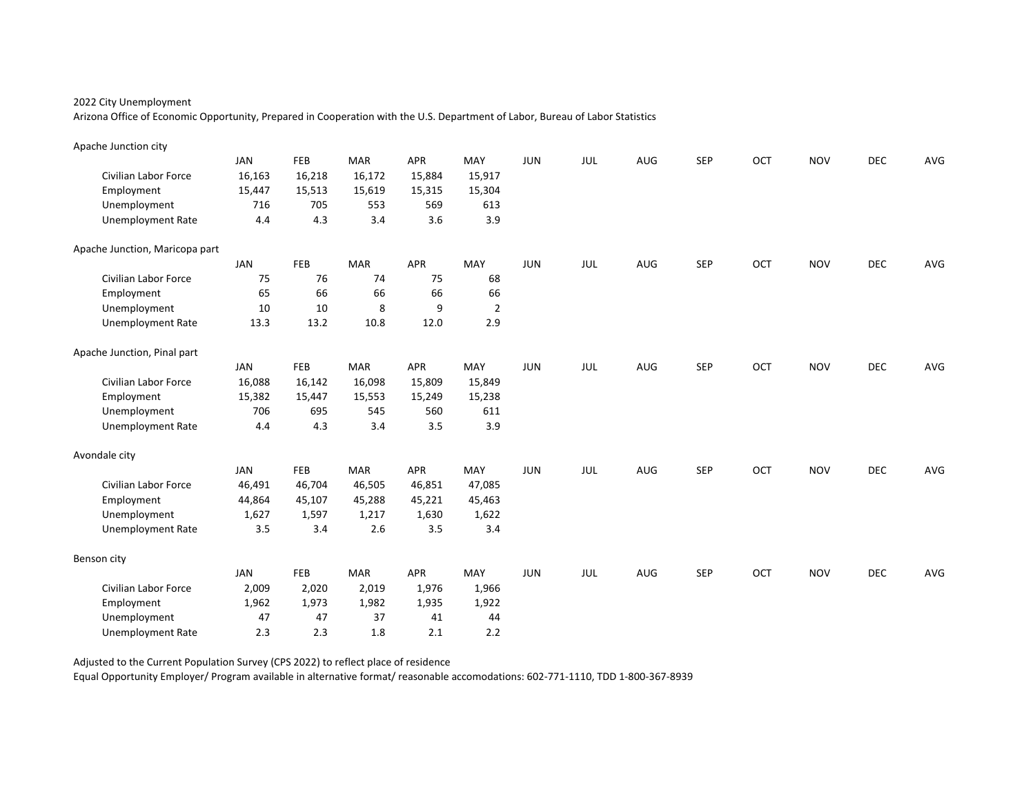Arizona Office of Economic Opportunity, Prepared in Cooperation with the U.S. Department of Labor, Bureau of Labor Statistics

| Apache Junction city           |        |        |            |            |                |            |     |     |            |     |            |            |     |
|--------------------------------|--------|--------|------------|------------|----------------|------------|-----|-----|------------|-----|------------|------------|-----|
|                                | JAN    | FEB    | <b>MAR</b> | APR        | MAY            | <b>JUN</b> | JUL | AUG | <b>SEP</b> | OCT | <b>NOV</b> | <b>DEC</b> | AVG |
| Civilian Labor Force           | 16,163 | 16,218 | 16,172     | 15,884     | 15,917         |            |     |     |            |     |            |            |     |
| Employment                     | 15,447 | 15,513 | 15,619     | 15,315     | 15,304         |            |     |     |            |     |            |            |     |
| Unemployment                   | 716    | 705    | 553        | 569        | 613            |            |     |     |            |     |            |            |     |
| <b>Unemployment Rate</b>       | 4.4    | 4.3    | 3.4        | 3.6        | 3.9            |            |     |     |            |     |            |            |     |
| Apache Junction, Maricopa part |        |        |            |            |                |            |     |     |            |     |            |            |     |
|                                | JAN    | FEB    | <b>MAR</b> | APR        | MAY            | <b>JUN</b> | JUL | AUG | <b>SEP</b> | OCT | <b>NOV</b> | <b>DEC</b> | AVG |
| Civilian Labor Force           | 75     | 76     | 74         | 75         | 68             |            |     |     |            |     |            |            |     |
| Employment                     | 65     | 66     | 66         | 66         | 66             |            |     |     |            |     |            |            |     |
| Unemployment                   | 10     | 10     | 8          | 9          | $\overline{2}$ |            |     |     |            |     |            |            |     |
| <b>Unemployment Rate</b>       | 13.3   | 13.2   | 10.8       | 12.0       | 2.9            |            |     |     |            |     |            |            |     |
| Apache Junction, Pinal part    |        |        |            |            |                |            |     |     |            |     |            |            |     |
|                                | JAN    | FEB    | <b>MAR</b> | APR        | MAY            | <b>JUN</b> | JUL | AUG | SEP        | OCT | <b>NOV</b> | DEC        | AVG |
| Civilian Labor Force           | 16,088 | 16,142 | 16,098     | 15,809     | 15,849         |            |     |     |            |     |            |            |     |
| Employment                     | 15,382 | 15,447 | 15,553     | 15,249     | 15,238         |            |     |     |            |     |            |            |     |
| Unemployment                   | 706    | 695    | 545        | 560        | 611            |            |     |     |            |     |            |            |     |
| <b>Unemployment Rate</b>       | 4.4    | 4.3    | 3.4        | 3.5        | 3.9            |            |     |     |            |     |            |            |     |
| Avondale city                  |        |        |            |            |                |            |     |     |            |     |            |            |     |
|                                | JAN    | FEB    | <b>MAR</b> | APR        | MAY            | <b>JUN</b> | JUL | AUG | SEP        | OCT | <b>NOV</b> | DEC        | AVG |
| Civilian Labor Force           | 46,491 | 46,704 | 46,505     | 46,851     | 47,085         |            |     |     |            |     |            |            |     |
| Employment                     | 44,864 | 45,107 | 45,288     | 45,221     | 45,463         |            |     |     |            |     |            |            |     |
| Unemployment                   | 1,627  | 1,597  | 1,217      | 1,630      | 1,622          |            |     |     |            |     |            |            |     |
| <b>Unemployment Rate</b>       | 3.5    | 3.4    | 2.6        | 3.5        | 3.4            |            |     |     |            |     |            |            |     |
| Benson city                    |        |        |            |            |                |            |     |     |            |     |            |            |     |
|                                | JAN    | FEB    | <b>MAR</b> | <b>APR</b> | MAY            | <b>JUN</b> | JUL | AUG | <b>SEP</b> | OCT | <b>NOV</b> | <b>DEC</b> | AVG |
| Civilian Labor Force           | 2,009  | 2,020  | 2,019      | 1,976      | 1,966          |            |     |     |            |     |            |            |     |
| Employment                     | 1,962  | 1,973  | 1,982      | 1,935      | 1,922          |            |     |     |            |     |            |            |     |
| Unemployment                   | 47     | 47     | 37         | 41         | 44             |            |     |     |            |     |            |            |     |
| <b>Unemployment Rate</b>       | 2.3    | 2.3    | 1.8        | 2.1        | 2.2            |            |     |     |            |     |            |            |     |

Adjusted to the Current Population Survey (CPS 2022) to reflect place of residence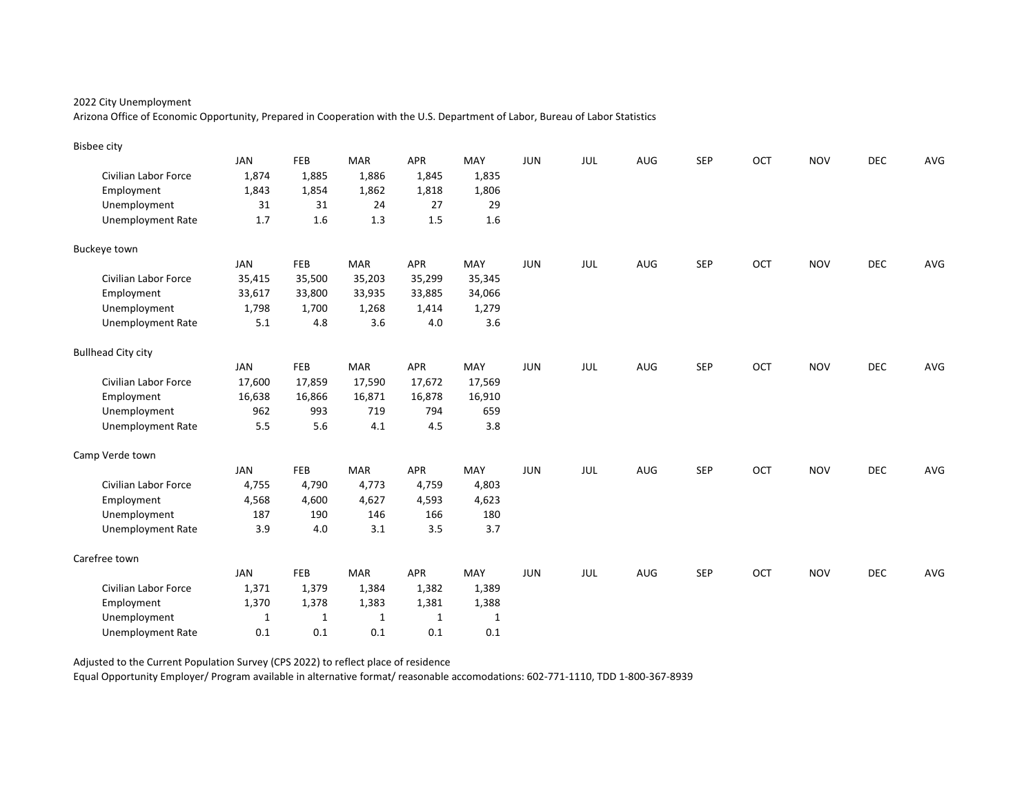Arizona Office of Economic Opportunity, Prepared in Cooperation with the U.S. Department of Labor, Bureau of Labor Statistics

| <b>Bisbee city</b>        |              |              |              |              |              |            |            |     |            |     |            |            |     |
|---------------------------|--------------|--------------|--------------|--------------|--------------|------------|------------|-----|------------|-----|------------|------------|-----|
|                           | <b>JAN</b>   | FEB          | <b>MAR</b>   | <b>APR</b>   | MAY          | <b>JUN</b> | JUL        | AUG | <b>SEP</b> | OCT | <b>NOV</b> | <b>DEC</b> | AVG |
| Civilian Labor Force      | 1,874        | 1,885        | 1,886        | 1,845        | 1,835        |            |            |     |            |     |            |            |     |
| Employment                | 1,843        | 1,854        | 1,862        | 1,818        | 1,806        |            |            |     |            |     |            |            |     |
| Unemployment              | 31           | 31           | 24           | 27           | 29           |            |            |     |            |     |            |            |     |
| <b>Unemployment Rate</b>  | 1.7          | 1.6          | 1.3          | 1.5          | 1.6          |            |            |     |            |     |            |            |     |
| Buckeye town              |              |              |              |              |              |            |            |     |            |     |            |            |     |
|                           | JAN          | FEB          | <b>MAR</b>   | <b>APR</b>   | MAY          | <b>JUN</b> | JUL        | AUG | <b>SEP</b> | OCT | <b>NOV</b> | <b>DEC</b> | AVG |
| Civilian Labor Force      | 35,415       | 35,500       | 35,203       | 35,299       | 35,345       |            |            |     |            |     |            |            |     |
| Employment                | 33,617       | 33,800       | 33,935       | 33,885       | 34,066       |            |            |     |            |     |            |            |     |
| Unemployment              | 1,798        | 1,700        | 1,268        | 1,414        | 1,279        |            |            |     |            |     |            |            |     |
| <b>Unemployment Rate</b>  | 5.1          | 4.8          | 3.6          | 4.0          | 3.6          |            |            |     |            |     |            |            |     |
| <b>Bullhead City city</b> |              |              |              |              |              |            |            |     |            |     |            |            |     |
|                           | JAN          | FEB          | <b>MAR</b>   | <b>APR</b>   | MAY          | <b>JUN</b> | <b>JUL</b> | AUG | <b>SEP</b> | OCT | <b>NOV</b> | DEC        | AVG |
| Civilian Labor Force      | 17,600       | 17,859       | 17,590       | 17,672       | 17,569       |            |            |     |            |     |            |            |     |
| Employment                | 16,638       | 16,866       | 16,871       | 16,878       | 16,910       |            |            |     |            |     |            |            |     |
| Unemployment              | 962          | 993          | 719          | 794          | 659          |            |            |     |            |     |            |            |     |
| <b>Unemployment Rate</b>  | 5.5          | 5.6          | 4.1          | 4.5          | 3.8          |            |            |     |            |     |            |            |     |
| Camp Verde town           |              |              |              |              |              |            |            |     |            |     |            |            |     |
|                           | JAN          | FEB          | <b>MAR</b>   | <b>APR</b>   | MAY          | <b>JUN</b> | JUL        | AUG | <b>SEP</b> | OCT | <b>NOV</b> | <b>DEC</b> | AVG |
| Civilian Labor Force      | 4,755        | 4,790        | 4,773        | 4,759        | 4,803        |            |            |     |            |     |            |            |     |
| Employment                | 4,568        | 4,600        | 4,627        | 4,593        | 4,623        |            |            |     |            |     |            |            |     |
| Unemployment              | 187          | 190          | 146          | 166          | 180          |            |            |     |            |     |            |            |     |
| <b>Unemployment Rate</b>  | 3.9          | 4.0          | 3.1          | 3.5          | 3.7          |            |            |     |            |     |            |            |     |
| Carefree town             |              |              |              |              |              |            |            |     |            |     |            |            |     |
|                           | <b>JAN</b>   | FEB          | <b>MAR</b>   | APR          | MAY          | <b>JUN</b> | JUL        | AUG | <b>SEP</b> | OCT | <b>NOV</b> | <b>DEC</b> | AVG |
| Civilian Labor Force      | 1,371        | 1,379        | 1,384        | 1,382        | 1,389        |            |            |     |            |     |            |            |     |
| Employment                | 1,370        | 1,378        | 1,383        | 1,381        | 1,388        |            |            |     |            |     |            |            |     |
| Unemployment              | $\mathbf{1}$ | $\mathbf{1}$ | $\mathbf{1}$ | $\mathbf{1}$ | $\mathbf{1}$ |            |            |     |            |     |            |            |     |
| <b>Unemployment Rate</b>  | 0.1          | 0.1          | 0.1          | 0.1          | 0.1          |            |            |     |            |     |            |            |     |

Adjusted to the Current Population Survey (CPS 2022) to reflect place of residence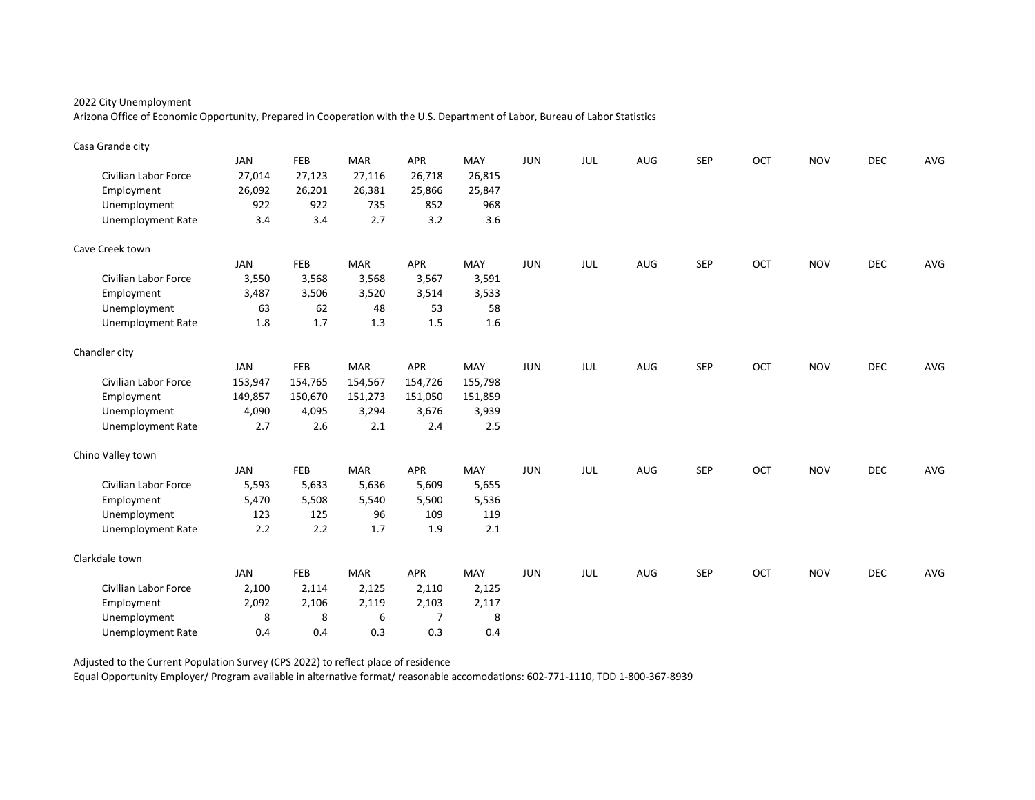Arizona Office of Economic Opportunity, Prepared in Cooperation with the U.S. Department of Labor, Bureau of Labor Statistics

| Casa Grande city            |            |         |            |                |         |            |     |     |            |     |            |            |     |
|-----------------------------|------------|---------|------------|----------------|---------|------------|-----|-----|------------|-----|------------|------------|-----|
|                             | <b>JAN</b> | FEB     | <b>MAR</b> | <b>APR</b>     | MAY     | JUN        | JUL | AUG | <b>SEP</b> | OCT | <b>NOV</b> | <b>DEC</b> | AVG |
| Civilian Labor Force        | 27,014     | 27,123  | 27,116     | 26,718         | 26,815  |            |     |     |            |     |            |            |     |
| Employment                  | 26,092     | 26,201  | 26,381     | 25,866         | 25,847  |            |     |     |            |     |            |            |     |
| Unemployment                | 922        | 922     | 735        | 852            | 968     |            |     |     |            |     |            |            |     |
| <b>Unemployment Rate</b>    | 3.4        | 3.4     | 2.7        | 3.2            | 3.6     |            |     |     |            |     |            |            |     |
| Cave Creek town             |            |         |            |                |         |            |     |     |            |     |            |            |     |
|                             | <b>JAN</b> | FEB     | <b>MAR</b> | APR            | MAY     | JUN        | JUL | AUG | <b>SEP</b> | OCT | <b>NOV</b> | <b>DEC</b> | AVG |
| Civilian Labor Force        | 3,550      | 3,568   | 3,568      | 3,567          | 3,591   |            |     |     |            |     |            |            |     |
| Employment                  | 3,487      | 3,506   | 3,520      | 3,514          | 3,533   |            |     |     |            |     |            |            |     |
| Unemployment                | 63         | 62      | 48         | 53             | 58      |            |     |     |            |     |            |            |     |
| <b>Unemployment Rate</b>    | 1.8        | 1.7     | 1.3        | 1.5            | 1.6     |            |     |     |            |     |            |            |     |
| Chandler city               |            |         |            |                |         |            |     |     |            |     |            |            |     |
|                             | <b>JAN</b> | FEB     | <b>MAR</b> | <b>APR</b>     | MAY     | <b>JUN</b> | JUL | AUG | <b>SEP</b> | OCT | <b>NOV</b> | <b>DEC</b> | AVG |
| <b>Civilian Labor Force</b> | 153,947    | 154,765 | 154,567    | 154,726        | 155,798 |            |     |     |            |     |            |            |     |
| Employment                  | 149,857    | 150,670 | 151,273    | 151,050        | 151,859 |            |     |     |            |     |            |            |     |
| Unemployment                | 4,090      | 4,095   | 3,294      | 3,676          | 3,939   |            |     |     |            |     |            |            |     |
| <b>Unemployment Rate</b>    | 2.7        | 2.6     | 2.1        | 2.4            | 2.5     |            |     |     |            |     |            |            |     |
| Chino Valley town           |            |         |            |                |         |            |     |     |            |     |            |            |     |
|                             | <b>JAN</b> | FEB     | <b>MAR</b> | <b>APR</b>     | MAY     | <b>JUN</b> | JUL | AUG | <b>SEP</b> | OCT | <b>NOV</b> | <b>DEC</b> | AVG |
| Civilian Labor Force        | 5,593      | 5,633   | 5,636      | 5,609          | 5,655   |            |     |     |            |     |            |            |     |
| Employment                  | 5,470      | 5,508   | 5,540      | 5,500          | 5,536   |            |     |     |            |     |            |            |     |
| Unemployment                | 123        | 125     | 96         | 109            | 119     |            |     |     |            |     |            |            |     |
| <b>Unemployment Rate</b>    | 2.2        | 2.2     | 1.7        | 1.9            | 2.1     |            |     |     |            |     |            |            |     |
| Clarkdale town              |            |         |            |                |         |            |     |     |            |     |            |            |     |
|                             | <b>JAN</b> | FEB     | <b>MAR</b> | <b>APR</b>     | MAY     | <b>JUN</b> | JUL | AUG | <b>SEP</b> | OCT | <b>NOV</b> | <b>DEC</b> | AVG |
| Civilian Labor Force        | 2,100      | 2,114   | 2,125      | 2,110          | 2,125   |            |     |     |            |     |            |            |     |
| Employment                  | 2,092      | 2,106   | 2,119      | 2,103          | 2,117   |            |     |     |            |     |            |            |     |
| Unemployment                | 8          | 8       | 6          | $\overline{7}$ | 8       |            |     |     |            |     |            |            |     |
| <b>Unemployment Rate</b>    | 0.4        | 0.4     | 0.3        | 0.3            | 0.4     |            |     |     |            |     |            |            |     |

Adjusted to the Current Population Survey (CPS 2022) to reflect place of residence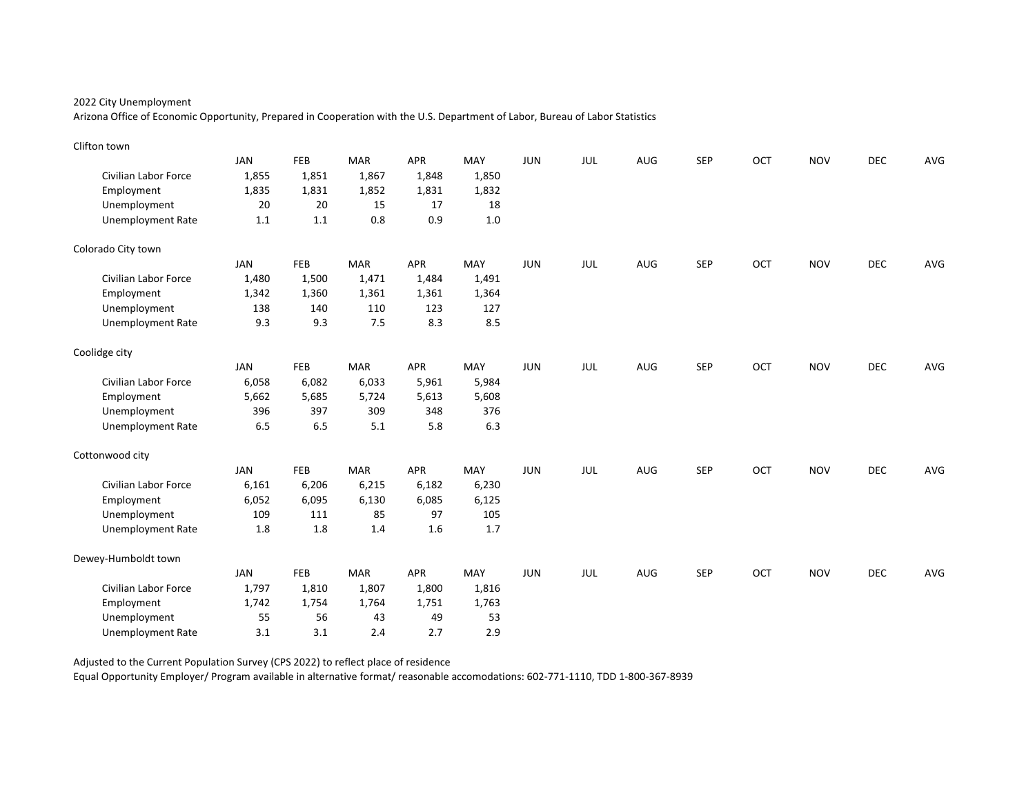Arizona Office of Economic Opportunity, Prepared in Cooperation with the U.S. Department of Labor, Bureau of Labor Statistics

| Clifton town                |            |            |            |       |         |            |            |     |            |     |            |            |     |
|-----------------------------|------------|------------|------------|-------|---------|------------|------------|-----|------------|-----|------------|------------|-----|
|                             | <b>JAN</b> | FEB        | <b>MAR</b> | APR   | MAY     | <b>JUN</b> | JUL        | AUG | <b>SEP</b> | OCT | <b>NOV</b> | <b>DEC</b> | AVG |
| <b>Civilian Labor Force</b> | 1,855      | 1,851      | 1,867      | 1,848 | 1,850   |            |            |     |            |     |            |            |     |
| Employment                  | 1,835      | 1,831      | 1,852      | 1,831 | 1,832   |            |            |     |            |     |            |            |     |
| Unemployment                | 20         | 20         | 15         | 17    | 18      |            |            |     |            |     |            |            |     |
| <b>Unemployment Rate</b>    | 1.1        | 1.1        | 0.8        | 0.9   | $1.0\,$ |            |            |     |            |     |            |            |     |
| Colorado City town          |            |            |            |       |         |            |            |     |            |     |            |            |     |
|                             | <b>JAN</b> | <b>FEB</b> | <b>MAR</b> | APR   | MAY     | <b>JUN</b> | JUL        | AUG | <b>SEP</b> | OCT | <b>NOV</b> | <b>DEC</b> | AVG |
| <b>Civilian Labor Force</b> | 1,480      | 1,500      | 1,471      | 1,484 | 1,491   |            |            |     |            |     |            |            |     |
| Employment                  | 1,342      | 1,360      | 1,361      | 1,361 | 1,364   |            |            |     |            |     |            |            |     |
| Unemployment                | 138        | 140        | 110        | 123   | 127     |            |            |     |            |     |            |            |     |
| <b>Unemployment Rate</b>    | 9.3        | 9.3        | 7.5        | 8.3   | 8.5     |            |            |     |            |     |            |            |     |
| Coolidge city               |            |            |            |       |         |            |            |     |            |     |            |            |     |
|                             | <b>JAN</b> | <b>FEB</b> | <b>MAR</b> | APR   | MAY     | <b>JUN</b> | JUL        | AUG | <b>SEP</b> | OCT | <b>NOV</b> | DEC        | AVG |
| Civilian Labor Force        | 6,058      | 6,082      | 6,033      | 5,961 | 5,984   |            |            |     |            |     |            |            |     |
| Employment                  | 5,662      | 5,685      | 5,724      | 5,613 | 5,608   |            |            |     |            |     |            |            |     |
| Unemployment                | 396        | 397        | 309        | 348   | 376     |            |            |     |            |     |            |            |     |
| <b>Unemployment Rate</b>    | 6.5        | 6.5        | 5.1        | 5.8   | 6.3     |            |            |     |            |     |            |            |     |
| Cottonwood city             |            |            |            |       |         |            |            |     |            |     |            |            |     |
|                             | <b>JAN</b> | <b>FEB</b> | <b>MAR</b> | APR   | MAY     | <b>JUN</b> | <b>JUL</b> | AUG | <b>SEP</b> | OCT | <b>NOV</b> | <b>DEC</b> | AVG |
| Civilian Labor Force        | 6,161      | 6,206      | 6,215      | 6,182 | 6,230   |            |            |     |            |     |            |            |     |
| Employment                  | 6,052      | 6,095      | 6,130      | 6,085 | 6,125   |            |            |     |            |     |            |            |     |
| Unemployment                | 109        | 111        | 85         | 97    | 105     |            |            |     |            |     |            |            |     |
| <b>Unemployment Rate</b>    | 1.8        | 1.8        | 1.4        | 1.6   | 1.7     |            |            |     |            |     |            |            |     |
| Dewey-Humboldt town         |            |            |            |       |         |            |            |     |            |     |            |            |     |
|                             | <b>JAN</b> | FEB        | <b>MAR</b> | APR   | MAY     | <b>JUN</b> | JUL        | AUG | <b>SEP</b> | OCT | <b>NOV</b> | <b>DEC</b> | AVG |
| Civilian Labor Force        | 1,797      | 1,810      | 1,807      | 1,800 | 1,816   |            |            |     |            |     |            |            |     |
| Employment                  | 1,742      | 1,754      | 1,764      | 1,751 | 1,763   |            |            |     |            |     |            |            |     |
| Unemployment                | 55         | 56         | 43         | 49    | 53      |            |            |     |            |     |            |            |     |
| <b>Unemployment Rate</b>    | 3.1        | 3.1        | 2.4        | 2.7   | 2.9     |            |            |     |            |     |            |            |     |

Adjusted to the Current Population Survey (CPS 2022) to reflect place of residence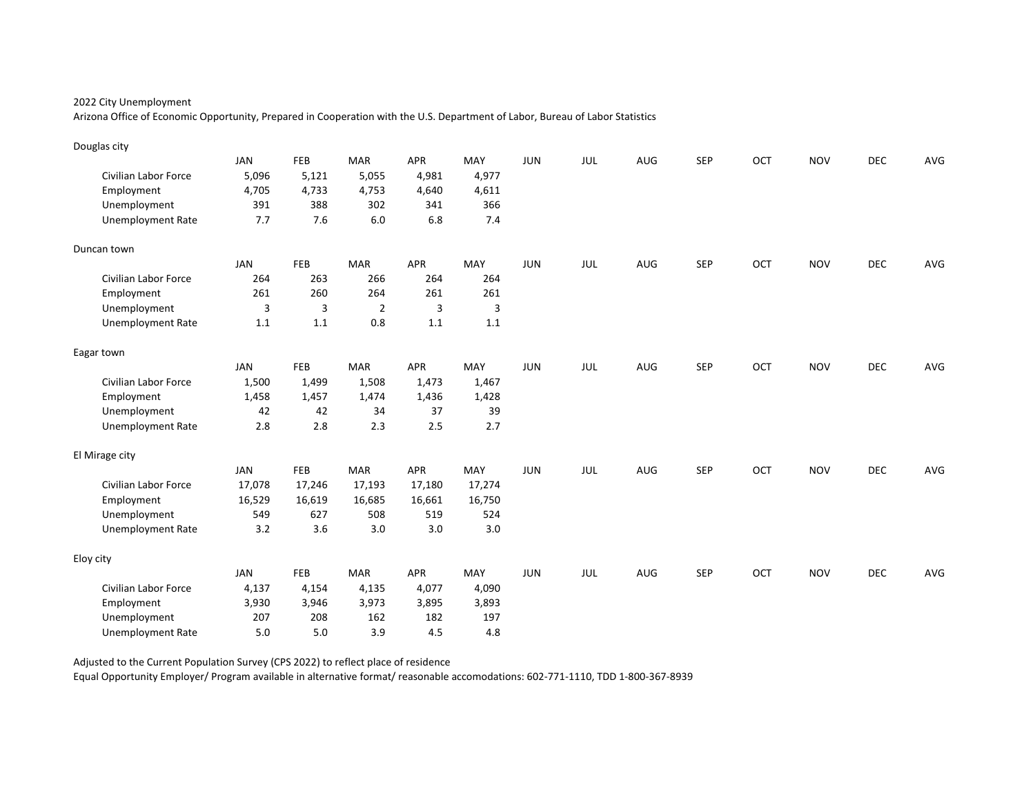Arizona Office of Economic Opportunity, Prepared in Cooperation with the U.S. Department of Labor, Bureau of Labor Statistics

| Douglas city                |            |                |                |        |        |            |            |     |            |     |            |            |     |
|-----------------------------|------------|----------------|----------------|--------|--------|------------|------------|-----|------------|-----|------------|------------|-----|
|                             | <b>JAN</b> | FEB            | <b>MAR</b>     | APR    | MAY    | <b>JUN</b> | JUL        | AUG | <b>SEP</b> | OCT | <b>NOV</b> | <b>DEC</b> | AVG |
| Civilian Labor Force        | 5,096      | 5,121          | 5,055          | 4,981  | 4,977  |            |            |     |            |     |            |            |     |
| Employment                  | 4,705      | 4,733          | 4,753          | 4,640  | 4,611  |            |            |     |            |     |            |            |     |
| Unemployment                | 391        | 388            | 302            | 341    | 366    |            |            |     |            |     |            |            |     |
| <b>Unemployment Rate</b>    | 7.7        | 7.6            | 6.0            | 6.8    | 7.4    |            |            |     |            |     |            |            |     |
| Duncan town                 |            |                |                |        |        |            |            |     |            |     |            |            |     |
|                             | <b>JAN</b> | <b>FEB</b>     | <b>MAR</b>     | APR    | MAY    | <b>JUN</b> | JUL        | AUG | <b>SEP</b> | OCT | <b>NOV</b> | <b>DEC</b> | AVG |
| <b>Civilian Labor Force</b> | 264        | 263            | 266            | 264    | 264    |            |            |     |            |     |            |            |     |
| Employment                  | 261        | 260            | 264            | 261    | 261    |            |            |     |            |     |            |            |     |
| Unemployment                | 3          | $\overline{3}$ | $\overline{2}$ | 3      | 3      |            |            |     |            |     |            |            |     |
| <b>Unemployment Rate</b>    | 1.1        | $1.1\,$        | 0.8            | 1.1    | 1.1    |            |            |     |            |     |            |            |     |
| Eagar town                  |            |                |                |        |        |            |            |     |            |     |            |            |     |
|                             | <b>JAN</b> | <b>FEB</b>     | <b>MAR</b>     | APR    | MAY    | <b>JUN</b> | JUL        | AUG | <b>SEP</b> | OCT | <b>NOV</b> | DEC        | AVG |
| Civilian Labor Force        | 1,500      | 1,499          | 1,508          | 1,473  | 1,467  |            |            |     |            |     |            |            |     |
| Employment                  | 1,458      | 1,457          | 1,474          | 1,436  | 1,428  |            |            |     |            |     |            |            |     |
| Unemployment                | 42         | 42             | 34             | 37     | 39     |            |            |     |            |     |            |            |     |
| <b>Unemployment Rate</b>    | 2.8        | 2.8            | 2.3            | 2.5    | 2.7    |            |            |     |            |     |            |            |     |
| El Mirage city              |            |                |                |        |        |            |            |     |            |     |            |            |     |
|                             | JAN        | <b>FEB</b>     | <b>MAR</b>     | APR    | MAY    | <b>JUN</b> | <b>JUL</b> | AUG | <b>SEP</b> | OCT | <b>NOV</b> | <b>DEC</b> | AVG |
| Civilian Labor Force        | 17,078     | 17,246         | 17,193         | 17,180 | 17,274 |            |            |     |            |     |            |            |     |
| Employment                  | 16,529     | 16,619         | 16,685         | 16,661 | 16,750 |            |            |     |            |     |            |            |     |
| Unemployment                | 549        | 627            | 508            | 519    | 524    |            |            |     |            |     |            |            |     |
| <b>Unemployment Rate</b>    | 3.2        | 3.6            | 3.0            | 3.0    | 3.0    |            |            |     |            |     |            |            |     |
| Eloy city                   |            |                |                |        |        |            |            |     |            |     |            |            |     |
|                             | <b>JAN</b> | FEB            | <b>MAR</b>     | APR    | MAY    | <b>JUN</b> | <b>JUL</b> | AUG | <b>SEP</b> | OCT | <b>NOV</b> | <b>DEC</b> | AVG |
| Civilian Labor Force        | 4,137      | 4,154          | 4,135          | 4,077  | 4,090  |            |            |     |            |     |            |            |     |
| Employment                  | 3,930      | 3,946          | 3,973          | 3,895  | 3,893  |            |            |     |            |     |            |            |     |
| Unemployment                | 207        | 208            | 162            | 182    | 197    |            |            |     |            |     |            |            |     |
| <b>Unemployment Rate</b>    | 5.0        | 5.0            | 3.9            | 4.5    | 4.8    |            |            |     |            |     |            |            |     |

Adjusted to the Current Population Survey (CPS 2022) to reflect place of residence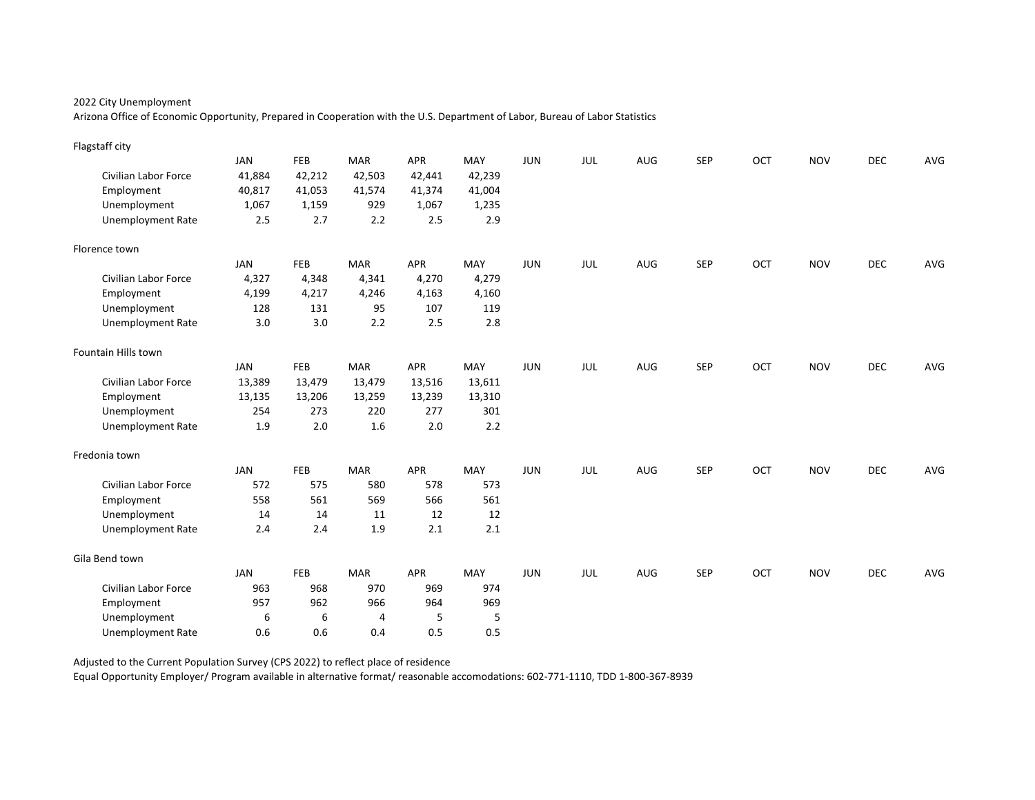Arizona Office of Economic Opportunity, Prepared in Cooperation with the U.S. Department of Labor, Bureau of Labor Statistics

| Flagstaff city              |            |        |            |            |        |            |            |     |            |     |            |            |     |
|-----------------------------|------------|--------|------------|------------|--------|------------|------------|-----|------------|-----|------------|------------|-----|
|                             | <b>JAN</b> | FEB    | <b>MAR</b> | APR        | MAY    | <b>JUN</b> | JUL        | AUG | <b>SEP</b> | OCT | <b>NOV</b> | <b>DEC</b> | AVG |
| Civilian Labor Force        | 41,884     | 42,212 | 42,503     | 42,441     | 42,239 |            |            |     |            |     |            |            |     |
| Employment                  | 40,817     | 41,053 | 41,574     | 41,374     | 41,004 |            |            |     |            |     |            |            |     |
| Unemployment                | 1,067      | 1,159  | 929        | 1,067      | 1,235  |            |            |     |            |     |            |            |     |
| <b>Unemployment Rate</b>    | 2.5        | 2.7    | 2.2        | 2.5        | 2.9    |            |            |     |            |     |            |            |     |
| Florence town               |            |        |            |            |        |            |            |     |            |     |            |            |     |
|                             | <b>JAN</b> | FEB    | <b>MAR</b> | <b>APR</b> | MAY    | <b>JUN</b> | JUL        | AUG | <b>SEP</b> | OCT | <b>NOV</b> | DEC        | AVG |
| Civilian Labor Force        | 4,327      | 4,348  | 4,341      | 4,270      | 4,279  |            |            |     |            |     |            |            |     |
| Employment                  | 4,199      | 4,217  | 4,246      | 4,163      | 4,160  |            |            |     |            |     |            |            |     |
| Unemployment                | 128        | 131    | 95         | 107        | 119    |            |            |     |            |     |            |            |     |
| <b>Unemployment Rate</b>    | 3.0        | 3.0    | 2.2        | 2.5        | 2.8    |            |            |     |            |     |            |            |     |
| Fountain Hills town         |            |        |            |            |        |            |            |     |            |     |            |            |     |
|                             | <b>JAN</b> | FEB    | <b>MAR</b> | <b>APR</b> | MAY    | <b>JUN</b> | <b>JUL</b> | AUG | <b>SEP</b> | OCT | <b>NOV</b> | <b>DEC</b> | AVG |
| <b>Civilian Labor Force</b> | 13,389     | 13,479 | 13,479     | 13,516     | 13,611 |            |            |     |            |     |            |            |     |
| Employment                  | 13,135     | 13,206 | 13,259     | 13,239     | 13,310 |            |            |     |            |     |            |            |     |
| Unemployment                | 254        | 273    | 220        | 277        | 301    |            |            |     |            |     |            |            |     |
| <b>Unemployment Rate</b>    | 1.9        | 2.0    | 1.6        | 2.0        | 2.2    |            |            |     |            |     |            |            |     |
| Fredonia town               |            |        |            |            |        |            |            |     |            |     |            |            |     |
|                             | <b>JAN</b> | FEB    | <b>MAR</b> | <b>APR</b> | MAY    | <b>JUN</b> | JUL        | AUG | <b>SEP</b> | OCT | <b>NOV</b> | <b>DEC</b> | AVG |
| <b>Civilian Labor Force</b> | 572        | 575    | 580        | 578        | 573    |            |            |     |            |     |            |            |     |
| Employment                  | 558        | 561    | 569        | 566        | 561    |            |            |     |            |     |            |            |     |
| Unemployment                | 14         | 14     | 11         | 12         | 12     |            |            |     |            |     |            |            |     |
| <b>Unemployment Rate</b>    | 2.4        | 2.4    | 1.9        | 2.1        | 2.1    |            |            |     |            |     |            |            |     |
| Gila Bend town              |            |        |            |            |        |            |            |     |            |     |            |            |     |
|                             | <b>JAN</b> | FEB    | <b>MAR</b> | <b>APR</b> | MAY    | JUN        | JUL        | AUG | <b>SEP</b> | OCT | <b>NOV</b> | <b>DEC</b> | AVG |
| Civilian Labor Force        | 963        | 968    | 970        | 969        | 974    |            |            |     |            |     |            |            |     |
| Employment                  | 957        | 962    | 966        | 964        | 969    |            |            |     |            |     |            |            |     |
| Unemployment                | 6          | 6      | 4          | 5          | 5      |            |            |     |            |     |            |            |     |
| <b>Unemployment Rate</b>    | 0.6        | 0.6    | 0.4        | 0.5        | 0.5    |            |            |     |            |     |            |            |     |

Adjusted to the Current Population Survey (CPS 2022) to reflect place of residence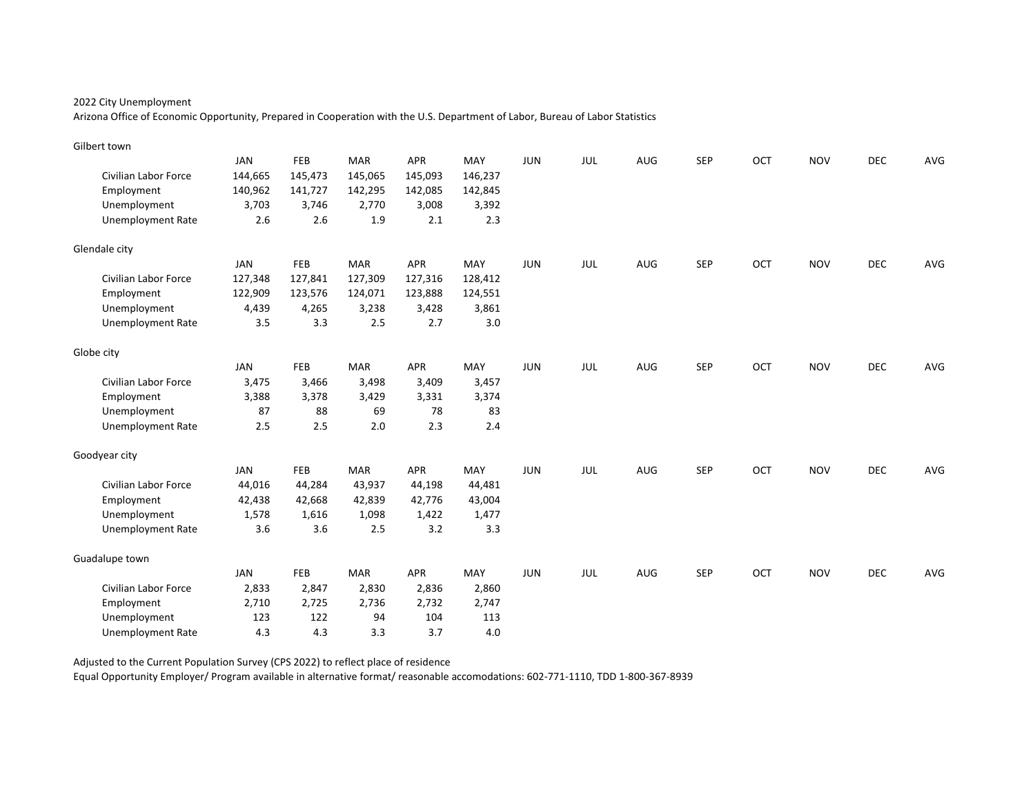Arizona Office of Economic Opportunity, Prepared in Cooperation with the U.S. Department of Labor, Bureau of Labor Statistics

| Gilbert town                |            |         |            |            |         |            |     |            |            |     |            |            |     |
|-----------------------------|------------|---------|------------|------------|---------|------------|-----|------------|------------|-----|------------|------------|-----|
|                             | <b>JAN</b> | FEB     | <b>MAR</b> | <b>APR</b> | MAY     | JUN        | JUL | <b>AUG</b> | <b>SEP</b> | OCT | <b>NOV</b> | <b>DEC</b> | AVG |
| Civilian Labor Force        | 144,665    | 145,473 | 145,065    | 145,093    | 146,237 |            |     |            |            |     |            |            |     |
| Employment                  | 140,962    | 141,727 | 142,295    | 142,085    | 142,845 |            |     |            |            |     |            |            |     |
| Unemployment                | 3,703      | 3,746   | 2,770      | 3,008      | 3,392   |            |     |            |            |     |            |            |     |
| <b>Unemployment Rate</b>    | 2.6        | 2.6     | 1.9        | 2.1        | 2.3     |            |     |            |            |     |            |            |     |
| Glendale city               |            |         |            |            |         |            |     |            |            |     |            |            |     |
|                             | <b>JAN</b> | FEB     | <b>MAR</b> | APR        | MAY     | JUN        | JUL | <b>AUG</b> | <b>SEP</b> | OCT | <b>NOV</b> | <b>DEC</b> | AVG |
| Civilian Labor Force        | 127,348    | 127,841 | 127,309    | 127,316    | 128,412 |            |     |            |            |     |            |            |     |
| Employment                  | 122,909    | 123,576 | 124,071    | 123,888    | 124,551 |            |     |            |            |     |            |            |     |
| Unemployment                | 4,439      | 4,265   | 3,238      | 3,428      | 3,861   |            |     |            |            |     |            |            |     |
| <b>Unemployment Rate</b>    | 3.5        | 3.3     | 2.5        | 2.7        | 3.0     |            |     |            |            |     |            |            |     |
| Globe city                  |            |         |            |            |         |            |     |            |            |     |            |            |     |
|                             | <b>JAN</b> | FEB     | <b>MAR</b> | <b>APR</b> | MAY     | <b>JUN</b> | JUL | AUG        | <b>SEP</b> | OCT | <b>NOV</b> | <b>DEC</b> | AVG |
| <b>Civilian Labor Force</b> | 3,475      | 3,466   | 3,498      | 3,409      | 3,457   |            |     |            |            |     |            |            |     |
| Employment                  | 3,388      | 3,378   | 3,429      | 3,331      | 3,374   |            |     |            |            |     |            |            |     |
| Unemployment                | 87         | 88      | 69         | 78         | 83      |            |     |            |            |     |            |            |     |
| <b>Unemployment Rate</b>    | 2.5        | 2.5     | 2.0        | 2.3        | 2.4     |            |     |            |            |     |            |            |     |
| Goodyear city               |            |         |            |            |         |            |     |            |            |     |            |            |     |
|                             | <b>JAN</b> | FEB     | <b>MAR</b> | <b>APR</b> | MAY     | <b>JUN</b> | JUL | AUG        | <b>SEP</b> | OCT | <b>NOV</b> | <b>DEC</b> | AVG |
| <b>Civilian Labor Force</b> | 44,016     | 44,284  | 43,937     | 44,198     | 44,481  |            |     |            |            |     |            |            |     |
| Employment                  | 42,438     | 42,668  | 42,839     | 42,776     | 43,004  |            |     |            |            |     |            |            |     |
| Unemployment                | 1,578      | 1,616   | 1,098      | 1,422      | 1,477   |            |     |            |            |     |            |            |     |
| <b>Unemployment Rate</b>    | 3.6        | 3.6     | 2.5        | 3.2        | 3.3     |            |     |            |            |     |            |            |     |
| Guadalupe town              |            |         |            |            |         |            |     |            |            |     |            |            |     |
|                             | <b>JAN</b> | FEB     | <b>MAR</b> | <b>APR</b> | MAY     | JUN        | JUL | AUG        | <b>SEP</b> | OCT | <b>NOV</b> | <b>DEC</b> | AVG |
| Civilian Labor Force        | 2,833      | 2,847   | 2,830      | 2,836      | 2,860   |            |     |            |            |     |            |            |     |
| Employment                  | 2,710      | 2,725   | 2,736      | 2,732      | 2,747   |            |     |            |            |     |            |            |     |
| Unemployment                | 123        | 122     | 94         | 104        | 113     |            |     |            |            |     |            |            |     |
| <b>Unemployment Rate</b>    | 4.3        | 4.3     | 3.3        | 3.7        | 4.0     |            |     |            |            |     |            |            |     |

Adjusted to the Current Population Survey (CPS 2022) to reflect place of residence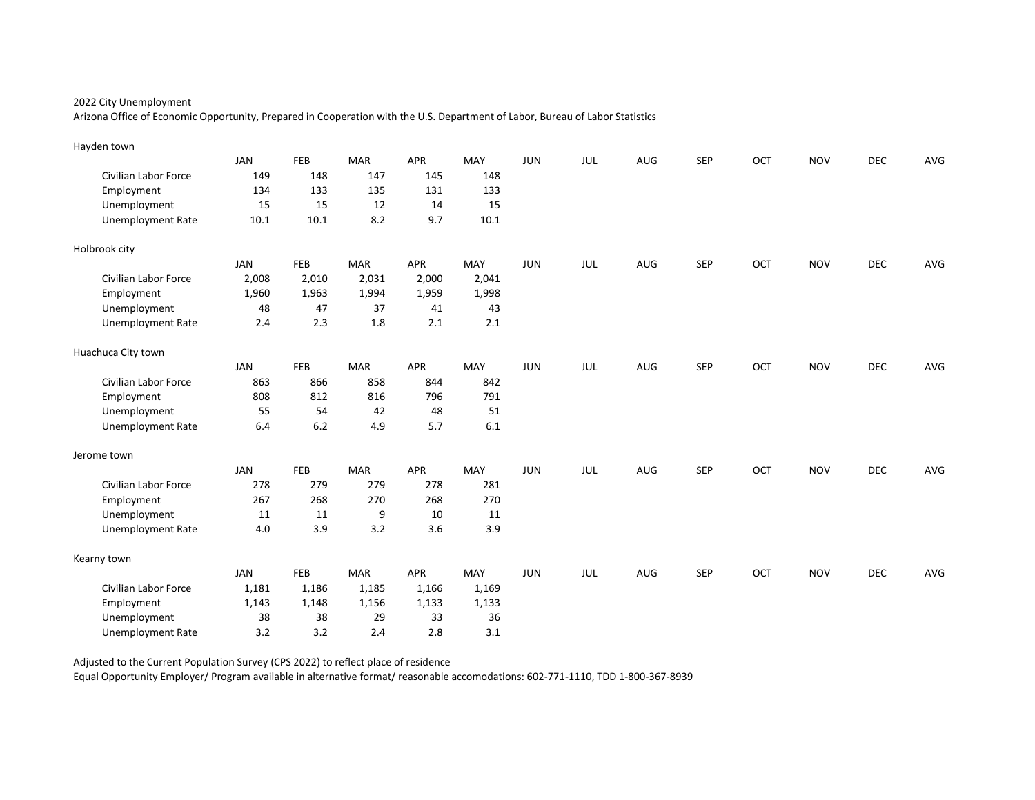Arizona Office of Economic Opportunity, Prepared in Cooperation with the U.S. Department of Labor, Bureau of Labor Statistics

| Hayden town                 |            |       |            |            |       |            |     |     |            |     |            |            |     |
|-----------------------------|------------|-------|------------|------------|-------|------------|-----|-----|------------|-----|------------|------------|-----|
|                             | <b>JAN</b> | FEB   | <b>MAR</b> | APR        | MAY   | <b>JUN</b> | JUL | AUG | <b>SEP</b> | OCT | <b>NOV</b> | <b>DEC</b> | AVG |
| <b>Civilian Labor Force</b> | 149        | 148   | 147        | 145        | 148   |            |     |     |            |     |            |            |     |
| Employment                  | 134        | 133   | 135        | 131        | 133   |            |     |     |            |     |            |            |     |
| Unemployment                | 15         | 15    | 12         | 14         | 15    |            |     |     |            |     |            |            |     |
| <b>Unemployment Rate</b>    | $10.1\,$   | 10.1  | 8.2        | 9.7        | 10.1  |            |     |     |            |     |            |            |     |
| Holbrook city               |            |       |            |            |       |            |     |     |            |     |            |            |     |
|                             | <b>JAN</b> | FEB   | <b>MAR</b> | APR        | MAY   | <b>JUN</b> | JUL | AUG | <b>SEP</b> | OCT | <b>NOV</b> | <b>DEC</b> | AVG |
| <b>Civilian Labor Force</b> | 2,008      | 2,010 | 2,031      | 2,000      | 2,041 |            |     |     |            |     |            |            |     |
| Employment                  | 1,960      | 1,963 | 1,994      | 1,959      | 1,998 |            |     |     |            |     |            |            |     |
| Unemployment                | 48         | 47    | 37         | 41         | 43    |            |     |     |            |     |            |            |     |
| <b>Unemployment Rate</b>    | 2.4        | 2.3   | 1.8        | 2.1        | 2.1   |            |     |     |            |     |            |            |     |
| Huachuca City town          |            |       |            |            |       |            |     |     |            |     |            |            |     |
|                             | <b>JAN</b> | FEB   | <b>MAR</b> | <b>APR</b> | MAY   | <b>JUN</b> | JUL | AUG | <b>SEP</b> | OCT | <b>NOV</b> | DEC        | AVG |
| <b>Civilian Labor Force</b> | 863        | 866   | 858        | 844        | 842   |            |     |     |            |     |            |            |     |
| Employment                  | 808        | 812   | 816        | 796        | 791   |            |     |     |            |     |            |            |     |
| Unemployment                | 55         | 54    | 42         | 48         | 51    |            |     |     |            |     |            |            |     |
| <b>Unemployment Rate</b>    | 6.4        | 6.2   | 4.9        | 5.7        | 6.1   |            |     |     |            |     |            |            |     |
| Jerome town                 |            |       |            |            |       |            |     |     |            |     |            |            |     |
|                             | <b>JAN</b> | FEB   | <b>MAR</b> | APR        | MAY   | <b>JUN</b> | JUL | AUG | <b>SEP</b> | OCT | <b>NOV</b> | DEC        | AVG |
| Civilian Labor Force        | 278        | 279   | 279        | 278        | 281   |            |     |     |            |     |            |            |     |
| Employment                  | 267        | 268   | 270        | 268        | 270   |            |     |     |            |     |            |            |     |
| Unemployment                | 11         | 11    | 9          | 10         | 11    |            |     |     |            |     |            |            |     |
| <b>Unemployment Rate</b>    | 4.0        | 3.9   | 3.2        | 3.6        | 3.9   |            |     |     |            |     |            |            |     |
| Kearny town                 |            |       |            |            |       |            |     |     |            |     |            |            |     |
|                             | <b>JAN</b> | FEB   | <b>MAR</b> | APR        | MAY   | <b>JUN</b> | JUL | AUG | <b>SEP</b> | OCT | <b>NOV</b> | <b>DEC</b> | AVG |
| Civilian Labor Force        | 1,181      | 1,186 | 1,185      | 1,166      | 1,169 |            |     |     |            |     |            |            |     |
| Employment                  | 1,143      | 1,148 | 1,156      | 1,133      | 1,133 |            |     |     |            |     |            |            |     |
| Unemployment                | 38         | 38    | 29         | 33         | 36    |            |     |     |            |     |            |            |     |
| <b>Unemployment Rate</b>    | 3.2        | 3.2   | 2.4        | 2.8        | 3.1   |            |     |     |            |     |            |            |     |

Adjusted to the Current Population Survey (CPS 2022) to reflect place of residence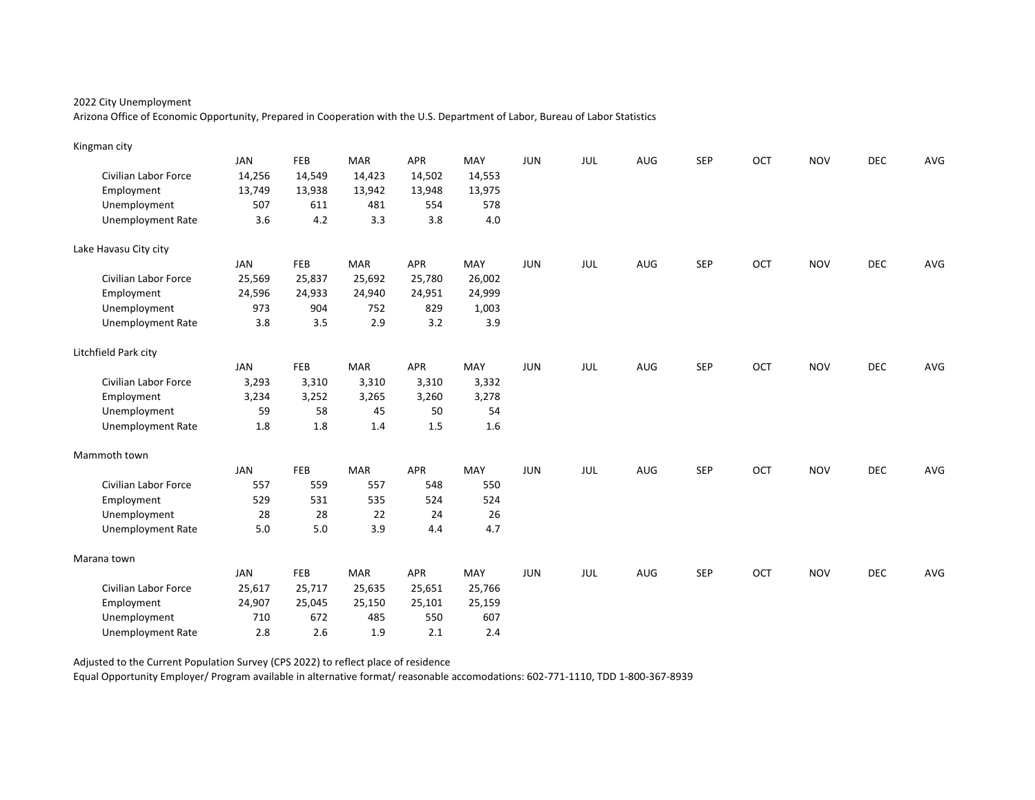Arizona Office of Economic Opportunity, Prepared in Cooperation with the U.S. Department of Labor, Bureau of Labor Statistics

| Kingman city             |            |        |            |            |        |            |     |     |            |     |            |            |     |
|--------------------------|------------|--------|------------|------------|--------|------------|-----|-----|------------|-----|------------|------------|-----|
|                          | <b>JAN</b> | FEB    | <b>MAR</b> | APR        | MAY    | <b>JUN</b> | JUL | AUG | <b>SEP</b> | OCT | <b>NOV</b> | <b>DEC</b> | AVG |
| Civilian Labor Force     | 14,256     | 14,549 | 14,423     | 14,502     | 14,553 |            |     |     |            |     |            |            |     |
| Employment               | 13,749     | 13,938 | 13,942     | 13,948     | 13,975 |            |     |     |            |     |            |            |     |
| Unemployment             | 507        | 611    | 481        | 554        | 578    |            |     |     |            |     |            |            |     |
| <b>Unemployment Rate</b> | 3.6        | 4.2    | 3.3        | 3.8        | 4.0    |            |     |     |            |     |            |            |     |
| Lake Havasu City city    |            |        |            |            |        |            |     |     |            |     |            |            |     |
|                          | <b>JAN</b> | FEB    | <b>MAR</b> | APR        | MAY    | JUN        | JUL | AUG | <b>SEP</b> | OCT | <b>NOV</b> | <b>DEC</b> | AVG |
| Civilian Labor Force     | 25,569     | 25,837 | 25,692     | 25,780     | 26,002 |            |     |     |            |     |            |            |     |
| Employment               | 24,596     | 24,933 | 24,940     | 24,951     | 24,999 |            |     |     |            |     |            |            |     |
| Unemployment             | 973        | 904    | 752        | 829        | 1,003  |            |     |     |            |     |            |            |     |
| <b>Unemployment Rate</b> | 3.8        | 3.5    | 2.9        | 3.2        | 3.9    |            |     |     |            |     |            |            |     |
| Litchfield Park city     |            |        |            |            |        |            |     |     |            |     |            |            |     |
|                          | <b>JAN</b> | FEB    | <b>MAR</b> | <b>APR</b> | MAY    | <b>JUN</b> | JUL | AUG | <b>SEP</b> | OCT | <b>NOV</b> | DEC        | AVG |
| Civilian Labor Force     | 3,293      | 3,310  | 3,310      | 3,310      | 3,332  |            |     |     |            |     |            |            |     |
| Employment               | 3,234      | 3,252  | 3,265      | 3,260      | 3,278  |            |     |     |            |     |            |            |     |
| Unemployment             | 59         | 58     | 45         | 50         | 54     |            |     |     |            |     |            |            |     |
| <b>Unemployment Rate</b> | 1.8        | 1.8    | 1.4        | 1.5        | 1.6    |            |     |     |            |     |            |            |     |
| Mammoth town             |            |        |            |            |        |            |     |     |            |     |            |            |     |
|                          | <b>JAN</b> | FEB    | <b>MAR</b> | APR        | MAY    | <b>JUN</b> | JUL | AUG | <b>SEP</b> | OCT | <b>NOV</b> | <b>DEC</b> | AVG |
| Civilian Labor Force     | 557        | 559    | 557        | 548        | 550    |            |     |     |            |     |            |            |     |
| Employment               | 529        | 531    | 535        | 524        | 524    |            |     |     |            |     |            |            |     |
| Unemployment             | 28         | 28     | 22         | 24         | 26     |            |     |     |            |     |            |            |     |
| <b>Unemployment Rate</b> | 5.0        | 5.0    | 3.9        | 4.4        | 4.7    |            |     |     |            |     |            |            |     |
| Marana town              |            |        |            |            |        |            |     |     |            |     |            |            |     |
|                          | <b>JAN</b> | FEB    | <b>MAR</b> | <b>APR</b> | MAY    | <b>JUN</b> | JUL | AUG | <b>SEP</b> | OCT | <b>NOV</b> | <b>DEC</b> | AVG |
| Civilian Labor Force     | 25,617     | 25,717 | 25,635     | 25,651     | 25,766 |            |     |     |            |     |            |            |     |
| Employment               | 24,907     | 25,045 | 25,150     | 25,101     | 25,159 |            |     |     |            |     |            |            |     |
| Unemployment             | 710        | 672    | 485        | 550        | 607    |            |     |     |            |     |            |            |     |
| <b>Unemployment Rate</b> | 2.8        | 2.6    | 1.9        | 2.1        | 2.4    |            |     |     |            |     |            |            |     |

Adjusted to the Current Population Survey (CPS 2022) to reflect place of residence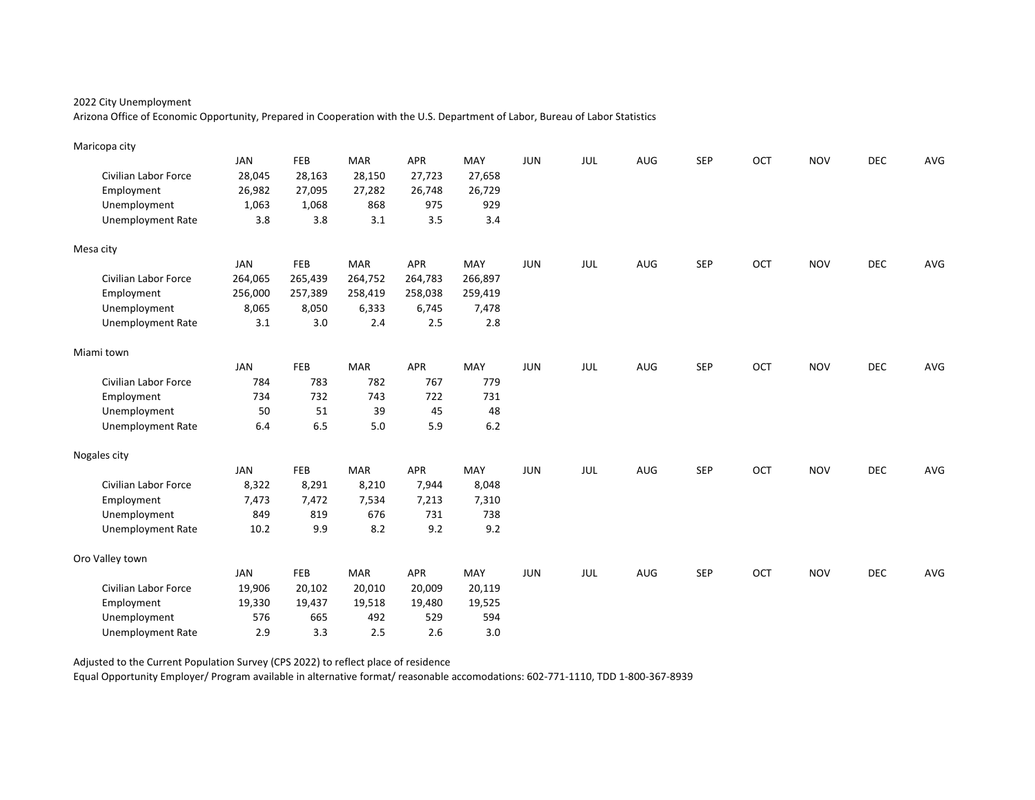Arizona Office of Economic Opportunity, Prepared in Cooperation with the U.S. Department of Labor, Bureau of Labor Statistics

| Maricopa city               |            |         |            |            |         |            |     |     |            |     |            |            |     |
|-----------------------------|------------|---------|------------|------------|---------|------------|-----|-----|------------|-----|------------|------------|-----|
|                             | <b>JAN</b> | FEB     | <b>MAR</b> | APR        | MAY     | <b>JUN</b> | JUL | AUG | <b>SEP</b> | OCT | <b>NOV</b> | <b>DEC</b> | AVG |
| <b>Civilian Labor Force</b> | 28,045     | 28,163  | 28,150     | 27,723     | 27,658  |            |     |     |            |     |            |            |     |
| Employment                  | 26,982     | 27,095  | 27,282     | 26,748     | 26,729  |            |     |     |            |     |            |            |     |
| Unemployment                | 1,063      | 1,068   | 868        | 975        | 929     |            |     |     |            |     |            |            |     |
| <b>Unemployment Rate</b>    | 3.8        | 3.8     | 3.1        | 3.5        | 3.4     |            |     |     |            |     |            |            |     |
| Mesa city                   |            |         |            |            |         |            |     |     |            |     |            |            |     |
|                             | <b>JAN</b> | FEB     | <b>MAR</b> | APR        | MAY     | JUN        | JUL | AUG | <b>SEP</b> | OCT | <b>NOV</b> | <b>DEC</b> | AVG |
| <b>Civilian Labor Force</b> | 264,065    | 265,439 | 264,752    | 264,783    | 266,897 |            |     |     |            |     |            |            |     |
| Employment                  | 256,000    | 257,389 | 258,419    | 258,038    | 259,419 |            |     |     |            |     |            |            |     |
| Unemployment                | 8,065      | 8,050   | 6,333      | 6,745      | 7,478   |            |     |     |            |     |            |            |     |
| <b>Unemployment Rate</b>    | 3.1        | 3.0     | 2.4        | 2.5        | 2.8     |            |     |     |            |     |            |            |     |
| Miami town                  |            |         |            |            |         |            |     |     |            |     |            |            |     |
|                             | <b>JAN</b> | FEB     | <b>MAR</b> | <b>APR</b> | MAY     | <b>JUN</b> | JUL | AUG | <b>SEP</b> | OCT | <b>NOV</b> | DEC        | AVG |
| Civilian Labor Force        | 784        | 783     | 782        | 767        | 779     |            |     |     |            |     |            |            |     |
| Employment                  | 734        | 732     | 743        | 722        | 731     |            |     |     |            |     |            |            |     |
| Unemployment                | 50         | 51      | 39         | 45         | 48      |            |     |     |            |     |            |            |     |
| <b>Unemployment Rate</b>    | 6.4        | 6.5     | 5.0        | 5.9        | $6.2\,$ |            |     |     |            |     |            |            |     |
| Nogales city                |            |         |            |            |         |            |     |     |            |     |            |            |     |
|                             | <b>JAN</b> | FEB     | <b>MAR</b> | APR        | MAY     | <b>JUN</b> | JUL | AUG | <b>SEP</b> | OCT | <b>NOV</b> | <b>DEC</b> | AVG |
| Civilian Labor Force        | 8,322      | 8,291   | 8,210      | 7,944      | 8,048   |            |     |     |            |     |            |            |     |
| Employment                  | 7,473      | 7,472   | 7,534      | 7,213      | 7,310   |            |     |     |            |     |            |            |     |
| Unemployment                | 849        | 819     | 676        | 731        | 738     |            |     |     |            |     |            |            |     |
| <b>Unemployment Rate</b>    | 10.2       | 9.9     | 8.2        | 9.2        | 9.2     |            |     |     |            |     |            |            |     |
| Oro Valley town             |            |         |            |            |         |            |     |     |            |     |            |            |     |
|                             | <b>JAN</b> | FEB     | <b>MAR</b> | <b>APR</b> | MAY     | <b>JUN</b> | JUL | AUG | <b>SEP</b> | OCT | <b>NOV</b> | <b>DEC</b> | AVG |
| Civilian Labor Force        | 19,906     | 20,102  | 20,010     | 20,009     | 20,119  |            |     |     |            |     |            |            |     |
| Employment                  | 19,330     | 19,437  | 19,518     | 19,480     | 19,525  |            |     |     |            |     |            |            |     |
| Unemployment                | 576        | 665     | 492        | 529        | 594     |            |     |     |            |     |            |            |     |
| <b>Unemployment Rate</b>    | 2.9        | 3.3     | 2.5        | 2.6        | 3.0     |            |     |     |            |     |            |            |     |

Adjusted to the Current Population Survey (CPS 2022) to reflect place of residence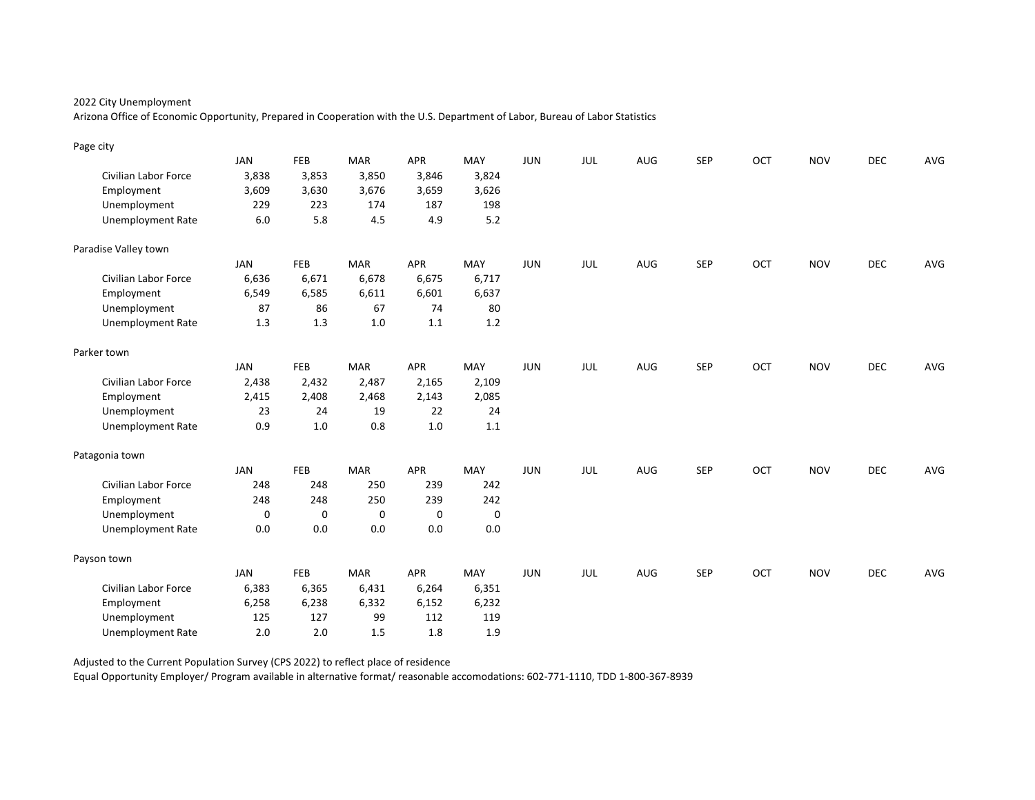Arizona Office of Economic Opportunity, Prepared in Cooperation with the U.S. Department of Labor, Bureau of Labor Statistics

| Page city                   |            |            |            |             |         |            |            |     |            |     |            |            |     |
|-----------------------------|------------|------------|------------|-------------|---------|------------|------------|-----|------------|-----|------------|------------|-----|
|                             | <b>JAN</b> | FEB        | <b>MAR</b> | APR         | MAY     | <b>JUN</b> | JUL        | AUG | <b>SEP</b> | OCT | <b>NOV</b> | <b>DEC</b> | AVG |
| Civilian Labor Force        | 3,838      | 3,853      | 3,850      | 3,846       | 3,824   |            |            |     |            |     |            |            |     |
| Employment                  | 3,609      | 3,630      | 3,676      | 3,659       | 3,626   |            |            |     |            |     |            |            |     |
| Unemployment                | 229        | 223        | 174        | 187         | 198     |            |            |     |            |     |            |            |     |
| <b>Unemployment Rate</b>    | $6.0\,$    | 5.8        | 4.5        | 4.9         | $5.2$   |            |            |     |            |     |            |            |     |
| Paradise Valley town        |            |            |            |             |         |            |            |     |            |     |            |            |     |
|                             | <b>JAN</b> | <b>FEB</b> | <b>MAR</b> | APR         | MAY     | <b>JUN</b> | JUL        | AUG | <b>SEP</b> | OCT | <b>NOV</b> | <b>DEC</b> | AVG |
| <b>Civilian Labor Force</b> | 6,636      | 6,671      | 6,678      | 6,675       | 6,717   |            |            |     |            |     |            |            |     |
| Employment                  | 6,549      | 6,585      | 6,611      | 6,601       | 6,637   |            |            |     |            |     |            |            |     |
| Unemployment                | 87         | 86         | 67         | 74          | 80      |            |            |     |            |     |            |            |     |
| <b>Unemployment Rate</b>    | 1.3        | 1.3        | 1.0        | 1.1         | 1.2     |            |            |     |            |     |            |            |     |
| Parker town                 |            |            |            |             |         |            |            |     |            |     |            |            |     |
|                             | <b>JAN</b> | FEB        | <b>MAR</b> | APR         | MAY     | <b>JUN</b> | JUL        | AUG | <b>SEP</b> | OCT | <b>NOV</b> | DEC        | AVG |
| Civilian Labor Force        | 2,438      | 2,432      | 2,487      | 2,165       | 2,109   |            |            |     |            |     |            |            |     |
| Employment                  | 2,415      | 2,408      | 2,468      | 2,143       | 2,085   |            |            |     |            |     |            |            |     |
| Unemployment                | 23         | 24         | 19         | 22          | 24      |            |            |     |            |     |            |            |     |
| <b>Unemployment Rate</b>    | 0.9        | 1.0        | 0.8        | 1.0         | 1.1     |            |            |     |            |     |            |            |     |
| Patagonia town              |            |            |            |             |         |            |            |     |            |     |            |            |     |
|                             | <b>JAN</b> | FEB        | <b>MAR</b> | APR         | MAY     | <b>JUN</b> | <b>JUL</b> | AUG | <b>SEP</b> | OCT | <b>NOV</b> | <b>DEC</b> | AVG |
| <b>Civilian Labor Force</b> | 248        | 248        | 250        | 239         | 242     |            |            |     |            |     |            |            |     |
| Employment                  | 248        | 248        | 250        | 239         | 242     |            |            |     |            |     |            |            |     |
| Unemployment                | 0          | 0          | 0          | $\mathbf 0$ | 0       |            |            |     |            |     |            |            |     |
| <b>Unemployment Rate</b>    | 0.0        | 0.0        | 0.0        | 0.0         | $0.0\,$ |            |            |     |            |     |            |            |     |
| Payson town                 |            |            |            |             |         |            |            |     |            |     |            |            |     |
|                             | <b>JAN</b> | FEB        | <b>MAR</b> | APR         | MAY     | <b>JUN</b> | JUL        | AUG | <b>SEP</b> | OCT | <b>NOV</b> | <b>DEC</b> | AVG |
| Civilian Labor Force        | 6,383      | 6,365      | 6,431      | 6,264       | 6,351   |            |            |     |            |     |            |            |     |
| Employment                  | 6,258      | 6,238      | 6,332      | 6,152       | 6,232   |            |            |     |            |     |            |            |     |
| Unemployment                | 125        | 127        | 99         | 112         | 119     |            |            |     |            |     |            |            |     |
| <b>Unemployment Rate</b>    | 2.0        | 2.0        | 1.5        | 1.8         | 1.9     |            |            |     |            |     |            |            |     |

Adjusted to the Current Population Survey (CPS 2022) to reflect place of residence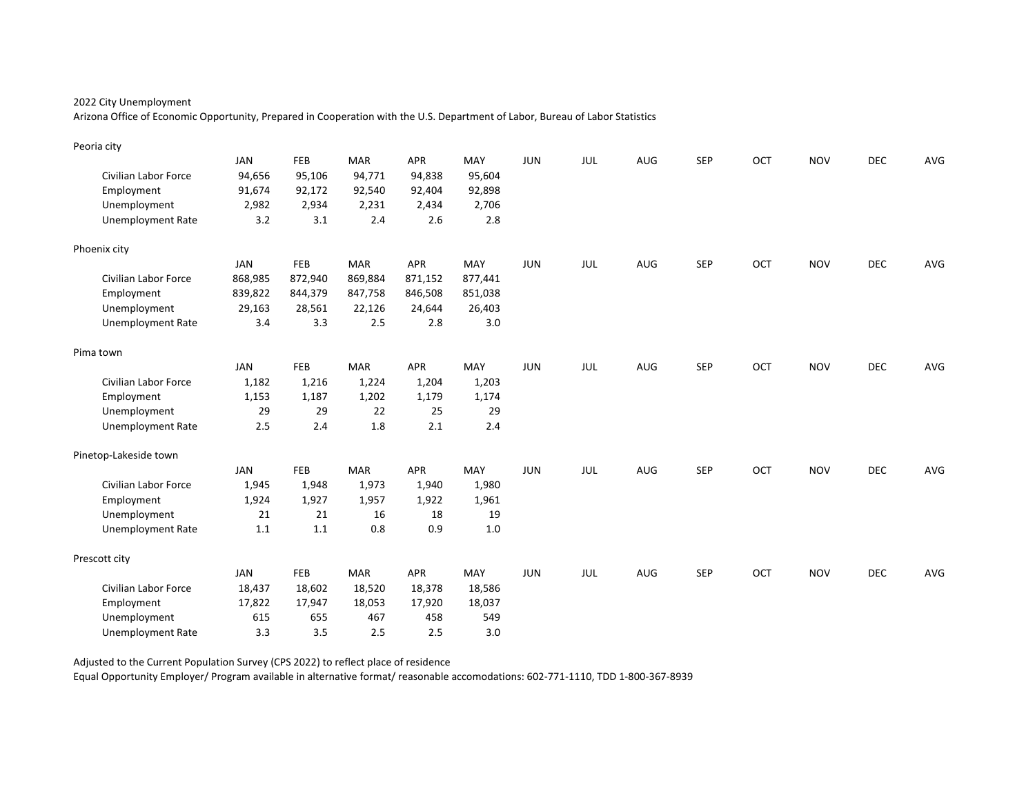Arizona Office of Economic Opportunity, Prepared in Cooperation with the U.S. Department of Labor, Bureau of Labor Statistics

| Peoria city                 |            |         |            |            |         |            |     |     |            |     |            |            |     |
|-----------------------------|------------|---------|------------|------------|---------|------------|-----|-----|------------|-----|------------|------------|-----|
|                             | <b>JAN</b> | FEB     | <b>MAR</b> | APR        | MAY     | JUN        | JUL | AUG | <b>SEP</b> | OCT | <b>NOV</b> | <b>DEC</b> | AVG |
| <b>Civilian Labor Force</b> | 94,656     | 95,106  | 94,771     | 94,838     | 95,604  |            |     |     |            |     |            |            |     |
| Employment                  | 91,674     | 92,172  | 92,540     | 92,404     | 92,898  |            |     |     |            |     |            |            |     |
| Unemployment                | 2,982      | 2,934   | 2,231      | 2,434      | 2,706   |            |     |     |            |     |            |            |     |
| <b>Unemployment Rate</b>    | 3.2        | 3.1     | 2.4        | 2.6        | 2.8     |            |     |     |            |     |            |            |     |
| Phoenix city                |            |         |            |            |         |            |     |     |            |     |            |            |     |
|                             | <b>JAN</b> | FEB     | <b>MAR</b> | <b>APR</b> | MAY     | JUN        | JUL | AUG | <b>SEP</b> | OCT | <b>NOV</b> | <b>DEC</b> | AVG |
| <b>Civilian Labor Force</b> | 868,985    | 872,940 | 869,884    | 871,152    | 877,441 |            |     |     |            |     |            |            |     |
| Employment                  | 839,822    | 844,379 | 847,758    | 846,508    | 851,038 |            |     |     |            |     |            |            |     |
| Unemployment                | 29,163     | 28,561  | 22,126     | 24,644     | 26,403  |            |     |     |            |     |            |            |     |
| <b>Unemployment Rate</b>    | 3.4        | 3.3     | 2.5        | 2.8        | 3.0     |            |     |     |            |     |            |            |     |
| Pima town                   |            |         |            |            |         |            |     |     |            |     |            |            |     |
|                             | <b>JAN</b> | FEB     | <b>MAR</b> | <b>APR</b> | MAY     | <b>JUN</b> | JUL | AUG | <b>SEP</b> | OCT | <b>NOV</b> | DEC        | AVG |
| Civilian Labor Force        | 1,182      | 1,216   | 1,224      | 1,204      | 1,203   |            |     |     |            |     |            |            |     |
| Employment                  | 1,153      | 1,187   | 1,202      | 1,179      | 1,174   |            |     |     |            |     |            |            |     |
| Unemployment                | 29         | 29      | 22         | 25         | 29      |            |     |     |            |     |            |            |     |
| <b>Unemployment Rate</b>    | 2.5        | 2.4     | 1.8        | 2.1        | 2.4     |            |     |     |            |     |            |            |     |
| Pinetop-Lakeside town       |            |         |            |            |         |            |     |     |            |     |            |            |     |
|                             | <b>JAN</b> | FEB     | <b>MAR</b> | APR        | MAY     | <b>JUN</b> | JUL | AUG | <b>SEP</b> | OCT | <b>NOV</b> | <b>DEC</b> | AVG |
| Civilian Labor Force        | 1,945      | 1,948   | 1,973      | 1,940      | 1,980   |            |     |     |            |     |            |            |     |
| Employment                  | 1,924      | 1,927   | 1,957      | 1,922      | 1,961   |            |     |     |            |     |            |            |     |
| Unemployment                | 21         | 21      | 16         | 18         | 19      |            |     |     |            |     |            |            |     |
| <b>Unemployment Rate</b>    | 1.1        | 1.1     | 0.8        | 0.9        | 1.0     |            |     |     |            |     |            |            |     |
| Prescott city               |            |         |            |            |         |            |     |     |            |     |            |            |     |
|                             | <b>JAN</b> | FEB     | <b>MAR</b> | <b>APR</b> | MAY     | <b>JUN</b> | JUL | AUG | <b>SEP</b> | OCT | <b>NOV</b> | <b>DEC</b> | AVG |
| Civilian Labor Force        | 18,437     | 18,602  | 18,520     | 18,378     | 18,586  |            |     |     |            |     |            |            |     |
| Employment                  | 17,822     | 17,947  | 18,053     | 17,920     | 18,037  |            |     |     |            |     |            |            |     |
| Unemployment                | 615        | 655     | 467        | 458        | 549     |            |     |     |            |     |            |            |     |
| <b>Unemployment Rate</b>    | 3.3        | 3.5     | 2.5        | 2.5        | 3.0     |            |     |     |            |     |            |            |     |

Adjusted to the Current Population Survey (CPS 2022) to reflect place of residence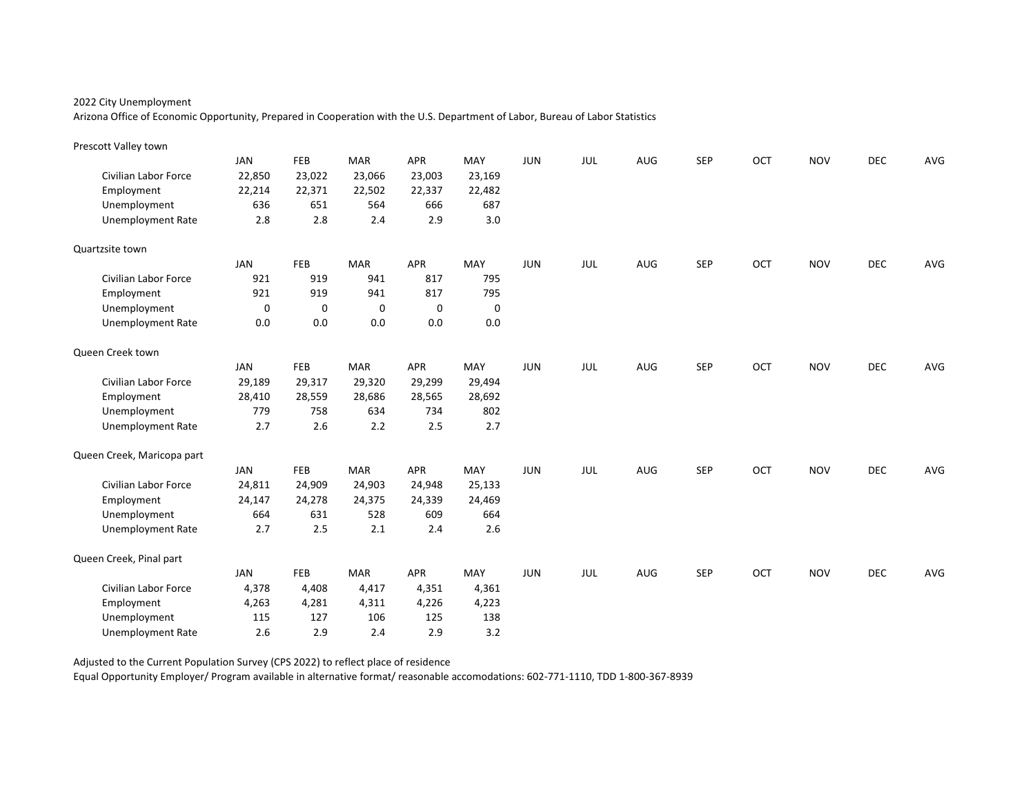Arizona Office of Economic Opportunity, Prepared in Cooperation with the U.S. Department of Labor, Bureau of Labor Statistics

| Prescott Valley town       |             |             |            |             |        |            |            |     |            |     |            |            |     |
|----------------------------|-------------|-------------|------------|-------------|--------|------------|------------|-----|------------|-----|------------|------------|-----|
|                            | <b>JAN</b>  | FEB         | <b>MAR</b> | APR         | MAY    | <b>JUN</b> | JUL        | AUG | <b>SEP</b> | OCT | <b>NOV</b> | <b>DEC</b> | AVG |
| Civilian Labor Force       | 22,850      | 23,022      | 23,066     | 23,003      | 23,169 |            |            |     |            |     |            |            |     |
| Employment                 | 22,214      | 22,371      | 22,502     | 22,337      | 22,482 |            |            |     |            |     |            |            |     |
| Unemployment               | 636         | 651         | 564        | 666         | 687    |            |            |     |            |     |            |            |     |
| <b>Unemployment Rate</b>   | 2.8         | 2.8         | 2.4        | 2.9         | 3.0    |            |            |     |            |     |            |            |     |
| Quartzsite town            |             |             |            |             |        |            |            |     |            |     |            |            |     |
|                            | <b>JAN</b>  | FEB         | <b>MAR</b> | <b>APR</b>  | MAY    | <b>JUN</b> | JUL        | AUG | <b>SEP</b> | OCT | <b>NOV</b> | <b>DEC</b> | AVG |
| Civilian Labor Force       | 921         | 919         | 941        | 817         | 795    |            |            |     |            |     |            |            |     |
| Employment                 | 921         | 919         | 941        | 817         | 795    |            |            |     |            |     |            |            |     |
| Unemployment               | $\mathbf 0$ | $\mathbf 0$ | 0          | $\mathbf 0$ | 0      |            |            |     |            |     |            |            |     |
| <b>Unemployment Rate</b>   | 0.0         | 0.0         | 0.0        | 0.0         | 0.0    |            |            |     |            |     |            |            |     |
| Queen Creek town           |             |             |            |             |        |            |            |     |            |     |            |            |     |
|                            | <b>JAN</b>  | FEB         | <b>MAR</b> | <b>APR</b>  | MAY    | <b>JUN</b> | <b>JUL</b> | AUG | <b>SEP</b> | OCT | <b>NOV</b> | DEC        | AVG |
| Civilian Labor Force       | 29,189      | 29,317      | 29,320     | 29,299      | 29,494 |            |            |     |            |     |            |            |     |
| Employment                 | 28,410      | 28,559      | 28,686     | 28,565      | 28,692 |            |            |     |            |     |            |            |     |
| Unemployment               | 779         | 758         | 634        | 734         | 802    |            |            |     |            |     |            |            |     |
| <b>Unemployment Rate</b>   | 2.7         | 2.6         | 2.2        | 2.5         | 2.7    |            |            |     |            |     |            |            |     |
| Queen Creek, Maricopa part |             |             |            |             |        |            |            |     |            |     |            |            |     |
|                            | JAN         | FEB         | <b>MAR</b> | <b>APR</b>  | MAY    | <b>JUN</b> | JUL        | AUG | <b>SEP</b> | OCT | <b>NOV</b> | <b>DEC</b> | AVG |
| Civilian Labor Force       | 24,811      | 24,909      | 24,903     | 24,948      | 25,133 |            |            |     |            |     |            |            |     |
| Employment                 | 24,147      | 24,278      | 24,375     | 24,339      | 24,469 |            |            |     |            |     |            |            |     |
| Unemployment               | 664         | 631         | 528        | 609         | 664    |            |            |     |            |     |            |            |     |
| <b>Unemployment Rate</b>   | 2.7         | 2.5         | 2.1        | 2.4         | 2.6    |            |            |     |            |     |            |            |     |
| Queen Creek, Pinal part    |             |             |            |             |        |            |            |     |            |     |            |            |     |
|                            | JAN         | FEB         | <b>MAR</b> | <b>APR</b>  | MAY    | <b>JUN</b> | <b>JUL</b> | AUG | <b>SEP</b> | OCT | <b>NOV</b> | <b>DEC</b> | AVG |
| Civilian Labor Force       | 4,378       | 4,408       | 4,417      | 4,351       | 4,361  |            |            |     |            |     |            |            |     |
| Employment                 | 4,263       | 4,281       | 4,311      | 4,226       | 4,223  |            |            |     |            |     |            |            |     |
| Unemployment               | 115         | 127         | 106        | 125         | 138    |            |            |     |            |     |            |            |     |
| <b>Unemployment Rate</b>   | 2.6         | 2.9         | 2.4        | 2.9         | 3.2    |            |            |     |            |     |            |            |     |

Adjusted to the Current Population Survey (CPS 2022) to reflect place of residence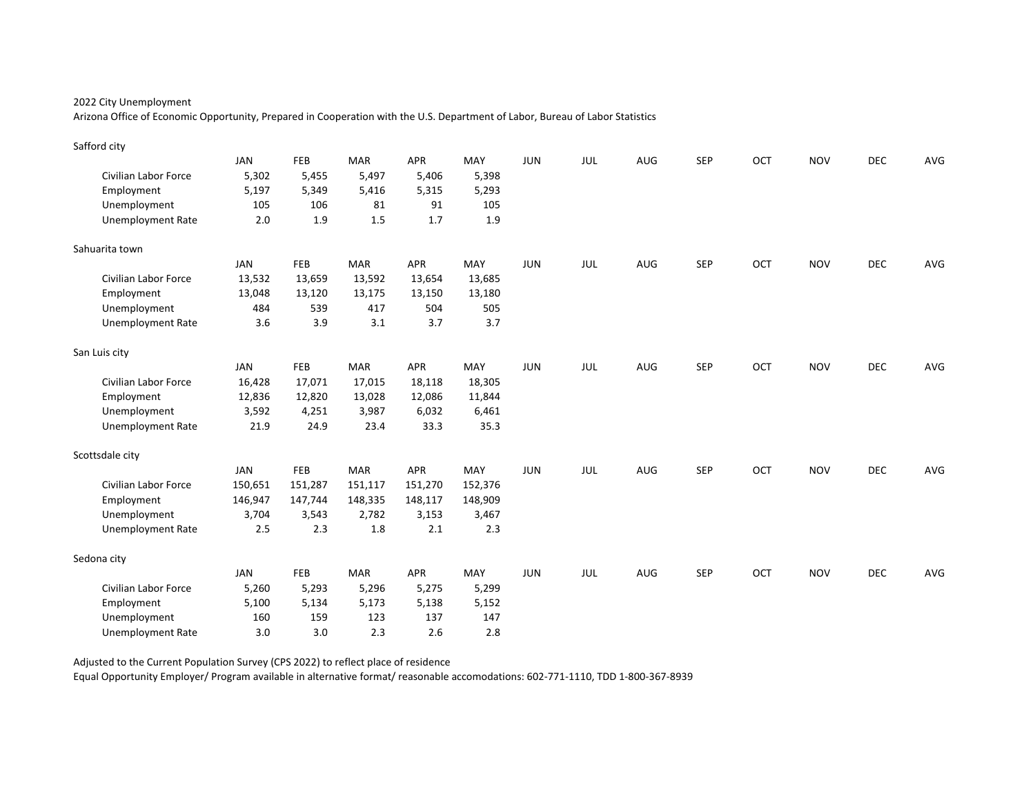Arizona Office of Economic Opportunity, Prepared in Cooperation with the U.S. Department of Labor, Bureau of Labor Statistics

| Safford city             |            |         |            |            |         |            |     |     |            |     |            |            |     |
|--------------------------|------------|---------|------------|------------|---------|------------|-----|-----|------------|-----|------------|------------|-----|
|                          | <b>JAN</b> | FEB     | <b>MAR</b> | <b>APR</b> | MAY     | <b>JUN</b> | JUL | AUG | <b>SEP</b> | OCT | <b>NOV</b> | <b>DEC</b> | AVG |
| Civilian Labor Force     | 5,302      | 5,455   | 5,497      | 5,406      | 5,398   |            |     |     |            |     |            |            |     |
| Employment               | 5,197      | 5,349   | 5,416      | 5,315      | 5,293   |            |     |     |            |     |            |            |     |
| Unemployment             | 105        | 106     | 81         | 91         | 105     |            |     |     |            |     |            |            |     |
| <b>Unemployment Rate</b> | 2.0        | 1.9     | $1.5\,$    | 1.7        | 1.9     |            |     |     |            |     |            |            |     |
| Sahuarita town           |            |         |            |            |         |            |     |     |            |     |            |            |     |
|                          | JAN        | FEB     | <b>MAR</b> | <b>APR</b> | MAY     | <b>JUN</b> | JUL | AUG | <b>SEP</b> | OCT | <b>NOV</b> | <b>DEC</b> | AVG |
| Civilian Labor Force     | 13,532     | 13,659  | 13,592     | 13,654     | 13,685  |            |     |     |            |     |            |            |     |
| Employment               | 13,048     | 13,120  | 13,175     | 13,150     | 13,180  |            |     |     |            |     |            |            |     |
| Unemployment             | 484        | 539     | 417        | 504        | 505     |            |     |     |            |     |            |            |     |
| <b>Unemployment Rate</b> | 3.6        | 3.9     | 3.1        | 3.7        | 3.7     |            |     |     |            |     |            |            |     |
| San Luis city            |            |         |            |            |         |            |     |     |            |     |            |            |     |
|                          | <b>JAN</b> | FEB     | <b>MAR</b> | <b>APR</b> | MAY     | <b>JUN</b> | JUL | AUG | <b>SEP</b> | OCT | <b>NOV</b> | DEC        | AVG |
| Civilian Labor Force     | 16,428     | 17,071  | 17,015     | 18,118     | 18,305  |            |     |     |            |     |            |            |     |
| Employment               | 12,836     | 12,820  | 13,028     | 12,086     | 11,844  |            |     |     |            |     |            |            |     |
| Unemployment             | 3,592      | 4,251   | 3,987      | 6,032      | 6,461   |            |     |     |            |     |            |            |     |
| <b>Unemployment Rate</b> | 21.9       | 24.9    | 23.4       | 33.3       | 35.3    |            |     |     |            |     |            |            |     |
| Scottsdale city          |            |         |            |            |         |            |     |     |            |     |            |            |     |
|                          | <b>JAN</b> | FEB     | <b>MAR</b> | <b>APR</b> | MAY     | <b>JUN</b> | JUL | AUG | <b>SEP</b> | OCT | <b>NOV</b> | <b>DEC</b> | AVG |
| Civilian Labor Force     | 150,651    | 151,287 | 151,117    | 151,270    | 152,376 |            |     |     |            |     |            |            |     |
| Employment               | 146,947    | 147,744 | 148,335    | 148,117    | 148,909 |            |     |     |            |     |            |            |     |
| Unemployment             | 3,704      | 3,543   | 2,782      | 3,153      | 3,467   |            |     |     |            |     |            |            |     |
| <b>Unemployment Rate</b> | 2.5        | 2.3     | 1.8        | 2.1        | 2.3     |            |     |     |            |     |            |            |     |
| Sedona city              |            |         |            |            |         |            |     |     |            |     |            |            |     |
|                          | <b>JAN</b> | FEB     | <b>MAR</b> | <b>APR</b> | MAY     | <b>JUN</b> | JUL | AUG | <b>SEP</b> | OCT | <b>NOV</b> | <b>DEC</b> | AVG |
| Civilian Labor Force     | 5,260      | 5,293   | 5,296      | 5,275      | 5,299   |            |     |     |            |     |            |            |     |
| Employment               | 5,100      | 5,134   | 5,173      | 5,138      | 5,152   |            |     |     |            |     |            |            |     |
| Unemployment             | 160        | 159     | 123        | 137        | 147     |            |     |     |            |     |            |            |     |
| <b>Unemployment Rate</b> | 3.0        | 3.0     | 2.3        | 2.6        | 2.8     |            |     |     |            |     |            |            |     |

Adjusted to the Current Population Survey (CPS 2022) to reflect place of residence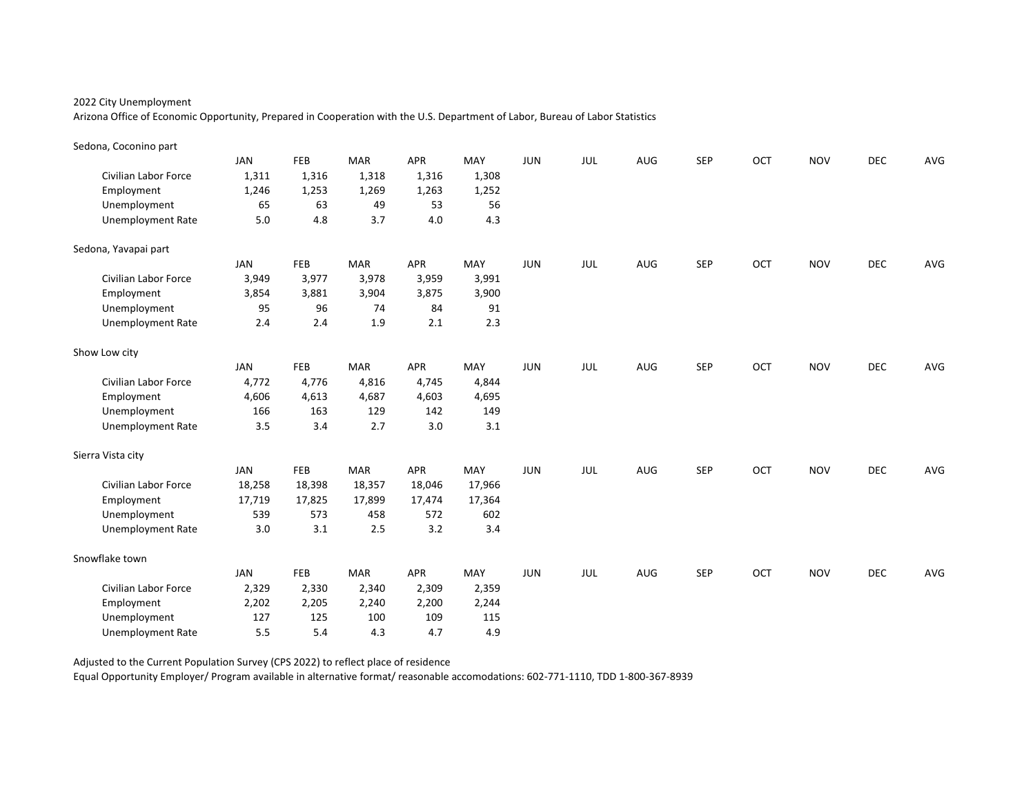Arizona Office of Economic Opportunity, Prepared in Cooperation with the U.S. Department of Labor, Bureau of Labor Statistics

| Sedona, Coconino part       |            |        |            |            |        |            |     |            |            |     |            |            |     |
|-----------------------------|------------|--------|------------|------------|--------|------------|-----|------------|------------|-----|------------|------------|-----|
|                             | <b>JAN</b> | FEB    | <b>MAR</b> | <b>APR</b> | MAY    | JUN        | JUL | AUG        | <b>SEP</b> | OCT | <b>NOV</b> | <b>DEC</b> | AVG |
| <b>Civilian Labor Force</b> | 1,311      | 1,316  | 1,318      | 1,316      | 1,308  |            |     |            |            |     |            |            |     |
| Employment                  | 1,246      | 1,253  | 1,269      | 1,263      | 1,252  |            |     |            |            |     |            |            |     |
| Unemployment                | 65         | 63     | 49         | 53         | 56     |            |     |            |            |     |            |            |     |
| <b>Unemployment Rate</b>    | 5.0        | 4.8    | 3.7        | 4.0        | 4.3    |            |     |            |            |     |            |            |     |
| Sedona, Yavapai part        |            |        |            |            |        |            |     |            |            |     |            |            |     |
|                             | <b>JAN</b> | FEB    | <b>MAR</b> | <b>APR</b> | MAY    | <b>JUN</b> | JUL | AUG        | <b>SEP</b> | OCT | <b>NOV</b> | <b>DEC</b> | AVG |
| <b>Civilian Labor Force</b> | 3,949      | 3,977  | 3,978      | 3,959      | 3,991  |            |     |            |            |     |            |            |     |
| Employment                  | 3,854      | 3,881  | 3,904      | 3,875      | 3,900  |            |     |            |            |     |            |            |     |
| Unemployment                | 95         | 96     | 74         | 84         | 91     |            |     |            |            |     |            |            |     |
| <b>Unemployment Rate</b>    | 2.4        | 2.4    | 1.9        | 2.1        | 2.3    |            |     |            |            |     |            |            |     |
| Show Low city               |            |        |            |            |        |            |     |            |            |     |            |            |     |
|                             | <b>JAN</b> | FEB    | <b>MAR</b> | <b>APR</b> | MAY    | <b>JUN</b> | JUL | AUG        | <b>SEP</b> | OCT | <b>NOV</b> | DEC        | AVG |
| <b>Civilian Labor Force</b> | 4,772      | 4,776  | 4,816      | 4,745      | 4,844  |            |     |            |            |     |            |            |     |
| Employment                  | 4,606      | 4,613  | 4,687      | 4,603      | 4,695  |            |     |            |            |     |            |            |     |
| Unemployment                | 166        | 163    | 129        | 142        | 149    |            |     |            |            |     |            |            |     |
| <b>Unemployment Rate</b>    | 3.5        | 3.4    | 2.7        | 3.0        | 3.1    |            |     |            |            |     |            |            |     |
| Sierra Vista city           |            |        |            |            |        |            |     |            |            |     |            |            |     |
|                             | JAN        | FEB    | <b>MAR</b> | <b>APR</b> | MAY    | <b>JUN</b> | JUL | <b>AUG</b> | <b>SEP</b> | OCT | <b>NOV</b> | <b>DEC</b> | AVG |
| <b>Civilian Labor Force</b> | 18,258     | 18,398 | 18,357     | 18,046     | 17,966 |            |     |            |            |     |            |            |     |
| Employment                  | 17,719     | 17,825 | 17,899     | 17,474     | 17,364 |            |     |            |            |     |            |            |     |
| Unemployment                | 539        | 573    | 458        | 572        | 602    |            |     |            |            |     |            |            |     |
| <b>Unemployment Rate</b>    | 3.0        | 3.1    | 2.5        | 3.2        | 3.4    |            |     |            |            |     |            |            |     |
| Snowflake town              |            |        |            |            |        |            |     |            |            |     |            |            |     |
|                             | <b>JAN</b> | FEB    | <b>MAR</b> | <b>APR</b> | MAY    | <b>JUN</b> | JUL | AUG        | <b>SEP</b> | OCT | <b>NOV</b> | <b>DEC</b> | AVG |
| Civilian Labor Force        | 2,329      | 2,330  | 2,340      | 2,309      | 2,359  |            |     |            |            |     |            |            |     |
| Employment                  | 2,202      | 2,205  | 2,240      | 2,200      | 2,244  |            |     |            |            |     |            |            |     |
| Unemployment                | 127        | 125    | 100        | 109        | 115    |            |     |            |            |     |            |            |     |
| <b>Unemployment Rate</b>    | 5.5        | 5.4    | 4.3        | 4.7        | 4.9    |            |     |            |            |     |            |            |     |

Adjusted to the Current Population Survey (CPS 2022) to reflect place of residence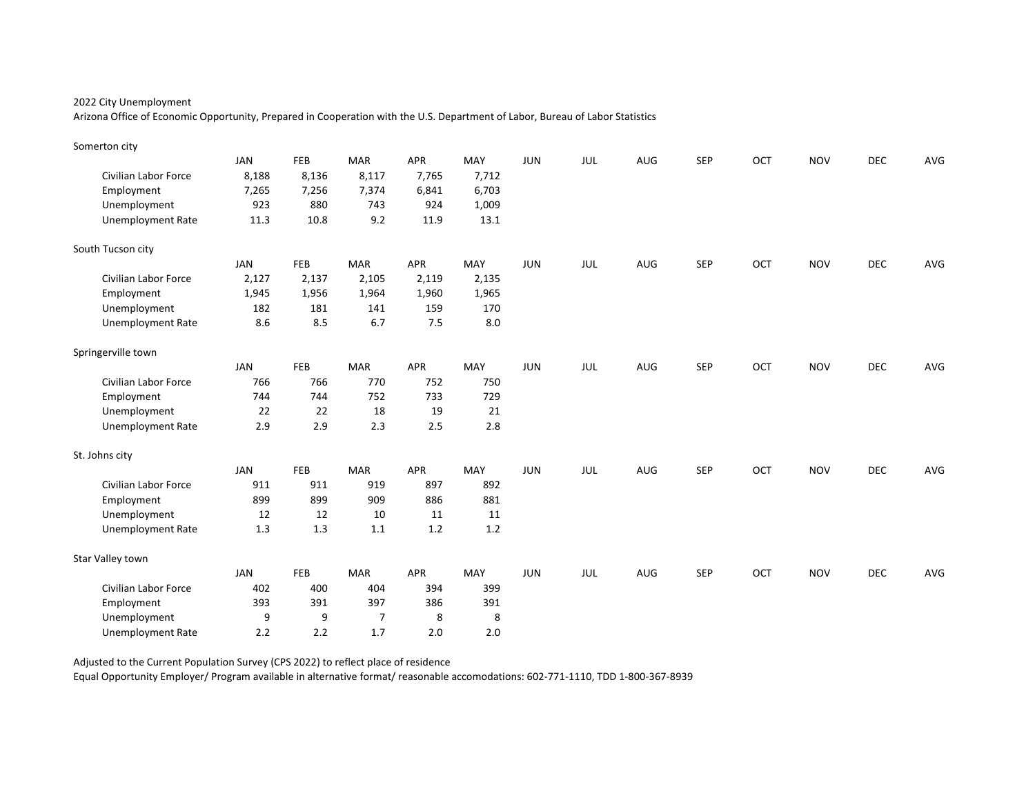Arizona Office of Economic Opportunity, Prepared in Cooperation with the U.S. Department of Labor, Bureau of Labor Statistics

| Somerton city               |            |       |            |            |       |            |     |     |            |     |            |            |     |
|-----------------------------|------------|-------|------------|------------|-------|------------|-----|-----|------------|-----|------------|------------|-----|
|                             | <b>JAN</b> | FEB   | <b>MAR</b> | <b>APR</b> | MAY   | <b>JUN</b> | JUL | AUG | <b>SEP</b> | OCT | <b>NOV</b> | <b>DEC</b> | AVG |
| <b>Civilian Labor Force</b> | 8,188      | 8,136 | 8,117      | 7,765      | 7,712 |            |     |     |            |     |            |            |     |
| Employment                  | 7,265      | 7,256 | 7,374      | 6,841      | 6,703 |            |     |     |            |     |            |            |     |
| Unemployment                | 923        | 880   | 743        | 924        | 1,009 |            |     |     |            |     |            |            |     |
| <b>Unemployment Rate</b>    | 11.3       | 10.8  | 9.2        | 11.9       | 13.1  |            |     |     |            |     |            |            |     |
| South Tucson city           |            |       |            |            |       |            |     |     |            |     |            |            |     |
|                             | <b>JAN</b> | FEB   | <b>MAR</b> | <b>APR</b> | MAY   | <b>JUN</b> | JUL | AUG | <b>SEP</b> | OCT | <b>NOV</b> | <b>DEC</b> | AVG |
| <b>Civilian Labor Force</b> | 2,127      | 2,137 | 2,105      | 2,119      | 2,135 |            |     |     |            |     |            |            |     |
| Employment                  | 1,945      | 1,956 | 1,964      | 1,960      | 1,965 |            |     |     |            |     |            |            |     |
| Unemployment                | 182        | 181   | 141        | 159        | 170   |            |     |     |            |     |            |            |     |
| <b>Unemployment Rate</b>    | 8.6        | 8.5   | 6.7        | 7.5        | 8.0   |            |     |     |            |     |            |            |     |
| Springerville town          |            |       |            |            |       |            |     |     |            |     |            |            |     |
|                             | <b>JAN</b> | FEB   | <b>MAR</b> | <b>APR</b> | MAY   | <b>JUN</b> | JUL | AUG | <b>SEP</b> | OCT | <b>NOV</b> | <b>DEC</b> | AVG |
| <b>Civilian Labor Force</b> | 766        | 766   | 770        | 752        | 750   |            |     |     |            |     |            |            |     |
| Employment                  | 744        | 744   | 752        | 733        | 729   |            |     |     |            |     |            |            |     |
| Unemployment                | 22         | 22    | 18         | 19         | 21    |            |     |     |            |     |            |            |     |
| <b>Unemployment Rate</b>    | 2.9        | 2.9   | 2.3        | 2.5        | 2.8   |            |     |     |            |     |            |            |     |
| St. Johns city              |            |       |            |            |       |            |     |     |            |     |            |            |     |
|                             | <b>JAN</b> | FEB   | <b>MAR</b> | <b>APR</b> | MAY   | <b>JUN</b> | JUL | AUG | <b>SEP</b> | OCT | <b>NOV</b> | <b>DEC</b> | AVG |
| <b>Civilian Labor Force</b> | 911        | 911   | 919        | 897        | 892   |            |     |     |            |     |            |            |     |
| Employment                  | 899        | 899   | 909        | 886        | 881   |            |     |     |            |     |            |            |     |
| Unemployment                | 12         | 12    | 10         | 11         | 11    |            |     |     |            |     |            |            |     |
| <b>Unemployment Rate</b>    | 1.3        | 1.3   | 1.1        | 1.2        | 1.2   |            |     |     |            |     |            |            |     |
| Star Valley town            |            |       |            |            |       |            |     |     |            |     |            |            |     |
|                             | <b>JAN</b> | FEB   | <b>MAR</b> | <b>APR</b> | MAY   | <b>JUN</b> | JUL | AUG | <b>SEP</b> | OCT | <b>NOV</b> | <b>DEC</b> | AVG |
| <b>Civilian Labor Force</b> | 402        | 400   | 404        | 394        | 399   |            |     |     |            |     |            |            |     |
| Employment                  | 393        | 391   | 397        | 386        | 391   |            |     |     |            |     |            |            |     |
| Unemployment                | 9          | 9     | 7          | 8          | 8     |            |     |     |            |     |            |            |     |
| <b>Unemployment Rate</b>    | 2.2        | 2.2   | 1.7        | 2.0        | 2.0   |            |     |     |            |     |            |            |     |

Adjusted to the Current Population Survey (CPS 2022) to reflect place of residence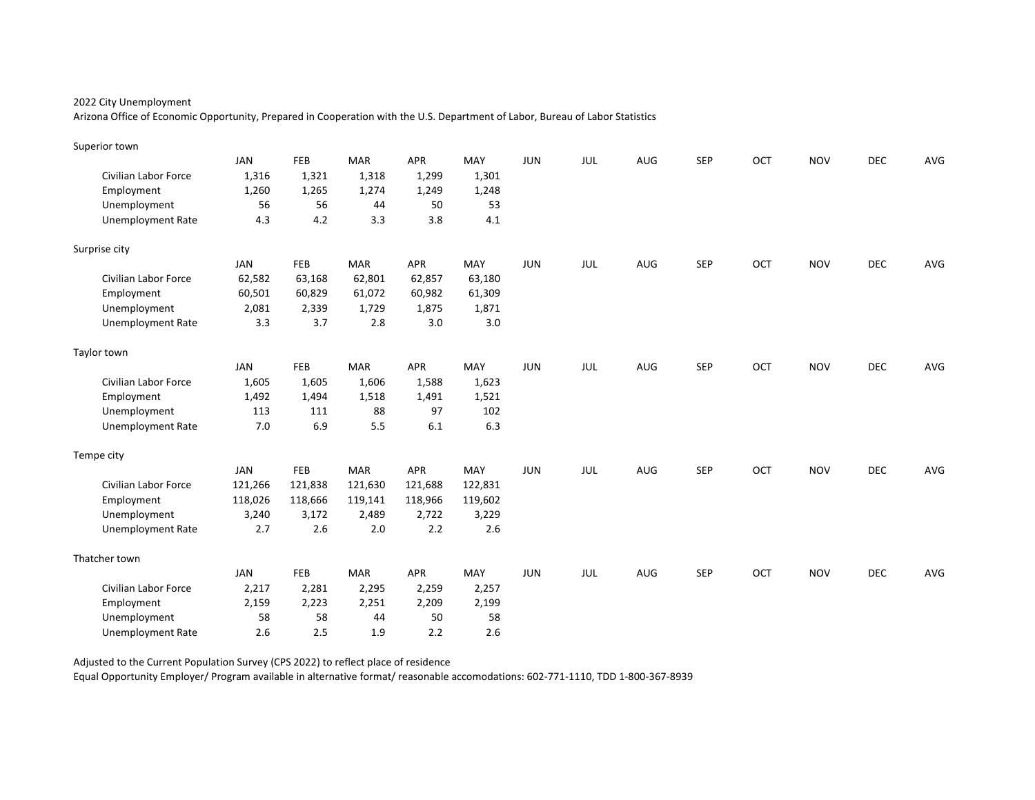Arizona Office of Economic Opportunity, Prepared in Cooperation with the U.S. Department of Labor, Bureau of Labor Statistics

| Superior town               |            |            |            |         |         |            |            |     |            |     |            |            |     |
|-----------------------------|------------|------------|------------|---------|---------|------------|------------|-----|------------|-----|------------|------------|-----|
|                             | <b>JAN</b> | FEB        | <b>MAR</b> | APR     | MAY     | <b>JUN</b> | JUL        | AUG | <b>SEP</b> | OCT | <b>NOV</b> | <b>DEC</b> | AVG |
| Civilian Labor Force        | 1,316      | 1,321      | 1,318      | 1,299   | 1,301   |            |            |     |            |     |            |            |     |
| Employment                  | 1,260      | 1,265      | 1,274      | 1,249   | 1,248   |            |            |     |            |     |            |            |     |
| Unemployment                | 56         | 56         | 44         | 50      | 53      |            |            |     |            |     |            |            |     |
| <b>Unemployment Rate</b>    | 4.3        | 4.2        | 3.3        | 3.8     | 4.1     |            |            |     |            |     |            |            |     |
| Surprise city               |            |            |            |         |         |            |            |     |            |     |            |            |     |
|                             | JAN        | <b>FEB</b> | <b>MAR</b> | APR     | MAY     | <b>JUN</b> | JUL        | AUG | <b>SEP</b> | OCT | <b>NOV</b> | <b>DEC</b> | AVG |
| <b>Civilian Labor Force</b> | 62,582     | 63,168     | 62,801     | 62,857  | 63,180  |            |            |     |            |     |            |            |     |
| Employment                  | 60,501     | 60,829     | 61,072     | 60,982  | 61,309  |            |            |     |            |     |            |            |     |
| Unemployment                | 2,081      | 2,339      | 1,729      | 1,875   | 1,871   |            |            |     |            |     |            |            |     |
| <b>Unemployment Rate</b>    | 3.3        | 3.7        | 2.8        | 3.0     | 3.0     |            |            |     |            |     |            |            |     |
| Taylor town                 |            |            |            |         |         |            |            |     |            |     |            |            |     |
|                             | <b>JAN</b> | <b>FEB</b> | <b>MAR</b> | APR     | MAY     | <b>JUN</b> | JUL        | AUG | <b>SEP</b> | OCT | <b>NOV</b> | DEC        | AVG |
| Civilian Labor Force        | 1,605      | 1,605      | 1,606      | 1,588   | 1,623   |            |            |     |            |     |            |            |     |
| Employment                  | 1,492      | 1,494      | 1,518      | 1,491   | 1,521   |            |            |     |            |     |            |            |     |
| Unemployment                | 113        | 111        | 88         | 97      | 102     |            |            |     |            |     |            |            |     |
| <b>Unemployment Rate</b>    | 7.0        | 6.9        | 5.5        | 6.1     | 6.3     |            |            |     |            |     |            |            |     |
| Tempe city                  |            |            |            |         |         |            |            |     |            |     |            |            |     |
|                             | JAN        | <b>FEB</b> | <b>MAR</b> | APR     | MAY     | <b>JUN</b> | <b>JUL</b> | AUG | <b>SEP</b> | OCT | <b>NOV</b> | <b>DEC</b> | AVG |
| Civilian Labor Force        | 121,266    | 121,838    | 121,630    | 121,688 | 122,831 |            |            |     |            |     |            |            |     |
| Employment                  | 118,026    | 118,666    | 119,141    | 118,966 | 119,602 |            |            |     |            |     |            |            |     |
| Unemployment                | 3,240      | 3,172      | 2,489      | 2,722   | 3,229   |            |            |     |            |     |            |            |     |
| <b>Unemployment Rate</b>    | 2.7        | 2.6        | 2.0        | 2.2     | 2.6     |            |            |     |            |     |            |            |     |
| Thatcher town               |            |            |            |         |         |            |            |     |            |     |            |            |     |
|                             | <b>JAN</b> | FEB        | <b>MAR</b> | APR     | MAY     | <b>JUN</b> | JUL        | AUG | <b>SEP</b> | OCT | <b>NOV</b> | <b>DEC</b> | AVG |
| Civilian Labor Force        | 2,217      | 2,281      | 2,295      | 2,259   | 2,257   |            |            |     |            |     |            |            |     |
| Employment                  | 2,159      | 2,223      | 2,251      | 2,209   | 2,199   |            |            |     |            |     |            |            |     |
| Unemployment                | 58         | 58         | 44         | 50      | 58      |            |            |     |            |     |            |            |     |
| <b>Unemployment Rate</b>    | 2.6        | 2.5        | 1.9        | 2.2     | 2.6     |            |            |     |            |     |            |            |     |

Adjusted to the Current Population Survey (CPS 2022) to reflect place of residence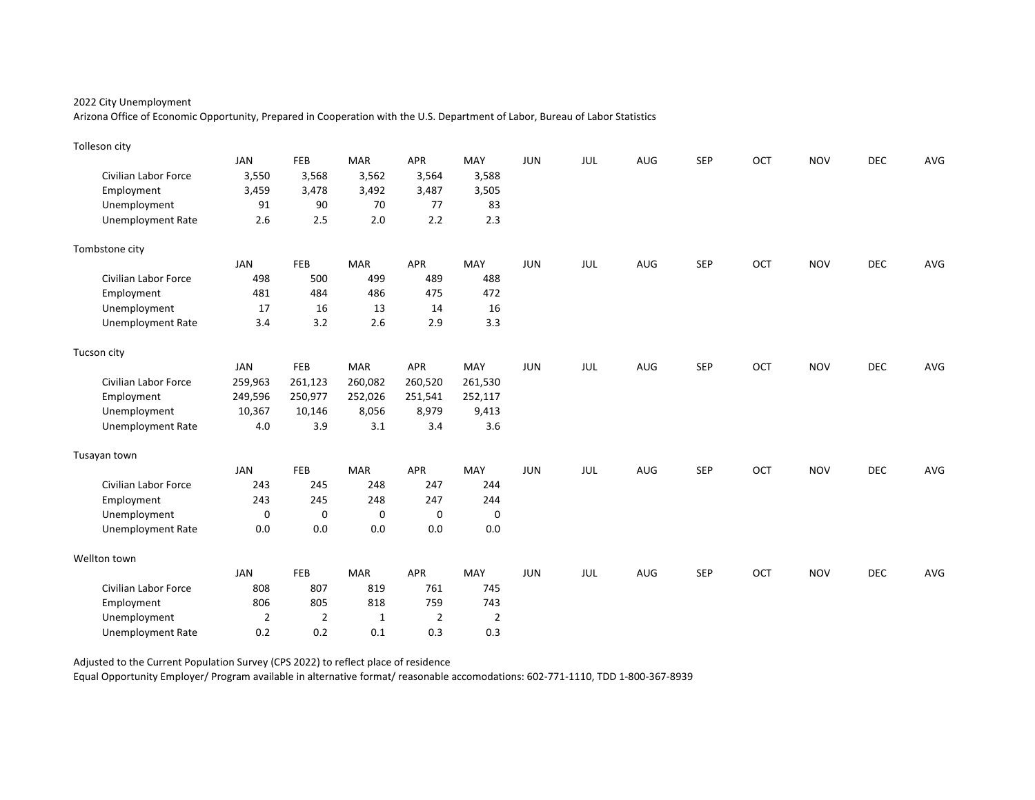Arizona Office of Economic Opportunity, Prepared in Cooperation with the U.S. Department of Labor, Bureau of Labor Statistics

| Tolleson city               |                |                |              |                |                |            |            |            |            |     |            |            |     |
|-----------------------------|----------------|----------------|--------------|----------------|----------------|------------|------------|------------|------------|-----|------------|------------|-----|
|                             | <b>JAN</b>     | FEB            | <b>MAR</b>   | APR            | MAY            | <b>JUN</b> | JUL        | AUG        | <b>SEP</b> | OCT | <b>NOV</b> | <b>DEC</b> | AVG |
| Civilian Labor Force        | 3,550          | 3,568          | 3,562        | 3,564          | 3,588          |            |            |            |            |     |            |            |     |
| Employment                  | 3,459          | 3,478          | 3,492        | 3,487          | 3,505          |            |            |            |            |     |            |            |     |
| Unemployment                | 91             | 90             | 70           | 77             | 83             |            |            |            |            |     |            |            |     |
| <b>Unemployment Rate</b>    | 2.6            | 2.5            | 2.0          | 2.2            | 2.3            |            |            |            |            |     |            |            |     |
| Tombstone city              |                |                |              |                |                |            |            |            |            |     |            |            |     |
|                             | <b>JAN</b>     | <b>FEB</b>     | <b>MAR</b>   | <b>APR</b>     | MAY            | <b>JUN</b> | JUL        | <b>AUG</b> | <b>SEP</b> | OCT | <b>NOV</b> | <b>DEC</b> | AVG |
| <b>Civilian Labor Force</b> | 498            | 500            | 499          | 489            | 488            |            |            |            |            |     |            |            |     |
| Employment                  | 481            | 484            | 486          | 475            | 472            |            |            |            |            |     |            |            |     |
| Unemployment                | 17             | 16             | 13           | 14             | 16             |            |            |            |            |     |            |            |     |
| <b>Unemployment Rate</b>    | 3.4            | 3.2            | 2.6          | 2.9            | 3.3            |            |            |            |            |     |            |            |     |
| Tucson city                 |                |                |              |                |                |            |            |            |            |     |            |            |     |
|                             | <b>JAN</b>     | FEB            | <b>MAR</b>   | <b>APR</b>     | MAY            | <b>JUN</b> | JUL        | AUG        | <b>SEP</b> | OCT | <b>NOV</b> | <b>DEC</b> | AVG |
| Civilian Labor Force        | 259,963        | 261,123        | 260,082      | 260,520        | 261,530        |            |            |            |            |     |            |            |     |
| Employment                  | 249,596        | 250,977        | 252,026      | 251,541        | 252,117        |            |            |            |            |     |            |            |     |
| Unemployment                | 10,367         | 10,146         | 8,056        | 8,979          | 9,413          |            |            |            |            |     |            |            |     |
| <b>Unemployment Rate</b>    | 4.0            | 3.9            | 3.1          | 3.4            | 3.6            |            |            |            |            |     |            |            |     |
| Tusayan town                |                |                |              |                |                |            |            |            |            |     |            |            |     |
|                             | <b>JAN</b>     | <b>FEB</b>     | <b>MAR</b>   | <b>APR</b>     | MAY            | <b>JUN</b> | <b>JUL</b> | AUG        | <b>SEP</b> | OCT | <b>NOV</b> | <b>DEC</b> | AVG |
| <b>Civilian Labor Force</b> | 243            | 245            | 248          | 247            | 244            |            |            |            |            |     |            |            |     |
| Employment                  | 243            | 245            | 248          | 247            | 244            |            |            |            |            |     |            |            |     |
| Unemployment                | $\mathbf 0$    | 0              | 0            | $\mathbf 0$    | 0              |            |            |            |            |     |            |            |     |
| Unemployment Rate           | 0.0            | 0.0            | 0.0          | 0.0            | 0.0            |            |            |            |            |     |            |            |     |
| Wellton town                |                |                |              |                |                |            |            |            |            |     |            |            |     |
|                             | <b>JAN</b>     | <b>FEB</b>     | <b>MAR</b>   | APR            | MAY            | <b>JUN</b> | JUL        | AUG        | <b>SEP</b> | OCT | <b>NOV</b> | <b>DEC</b> | AVG |
| Civilian Labor Force        | 808            | 807            | 819          | 761            | 745            |            |            |            |            |     |            |            |     |
| Employment                  | 806            | 805            | 818          | 759            | 743            |            |            |            |            |     |            |            |     |
| Unemployment                | $\overline{2}$ | $\overline{2}$ | $\mathbf{1}$ | $\overline{2}$ | $\overline{2}$ |            |            |            |            |     |            |            |     |
| <b>Unemployment Rate</b>    | 0.2            | 0.2            | 0.1          | 0.3            | 0.3            |            |            |            |            |     |            |            |     |

Adjusted to the Current Population Survey (CPS 2022) to reflect place of residence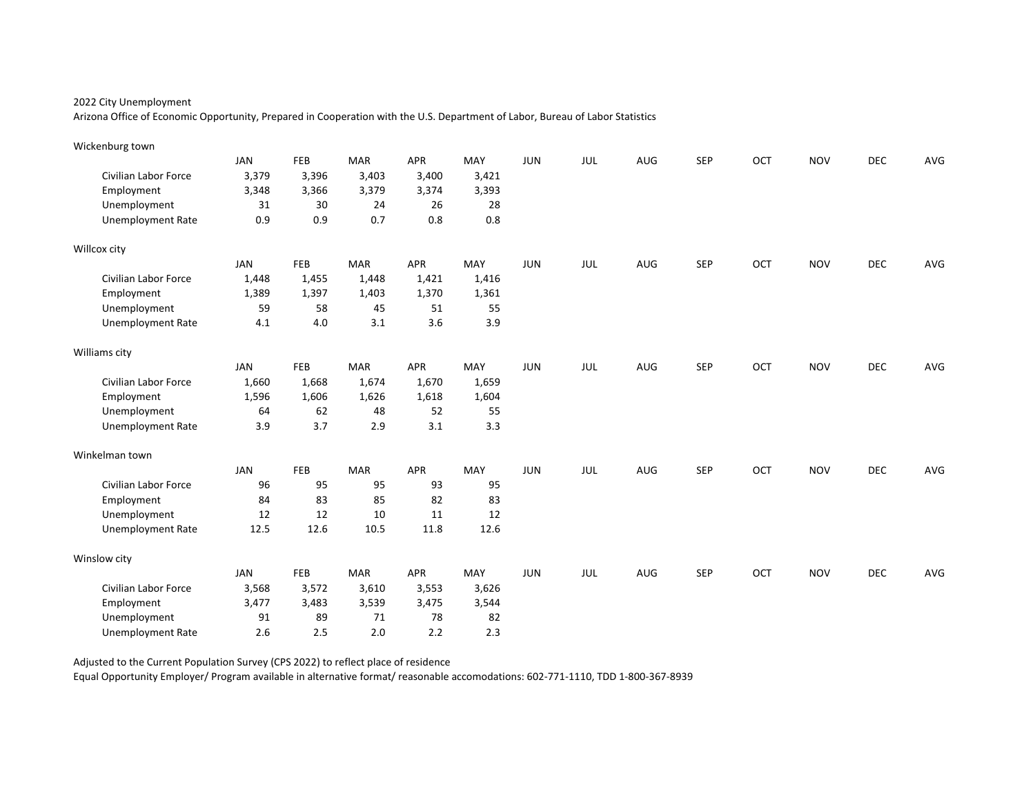Arizona Office of Economic Opportunity, Prepared in Cooperation with the U.S. Department of Labor, Bureau of Labor Statistics

| Wickenburg town             |            |       |            |            |       |            |     |     |            |     |            |            |     |
|-----------------------------|------------|-------|------------|------------|-------|------------|-----|-----|------------|-----|------------|------------|-----|
|                             | <b>JAN</b> | FEB   | <b>MAR</b> | <b>APR</b> | MAY   | <b>JUN</b> | JUL | AUG | <b>SEP</b> | OCT | <b>NOV</b> | <b>DEC</b> | AVG |
| <b>Civilian Labor Force</b> | 3,379      | 3,396 | 3,403      | 3,400      | 3,421 |            |     |     |            |     |            |            |     |
| Employment                  | 3,348      | 3,366 | 3,379      | 3,374      | 3,393 |            |     |     |            |     |            |            |     |
| Unemployment                | 31         | 30    | 24         | 26         | 28    |            |     |     |            |     |            |            |     |
| <b>Unemployment Rate</b>    | 0.9        | 0.9   | 0.7        | $0.8\,$    | 0.8   |            |     |     |            |     |            |            |     |
| Willcox city                |            |       |            |            |       |            |     |     |            |     |            |            |     |
|                             | <b>JAN</b> | FEB   | <b>MAR</b> | APR        | MAY   | <b>JUN</b> | JUL | AUG | <b>SEP</b> | OCT | <b>NOV</b> | <b>DEC</b> | AVG |
| <b>Civilian Labor Force</b> | 1,448      | 1,455 | 1,448      | 1,421      | 1,416 |            |     |     |            |     |            |            |     |
| Employment                  | 1,389      | 1,397 | 1,403      | 1,370      | 1,361 |            |     |     |            |     |            |            |     |
| Unemployment                | 59         | 58    | 45         | 51         | 55    |            |     |     |            |     |            |            |     |
| <b>Unemployment Rate</b>    | 4.1        | 4.0   | 3.1        | 3.6        | 3.9   |            |     |     |            |     |            |            |     |
| Williams city               |            |       |            |            |       |            |     |     |            |     |            |            |     |
|                             | <b>JAN</b> | FEB   | <b>MAR</b> | <b>APR</b> | MAY   | <b>JUN</b> | JUL | AUG | <b>SEP</b> | OCT | <b>NOV</b> | DEC        | AVG |
| Civilian Labor Force        | 1,660      | 1,668 | 1,674      | 1,670      | 1,659 |            |     |     |            |     |            |            |     |
| Employment                  | 1,596      | 1,606 | 1,626      | 1,618      | 1,604 |            |     |     |            |     |            |            |     |
| Unemployment                | 64         | 62    | 48         | 52         | 55    |            |     |     |            |     |            |            |     |
| <b>Unemployment Rate</b>    | 3.9        | 3.7   | 2.9        | 3.1        | 3.3   |            |     |     |            |     |            |            |     |
| Winkelman town              |            |       |            |            |       |            |     |     |            |     |            |            |     |
|                             | <b>JAN</b> | FEB   | <b>MAR</b> | APR        | MAY   | <b>JUN</b> | JUL | AUG | <b>SEP</b> | OCT | <b>NOV</b> | <b>DEC</b> | AVG |
| Civilian Labor Force        | 96         | 95    | 95         | 93         | 95    |            |     |     |            |     |            |            |     |
| Employment                  | 84         | 83    | 85         | 82         | 83    |            |     |     |            |     |            |            |     |
| Unemployment                | 12         | 12    | 10         | 11         | 12    |            |     |     |            |     |            |            |     |
| <b>Unemployment Rate</b>    | 12.5       | 12.6  | 10.5       | 11.8       | 12.6  |            |     |     |            |     |            |            |     |
| Winslow city                |            |       |            |            |       |            |     |     |            |     |            |            |     |
|                             | <b>JAN</b> | FEB   | <b>MAR</b> | <b>APR</b> | MAY   | <b>JUN</b> | JUL | AUG | <b>SEP</b> | OCT | <b>NOV</b> | <b>DEC</b> | AVG |
| Civilian Labor Force        | 3,568      | 3,572 | 3,610      | 3,553      | 3,626 |            |     |     |            |     |            |            |     |
| Employment                  | 3,477      | 3,483 | 3,539      | 3,475      | 3,544 |            |     |     |            |     |            |            |     |
| Unemployment                | 91         | 89    | 71         | 78         | 82    |            |     |     |            |     |            |            |     |
| <b>Unemployment Rate</b>    | 2.6        | 2.5   | 2.0        | 2.2        | 2.3   |            |     |     |            |     |            |            |     |

Adjusted to the Current Population Survey (CPS 2022) to reflect place of residence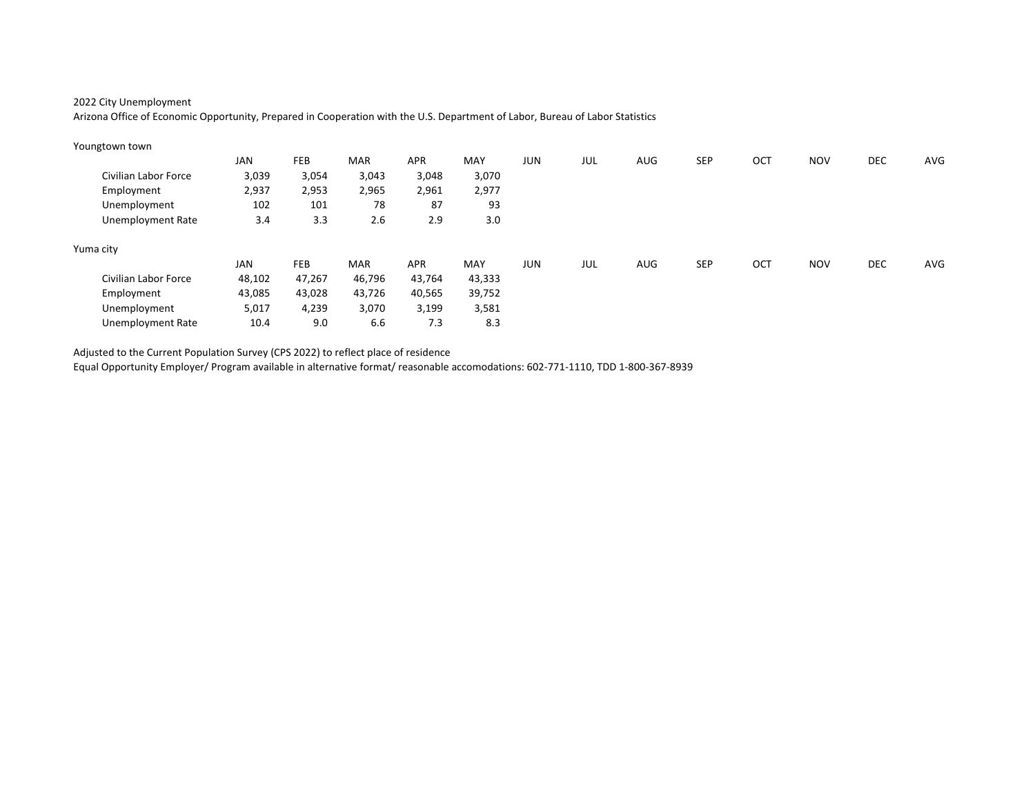Arizona Office of Economic Opportunity, Prepared in Cooperation with the U.S. Department of Labor, Bureau of Labor Statistics

| Youngtown town       |        |        |            |            |            |            |     |            |            |     |            |            |     |
|----------------------|--------|--------|------------|------------|------------|------------|-----|------------|------------|-----|------------|------------|-----|
|                      | JAN    | FEB    | <b>MAR</b> | <b>APR</b> | <b>MAY</b> | JUN        | JUL | <b>AUG</b> | <b>SEP</b> | OCT | <b>NOV</b> | <b>DEC</b> | AVG |
| Civilian Labor Force | 3,039  | 3,054  | 3,043      | 3,048      | 3,070      |            |     |            |            |     |            |            |     |
| Employment           | 2,937  | 2,953  | 2,965      | 2,961      | 2,977      |            |     |            |            |     |            |            |     |
| Unemployment         | 102    | 101    | 78         | 87         | 93         |            |     |            |            |     |            |            |     |
| Unemployment Rate    | 3.4    | 3.3    | 2.6        | 2.9        | 3.0        |            |     |            |            |     |            |            |     |
| Yuma city            |        |        |            |            |            |            |     |            |            |     |            |            |     |
|                      | JAN    | FEB    | <b>MAR</b> | APR        | MAY        | <b>JUN</b> | JUL | <b>AUG</b> | <b>SEP</b> | OCT | <b>NOV</b> | <b>DEC</b> | AVG |
| Civilian Labor Force | 48,102 | 47,267 | 46,796     | 43,764     | 43,333     |            |     |            |            |     |            |            |     |
| Employment           | 43,085 | 43,028 | 43,726     | 40,565     | 39,752     |            |     |            |            |     |            |            |     |
| Unemployment         | 5,017  | 4,239  | 3,070      | 3,199      | 3,581      |            |     |            |            |     |            |            |     |
| Unemployment Rate    | 10.4   | 9.0    | 6.6        | 7.3        | 8.3        |            |     |            |            |     |            |            |     |

Adjusted to the Current Population Survey (CPS 2022) to reflect place of residence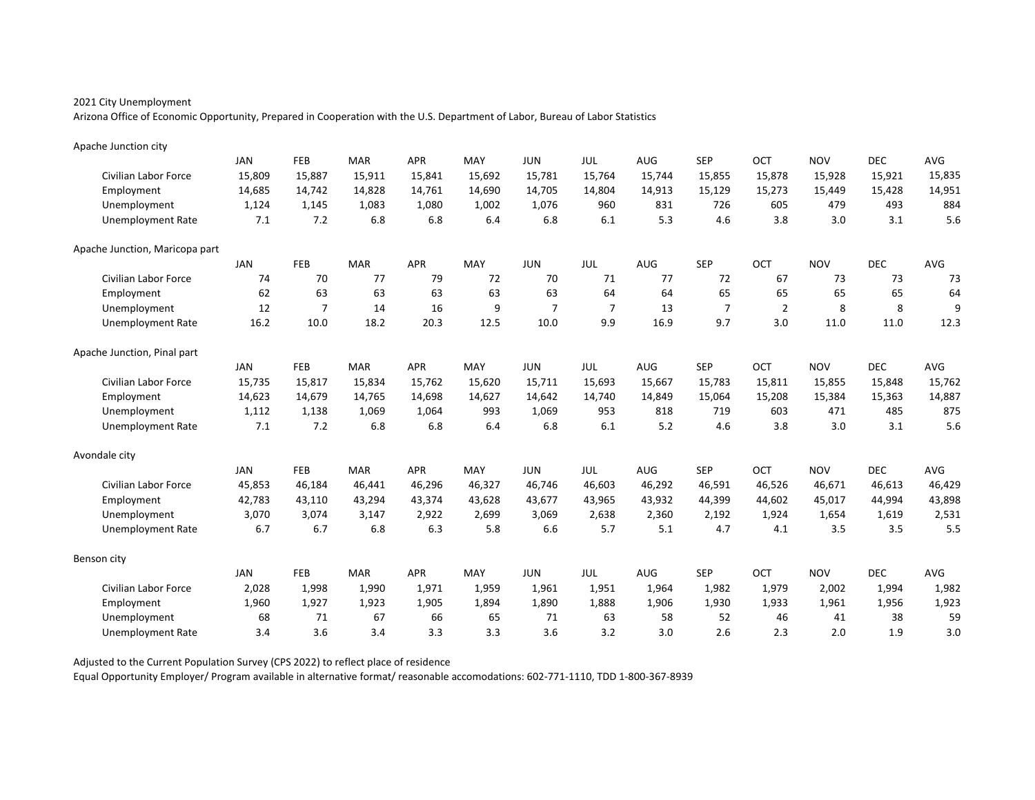Arizona Office of Economic Opportunity, Prepared in Cooperation with the U.S. Department of Labor, Bureau of Labor Statistics

| Apache Junction city           |            |                |            |            |        |                |                |        |                |                |            |            |        |
|--------------------------------|------------|----------------|------------|------------|--------|----------------|----------------|--------|----------------|----------------|------------|------------|--------|
|                                | <b>JAN</b> | <b>FEB</b>     | <b>MAR</b> | <b>APR</b> | MAY    | <b>JUN</b>     | JUL            | AUG    | <b>SEP</b>     | OCT            | <b>NOV</b> | <b>DEC</b> | AVG    |
| <b>Civilian Labor Force</b>    | 15,809     | 15,887         | 15,911     | 15,841     | 15,692 | 15,781         | 15,764         | 15,744 | 15,855         | 15,878         | 15,928     | 15,921     | 15,835 |
| Employment                     | 14,685     | 14,742         | 14,828     | 14,761     | 14,690 | 14,705         | 14,804         | 14,913 | 15,129         | 15,273         | 15,449     | 15,428     | 14,951 |
| Unemployment                   | 1,124      | 1.145          | 1.083      | 1.080      | 1.002  | 1,076          | 960            | 831    | 726            | 605            | 479        | 493        | 884    |
| <b>Unemployment Rate</b>       | 7.1        | 7.2            | 6.8        | 6.8        | 6.4    | 6.8            | 6.1            | 5.3    | 4.6            | 3.8            | 3.0        | 3.1        | 5.6    |
| Apache Junction, Maricopa part |            |                |            |            |        |                |                |        |                |                |            |            |        |
|                                | <b>JAN</b> | <b>FEB</b>     | <b>MAR</b> | <b>APR</b> | MAY    | <b>JUN</b>     | JUL            | AUG    | <b>SEP</b>     | OCT            | <b>NOV</b> | <b>DEC</b> | AVG    |
| <b>Civilian Labor Force</b>    | 74         | 70             | 77         | 79         | 72     | 70             | 71             | 77     | 72             | 67             | 73         | 73         | 73     |
| Employment                     | 62         | 63             | 63         | 63         | 63     | 63             | 64             | 64     | 65             | 65             | 65         | 65         | 64     |
| Unemployment                   | 12         | $\overline{7}$ | 14         | 16         | 9      | $\overline{7}$ | $\overline{7}$ | 13     | $\overline{7}$ | $\overline{2}$ | 8          | 8          | 9      |
| <b>Unemployment Rate</b>       | 16.2       | 10.0           | 18.2       | 20.3       | 12.5   | 10.0           | 9.9            | 16.9   | 9.7            | 3.0            | 11.0       | 11.0       | 12.3   |
| Apache Junction, Pinal part    |            |                |            |            |        |                |                |        |                |                |            |            |        |
|                                | <b>JAN</b> | FEB            | <b>MAR</b> | <b>APR</b> | MAY    | <b>JUN</b>     | JUL            | AUG    | <b>SEP</b>     | OCT            | <b>NOV</b> | <b>DEC</b> | AVG    |
| <b>Civilian Labor Force</b>    | 15,735     | 15,817         | 15,834     | 15,762     | 15,620 | 15,711         | 15,693         | 15,667 | 15,783         | 15,811         | 15,855     | 15,848     | 15,762 |
| Employment                     | 14,623     | 14,679         | 14,765     | 14,698     | 14,627 | 14,642         | 14.740         | 14.849 | 15,064         | 15,208         | 15,384     | 15,363     | 14,887 |
| Unemployment                   | 1,112      | 1,138          | 1,069      | 1,064      | 993    | 1,069          | 953            | 818    | 719            | 603            | 471        | 485        | 875    |
| <b>Unemployment Rate</b>       | 7.1        | 7.2            | 6.8        | 6.8        | 6.4    | 6.8            | 6.1            | 5.2    | 4.6            | 3.8            | 3.0        | 3.1        | 5.6    |
| Avondale city                  |            |                |            |            |        |                |                |        |                |                |            |            |        |
|                                | <b>JAN</b> | <b>FEB</b>     | <b>MAR</b> | <b>APR</b> | MAY    | <b>JUN</b>     | JUL            | AUG    | <b>SEP</b>     | OCT            | <b>NOV</b> | <b>DEC</b> | AVG    |
| <b>Civilian Labor Force</b>    | 45,853     | 46,184         | 46,441     | 46,296     | 46,327 | 46,746         | 46,603         | 46,292 | 46,591         | 46,526         | 46,671     | 46,613     | 46,429 |
| Employment                     | 42,783     | 43,110         | 43,294     | 43,374     | 43,628 | 43,677         | 43,965         | 43,932 | 44,399         | 44,602         | 45,017     | 44,994     | 43,898 |
| Unemployment                   | 3,070      | 3,074          | 3,147      | 2,922      | 2.699  | 3,069          | 2,638          | 2,360  | 2,192          | 1,924          | 1,654      | 1,619      | 2,531  |
| <b>Unemployment Rate</b>       | 6.7        | 6.7            | 6.8        | 6.3        | 5.8    | 6.6            | 5.7            | 5.1    | 4.7            | 4.1            | 3.5        | 3.5        | 5.5    |
| Benson city                    |            |                |            |            |        |                |                |        |                |                |            |            |        |
|                                | <b>JAN</b> | FEB            | <b>MAR</b> | <b>APR</b> | MAY    | <b>JUN</b>     | JUL            | AUG    | <b>SEP</b>     | OCT            | <b>NOV</b> | <b>DEC</b> | AVG    |
| <b>Civilian Labor Force</b>    | 2,028      | 1,998          | 1,990      | 1,971      | 1,959  | 1,961          | 1,951          | 1,964  | 1,982          | 1,979          | 2,002      | 1,994      | 1,982  |
| Employment                     | 1,960      | 1,927          | 1,923      | 1,905      | 1,894  | 1,890          | 1,888          | 1,906  | 1,930          | 1,933          | 1,961      | 1,956      | 1,923  |
| Unemployment                   | 68         | 71             | 67         | 66         | 65     | 71             | 63             | 58     | 52             | 46             | 41         | 38         | 59     |
| <b>Unemployment Rate</b>       | 3.4        | 3.6            | 3.4        | 3.3        | 3.3    | 3.6            | 3.2            | 3.0    | 2.6            | 2.3            | 2.0        | 1.9        | 3.0    |

Adjusted to the Current Population Survey (CPS 2022) to reflect place of residence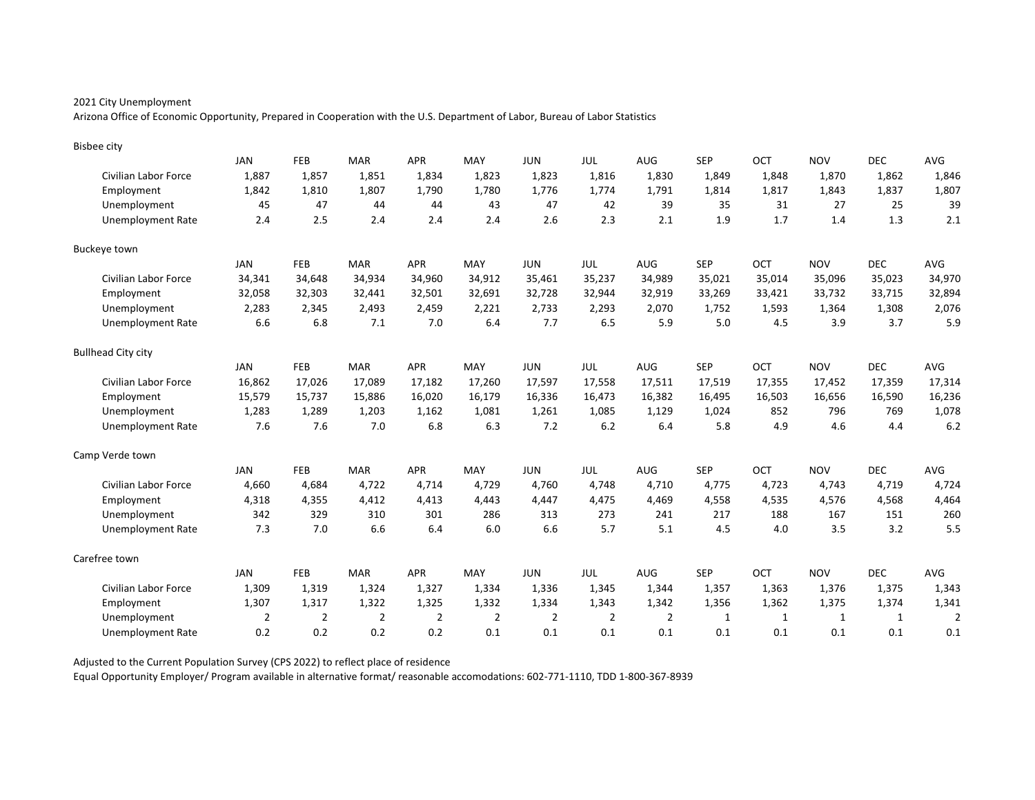Arizona Office of Economic Opportunity, Prepared in Cooperation with the U.S. Department of Labor, Bureau of Labor Statistics

| <b>Bisbee city</b>        |                |                |                |                |        |                |                |                |            |        |             |            |                |
|---------------------------|----------------|----------------|----------------|----------------|--------|----------------|----------------|----------------|------------|--------|-------------|------------|----------------|
|                           | <b>JAN</b>     | <b>FEB</b>     | <b>MAR</b>     | <b>APR</b>     | MAY    | <b>JUN</b>     | JUL            | AUG            | <b>SEP</b> | OCT    | <b>NOV</b>  | <b>DEC</b> | AVG            |
| Civilian Labor Force      | 1,887          | 1,857          | 1,851          | 1,834          | 1,823  | 1,823          | 1,816          | 1,830          | 1,849      | 1,848  | 1,870       | 1,862      | 1,846          |
| Employment                | 1,842          | 1,810          | 1,807          | 1,790          | 1,780  | 1,776          | 1,774          | 1,791          | 1,814      | 1,817  | 1,843       | 1,837      | 1,807          |
| Unemployment              | 45             | 47             | 44             | 44             | 43     | 47             | 42             | 39             | 35         | 31     | 27          | 25         | 39             |
| <b>Unemployment Rate</b>  | 2.4            | 2.5            | 2.4            | 2.4            | 2.4    | 2.6            | 2.3            | 2.1            | 1.9        | 1.7    | 1.4         | 1.3        | 2.1            |
| <b>Buckeye town</b>       |                |                |                |                |        |                |                |                |            |        |             |            |                |
|                           | JAN            | <b>FEB</b>     | <b>MAR</b>     | <b>APR</b>     | MAY    | <b>JUN</b>     | JUL            | <b>AUG</b>     | <b>SEP</b> | OCT    | <b>NOV</b>  | <b>DEC</b> | AVG            |
| Civilian Labor Force      | 34,341         | 34,648         | 34,934         | 34,960         | 34,912 | 35,461         | 35,237         | 34,989         | 35,021     | 35,014 | 35,096      | 35,023     | 34,970         |
| Employment                | 32,058         | 32,303         | 32,441         | 32,501         | 32,691 | 32,728         | 32,944         | 32,919         | 33,269     | 33,421 | 33,732      | 33,715     | 32,894         |
| Unemployment              | 2,283          | 2,345          | 2,493          | 2,459          | 2,221  | 2,733          | 2,293          | 2,070          | 1,752      | 1,593  | 1,364       | 1,308      | 2,076          |
| <b>Unemployment Rate</b>  | 6.6            | 6.8            | 7.1            | 7.0            | 6.4    | 7.7            | 6.5            | 5.9            | 5.0        | 4.5    | 3.9         | 3.7        | 5.9            |
| <b>Bullhead City city</b> |                |                |                |                |        |                |                |                |            |        |             |            |                |
|                           | JAN            | <b>FEB</b>     | <b>MAR</b>     | <b>APR</b>     | MAY    | <b>JUN</b>     | <b>JUL</b>     | <b>AUG</b>     | <b>SEP</b> | OCT    | <b>NOV</b>  | <b>DEC</b> | AVG            |
| Civilian Labor Force      | 16,862         | 17,026         | 17,089         | 17,182         | 17,260 | 17,597         | 17,558         | 17,511         | 17,519     | 17,355 | 17,452      | 17,359     | 17,314         |
| Employment                | 15,579         | 15,737         | 15,886         | 16,020         | 16,179 | 16,336         | 16,473         | 16,382         | 16,495     | 16,503 | 16,656      | 16,590     | 16,236         |
| Unemployment              | 1,283          | 1,289          | 1.203          | 1.162          | 1.081  | 1,261          | 1,085          | 1,129          | 1,024      | 852    | 796         | 769        | 1,078          |
| <b>Unemployment Rate</b>  | 7.6            | 7.6            | 7.0            | 6.8            | 6.3    | 7.2            | 6.2            | 6.4            | 5.8        | 4.9    | 4.6         | 4.4        | 6.2            |
| Camp Verde town           |                |                |                |                |        |                |                |                |            |        |             |            |                |
|                           | JAN            | <b>FEB</b>     | <b>MAR</b>     | <b>APR</b>     | MAY    | <b>JUN</b>     | JUL            | <b>AUG</b>     | <b>SEP</b> | OCT    | <b>NOV</b>  | <b>DEC</b> | AVG            |
| Civilian Labor Force      | 4,660          | 4,684          | 4,722          | 4,714          | 4,729  | 4,760          | 4,748          | 4,710          | 4,775      | 4,723  | 4,743       | 4,719      | 4,724          |
| Employment                | 4,318          | 4,355          | 4,412          | 4,413          | 4.443  | 4,447          | 4,475          | 4,469          | 4,558      | 4,535  | 4,576       | 4,568      | 4,464          |
| Unemployment              | 342            | 329            | 310            | 301            | 286    | 313            | 273            | 241            | 217        | 188    | 167         | 151        | 260            |
| <b>Unemployment Rate</b>  | 7.3            | 7.0            | 6.6            | 6.4            | 6.0    | 6.6            | 5.7            | 5.1            | 4.5        | 4.0    | 3.5         | 3.2        | 5.5            |
| Carefree town             |                |                |                |                |        |                |                |                |            |        |             |            |                |
|                           | JAN            | <b>FEB</b>     | <b>MAR</b>     | <b>APR</b>     | MAY    | <b>JUN</b>     | JUL            | <b>AUG</b>     | <b>SEP</b> | OCT    | <b>NOV</b>  | <b>DEC</b> | AVG            |
| Civilian Labor Force      | 1,309          | 1,319          | 1,324          | 1,327          | 1,334  | 1,336          | 1,345          | 1,344          | 1,357      | 1,363  | 1,376       | 1,375      | 1,343          |
| Employment                | 1,307          | 1,317          | 1,322          | 1,325          | 1,332  | 1,334          | 1,343          | 1,342          | 1,356      | 1,362  | 1,375       | 1,374      | 1,341          |
| Unemployment              | $\overline{2}$ | $\overline{2}$ | $\overline{2}$ | $\overline{2}$ | 2      | $\overline{2}$ | $\overline{2}$ | $\overline{2}$ | 1          | 1      | $\mathbf 1$ | 1          | $\overline{2}$ |
| Unemployment Rate         | 0.2            | 0.2            | 0.2            | 0.2            | 0.1    | 0.1            | 0.1            | 0.1            | 0.1        | 0.1    | 0.1         | 0.1        | 0.1            |

Adjusted to the Current Population Survey (CPS 2022) to reflect place of residence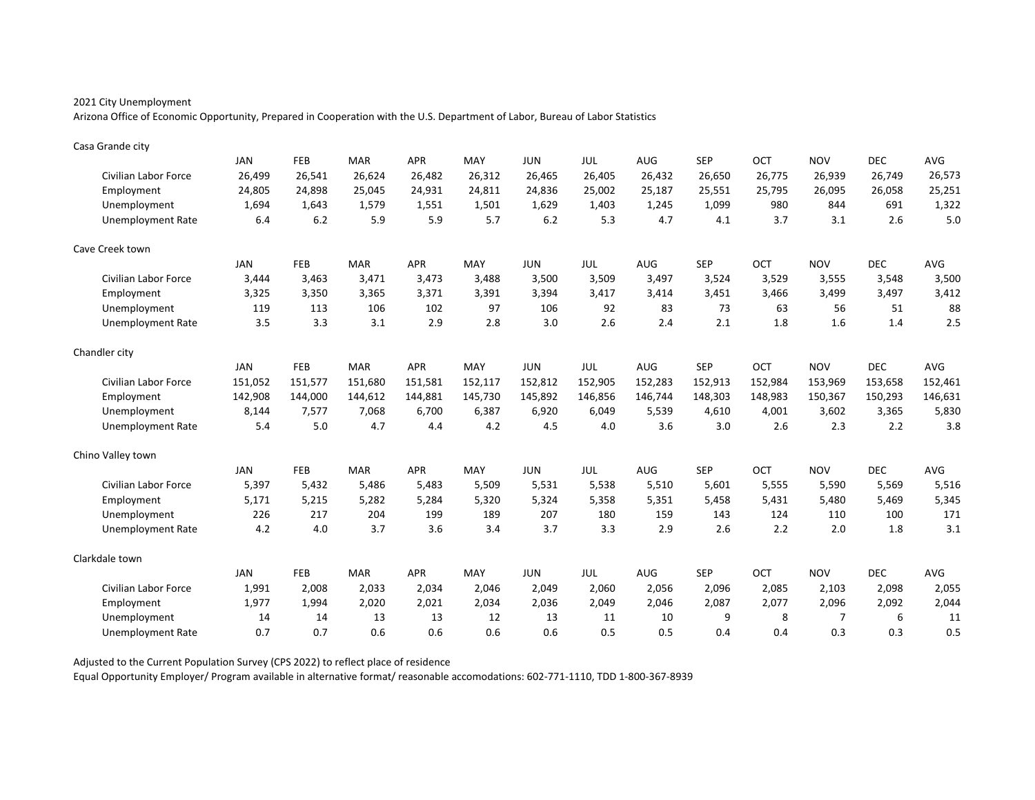Arizona Office of Economic Opportunity, Prepared in Cooperation with the U.S. Department of Labor, Bureau of Labor Statistics

| Casa Grande city            |            |            |            |            |         |            |         |            |            |         |            |            |            |
|-----------------------------|------------|------------|------------|------------|---------|------------|---------|------------|------------|---------|------------|------------|------------|
|                             | <b>JAN</b> | FEB        | <b>MAR</b> | <b>APR</b> | MAY     | <b>JUN</b> | JUL     | AUG        | <b>SEP</b> | OCT     | <b>NOV</b> | <b>DEC</b> | <b>AVG</b> |
| Civilian Labor Force        | 26,499     | 26,541     | 26,624     | 26,482     | 26,312  | 26,465     | 26,405  | 26,432     | 26,650     | 26,775  | 26,939     | 26,749     | 26,573     |
| Employment                  | 24,805     | 24,898     | 25,045     | 24,931     | 24,811  | 24,836     | 25,002  | 25,187     | 25,551     | 25,795  | 26,095     | 26,058     | 25,251     |
| Unemployment                | 1,694      | 1.643      | 1.579      | 1,551      | 1.501   | 1,629      | 1,403   | 1,245      | 1,099      | 980     | 844        | 691        | 1,322      |
| <b>Unemployment Rate</b>    | 6.4        | 6.2        | 5.9        | 5.9        | 5.7     | 6.2        | 5.3     | 4.7        | 4.1        | 3.7     | 3.1        | 2.6        | 5.0        |
| Cave Creek town             |            |            |            |            |         |            |         |            |            |         |            |            |            |
|                             | JAN        | <b>FEB</b> | <b>MAR</b> | <b>APR</b> | MAY     | <b>JUN</b> | JUL     | <b>AUG</b> | <b>SEP</b> | OCT     | <b>NOV</b> | <b>DEC</b> | AVG        |
| Civilian Labor Force        | 3,444      | 3,463      | 3,471      | 3,473      | 3,488   | 3,500      | 3,509   | 3,497      | 3,524      | 3,529   | 3,555      | 3,548      | 3,500      |
| Employment                  | 3,325      | 3,350      | 3,365      | 3,371      | 3,391   | 3,394      | 3,417   | 3,414      | 3,451      | 3,466   | 3,499      | 3,497      | 3,412      |
| Unemployment                | 119        | 113        | 106        | 102        | 97      | 106        | 92      | 83         | 73         | 63      | 56         | 51         | 88         |
| <b>Unemployment Rate</b>    | 3.5        | 3.3        | 3.1        | 2.9        | 2.8     | 3.0        | 2.6     | 2.4        | 2.1        | 1.8     | 1.6        | 1.4        | 2.5        |
| Chandler city               |            |            |            |            |         |            |         |            |            |         |            |            |            |
|                             | JAN        | <b>FEB</b> | <b>MAR</b> | <b>APR</b> | MAY     | <b>JUN</b> | JUL     | <b>AUG</b> | <b>SEP</b> | OCT     | <b>NOV</b> | <b>DEC</b> | AVG        |
| <b>Civilian Labor Force</b> | 151,052    | 151,577    | 151,680    | 151,581    | 152,117 | 152,812    | 152,905 | 152,283    | 152,913    | 152,984 | 153,969    | 153,658    | 152,461    |
| Employment                  | 142,908    | 144,000    | 144,612    | 144,881    | 145,730 | 145,892    | 146,856 | 146,744    | 148,303    | 148,983 | 150,367    | 150,293    | 146,631    |
| Unemployment                | 8,144      | 7,577      | 7.068      | 6.700      | 6,387   | 6,920      | 6,049   | 5,539      | 4,610      | 4.001   | 3,602      | 3,365      | 5,830      |
| <b>Unemployment Rate</b>    | 5.4        | 5.0        | 4.7        | 4.4        | 4.2     | 4.5        | 4.0     | 3.6        | 3.0        | 2.6     | 2.3        | 2.2        | 3.8        |
| Chino Valley town           |            |            |            |            |         |            |         |            |            |         |            |            |            |
|                             | <b>JAN</b> | FEB        | <b>MAR</b> | <b>APR</b> | MAY     | <b>JUN</b> | JUL     | <b>AUG</b> | <b>SEP</b> | OCT     | <b>NOV</b> | <b>DEC</b> | AVG        |
| Civilian Labor Force        | 5,397      | 5,432      | 5,486      | 5,483      | 5,509   | 5,531      | 5,538   | 5,510      | 5,601      | 5,555   | 5,590      | 5,569      | 5,516      |
| Employment                  | 5,171      | 5,215      | 5,282      | 5,284      | 5,320   | 5,324      | 5,358   | 5,351      | 5,458      | 5,431   | 5,480      | 5,469      | 5,345      |
| Unemployment                | 226        | 217        | 204        | 199        | 189     | 207        | 180     | 159        | 143        | 124     | 110        | 100        | 171        |
| <b>Unemployment Rate</b>    | 4.2        | 4.0        | 3.7        | 3.6        | 3.4     | 3.7        | 3.3     | 2.9        | 2.6        | 2.2     | 2.0        | 1.8        | 3.1        |
| Clarkdale town              |            |            |            |            |         |            |         |            |            |         |            |            |            |
|                             | <b>JAN</b> | FEB        | <b>MAR</b> | <b>APR</b> | MAY     | <b>JUN</b> | JUL     | AUG        | <b>SEP</b> | OCT     | <b>NOV</b> | <b>DEC</b> | AVG        |
| Civilian Labor Force        | 1,991      | 2,008      | 2,033      | 2,034      | 2.046   | 2,049      | 2,060   | 2,056      | 2,096      | 2,085   | 2,103      | 2,098      | 2,055      |
| Employment                  | 1,977      | 1,994      | 2,020      | 2,021      | 2,034   | 2,036      | 2,049   | 2,046      | 2,087      | 2,077   | 2,096      | 2,092      | 2,044      |
| Unemployment                | 14         | 14         | 13         | 13         | 12      | 13         | 11      | 10         | 9          | 8       | 7          | 6          | 11         |
| <b>Unemployment Rate</b>    | 0.7        | 0.7        | 0.6        | 0.6        | 0.6     | 0.6        | 0.5     | 0.5        | 0.4        | 0.4     | 0.3        | 0.3        | 0.5        |

Adjusted to the Current Population Survey (CPS 2022) to reflect place of residence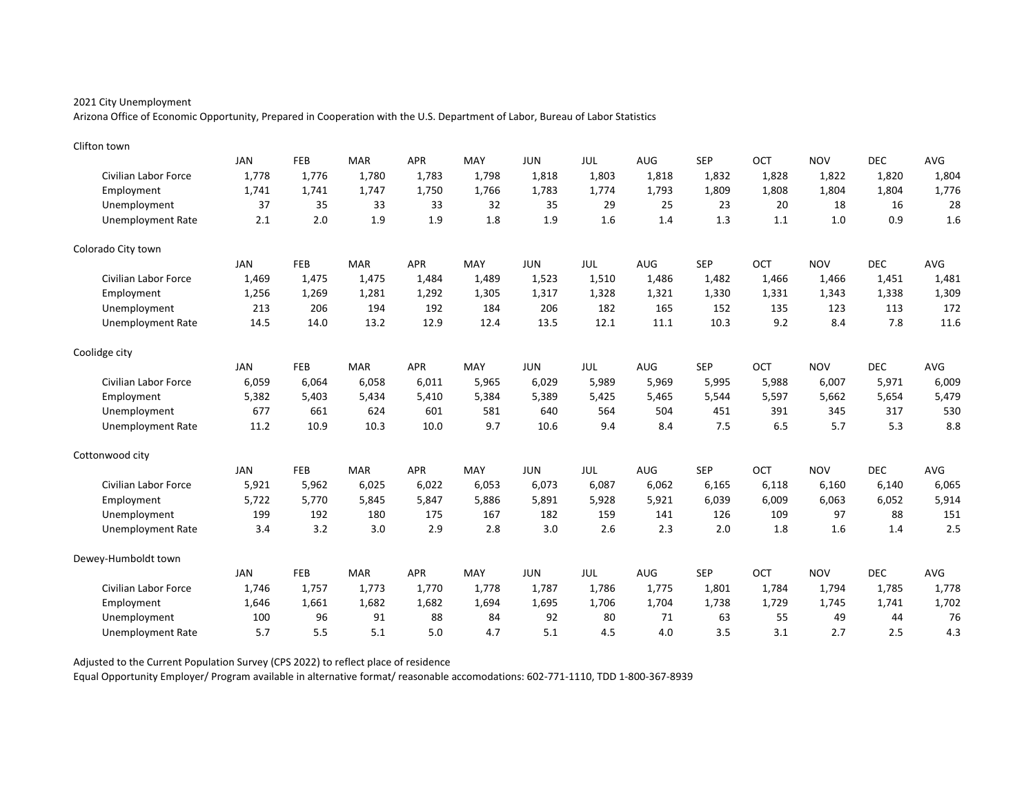Arizona Office of Economic Opportunity, Prepared in Cooperation with the U.S. Department of Labor, Bureau of Labor Statistics

| Clifton town                |            |            |            |            |       |            |       |       |            |       |            |            |       |
|-----------------------------|------------|------------|------------|------------|-------|------------|-------|-------|------------|-------|------------|------------|-------|
|                             | <b>JAN</b> | FEB        | <b>MAR</b> | <b>APR</b> | MAY   | <b>JUN</b> | JUL   | AUG   | <b>SEP</b> | OCT   | <b>NOV</b> | <b>DEC</b> | AVG   |
| <b>Civilian Labor Force</b> | 1,778      | 1,776      | 1,780      | 1,783      | 1,798 | 1,818      | 1,803 | 1,818 | 1,832      | 1,828 | 1,822      | 1,820      | 1,804 |
| Employment                  | 1,741      | 1,741      | 1,747      | 1,750      | 1,766 | 1,783      | 1,774 | 1,793 | 1,809      | 1,808 | 1,804      | 1,804      | 1,776 |
| Unemployment                | 37         | 35         | 33         | 33         | 32    | 35         | 29    | 25    | 23         | 20    | 18         | 16         | 28    |
| <b>Unemployment Rate</b>    | 2.1        | 2.0        | 1.9        | 1.9        | 1.8   | 1.9        | 1.6   | 1.4   | 1.3        | 1.1   | 1.0        | 0.9        | 1.6   |
| Colorado City town          |            |            |            |            |       |            |       |       |            |       |            |            |       |
|                             | <b>JAN</b> | <b>FEB</b> | <b>MAR</b> | <b>APR</b> | MAY   | <b>JUN</b> | JUL   | AUG   | <b>SEP</b> | OCT   | <b>NOV</b> | <b>DEC</b> | AVG   |
| <b>Civilian Labor Force</b> | 1,469      | 1,475      | 1,475      | 1,484      | 1,489 | 1,523      | 1,510 | 1,486 | 1,482      | 1,466 | 1,466      | 1,451      | 1,481 |
| Employment                  | 1,256      | 1,269      | 1,281      | 1,292      | 1,305 | 1,317      | 1,328 | 1,321 | 1,330      | 1,331 | 1,343      | 1,338      | 1,309 |
| Unemployment                | 213        | 206        | 194        | 192        | 184   | 206        | 182   | 165   | 152        | 135   | 123        | 113        | 172   |
| <b>Unemployment Rate</b>    | 14.5       | 14.0       | 13.2       | 12.9       | 12.4  | 13.5       | 12.1  | 11.1  | 10.3       | 9.2   | 8.4        | 7.8        | 11.6  |
| Coolidge city               |            |            |            |            |       |            |       |       |            |       |            |            |       |
|                             | <b>JAN</b> | <b>FEB</b> | <b>MAR</b> | <b>APR</b> | MAY   | <b>JUN</b> | JUL   | AUG   | <b>SEP</b> | OCT   | <b>NOV</b> | <b>DEC</b> | AVG   |
| <b>Civilian Labor Force</b> | 6,059      | 6,064      | 6,058      | 6,011      | 5,965 | 6,029      | 5,989 | 5,969 | 5,995      | 5,988 | 6,007      | 5,971      | 6,009 |
| Employment                  | 5,382      | 5,403      | 5.434      | 5,410      | 5,384 | 5,389      | 5,425 | 5,465 | 5,544      | 5,597 | 5,662      | 5,654      | 5,479 |
| Unemployment                | 677        | 661        | 624        | 601        | 581   | 640        | 564   | 504   | 451        | 391   | 345        | 317        | 530   |
| <b>Unemployment Rate</b>    | 11.2       | 10.9       | 10.3       | 10.0       | 9.7   | 10.6       | 9.4   | 8.4   | 7.5        | 6.5   | 5.7        | 5.3        | 8.8   |
| Cottonwood city             |            |            |            |            |       |            |       |       |            |       |            |            |       |
|                             | <b>JAN</b> | FEB        | <b>MAR</b> | <b>APR</b> | MAY   | <b>JUN</b> | JUL   | AUG   | <b>SEP</b> | OCT   | <b>NOV</b> | <b>DEC</b> | AVG   |
| <b>Civilian Labor Force</b> | 5,921      | 5,962      | 6,025      | 6,022      | 6,053 | 6,073      | 6,087 | 6,062 | 6,165      | 6,118 | 6,160      | 6,140      | 6,065 |
| Employment                  | 5,722      | 5,770      | 5,845      | 5,847      | 5,886 | 5,891      | 5,928 | 5,921 | 6,039      | 6,009 | 6,063      | 6,052      | 5,914 |
| Unemployment                | 199        | 192        | 180        | 175        | 167   | 182        | 159   | 141   | 126        | 109   | 97         | 88         | 151   |
| <b>Unemployment Rate</b>    | 3.4        | 3.2        | 3.0        | 2.9        | 2.8   | 3.0        | 2.6   | 2.3   | 2.0        | 1.8   | 1.6        | 1.4        | 2.5   |
| Dewey-Humboldt town         |            |            |            |            |       |            |       |       |            |       |            |            |       |
|                             | <b>JAN</b> | FEB        | <b>MAR</b> | <b>APR</b> | MAY   | <b>JUN</b> | JUL   | AUG   | <b>SEP</b> | OCT   | <b>NOV</b> | <b>DEC</b> | AVG   |
| <b>Civilian Labor Force</b> | 1,746      | 1,757      | 1,773      | 1,770      | 1.778 | 1,787      | 1,786 | 1,775 | 1,801      | 1,784 | 1,794      | 1,785      | 1,778 |
| Employment                  | 1,646      | 1,661      | 1,682      | 1,682      | 1,694 | 1,695      | 1,706 | 1,704 | 1,738      | 1,729 | 1,745      | 1,741      | 1,702 |
| Unemployment                | 100        | 96         | 91         | 88         | 84    | 92         | 80    | 71    | 63         | 55    | 49         | 44         | 76    |
| <b>Unemployment Rate</b>    | 5.7        | 5.5        | 5.1        | 5.0        | 4.7   | 5.1        | 4.5   | 4.0   | 3.5        | 3.1   | 2.7        | 2.5        | 4.3   |

Adjusted to the Current Population Survey (CPS 2022) to reflect place of residence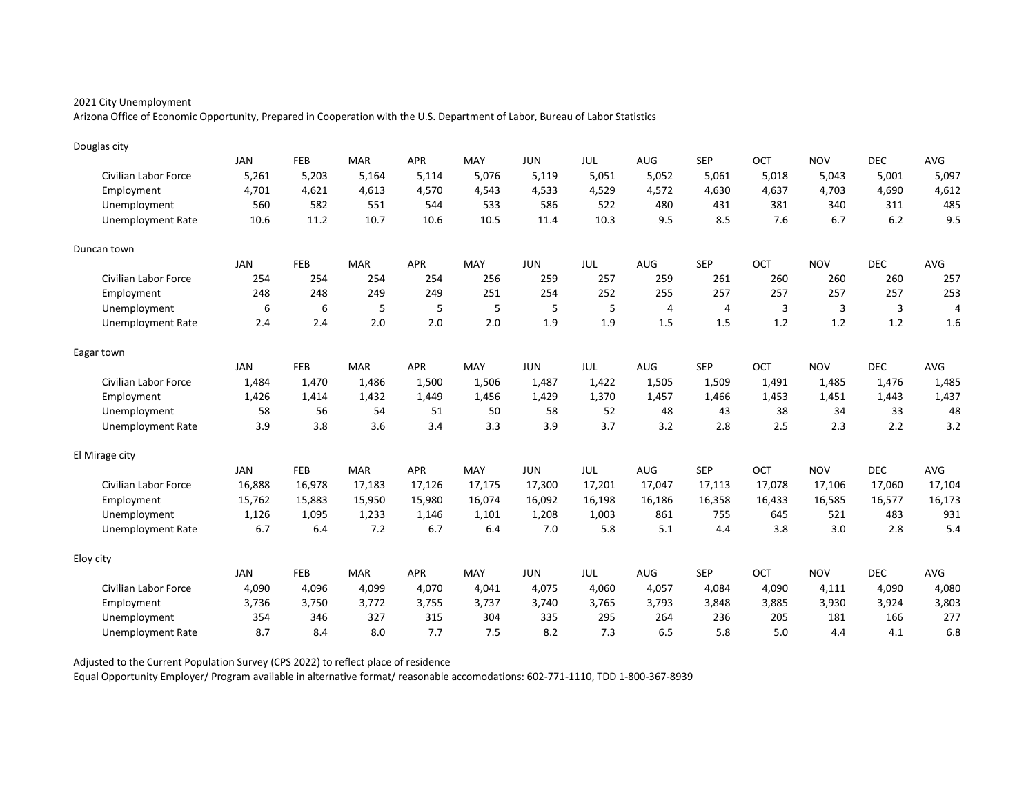Arizona Office of Economic Opportunity, Prepared in Cooperation with the U.S. Department of Labor, Bureau of Labor Statistics

| Douglas city                |            |            |            |            |        |            |            |                |                |        |            |            |                |
|-----------------------------|------------|------------|------------|------------|--------|------------|------------|----------------|----------------|--------|------------|------------|----------------|
|                             | <b>JAN</b> | FEB        | <b>MAR</b> | <b>APR</b> | MAY    | <b>JUN</b> | JUL        | AUG            | <b>SEP</b>     | OCT    | <b>NOV</b> | <b>DEC</b> | AVG            |
| Civilian Labor Force        | 5,261      | 5,203      | 5,164      | 5,114      | 5.076  | 5,119      | 5,051      | 5,052          | 5,061          | 5,018  | 5,043      | 5,001      | 5,097          |
| Employment                  | 4,701      | 4,621      | 4,613      | 4,570      | 4,543  | 4,533      | 4,529      | 4,572          | 4,630          | 4,637  | 4,703      | 4,690      | 4,612          |
| Unemployment                | 560        | 582        | 551        | 544        | 533    | 586        | 522        | 480            | 431            | 381    | 340        | 311        | 485            |
| <b>Unemployment Rate</b>    | 10.6       | 11.2       | 10.7       | 10.6       | 10.5   | 11.4       | 10.3       | 9.5            | 8.5            | 7.6    | 6.7        | 6.2        | 9.5            |
| Duncan town                 |            |            |            |            |        |            |            |                |                |        |            |            |                |
|                             | <b>JAN</b> | <b>FEB</b> | <b>MAR</b> | <b>APR</b> | MAY    | <b>JUN</b> | <b>JUL</b> | <b>AUG</b>     | <b>SEP</b>     | OCT    | <b>NOV</b> | <b>DEC</b> | AVG            |
| Civilian Labor Force        | 254        | 254        | 254        | 254        | 256    | 259        | 257        | 259            | 261            | 260    | 260        | 260        | 257            |
| Employment                  | 248        | 248        | 249        | 249        | 251    | 254        | 252        | 255            | 257            | 257    | 257        | 257        | 253            |
| Unemployment                | 6          | 6          | 5          | 5          | 5      | 5          | 5          | $\overline{4}$ | $\overline{4}$ | 3      | 3          | 3          | $\overline{4}$ |
| <b>Unemployment Rate</b>    | 2.4        | 2.4        | 2.0        | 2.0        | 2.0    | 1.9        | 1.9        | 1.5            | 1.5            | 1.2    | 1.2        | 1.2        | 1.6            |
| Eagar town                  |            |            |            |            |        |            |            |                |                |        |            |            |                |
|                             | <b>JAN</b> | FEB        | <b>MAR</b> | <b>APR</b> | MAY    | <b>JUN</b> | JUL        | AUG            | <b>SEP</b>     | OCT    | <b>NOV</b> | <b>DEC</b> | AVG            |
| Civilian Labor Force        | 1,484      | 1,470      | 1,486      | 1,500      | 1,506  | 1,487      | 1,422      | 1,505          | 1,509          | 1,491  | 1,485      | 1,476      | 1,485          |
| Employment                  | 1.426      | 1,414      | 1.432      | 1.449      | 1.456  | 1,429      | 1,370      | 1.457          | 1.466          | 1.453  | 1,451      | 1,443      | 1,437          |
| Unemployment                | 58         | 56         | 54         | 51         | 50     | 58         | 52         | 48             | 43             | 38     | 34         | 33         | 48             |
| <b>Unemployment Rate</b>    | 3.9        | 3.8        | 3.6        | 3.4        | 3.3    | 3.9        | 3.7        | 3.2            | 2.8            | 2.5    | 2.3        | 2.2        | 3.2            |
| El Mirage city              |            |            |            |            |        |            |            |                |                |        |            |            |                |
|                             | <b>JAN</b> | FEB        | <b>MAR</b> | <b>APR</b> | MAY    | <b>JUN</b> | <b>JUL</b> | <b>AUG</b>     | <b>SEP</b>     | OCT    | <b>NOV</b> | <b>DEC</b> | AVG            |
| <b>Civilian Labor Force</b> | 16,888     | 16,978     | 17,183     | 17,126     | 17,175 | 17,300     | 17,201     | 17,047         | 17,113         | 17,078 | 17,106     | 17,060     | 17,104         |
| Employment                  | 15,762     | 15,883     | 15,950     | 15,980     | 16,074 | 16,092     | 16,198     | 16,186         | 16,358         | 16,433 | 16,585     | 16,577     | 16,173         |
| Unemployment                | 1,126      | 1,095      | 1,233      | 1,146      | 1,101  | 1,208      | 1,003      | 861            | 755            | 645    | 521        | 483        | 931            |
| Unemployment Rate           | 6.7        | 6.4        | 7.2        | 6.7        | 6.4    | 7.0        | 5.8        | 5.1            | 4.4            | 3.8    | 3.0        | 2.8        | 5.4            |
| Eloy city                   |            |            |            |            |        |            |            |                |                |        |            |            |                |
|                             | <b>JAN</b> | FEB        | <b>MAR</b> | <b>APR</b> | MAY    | <b>JUN</b> | JUL        | <b>AUG</b>     | <b>SEP</b>     | OCT    | <b>NOV</b> | <b>DEC</b> | AVG            |
| Civilian Labor Force        | 4,090      | 4,096      | 4,099      | 4,070      | 4.041  | 4,075      | 4,060      | 4,057          | 4,084          | 4.090  | 4,111      | 4,090      | 4,080          |
| Employment                  | 3,736      | 3,750      | 3,772      | 3,755      | 3,737  | 3,740      | 3,765      | 3,793          | 3,848          | 3,885  | 3,930      | 3,924      | 3,803          |
| Unemployment                | 354        | 346        | 327        | 315        | 304    | 335        | 295        | 264            | 236            | 205    | 181        | 166        | 277            |
| <b>Unemployment Rate</b>    | 8.7        | 8.4        | 8.0        | 7.7        | 7.5    | 8.2        | 7.3        | 6.5            | 5.8            | 5.0    | 4.4        | 4.1        | 6.8            |

Adjusted to the Current Population Survey (CPS 2022) to reflect place of residence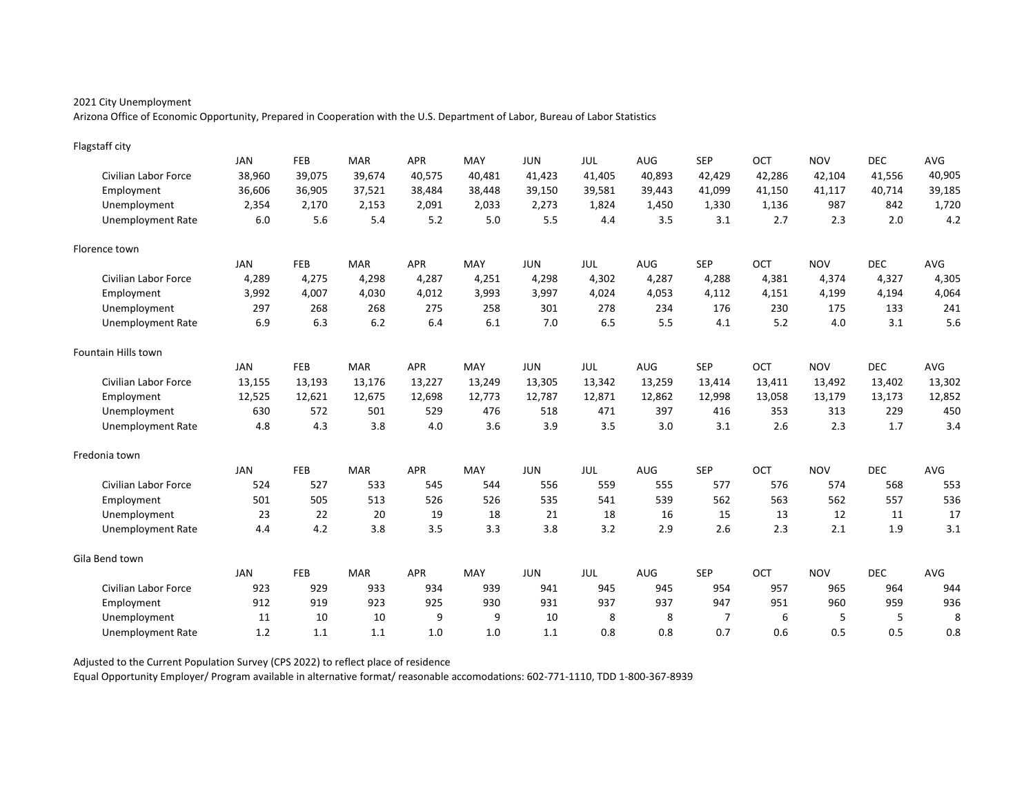Arizona Office of Economic Opportunity, Prepared in Cooperation with the U.S. Department of Labor, Bureau of Labor Statistics

| Flagstaff city              |            |            |            |            |        |            |            |        |                |        |            |            |        |
|-----------------------------|------------|------------|------------|------------|--------|------------|------------|--------|----------------|--------|------------|------------|--------|
|                             | <b>JAN</b> | FEB        | <b>MAR</b> | <b>APR</b> | MAY    | <b>JUN</b> | <b>JUL</b> | AUG    | <b>SEP</b>     | OCT    | <b>NOV</b> | <b>DEC</b> | AVG    |
| <b>Civilian Labor Force</b> | 38,960     | 39,075     | 39,674     | 40,575     | 40,481 | 41,423     | 41,405     | 40,893 | 42,429         | 42,286 | 42,104     | 41,556     | 40,905 |
| Employment                  | 36,606     | 36,905     | 37,521     | 38,484     | 38,448 | 39,150     | 39,581     | 39,443 | 41,099         | 41,150 | 41,117     | 40,714     | 39,185 |
| Unemployment                | 2,354      | 2,170      | 2,153      | 2,091      | 2,033  | 2,273      | 1,824      | 1,450  | 1,330          | 1,136  | 987        | 842        | 1,720  |
| <b>Unemployment Rate</b>    | $6.0\,$    | 5.6        | 5.4        | 5.2        | 5.0    | 5.5        | 4.4        | 3.5    | 3.1            | 2.7    | 2.3        | 2.0        | 4.2    |
| Florence town               |            |            |            |            |        |            |            |        |                |        |            |            |        |
|                             | <b>JAN</b> | <b>FEB</b> | <b>MAR</b> | <b>APR</b> | MAY    | <b>JUN</b> | JUL        | AUG    | <b>SEP</b>     | OCT    | <b>NOV</b> | <b>DEC</b> | AVG    |
| <b>Civilian Labor Force</b> | 4,289      | 4,275      | 4,298      | 4,287      | 4,251  | 4,298      | 4,302      | 4,287  | 4,288          | 4,381  | 4,374      | 4,327      | 4,305  |
| Employment                  | 3,992      | 4,007      | 4,030      | 4,012      | 3,993  | 3,997      | 4,024      | 4,053  | 4,112          | 4,151  | 4,199      | 4,194      | 4,064  |
| Unemployment                | 297        | 268        | 268        | 275        | 258    | 301        | 278        | 234    | 176            | 230    | 175        | 133        | 241    |
| <b>Unemployment Rate</b>    | 6.9        | 6.3        | 6.2        | 6.4        | 6.1    | 7.0        | 6.5        | 5.5    | 4.1            | 5.2    | 4.0        | 3.1        | 5.6    |
| <b>Fountain Hills town</b>  |            |            |            |            |        |            |            |        |                |        |            |            |        |
|                             | <b>JAN</b> | FEB        | <b>MAR</b> | <b>APR</b> | MAY    | <b>JUN</b> | JUL        | AUG    | <b>SEP</b>     | OCT    | <b>NOV</b> | <b>DEC</b> | AVG    |
| Civilian Labor Force        | 13,155     | 13,193     | 13,176     | 13,227     | 13,249 | 13,305     | 13,342     | 13,259 | 13,414         | 13,411 | 13,492     | 13,402     | 13,302 |
| Employment                  | 12,525     | 12,621     | 12,675     | 12,698     | 12,773 | 12,787     | 12,871     | 12,862 | 12,998         | 13,058 | 13,179     | 13,173     | 12,852 |
| Unemployment                | 630        | 572        | 501        | 529        | 476    | 518        | 471        | 397    | 416            | 353    | 313        | 229        | 450    |
| <b>Unemployment Rate</b>    | 4.8        | 4.3        | 3.8        | 4.0        | 3.6    | 3.9        | 3.5        | 3.0    | 3.1            | 2.6    | 2.3        | 1.7        | 3.4    |
| Fredonia town               |            |            |            |            |        |            |            |        |                |        |            |            |        |
|                             | <b>JAN</b> | <b>FEB</b> | <b>MAR</b> | <b>APR</b> | MAY    | <b>JUN</b> | JUL        | AUG    | <b>SEP</b>     | OCT    | <b>NOV</b> | <b>DEC</b> | AVG    |
| <b>Civilian Labor Force</b> | 524        | 527        | 533        | 545        | 544    | 556        | 559        | 555    | 577            | 576    | 574        | 568        | 553    |
| Employment                  | 501        | 505        | 513        | 526        | 526    | 535        | 541        | 539    | 562            | 563    | 562        | 557        | 536    |
| Unemployment                | 23         | 22         | 20         | 19         | 18     | 21         | 18         | 16     | 15             | 13     | 12         | 11         | 17     |
| <b>Unemployment Rate</b>    | 4.4        | 4.2        | 3.8        | 3.5        | 3.3    | 3.8        | 3.2        | 2.9    | 2.6            | 2.3    | 2.1        | 1.9        | 3.1    |
| Gila Bend town              |            |            |            |            |        |            |            |        |                |        |            |            |        |
|                             | <b>JAN</b> | <b>FEB</b> | <b>MAR</b> | <b>APR</b> | MAY    | <b>JUN</b> | JUL        | AUG    | <b>SEP</b>     | OCT    | <b>NOV</b> | <b>DEC</b> | AVG    |
| <b>Civilian Labor Force</b> | 923        | 929        | 933        | 934        | 939    | 941        | 945        | 945    | 954            | 957    | 965        | 964        | 944    |
| Employment                  | 912        | 919        | 923        | 925        | 930    | 931        | 937        | 937    | 947            | 951    | 960        | 959        | 936    |
| Unemployment                | 11         | 10         | 10         | 9          | 9      | 10         | 8          | 8      | $\overline{7}$ | 6      | 5          | 5          | 8      |
| Unemployment Rate           | 1.2        | 1.1        | 1.1        | 1.0        | 1.0    | 1.1        | 0.8        | 0.8    | 0.7            | 0.6    | 0.5        | 0.5        | 0.8    |

Adjusted to the Current Population Survey (CPS 2022) to reflect place of residence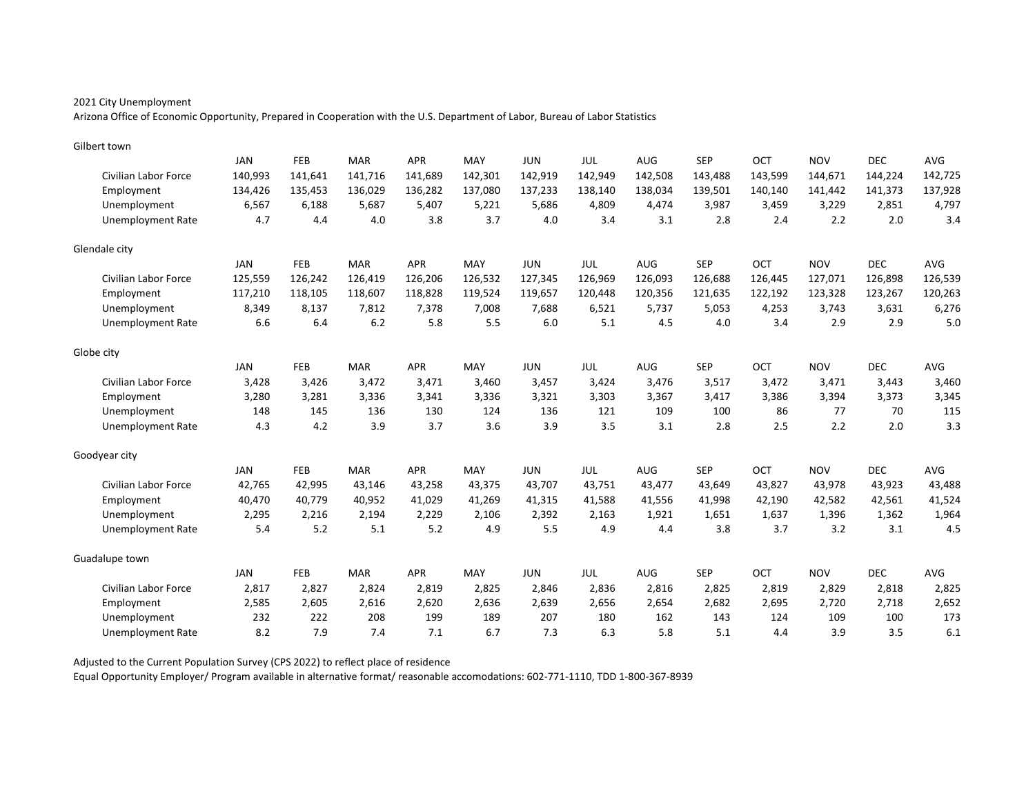Arizona Office of Economic Opportunity, Prepared in Cooperation with the U.S. Department of Labor, Bureau of Labor Statistics

| Gilbert town                |            |         |            |            |         |            |            |         |            |         |            |            |            |
|-----------------------------|------------|---------|------------|------------|---------|------------|------------|---------|------------|---------|------------|------------|------------|
|                             | <b>JAN</b> | FEB     | <b>MAR</b> | <b>APR</b> | MAY     | <b>JUN</b> | <b>JUL</b> | AUG     | <b>SEP</b> | OCT     | <b>NOV</b> | <b>DEC</b> | <b>AVG</b> |
| Civilian Labor Force        | 140,993    | 141,641 | 141,716    | 141,689    | 142,301 | 142,919    | 142,949    | 142,508 | 143,488    | 143,599 | 144,671    | 144,224    | 142,725    |
| Employment                  | 134,426    | 135,453 | 136,029    | 136,282    | 137,080 | 137,233    | 138,140    | 138,034 | 139,501    | 140,140 | 141,442    | 141,373    | 137,928    |
| Unemployment                | 6,567      | 6,188   | 5.687      | 5,407      | 5,221   | 5,686      | 4,809      | 4,474   | 3,987      | 3,459   | 3,229      | 2,851      | 4,797      |
| <b>Unemployment Rate</b>    | 4.7        | 4.4     | 4.0        | 3.8        | 3.7     | 4.0        | 3.4        | 3.1     | 2.8        | 2.4     | 2.2        | 2.0        | 3.4        |
| Glendale city               |            |         |            |            |         |            |            |         |            |         |            |            |            |
|                             | <b>JAN</b> | FEB     | <b>MAR</b> | <b>APR</b> | MAY     | <b>JUN</b> | JUL        | AUG     | <b>SEP</b> | OCT     | <b>NOV</b> | <b>DEC</b> | <b>AVG</b> |
| Civilian Labor Force        | 125,559    | 126,242 | 126,419    | 126,206    | 126,532 | 127,345    | 126,969    | 126,093 | 126,688    | 126,445 | 127,071    | 126,898    | 126,539    |
| Employment                  | 117,210    | 118,105 | 118,607    | 118,828    | 119,524 | 119,657    | 120,448    | 120,356 | 121,635    | 122,192 | 123,328    | 123,267    | 120,263    |
| Unemployment                | 8,349      | 8,137   | 7,812      | 7,378      | 7,008   | 7,688      | 6,521      | 5,737   | 5,053      | 4,253   | 3,743      | 3,631      | 6,276      |
| <b>Unemployment Rate</b>    | 6.6        | 6.4     | 6.2        | 5.8        | 5.5     | 6.0        | 5.1        | 4.5     | 4.0        | 3.4     | 2.9        | 2.9        | $5.0$      |
| Globe city                  |            |         |            |            |         |            |            |         |            |         |            |            |            |
|                             | <b>JAN</b> | FEB     | <b>MAR</b> | <b>APR</b> | MAY     | <b>JUN</b> | <b>JUL</b> | AUG     | <b>SEP</b> | OCT     | <b>NOV</b> | <b>DEC</b> | AVG        |
| <b>Civilian Labor Force</b> | 3,428      | 3,426   | 3,472      | 3,471      | 3,460   | 3,457      | 3,424      | 3,476   | 3,517      | 3,472   | 3,471      | 3,443      | 3,460      |
| Employment                  | 3,280      | 3,281   | 3.336      | 3,341      | 3.336   | 3,321      | 3,303      | 3,367   | 3,417      | 3.386   | 3,394      | 3,373      | 3,345      |
| Unemployment                | 148        | 145     | 136        | 130        | 124     | 136        | 121        | 109     | 100        | 86      | 77         | 70         | 115        |
| <b>Unemployment Rate</b>    | 4.3        | 4.2     | 3.9        | 3.7        | 3.6     | 3.9        | 3.5        | 3.1     | 2.8        | 2.5     | 2.2        | 2.0        | 3.3        |
| Goodyear city               |            |         |            |            |         |            |            |         |            |         |            |            |            |
|                             | <b>JAN</b> | FEB     | <b>MAR</b> | APR        | MAY     | <b>JUN</b> | <b>JUL</b> | AUG     | <b>SEP</b> | OCT     | <b>NOV</b> | <b>DEC</b> | AVG        |
| <b>Civilian Labor Force</b> | 42,765     | 42,995  | 43,146     | 43,258     | 43,375  | 43,707     | 43,751     | 43,477  | 43,649     | 43,827  | 43,978     | 43,923     | 43,488     |
| Employment                  | 40,470     | 40,779  | 40,952     | 41,029     | 41,269  | 41,315     | 41,588     | 41,556  | 41,998     | 42,190  | 42,582     | 42,561     | 41,524     |
| Unemployment                | 2,295      | 2,216   | 2,194      | 2,229      | 2,106   | 2,392      | 2,163      | 1,921   | 1,651      | 1,637   | 1,396      | 1,362      | 1,964      |
| <b>Unemployment Rate</b>    | 5.4        | 5.2     | 5.1        | 5.2        | 4.9     | 5.5        | 4.9        | 4.4     | 3.8        | 3.7     | 3.2        | 3.1        | 4.5        |
| Guadalupe town              |            |         |            |            |         |            |            |         |            |         |            |            |            |
|                             | <b>JAN</b> | FEB     | <b>MAR</b> | <b>APR</b> | MAY     | <b>JUN</b> | JUL        | AUG     | <b>SEP</b> | OCT     | <b>NOV</b> | <b>DEC</b> | AVG        |
| <b>Civilian Labor Force</b> | 2,817      | 2,827   | 2,824      | 2,819      | 2,825   | 2,846      | 2,836      | 2,816   | 2,825      | 2,819   | 2,829      | 2,818      | 2,825      |
| Employment                  | 2,585      | 2,605   | 2,616      | 2,620      | 2,636   | 2,639      | 2,656      | 2,654   | 2,682      | 2,695   | 2,720      | 2,718      | 2,652      |
| Unemployment                | 232        | 222     | 208        | 199        | 189     | 207        | 180        | 162     | 143        | 124     | 109        | 100        | 173        |
| Unemployment Rate           | 8.2        | 7.9     | 7.4        | 7.1        | 6.7     | 7.3        | 6.3        | 5.8     | 5.1        | 4.4     | 3.9        | 3.5        | 6.1        |

Adjusted to the Current Population Survey (CPS 2022) to reflect place of residence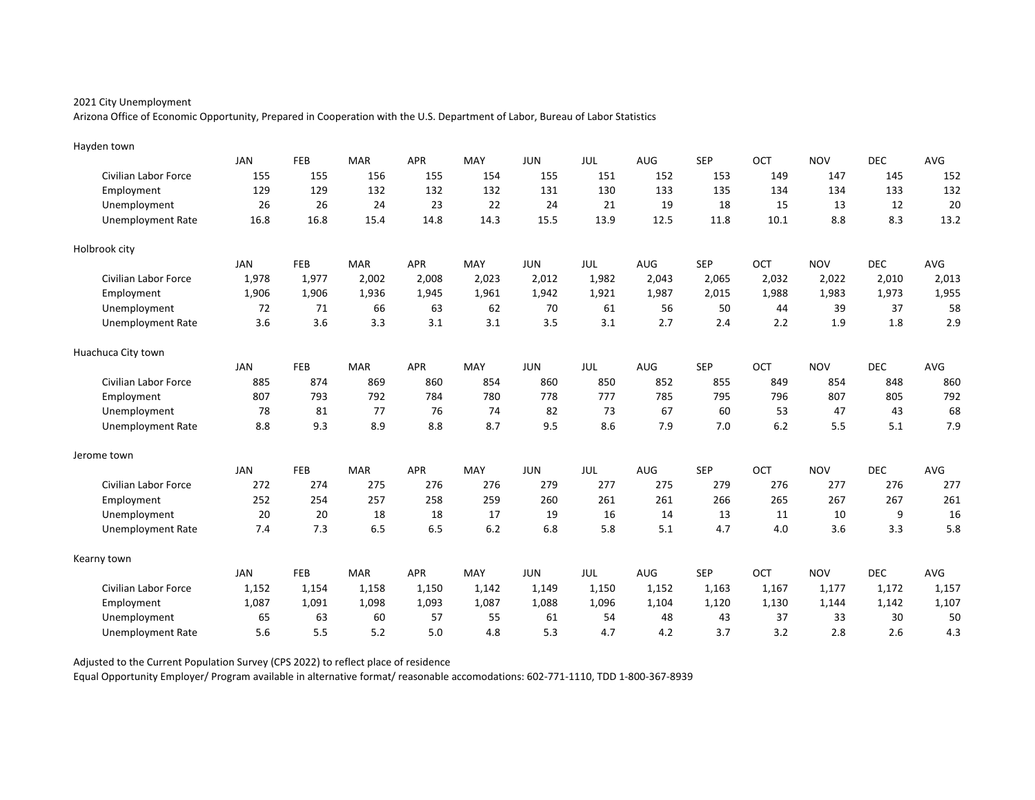Arizona Office of Economic Opportunity, Prepared in Cooperation with the U.S. Department of Labor, Bureau of Labor Statistics

| Hayden town                 |            |            |            |            |       |            |            |       |            |       |            |            |       |
|-----------------------------|------------|------------|------------|------------|-------|------------|------------|-------|------------|-------|------------|------------|-------|
|                             | <b>JAN</b> | FEB        | <b>MAR</b> | <b>APR</b> | MAY   | <b>JUN</b> | JUL        | AUG   | <b>SEP</b> | OCT   | <b>NOV</b> | <b>DEC</b> | AVG   |
| <b>Civilian Labor Force</b> | 155        | 155        | 156        | 155        | 154   | 155        | 151        | 152   | 153        | 149   | 147        | 145        | 152   |
| Employment                  | 129        | 129        | 132        | 132        | 132   | 131        | 130        | 133   | 135        | 134   | 134        | 133        | 132   |
| Unemployment                | 26         | 26         | 24         | 23         | 22    | 24         | 21         | 19    | 18         | 15    | 13         | 12         | 20    |
| <b>Unemployment Rate</b>    | 16.8       | 16.8       | 15.4       | 14.8       | 14.3  | 15.5       | 13.9       | 12.5  | 11.8       | 10.1  | 8.8        | 8.3        | 13.2  |
| Holbrook city               |            |            |            |            |       |            |            |       |            |       |            |            |       |
|                             | JAN        | <b>FEB</b> | <b>MAR</b> | <b>APR</b> | MAY   | <b>JUN</b> | JUL        | AUG   | <b>SEP</b> | OCT   | <b>NOV</b> | <b>DEC</b> | AVG   |
| <b>Civilian Labor Force</b> | 1,978      | 1,977      | 2,002      | 2,008      | 2,023 | 2,012      | 1,982      | 2,043 | 2,065      | 2,032 | 2,022      | 2,010      | 2,013 |
| Employment                  | 1,906      | 1,906      | 1,936      | 1,945      | 1,961 | 1,942      | 1,921      | 1,987 | 2,015      | 1,988 | 1,983      | 1,973      | 1,955 |
| Unemployment                | 72         | 71         | 66         | 63         | 62    | 70         | 61         | 56    | 50         | 44    | 39         | 37         | 58    |
| <b>Unemployment Rate</b>    | 3.6        | 3.6        | 3.3        | 3.1        | 3.1   | 3.5        | 3.1        | 2.7   | 2.4        | 2.2   | 1.9        | 1.8        | 2.9   |
| Huachuca City town          |            |            |            |            |       |            |            |       |            |       |            |            |       |
|                             | <b>JAN</b> | FEB        | <b>MAR</b> | <b>APR</b> | MAY   | <b>JUN</b> | <b>JUL</b> | AUG   | <b>SEP</b> | OCT   | <b>NOV</b> | <b>DEC</b> | AVG   |
| <b>Civilian Labor Force</b> | 885        | 874        | 869        | 860        | 854   | 860        | 850        | 852   | 855        | 849   | 854        | 848        | 860   |
| Employment                  | 807        | 793        | 792        | 784        | 780   | 778        | 777        | 785   | 795        | 796   | 807        | 805        | 792   |
| Unemployment                | 78         | 81         | 77         | 76         | 74    | 82         | 73         | 67    | 60         | 53    | 47         | 43         | 68    |
| <b>Unemployment Rate</b>    | 8.8        | 9.3        | 8.9        | 8.8        | 8.7   | 9.5        | 8.6        | 7.9   | 7.0        | 6.2   | 5.5        | 5.1        | 7.9   |
| Jerome town                 |            |            |            |            |       |            |            |       |            |       |            |            |       |
|                             | <b>JAN</b> | FEB        | <b>MAR</b> | <b>APR</b> | MAY   | <b>JUN</b> | JUL        | AUG   | <b>SEP</b> | OCT   | <b>NOV</b> | <b>DEC</b> | AVG   |
| <b>Civilian Labor Force</b> | 272        | 274        | 275        | 276        | 276   | 279        | 277        | 275   | 279        | 276   | 277        | 276        | 277   |
| Employment                  | 252        | 254        | 257        | 258        | 259   | 260        | 261        | 261   | 266        | 265   | 267        | 267        | 261   |
| Unemployment                | 20         | 20         | 18         | 18         | 17    | 19         | 16         | 14    | 13         | 11    | 10         | 9          | 16    |
| <b>Unemployment Rate</b>    | 7.4        | 7.3        | 6.5        | 6.5        | 6.2   | 6.8        | 5.8        | 5.1   | 4.7        | 4.0   | 3.6        | 3.3        | 5.8   |
| Kearny town                 |            |            |            |            |       |            |            |       |            |       |            |            |       |
|                             | <b>JAN</b> | FEB        | <b>MAR</b> | <b>APR</b> | MAY   | <b>JUN</b> | JUL        | AUG   | <b>SEP</b> | OCT   | <b>NOV</b> | <b>DEC</b> | AVG   |
| <b>Civilian Labor Force</b> | 1,152      | 1,154      | 1,158      | 1,150      | 1,142 | 1,149      | 1,150      | 1,152 | 1,163      | 1,167 | 1,177      | 1,172      | 1,157 |
| Employment                  | 1,087      | 1,091      | 1,098      | 1,093      | 1,087 | 1,088      | 1,096      | 1,104 | 1,120      | 1,130 | 1,144      | 1,142      | 1,107 |
| Unemployment                | 65         | 63         | 60         | 57         | 55    | 61         | 54         | 48    | 43         | 37    | 33         | 30         | 50    |
| Unemployment Rate           | 5.6        | 5.5        | 5.2        | 5.0        | 4.8   | 5.3        | 4.7        | 4.2   | 3.7        | 3.2   | 2.8        | 2.6        | 4.3   |

Adjusted to the Current Population Survey (CPS 2022) to reflect place of residence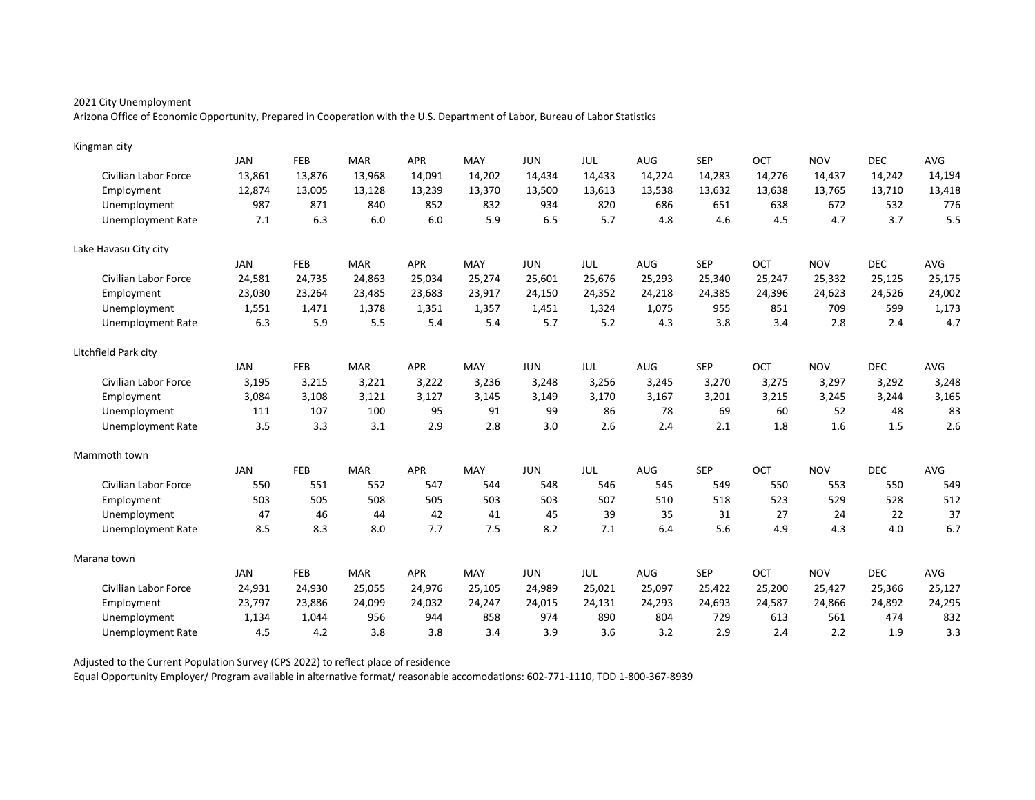Arizona Office of Economic Opportunity, Prepared in Cooperation with the U.S. Department of Labor, Bureau of Labor Statistics

| Kingman city             |            |            |            |            |        |            |        |            |            |        |            |            |        |
|--------------------------|------------|------------|------------|------------|--------|------------|--------|------------|------------|--------|------------|------------|--------|
|                          | JAN        | FEB        | <b>MAR</b> | <b>APR</b> | MAY    | <b>JUN</b> | JUL    | <b>AUG</b> | <b>SEP</b> | OCT    | <b>NOV</b> | <b>DEC</b> | AVG    |
| Civilian Labor Force     | 13,861     | 13,876     | 13,968     | 14,091     | 14,202 | 14,434     | 14,433 | 14,224     | 14,283     | 14,276 | 14,437     | 14,242     | 14,194 |
| Employment               | 12,874     | 13,005     | 13,128     | 13,239     | 13,370 | 13,500     | 13,613 | 13,538     | 13,632     | 13,638 | 13,765     | 13,710     | 13,418 |
| Unemployment             | 987        | 871        | 840        | 852        | 832    | 934        | 820    | 686        | 651        | 638    | 672        | 532        | 776    |
| <b>Unemployment Rate</b> | 7.1        | 6.3        | 6.0        | 6.0        | 5.9    | 6.5        | 5.7    | 4.8        | 4.6        | 4.5    | 4.7        | 3.7        | 5.5    |
| Lake Havasu City city    |            |            |            |            |        |            |        |            |            |        |            |            |        |
|                          | JAN        | FEB        | <b>MAR</b> | APR        | MAY    | <b>JUN</b> | JUL    | AUG        | <b>SEP</b> | OCT    | <b>NOV</b> | <b>DEC</b> | AVG    |
| Civilian Labor Force     | 24,581     | 24,735     | 24,863     | 25,034     | 25,274 | 25,601     | 25,676 | 25,293     | 25,340     | 25,247 | 25,332     | 25,125     | 25,175 |
| Employment               | 23,030     | 23,264     | 23,485     | 23,683     | 23,917 | 24,150     | 24,352 | 24,218     | 24,385     | 24,396 | 24,623     | 24,526     | 24,002 |
| Unemployment             | 1,551      | 1,471      | 1,378      | 1,351      | 1,357  | 1,451      | 1,324  | 1,075      | 955        | 851    | 709        | 599        | 1,173  |
| <b>Unemployment Rate</b> | 6.3        | 5.9        | 5.5        | 5.4        | 5.4    | 5.7        | 5.2    | 4.3        | 3.8        | 3.4    | 2.8        | 2.4        | 4.7    |
| Litchfield Park city     |            |            |            |            |        |            |        |            |            |        |            |            |        |
|                          | <b>JAN</b> | FEB        | <b>MAR</b> | <b>APR</b> | MAY    | <b>JUN</b> | JUL    | AUG        | <b>SEP</b> | OCT    | <b>NOV</b> | <b>DEC</b> | AVG    |
| Civilian Labor Force     | 3,195      | 3,215      | 3,221      | 3,222      | 3,236  | 3,248      | 3,256  | 3,245      | 3,270      | 3,275  | 3,297      | 3,292      | 3,248  |
| Employment               | 3,084      | 3.108      | 3.121      | 3,127      | 3.145  | 3,149      | 3,170  | 3,167      | 3,201      | 3.215  | 3,245      | 3,244      | 3,165  |
| Unemployment             | 111        | 107        | 100        | 95         | 91     | 99         | 86     | 78         | 69         | 60     | 52         | 48         | 83     |
| <b>Unemployment Rate</b> | 3.5        | 3.3        | 3.1        | 2.9        | 2.8    | 3.0        | 2.6    | 2.4        | 2.1        | 1.8    | 1.6        | 1.5        | 2.6    |
| Mammoth town             |            |            |            |            |        |            |        |            |            |        |            |            |        |
|                          | JAN        | <b>FEB</b> | <b>MAR</b> | <b>APR</b> | MAY    | <b>JUN</b> | JUL    | <b>AUG</b> | <b>SEP</b> | OCT    | <b>NOV</b> | <b>DEC</b> | AVG    |
| Civilian Labor Force     | 550        | 551        | 552        | 547        | 544    | 548        | 546    | 545        | 549        | 550    | 553        | 550        | 549    |
| Employment               | 503        | 505        | 508        | 505        | 503    | 503        | 507    | 510        | 518        | 523    | 529        | 528        | 512    |
| Unemployment             | 47         | 46         | 44         | 42         | 41     | 45         | 39     | 35         | 31         | 27     | 24         | 22         | 37     |
| <b>Unemployment Rate</b> | 8.5        | 8.3        | 8.0        | 7.7        | 7.5    | 8.2        | 7.1    | 6.4        | 5.6        | 4.9    | 4.3        | 4.0        | 6.7    |
| Marana town              |            |            |            |            |        |            |        |            |            |        |            |            |        |
|                          | JAN        | FEB        | <b>MAR</b> | <b>APR</b> | MAY    | <b>JUN</b> | JUL    | AUG        | <b>SEP</b> | OCT    | <b>NOV</b> | <b>DEC</b> | AVG    |
| Civilian Labor Force     | 24,931     | 24,930     | 25,055     | 24,976     | 25,105 | 24,989     | 25,021 | 25,097     | 25,422     | 25,200 | 25,427     | 25,366     | 25,127 |
| Employment               | 23,797     | 23,886     | 24,099     | 24,032     | 24,247 | 24,015     | 24,131 | 24,293     | 24,693     | 24,587 | 24,866     | 24,892     | 24,295 |
| Unemployment             | 1,134      | 1,044      | 956        | 944        | 858    | 974        | 890    | 804        | 729        | 613    | 561        | 474        | 832    |
| <b>Unemployment Rate</b> | 4.5        | 4.2        | 3.8        | 3.8        | 3.4    | 3.9        | 3.6    | 3.2        | 2.9        | 2.4    | 2.2        | 1.9        | 3.3    |

Adjusted to the Current Population Survey (CPS 2022) to reflect place of residence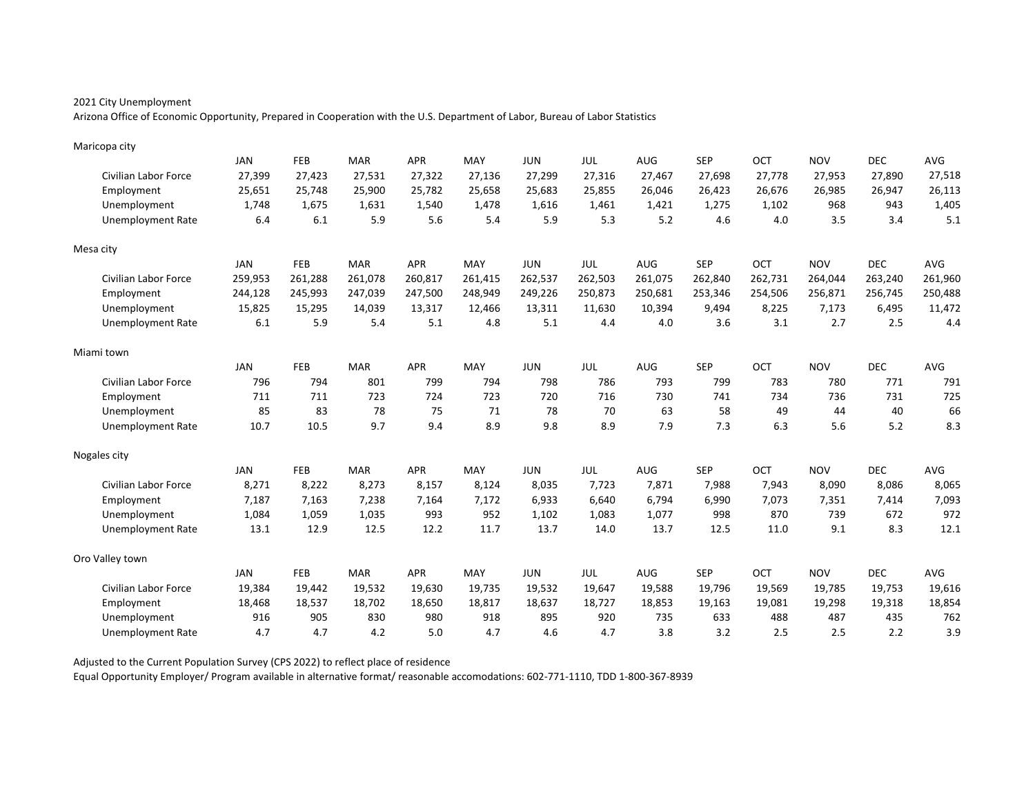Arizona Office of Economic Opportunity, Prepared in Cooperation with the U.S. Department of Labor, Bureau of Labor Statistics

| Maricopa city               |            |            |            |            |         |            |            |         |            |         |            |            |            |
|-----------------------------|------------|------------|------------|------------|---------|------------|------------|---------|------------|---------|------------|------------|------------|
|                             | <b>JAN</b> | FEB        | <b>MAR</b> | <b>APR</b> | MAY     | <b>JUN</b> | <b>JUL</b> | AUG     | <b>SEP</b> | OCT     | <b>NOV</b> | <b>DEC</b> | <b>AVG</b> |
| Civilian Labor Force        | 27,399     | 27,423     | 27,531     | 27,322     | 27,136  | 27,299     | 27,316     | 27,467  | 27,698     | 27,778  | 27,953     | 27,890     | 27,518     |
| Employment                  | 25,651     | 25,748     | 25,900     | 25,782     | 25,658  | 25,683     | 25,855     | 26,046  | 26,423     | 26,676  | 26,985     | 26,947     | 26,113     |
| Unemployment                | 1,748      | 1,675      | 1,631      | 1,540      | 1,478   | 1,616      | 1,461      | 1,421   | 1,275      | 1,102   | 968        | 943        | 1,405      |
| <b>Unemployment Rate</b>    | 6.4        | 6.1        | 5.9        | 5.6        | 5.4     | 5.9        | 5.3        | 5.2     | 4.6        | 4.0     | 3.5        | 3.4        | 5.1        |
| Mesa city                   |            |            |            |            |         |            |            |         |            |         |            |            |            |
|                             | <b>JAN</b> | FEB        | <b>MAR</b> | <b>APR</b> | MAY     | <b>JUN</b> | <b>JUL</b> | AUG     | <b>SEP</b> | OCT     | <b>NOV</b> | <b>DEC</b> | <b>AVG</b> |
| Civilian Labor Force        | 259,953    | 261,288    | 261,078    | 260,817    | 261,415 | 262,537    | 262,503    | 261,075 | 262,840    | 262,731 | 264,044    | 263,240    | 261,960    |
| Employment                  | 244,128    | 245,993    | 247,039    | 247,500    | 248,949 | 249,226    | 250,873    | 250,681 | 253,346    | 254,506 | 256,871    | 256,745    | 250,488    |
| Unemployment                | 15,825     | 15,295     | 14,039     | 13,317     | 12,466  | 13,311     | 11,630     | 10,394  | 9,494      | 8,225   | 7,173      | 6,495      | 11,472     |
| <b>Unemployment Rate</b>    | 6.1        | 5.9        | 5.4        | 5.1        | 4.8     | 5.1        | 4.4        | 4.0     | 3.6        | 3.1     | 2.7        | 2.5        | 4.4        |
| Miami town                  |            |            |            |            |         |            |            |         |            |         |            |            |            |
|                             | <b>JAN</b> | FEB        | <b>MAR</b> | <b>APR</b> | MAY     | <b>JUN</b> | <b>JUL</b> | AUG     | <b>SEP</b> | OCT     | <b>NOV</b> | <b>DEC</b> | AVG        |
| Civilian Labor Force        | 796        | 794        | 801        | 799        | 794     | 798        | 786        | 793     | 799        | 783     | 780        | 771        | 791        |
| Employment                  | 711        | 711        | 723        | 724        | 723     | 720        | 716        | 730     | 741        | 734     | 736        | 731        | 725        |
| Unemployment                | 85         | 83         | 78         | 75         | 71      | 78         | 70         | 63      | 58         | 49      | 44         | 40         | 66         |
| <b>Unemployment Rate</b>    | 10.7       | 10.5       | 9.7        | 9.4        | 8.9     | 9.8        | 8.9        | 7.9     | 7.3        | 6.3     | 5.6        | 5.2        | 8.3        |
| Nogales city                |            |            |            |            |         |            |            |         |            |         |            |            |            |
|                             | JAN        | <b>FEB</b> | <b>MAR</b> | APR        | MAY     | <b>JUN</b> | <b>JUL</b> | AUG     | <b>SEP</b> | OCT     | <b>NOV</b> | <b>DEC</b> | AVG        |
| <b>Civilian Labor Force</b> | 8,271      | 8,222      | 8,273      | 8,157      | 8,124   | 8,035      | 7,723      | 7,871   | 7,988      | 7,943   | 8,090      | 8,086      | 8,065      |
| Employment                  | 7,187      | 7,163      | 7,238      | 7,164      | 7,172   | 6,933      | 6,640      | 6,794   | 6,990      | 7,073   | 7,351      | 7,414      | 7,093      |
| Unemployment                | 1,084      | 1,059      | 1,035      | 993        | 952     | 1,102      | 1,083      | 1,077   | 998        | 870     | 739        | 672        | 972        |
| <b>Unemployment Rate</b>    | 13.1       | 12.9       | 12.5       | 12.2       | 11.7    | 13.7       | 14.0       | 13.7    | 12.5       | 11.0    | 9.1        | 8.3        | 12.1       |
| Oro Valley town             |            |            |            |            |         |            |            |         |            |         |            |            |            |
|                             | <b>JAN</b> | FEB        | <b>MAR</b> | <b>APR</b> | MAY     | <b>JUN</b> | JUL        | AUG     | <b>SEP</b> | OCT     | <b>NOV</b> | <b>DEC</b> | AVG        |
| <b>Civilian Labor Force</b> | 19,384     | 19,442     | 19,532     | 19,630     | 19,735  | 19,532     | 19,647     | 19,588  | 19,796     | 19,569  | 19,785     | 19,753     | 19,616     |
| Employment                  | 18,468     | 18,537     | 18,702     | 18,650     | 18,817  | 18,637     | 18,727     | 18,853  | 19,163     | 19,081  | 19,298     | 19,318     | 18,854     |
| Unemployment                | 916        | 905        | 830        | 980        | 918     | 895        | 920        | 735     | 633        | 488     | 487        | 435        | 762        |
| Unemployment Rate           | 4.7        | 4.7        | 4.2        | 5.0        | 4.7     | 4.6        | 4.7        | 3.8     | 3.2        | 2.5     | 2.5        | 2.2        | 3.9        |

Adjusted to the Current Population Survey (CPS 2022) to reflect place of residence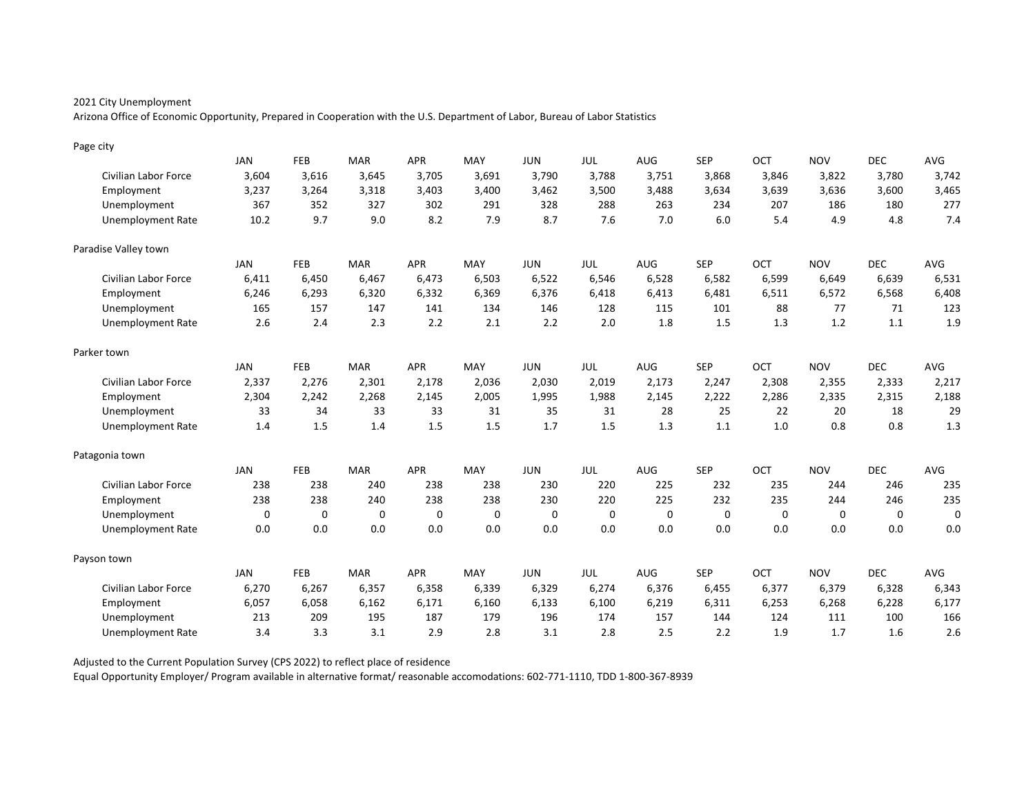Arizona Office of Economic Opportunity, Prepared in Cooperation with the U.S. Department of Labor, Bureau of Labor Statistics

| Page city                   |             |             |             |             |          |             |       |             |            |          |            |            |             |
|-----------------------------|-------------|-------------|-------------|-------------|----------|-------------|-------|-------------|------------|----------|------------|------------|-------------|
|                             | <b>JAN</b>  | FEB         | <b>MAR</b>  | <b>APR</b>  | MAY      | <b>JUN</b>  | JUL   | AUG         | <b>SEP</b> | OCT      | <b>NOV</b> | <b>DEC</b> | <b>AVG</b>  |
| Civilian Labor Force        | 3,604       | 3,616       | 3,645       | 3,705       | 3,691    | 3,790       | 3,788 | 3,751       | 3,868      | 3,846    | 3,822      | 3,780      | 3,742       |
| Employment                  | 3,237       | 3,264       | 3,318       | 3,403       | 3,400    | 3,462       | 3,500 | 3,488       | 3,634      | 3,639    | 3,636      | 3,600      | 3,465       |
| Unemployment                | 367         | 352         | 327         | 302         | 291      | 328         | 288   | 263         | 234        | 207      | 186        | 180        | 277         |
| <b>Unemployment Rate</b>    | 10.2        | 9.7         | 9.0         | 8.2         | 7.9      | 8.7         | 7.6   | 7.0         | 6.0        | 5.4      | 4.9        | 4.8        | 7.4         |
| Paradise Valley town        |             |             |             |             |          |             |       |             |            |          |            |            |             |
|                             | JAN         | FEB         | <b>MAR</b>  | <b>APR</b>  | MAY      | <b>JUN</b>  | JUL   | AUG         | <b>SEP</b> | OCT      | <b>NOV</b> | <b>DEC</b> | AVG         |
| Civilian Labor Force        | 6,411       | 6,450       | 6,467       | 6,473       | 6,503    | 6,522       | 6,546 | 6,528       | 6,582      | 6,599    | 6,649      | 6,639      | 6,531       |
| Employment                  | 6,246       | 6,293       | 6,320       | 6,332       | 6,369    | 6,376       | 6,418 | 6,413       | 6,481      | 6,511    | 6,572      | 6,568      | 6,408       |
| Unemployment                | 165         | 157         | 147         | 141         | 134      | 146         | 128   | 115         | 101        | 88       | 77         | 71         | 123         |
| <b>Unemployment Rate</b>    | 2.6         | 2.4         | 2.3         | 2.2         | 2.1      | 2.2         | 2.0   | 1.8         | 1.5        | 1.3      | 1.2        | 1.1        | 1.9         |
| Parker town                 |             |             |             |             |          |             |       |             |            |          |            |            |             |
|                             | <b>JAN</b>  | <b>FEB</b>  | <b>MAR</b>  | <b>APR</b>  | MAY      | <b>JUN</b>  | JUL   | AUG         | <b>SEP</b> | OCT      | <b>NOV</b> | <b>DEC</b> | AVG         |
| Civilian Labor Force        | 2,337       | 2,276       | 2,301       | 2,178       | 2,036    | 2,030       | 2,019 | 2,173       | 2,247      | 2,308    | 2,355      | 2,333      | 2,217       |
| Employment                  | 2,304       | 2,242       | 2,268       | 2,145       | 2.005    | 1,995       | 1,988 | 2,145       | 2,222      | 2,286    | 2,335      | 2,315      | 2,188       |
| Unemployment                | 33          | 34          | 33          | 33          | 31       | 35          | 31    | 28          | 25         | 22       | 20         | 18         | 29          |
| <b>Unemployment Rate</b>    | 1.4         | 1.5         | 1.4         | 1.5         | 1.5      | 1.7         | 1.5   | 1.3         | 1.1        | 1.0      | 0.8        | 0.8        | 1.3         |
| Patagonia town              |             |             |             |             |          |             |       |             |            |          |            |            |             |
|                             | <b>JAN</b>  | FEB         | <b>MAR</b>  | <b>APR</b>  | MAY      | <b>JUN</b>  | JUL   | <b>AUG</b>  | <b>SEP</b> | OCT      | <b>NOV</b> | <b>DEC</b> | AVG         |
| <b>Civilian Labor Force</b> | 238         | 238         | 240         | 238         | 238      | 230         | 220   | 225         | 232        | 235      | 244        | 246        | 235         |
| Employment                  | 238         | 238         | 240         | 238         | 238      | 230         | 220   | 225         | 232        | 235      | 244        | 246        | 235         |
| Unemployment                | $\mathbf 0$ | $\mathbf 0$ | $\mathbf 0$ | $\mathbf 0$ | $\Omega$ | $\mathbf 0$ | 0     | $\mathbf 0$ | $\Omega$   | $\Omega$ | $\Omega$   | $\Omega$   | $\mathbf 0$ |
| <b>Unemployment Rate</b>    | 0.0         | 0.0         | 0.0         | 0.0         | 0.0      | 0.0         | 0.0   | 0.0         | 0.0        | 0.0      | 0.0        | 0.0        | 0.0         |
| Payson town                 |             |             |             |             |          |             |       |             |            |          |            |            |             |
|                             | <b>JAN</b>  | FEB         | <b>MAR</b>  | <b>APR</b>  | MAY      | <b>JUN</b>  | JUL   | AUG         | <b>SEP</b> | OCT      | <b>NOV</b> | <b>DEC</b> | AVG         |
| Civilian Labor Force        | 6,270       | 6,267       | 6,357       | 6,358       | 6,339    | 6,329       | 6,274 | 6,376       | 6,455      | 6,377    | 6,379      | 6,328      | 6,343       |
| Employment                  | 6,057       | 6,058       | 6,162       | 6,171       | 6,160    | 6,133       | 6,100 | 6,219       | 6,311      | 6,253    | 6,268      | 6,228      | 6,177       |
| Unemployment                | 213         | 209         | 195         | 187         | 179      | 196         | 174   | 157         | 144        | 124      | 111        | 100        | 166         |
| <b>Unemployment Rate</b>    | 3.4         | 3.3         | 3.1         | 2.9         | 2.8      | 3.1         | 2.8   | 2.5         | 2.2        | 1.9      | 1.7        | 1.6        | 2.6         |

Adjusted to the Current Population Survey (CPS 2022) to reflect place of residence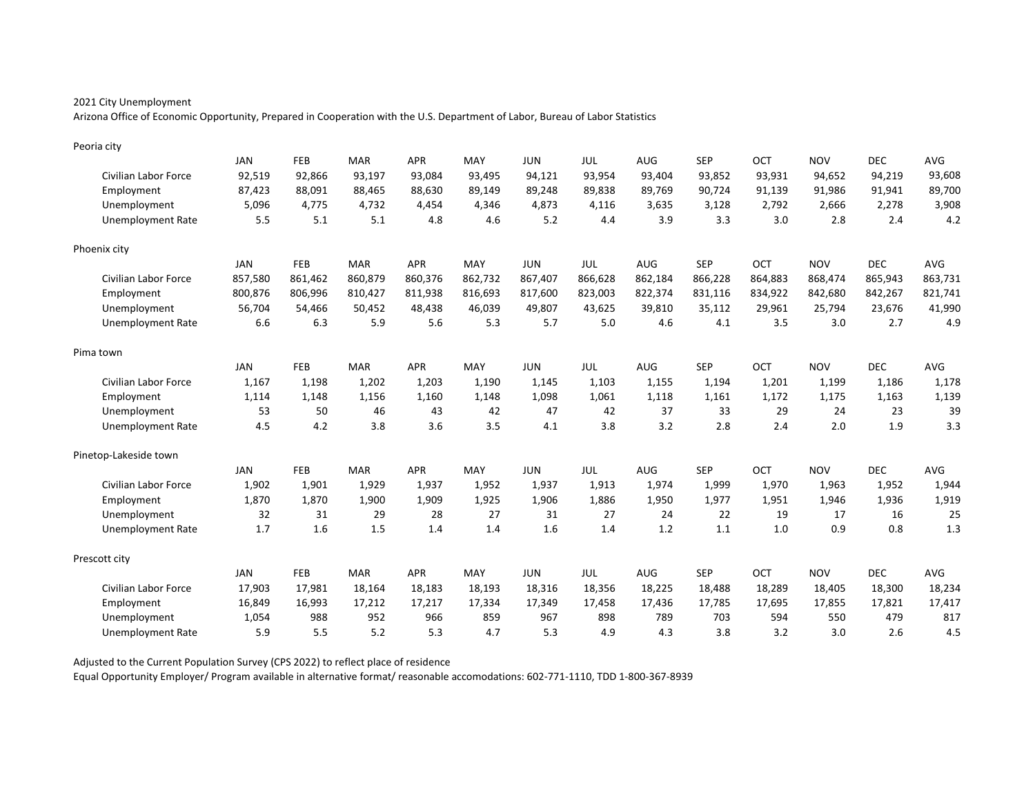Arizona Office of Economic Opportunity, Prepared in Cooperation with the U.S. Department of Labor, Bureau of Labor Statistics

| Peoria city                 |            |            |            |            |         |            |            |            |            |         |            |            |            |
|-----------------------------|------------|------------|------------|------------|---------|------------|------------|------------|------------|---------|------------|------------|------------|
|                             | <b>JAN</b> | <b>FEB</b> | <b>MAR</b> | <b>APR</b> | MAY     | <b>JUN</b> | <b>JUL</b> | <b>AUG</b> | <b>SEP</b> | OCT     | <b>NOV</b> | <b>DEC</b> | <b>AVG</b> |
| <b>Civilian Labor Force</b> | 92,519     | 92,866     | 93,197     | 93,084     | 93,495  | 94,121     | 93,954     | 93,404     | 93,852     | 93,931  | 94,652     | 94,219     | 93,608     |
| Employment                  | 87,423     | 88,091     | 88,465     | 88,630     | 89,149  | 89,248     | 89,838     | 89,769     | 90,724     | 91,139  | 91,986     | 91,941     | 89,700     |
| Unemployment                | 5,096      | 4,775      | 4,732      | 4,454      | 4,346   | 4,873      | 4,116      | 3,635      | 3,128      | 2,792   | 2,666      | 2,278      | 3,908      |
| <b>Unemployment Rate</b>    | 5.5        | 5.1        | 5.1        | 4.8        | 4.6     | 5.2        | 4.4        | 3.9        | 3.3        | 3.0     | 2.8        | 2.4        | 4.2        |
| Phoenix city                |            |            |            |            |         |            |            |            |            |         |            |            |            |
|                             | <b>JAN</b> | FEB        | <b>MAR</b> | <b>APR</b> | MAY     | <b>JUN</b> | JUL        | <b>AUG</b> | <b>SEP</b> | OCT     | <b>NOV</b> | <b>DEC</b> | <b>AVG</b> |
| <b>Civilian Labor Force</b> | 857,580    | 861,462    | 860,879    | 860,376    | 862,732 | 867,407    | 866,628    | 862,184    | 866,228    | 864,883 | 868,474    | 865,943    | 863,731    |
| Employment                  | 800,876    | 806,996    | 810,427    | 811,938    | 816,693 | 817,600    | 823,003    | 822,374    | 831,116    | 834,922 | 842,680    | 842,267    | 821,741    |
| Unemployment                | 56,704     | 54,466     | 50,452     | 48,438     | 46,039  | 49,807     | 43,625     | 39,810     | 35,112     | 29,961  | 25,794     | 23,676     | 41,990     |
| <b>Unemployment Rate</b>    | 6.6        | 6.3        | 5.9        | 5.6        | 5.3     | 5.7        | 5.0        | 4.6        | 4.1        | 3.5     | 3.0        | 2.7        | 4.9        |
| Pima town                   |            |            |            |            |         |            |            |            |            |         |            |            |            |
|                             | <b>JAN</b> | FEB        | <b>MAR</b> | <b>APR</b> | MAY     | <b>JUN</b> | <b>JUL</b> | AUG        | <b>SEP</b> | OCT     | <b>NOV</b> | <b>DEC</b> | <b>AVG</b> |
| <b>Civilian Labor Force</b> | 1,167      | 1,198      | 1,202      | 1,203      | 1,190   | 1,145      | 1,103      | 1,155      | 1,194      | 1,201   | 1,199      | 1,186      | 1,178      |
| Employment                  | 1,114      | 1,148      | 1,156      | 1,160      | 1,148   | 1,098      | 1,061      | 1,118      | 1,161      | 1,172   | 1,175      | 1,163      | 1,139      |
| Unemployment                | 53         | 50         | 46         | 43         | 42      | 47         | 42         | 37         | 33         | 29      | 24         | 23         | 39         |
| <b>Unemployment Rate</b>    | 4.5        | 4.2        | 3.8        | 3.6        | 3.5     | 4.1        | 3.8        | 3.2        | 2.8        | 2.4     | 2.0        | 1.9        | 3.3        |
| Pinetop-Lakeside town       |            |            |            |            |         |            |            |            |            |         |            |            |            |
|                             | JAN        | <b>FEB</b> | <b>MAR</b> | <b>APR</b> | MAY     | <b>JUN</b> | JUL        | <b>AUG</b> | <b>SEP</b> | OCT     | <b>NOV</b> | <b>DEC</b> | <b>AVG</b> |
| Civilian Labor Force        | 1,902      | 1,901      | 1,929      | 1,937      | 1,952   | 1,937      | 1,913      | 1,974      | 1,999      | 1,970   | 1,963      | 1,952      | 1,944      |
| Employment                  | 1,870      | 1,870      | 1,900      | 1,909      | 1,925   | 1,906      | 1,886      | 1,950      | 1,977      | 1,951   | 1,946      | 1,936      | 1,919      |
| Unemployment                | 32         | 31         | 29         | 28         | 27      | 31         | 27         | 24         | 22         | 19      | 17         | 16         | 25         |
| <b>Unemployment Rate</b>    | 1.7        | 1.6        | 1.5        | 1.4        | 1.4     | 1.6        | 1.4        | 1.2        | 1.1        | 1.0     | 0.9        | 0.8        | 1.3        |
| Prescott city               |            |            |            |            |         |            |            |            |            |         |            |            |            |
|                             | <b>JAN</b> | <b>FEB</b> | <b>MAR</b> | <b>APR</b> | MAY     | <b>JUN</b> | <b>JUL</b> | AUG        | <b>SEP</b> | OCT     | <b>NOV</b> | <b>DEC</b> | AVG        |
| <b>Civilian Labor Force</b> | 17,903     | 17,981     | 18,164     | 18,183     | 18,193  | 18,316     | 18,356     | 18,225     | 18,488     | 18,289  | 18,405     | 18,300     | 18,234     |
| Employment                  | 16,849     | 16,993     | 17,212     | 17,217     | 17,334  | 17,349     | 17,458     | 17,436     | 17,785     | 17,695  | 17,855     | 17,821     | 17,417     |
| Unemployment                | 1,054      | 988        | 952        | 966        | 859     | 967        | 898        | 789        | 703        | 594     | 550        | 479        | 817        |
| <b>Unemployment Rate</b>    | 5.9        | 5.5        | 5.2        | 5.3        | 4.7     | 5.3        | 4.9        | 4.3        | 3.8        | 3.2     | 3.0        | 2.6        | 4.5        |

Adjusted to the Current Population Survey (CPS 2022) to reflect place of residence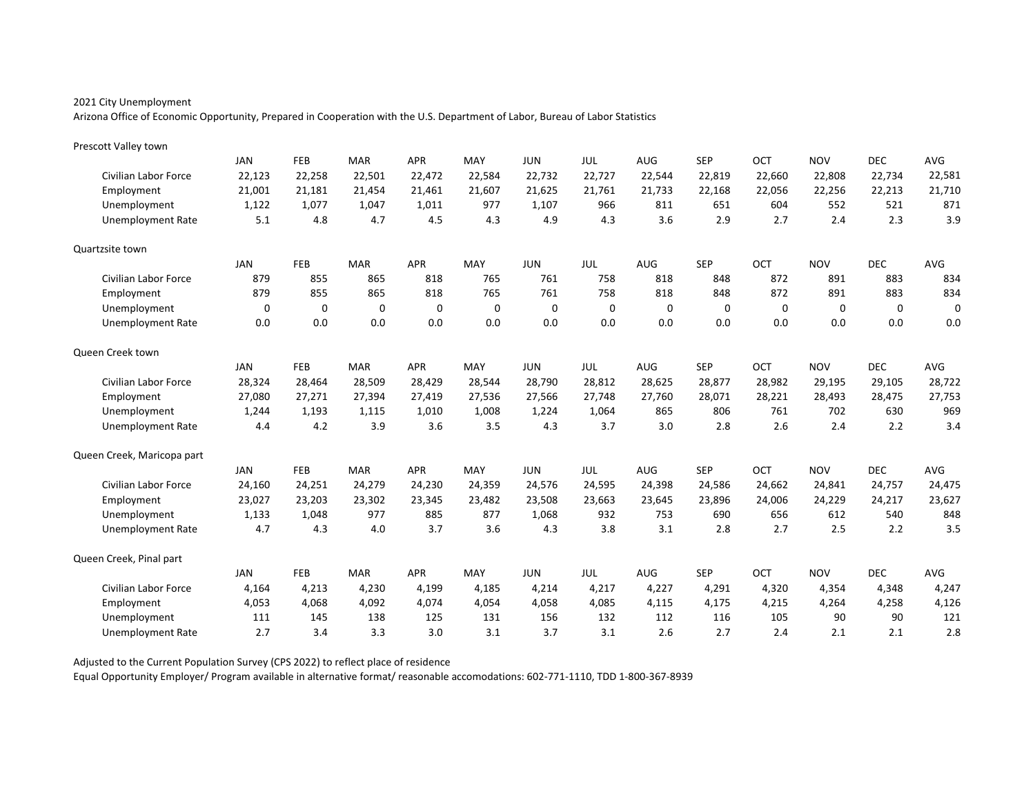Arizona Office of Economic Opportunity, Prepared in Cooperation with the U.S. Department of Labor, Bureau of Labor Statistics

| Prescott Valley town        |            |            |            |            |             |            |        |            |            |          |             |             |             |
|-----------------------------|------------|------------|------------|------------|-------------|------------|--------|------------|------------|----------|-------------|-------------|-------------|
|                             | <b>JAN</b> | <b>FEB</b> | <b>MAR</b> | <b>APR</b> | MAY         | <b>JUN</b> | JUL    | <b>AUG</b> | <b>SEP</b> | OCT      | <b>NOV</b>  | <b>DEC</b>  | AVG         |
| <b>Civilian Labor Force</b> | 22,123     | 22,258     | 22,501     | 22,472     | 22,584      | 22,732     | 22,727 | 22,544     | 22,819     | 22,660   | 22,808      | 22,734      | 22,581      |
| Employment                  | 21,001     | 21,181     | 21,454     | 21,461     | 21,607      | 21,625     | 21,761 | 21,733     | 22,168     | 22,056   | 22,256      | 22,213      | 21,710      |
| Unemployment                | 1,122      | 1.077      | 1,047      | 1,011      | 977         | 1,107      | 966    | 811        | 651        | 604      | 552         | 521         | 871         |
| <b>Unemployment Rate</b>    | 5.1        | 4.8        | 4.7        | 4.5        | 4.3         | 4.9        | 4.3    | 3.6        | 2.9        | 2.7      | 2.4         | 2.3         | 3.9         |
| Quartzsite town             |            |            |            |            |             |            |        |            |            |          |             |             |             |
|                             | JAN        | FEB        | <b>MAR</b> | <b>APR</b> | MAY         | <b>JUN</b> | JUL    | <b>AUG</b> | <b>SEP</b> | OCT      | <b>NOV</b>  | <b>DEC</b>  | AVG         |
| Civilian Labor Force        | 879        | 855        | 865        | 818        | 765         | 761        | 758    | 818        | 848        | 872      | 891         | 883         | 834         |
| Employment                  | 879        | 855        | 865        | 818        | 765         | 761        | 758    | 818        | 848        | 872      | 891         | 883         | 834         |
| Unemployment                | 0          | 0          | 0          | 0          | $\mathbf 0$ | 0          | 0      | 0          | 0          | $\Omega$ | $\mathbf 0$ | $\mathbf 0$ | $\mathbf 0$ |
| <b>Unemployment Rate</b>    | 0.0        | 0.0        | 0.0        | 0.0        | 0.0         | 0.0        | 0.0    | 0.0        | 0.0        | 0.0      | 0.0         | 0.0         | 0.0         |
| Queen Creek town            |            |            |            |            |             |            |        |            |            |          |             |             |             |
|                             | JAN        | <b>FEB</b> | <b>MAR</b> | <b>APR</b> | MAY         | <b>JUN</b> | JUL    | <b>AUG</b> | <b>SEP</b> | OCT      | <b>NOV</b>  | <b>DEC</b>  | AVG         |
| <b>Civilian Labor Force</b> | 28,324     | 28,464     | 28,509     | 28,429     | 28,544      | 28,790     | 28,812 | 28,625     | 28,877     | 28,982   | 29,195      | 29,105      | 28,722      |
| Employment                  | 27,080     | 27,271     | 27,394     | 27,419     | 27,536      | 27,566     | 27.748 | 27.760     | 28,071     | 28,221   | 28,493      | 28.475      | 27,753      |
| Unemployment                | 1,244      | 1,193      | 1,115      | 1,010      | 1,008       | 1,224      | 1,064  | 865        | 806        | 761      | 702         | 630         | 969         |
| <b>Unemployment Rate</b>    | 4.4        | 4.2        | 3.9        | 3.6        | 3.5         | 4.3        | 3.7    | 3.0        | 2.8        | 2.6      | 2.4         | 2.2         | 3.4         |
| Queen Creek, Maricopa part  |            |            |            |            |             |            |        |            |            |          |             |             |             |
|                             | JAN        | <b>FEB</b> | <b>MAR</b> | <b>APR</b> | MAY         | <b>JUN</b> | JUL    | <b>AUG</b> | <b>SEP</b> | OCT      | <b>NOV</b>  | <b>DEC</b>  | AVG         |
| <b>Civilian Labor Force</b> | 24,160     | 24,251     | 24,279     | 24,230     | 24,359      | 24,576     | 24,595 | 24,398     | 24,586     | 24,662   | 24,841      | 24,757      | 24,475      |
| Employment                  | 23,027     | 23,203     | 23,302     | 23,345     | 23,482      | 23,508     | 23,663 | 23,645     | 23,896     | 24,006   | 24,229      | 24,217      | 23,627      |
| Unemployment                | 1,133      | 1,048      | 977        | 885        | 877         | 1,068      | 932    | 753        | 690        | 656      | 612         | 540         | 848         |
| <b>Unemployment Rate</b>    | 4.7        | 4.3        | 4.0        | 3.7        | 3.6         | 4.3        | 3.8    | 3.1        | 2.8        | 2.7      | 2.5         | 2.2         | 3.5         |
| Queen Creek, Pinal part     |            |            |            |            |             |            |        |            |            |          |             |             |             |
|                             | JAN        | <b>FEB</b> | <b>MAR</b> | <b>APR</b> | MAY         | <b>JUN</b> | JUL    | AUG        | <b>SEP</b> | OCT      | <b>NOV</b>  | <b>DEC</b>  | AVG         |
| Civilian Labor Force        | 4.164      | 4,213      | 4,230      | 4,199      | 4.185       | 4,214      | 4,217  | 4,227      | 4,291      | 4,320    | 4,354       | 4,348       | 4,247       |
| Employment                  | 4,053      | 4,068      | 4,092      | 4,074      | 4,054       | 4,058      | 4,085  | 4,115      | 4,175      | 4,215    | 4,264       | 4,258       | 4,126       |
| Unemployment                | 111        | 145        | 138        | 125        | 131         | 156        | 132    | 112        | 116        | 105      | 90          | 90          | 121         |
| <b>Unemployment Rate</b>    | 2.7        | 3.4        | 3.3        | 3.0        | 3.1         | 3.7        | 3.1    | 2.6        | 2.7        | 2.4      | 2.1         | 2.1         | 2.8         |

Adjusted to the Current Population Survey (CPS 2022) to reflect place of residence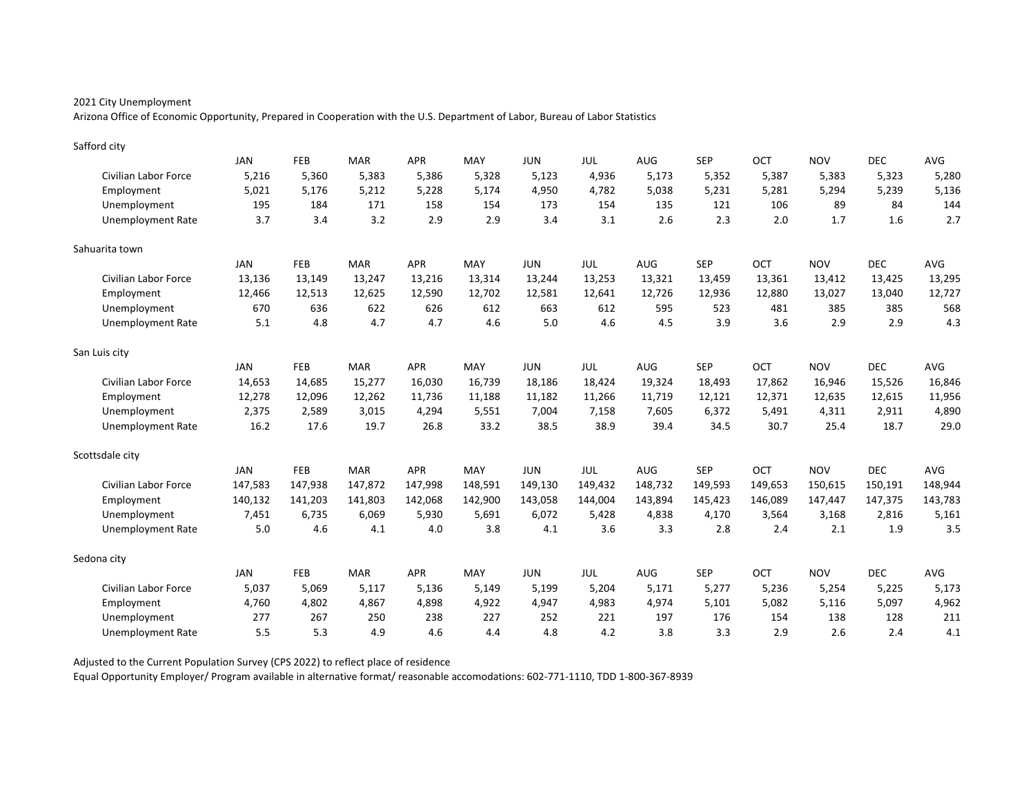Arizona Office of Economic Opportunity, Prepared in Cooperation with the U.S. Department of Labor, Bureau of Labor Statistics

| Safford city             |            |            |            |            |         |            |         |            |            |            |            |            |         |
|--------------------------|------------|------------|------------|------------|---------|------------|---------|------------|------------|------------|------------|------------|---------|
|                          | JAN        | <b>FEB</b> | <b>MAR</b> | <b>APR</b> | MAY     | <b>JUN</b> | JUL     | AUG        | <b>SEP</b> | OCT        | <b>NOV</b> | <b>DEC</b> | AVG     |
| Civilian Labor Force     | 5,216      | 5,360      | 5,383      | 5,386      | 5,328   | 5,123      | 4,936   | 5,173      | 5,352      | 5,387      | 5,383      | 5,323      | 5,280   |
| Employment               | 5,021      | 5,176      | 5,212      | 5,228      | 5,174   | 4,950      | 4,782   | 5,038      | 5,231      | 5,281      | 5,294      | 5,239      | 5,136   |
| Unemployment             | 195        | 184        | 171        | 158        | 154     | 173        | 154     | 135        | 121        | 106        | 89         | 84         | 144     |
| <b>Unemployment Rate</b> | 3.7        | 3.4        | 3.2        | 2.9        | 2.9     | 3.4        | 3.1     | 2.6        | 2.3        | 2.0        | 1.7        | 1.6        | 2.7     |
| Sahuarita town           |            |            |            |            |         |            |         |            |            |            |            |            |         |
|                          | JAN        | FEB        | <b>MAR</b> | <b>APR</b> | MAY     | <b>JUN</b> | JUL     | AUG        | <b>SEP</b> | OCT        | <b>NOV</b> | <b>DEC</b> | AVG     |
| Civilian Labor Force     | 13,136     | 13,149     | 13,247     | 13,216     | 13,314  | 13,244     | 13,253  | 13,321     | 13,459     | 13,361     | 13,412     | 13,425     | 13,295  |
| Employment               | 12,466     | 12,513     | 12,625     | 12,590     | 12,702  | 12,581     | 12,641  | 12,726     | 12,936     | 12,880     | 13,027     | 13,040     | 12,727  |
| Unemployment             | 670        | 636        | 622        | 626        | 612     | 663        | 612     | 595        | 523        | 481        | 385        | 385        | 568     |
| <b>Unemployment Rate</b> | 5.1        | 4.8        | 4.7        | 4.7        | 4.6     | 5.0        | 4.6     | 4.5        | 3.9        | 3.6        | 2.9        | 2.9        | 4.3     |
| San Luis city            |            |            |            |            |         |            |         |            |            |            |            |            |         |
|                          | <b>JAN</b> | FEB        | <b>MAR</b> | <b>APR</b> | MAY     | <b>JUN</b> | JUL     | AUG        | <b>SEP</b> | OCT        | <b>NOV</b> | <b>DEC</b> | AVG     |
| Civilian Labor Force     | 14,653     | 14,685     | 15,277     | 16,030     | 16,739  | 18,186     | 18,424  | 19,324     | 18,493     | 17,862     | 16,946     | 15,526     | 16,846  |
| Employment               | 12,278     | 12,096     | 12,262     | 11.736     | 11,188  | 11,182     | 11,266  | 11,719     | 12.121     | 12,371     | 12,635     | 12,615     | 11,956  |
| Unemployment             | 2,375      | 2,589      | 3,015      | 4,294      | 5,551   | 7,004      | 7,158   | 7,605      | 6,372      | 5,491      | 4,311      | 2,911      | 4,890   |
| <b>Unemployment Rate</b> | 16.2       | 17.6       | 19.7       | 26.8       | 33.2    | 38.5       | 38.9    | 39.4       | 34.5       | 30.7       | 25.4       | 18.7       | 29.0    |
| Scottsdale city          |            |            |            |            |         |            |         |            |            |            |            |            |         |
|                          | <b>JAN</b> | FEB        | <b>MAR</b> | <b>APR</b> | MAY     | <b>JUN</b> | JUL     | <b>AUG</b> | <b>SEP</b> | OCT        | <b>NOV</b> | <b>DEC</b> | AVG     |
| Civilian Labor Force     | 147,583    | 147,938    | 147,872    | 147,998    | 148,591 | 149,130    | 149,432 | 148,732    | 149,593    | 149,653    | 150,615    | 150,191    | 148,944 |
| Employment               | 140,132    | 141,203    | 141,803    | 142,068    | 142,900 | 143,058    | 144,004 | 143,894    | 145,423    | 146,089    | 147,447    | 147,375    | 143,783 |
| Unemployment             | 7,451      | 6.735      | 6,069      | 5,930      | 5,691   | 6,072      | 5,428   | 4,838      | 4,170      | 3,564      | 3,168      | 2,816      | 5,161   |
| <b>Unemployment Rate</b> | 5.0        | 4.6        | 4.1        | 4.0        | 3.8     | 4.1        | 3.6     | 3.3        | 2.8        | 2.4        | 2.1        | 1.9        | 3.5     |
| Sedona city              |            |            |            |            |         |            |         |            |            |            |            |            |         |
|                          | <b>JAN</b> | FEB        | <b>MAR</b> | <b>APR</b> | MAY     | <b>JUN</b> | JUL     | AUG        | <b>SEP</b> | <b>OCT</b> | <b>NOV</b> | <b>DEC</b> | AVG     |
| Civilian Labor Force     | 5,037      | 5,069      | 5,117      | 5,136      | 5.149   | 5,199      | 5,204   | 5,171      | 5,277      | 5,236      | 5,254      | 5,225      | 5,173   |
| Employment               | 4,760      | 4,802      | 4,867      | 4,898      | 4,922   | 4,947      | 4,983   | 4,974      | 5,101      | 5,082      | 5,116      | 5,097      | 4,962   |
| Unemployment             | 277        | 267        | 250        | 238        | 227     | 252        | 221     | 197        | 176        | 154        | 138        | 128        | 211     |
| <b>Unemployment Rate</b> | 5.5        | 5.3        | 4.9        | 4.6        | 4.4     | 4.8        | 4.2     | 3.8        | 3.3        | 2.9        | 2.6        | 2.4        | 4.1     |

Adjusted to the Current Population Survey (CPS 2022) to reflect place of residence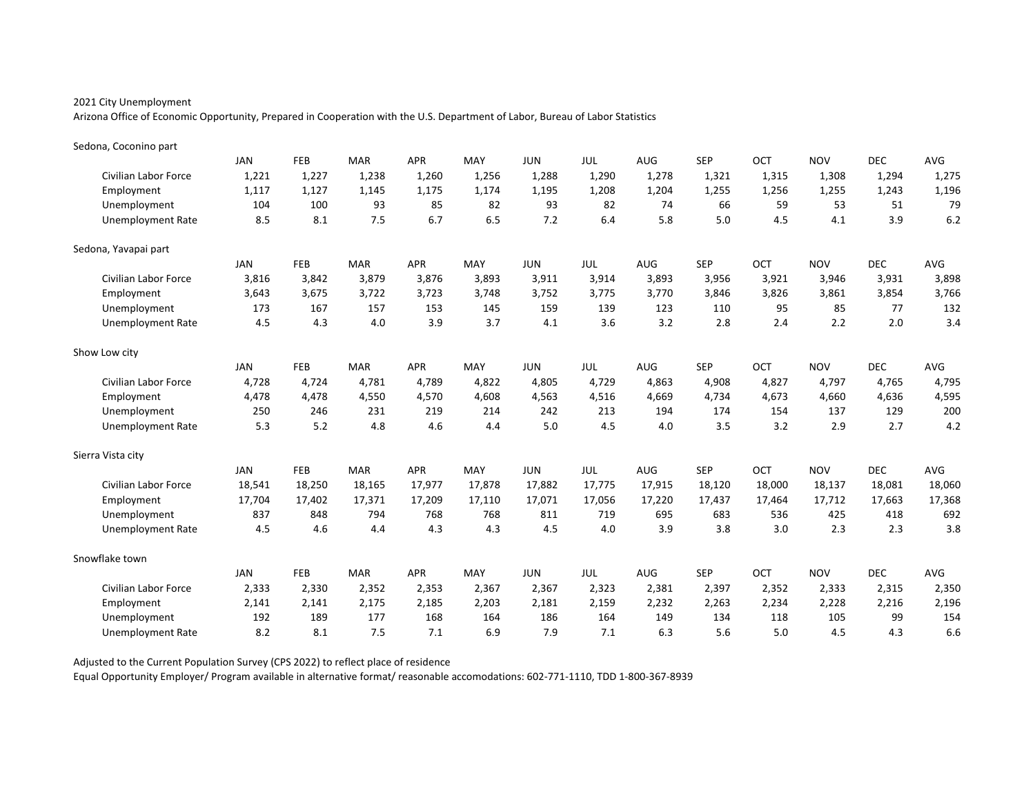Arizona Office of Economic Opportunity, Prepared in Cooperation with the U.S. Department of Labor, Bureau of Labor Statistics

| Sedona, Coconino part       |            |            |            |            |        |            |            |            |            |        |            |            |            |
|-----------------------------|------------|------------|------------|------------|--------|------------|------------|------------|------------|--------|------------|------------|------------|
|                             | <b>JAN</b> | FEB        | <b>MAR</b> | <b>APR</b> | MAY    | <b>JUN</b> | JUL        | AUG        | <b>SEP</b> | OCT    | <b>NOV</b> | <b>DEC</b> | AVG        |
| <b>Civilian Labor Force</b> | 1,221      | 1,227      | 1,238      | 1,260      | 1,256  | 1,288      | 1,290      | 1,278      | 1,321      | 1,315  | 1,308      | 1,294      | 1,275      |
| Employment                  | 1,117      | 1,127      | 1,145      | 1,175      | 1,174  | 1,195      | 1,208      | 1,204      | 1,255      | 1,256  | 1,255      | 1,243      | 1,196      |
| Unemployment                | 104        | 100        | 93         | 85         | 82     | 93         | 82         | 74         | 66         | 59     | 53         | 51         | 79         |
| <b>Unemployment Rate</b>    | 8.5        | 8.1        | 7.5        | 6.7        | 6.5    | 7.2        | 6.4        | 5.8        | 5.0        | 4.5    | 4.1        | 3.9        | 6.2        |
| Sedona, Yavapai part        |            |            |            |            |        |            |            |            |            |        |            |            |            |
|                             | <b>JAN</b> | <b>FEB</b> | <b>MAR</b> | <b>APR</b> | MAY    | <b>JUN</b> | <b>JUL</b> | <b>AUG</b> | <b>SEP</b> | OCT    | <b>NOV</b> | <b>DEC</b> | AVG        |
| <b>Civilian Labor Force</b> | 3,816      | 3,842      | 3,879      | 3,876      | 3,893  | 3,911      | 3,914      | 3,893      | 3,956      | 3,921  | 3,946      | 3,931      | 3,898      |
| Employment                  | 3,643      | 3,675      | 3,722      | 3,723      | 3,748  | 3,752      | 3,775      | 3,770      | 3,846      | 3,826  | 3,861      | 3,854      | 3,766      |
| Unemployment                | 173        | 167        | 157        | 153        | 145    | 159        | 139        | 123        | 110        | 95     | 85         | 77         | 132        |
| <b>Unemployment Rate</b>    | 4.5        | 4.3        | 4.0        | 3.9        | 3.7    | 4.1        | 3.6        | 3.2        | 2.8        | 2.4    | 2.2        | 2.0        | 3.4        |
| Show Low city               |            |            |            |            |        |            |            |            |            |        |            |            |            |
|                             | <b>JAN</b> | FEB        | <b>MAR</b> | <b>APR</b> | MAY    | <b>JUN</b> | JUL        | <b>AUG</b> | <b>SEP</b> | OCT    | <b>NOV</b> | <b>DEC</b> | AVG        |
| <b>Civilian Labor Force</b> | 4,728      | 4,724      | 4,781      | 4,789      | 4,822  | 4,805      | 4,729      | 4,863      | 4,908      | 4,827  | 4,797      | 4,765      | 4,795      |
| Employment                  | 4,478      | 4,478      | 4,550      | 4,570      | 4,608  | 4,563      | 4,516      | 4,669      | 4,734      | 4,673  | 4,660      | 4,636      | 4,595      |
| Unemployment                | 250        | 246        | 231        | 219        | 214    | 242        | 213        | 194        | 174        | 154    | 137        | 129        | 200        |
| <b>Unemployment Rate</b>    | 5.3        | 5.2        | 4.8        | 4.6        | 4.4    | 5.0        | 4.5        | 4.0        | 3.5        | 3.2    | 2.9        | 2.7        | 4.2        |
| Sierra Vista city           |            |            |            |            |        |            |            |            |            |        |            |            |            |
|                             | <b>JAN</b> | FEB        | <b>MAR</b> | <b>APR</b> | MAY    | <b>JUN</b> | JUL        | <b>AUG</b> | <b>SEP</b> | OCT    | <b>NOV</b> | <b>DEC</b> | <b>AVG</b> |
| Civilian Labor Force        | 18,541     | 18,250     | 18,165     | 17,977     | 17,878 | 17,882     | 17,775     | 17,915     | 18,120     | 18,000 | 18,137     | 18,081     | 18,060     |
| Employment                  | 17,704     | 17,402     | 17,371     | 17,209     | 17,110 | 17,071     | 17,056     | 17,220     | 17,437     | 17,464 | 17,712     | 17,663     | 17,368     |
| Unemployment                | 837        | 848        | 794        | 768        | 768    | 811        | 719        | 695        | 683        | 536    | 425        | 418        | 692        |
| Unemployment Rate           | 4.5        | 4.6        | 4.4        | 4.3        | 4.3    | 4.5        | 4.0        | 3.9        | 3.8        | 3.0    | 2.3        | 2.3        | 3.8        |
| Snowflake town              |            |            |            |            |        |            |            |            |            |        |            |            |            |
|                             | <b>JAN</b> | FEB        | <b>MAR</b> | <b>APR</b> | MAY    | <b>JUN</b> | JUL        | <b>AUG</b> | <b>SEP</b> | OCT    | <b>NOV</b> | <b>DEC</b> | AVG        |
| Civilian Labor Force        | 2,333      | 2,330      | 2,352      | 2,353      | 2,367  | 2,367      | 2,323      | 2,381      | 2,397      | 2,352  | 2,333      | 2,315      | 2,350      |
| Employment                  | 2,141      | 2,141      | 2,175      | 2,185      | 2,203  | 2,181      | 2,159      | 2,232      | 2,263      | 2,234  | 2,228      | 2,216      | 2,196      |
| Unemployment                | 192        | 189        | 177        | 168        | 164    | 186        | 164        | 149        | 134        | 118    | 105        | 99         | 154        |
| Unemployment Rate           | 8.2        | 8.1        | 7.5        | 7.1        | 6.9    | 7.9        | 7.1        | 6.3        | 5.6        | 5.0    | 4.5        | 4.3        | 6.6        |

Adjusted to the Current Population Survey (CPS 2022) to reflect place of residence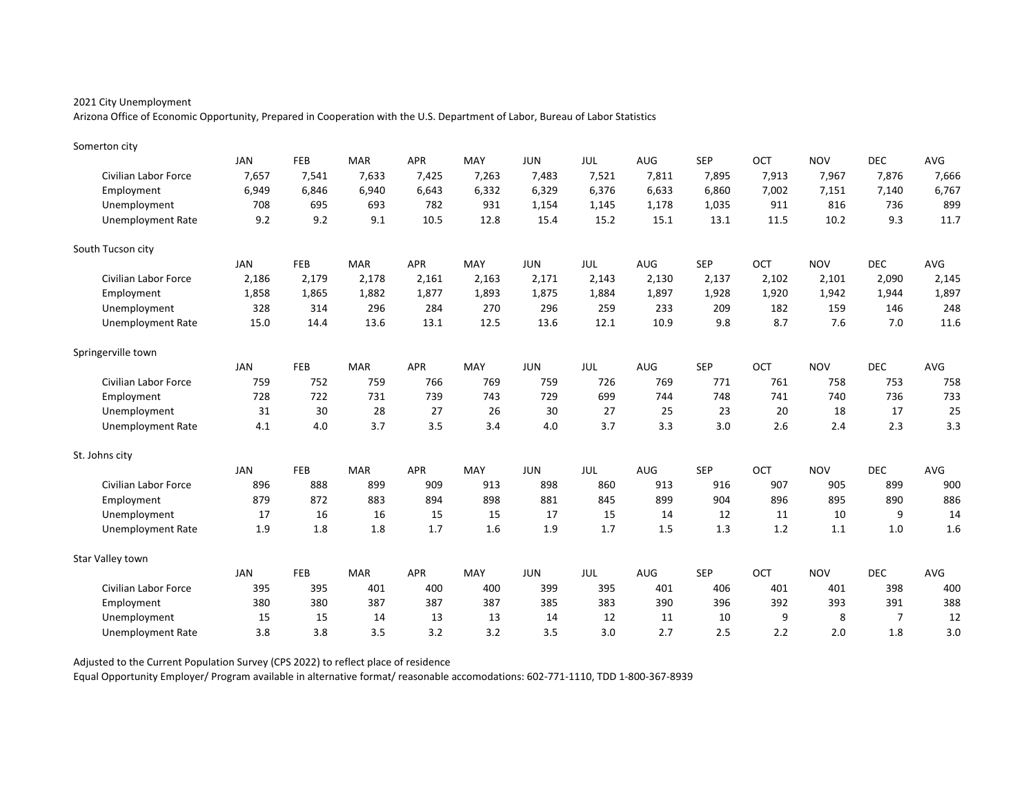Arizona Office of Economic Opportunity, Prepared in Cooperation with the U.S. Department of Labor, Bureau of Labor Statistics

| Somerton city               |            |            |            |            |       |            |            |            |            |       |            |            |       |
|-----------------------------|------------|------------|------------|------------|-------|------------|------------|------------|------------|-------|------------|------------|-------|
|                             | <b>JAN</b> | FEB        | <b>MAR</b> | <b>APR</b> | MAY   | <b>JUN</b> | JUL        | AUG        | <b>SEP</b> | OCT   | <b>NOV</b> | <b>DEC</b> | AVG   |
| Civilian Labor Force        | 7,657      | 7,541      | 7,633      | 7,425      | 7,263 | 7,483      | 7,521      | 7,811      | 7,895      | 7,913 | 7,967      | 7,876      | 7,666 |
| Employment                  | 6,949      | 6,846      | 6,940      | 6,643      | 6,332 | 6,329      | 6,376      | 6,633      | 6,860      | 7,002 | 7,151      | 7,140      | 6,767 |
| Unemployment                | 708        | 695        | 693        | 782        | 931   | 1,154      | 1,145      | 1,178      | 1,035      | 911   | 816        | 736        | 899   |
| <b>Unemployment Rate</b>    | 9.2        | 9.2        | 9.1        | 10.5       | 12.8  | 15.4       | 15.2       | 15.1       | 13.1       | 11.5  | 10.2       | 9.3        | 11.7  |
| South Tucson city           |            |            |            |            |       |            |            |            |            |       |            |            |       |
|                             | JAN        | <b>FEB</b> | <b>MAR</b> | <b>APR</b> | MAY   | <b>JUN</b> | JUL        | AUG        | <b>SEP</b> | OCT   | <b>NOV</b> | <b>DEC</b> | AVG   |
| Civilian Labor Force        | 2,186      | 2,179      | 2,178      | 2,161      | 2,163 | 2,171      | 2,143      | 2,130      | 2,137      | 2,102 | 2,101      | 2,090      | 2,145 |
| Employment                  | 1,858      | 1,865      | 1,882      | 1,877      | 1,893 | 1,875      | 1,884      | 1,897      | 1,928      | 1,920 | 1,942      | 1,944      | 1,897 |
| Unemployment                | 328        | 314        | 296        | 284        | 270   | 296        | 259        | 233        | 209        | 182   | 159        | 146        | 248   |
| <b>Unemployment Rate</b>    | 15.0       | 14.4       | 13.6       | 13.1       | 12.5  | 13.6       | 12.1       | 10.9       | 9.8        | 8.7   | 7.6        | 7.0        | 11.6  |
| Springerville town          |            |            |            |            |       |            |            |            |            |       |            |            |       |
|                             | <b>JAN</b> | FEB        | <b>MAR</b> | <b>APR</b> | MAY   | <b>JUN</b> | <b>JUL</b> | AUG        | <b>SEP</b> | OCT   | <b>NOV</b> | <b>DEC</b> | AVG   |
| <b>Civilian Labor Force</b> | 759        | 752        | 759        | 766        | 769   | 759        | 726        | 769        | 771        | 761   | 758        | 753        | 758   |
| Employment                  | 728        | 722        | 731        | 739        | 743   | 729        | 699        | 744        | 748        | 741   | 740        | 736        | 733   |
| Unemployment                | 31         | 30         | 28         | 27         | 26    | 30         | 27         | 25         | 23         | 20    | 18         | 17         | 25    |
| <b>Unemployment Rate</b>    | 4.1        | 4.0        | 3.7        | 3.5        | 3.4   | 4.0        | 3.7        | 3.3        | 3.0        | 2.6   | 2.4        | 2.3        | 3.3   |
| St. Johns city              |            |            |            |            |       |            |            |            |            |       |            |            |       |
|                             | <b>JAN</b> | <b>FEB</b> | <b>MAR</b> | <b>APR</b> | MAY   | <b>JUN</b> | JUL        | <b>AUG</b> | <b>SEP</b> | OCT   | <b>NOV</b> | <b>DEC</b> | AVG   |
| Civilian Labor Force        | 896        | 888        | 899        | 909        | 913   | 898        | 860        | 913        | 916        | 907   | 905        | 899        | 900   |
| Employment                  | 879        | 872        | 883        | 894        | 898   | 881        | 845        | 899        | 904        | 896   | 895        | 890        | 886   |
| Unemployment                | 17         | 16         | 16         | 15         | 15    | 17         | 15         | 14         | 12         | 11    | 10         | 9          | 14    |
| <b>Unemployment Rate</b>    | 1.9        | 1.8        | 1.8        | 1.7        | 1.6   | 1.9        | 1.7        | 1.5        | 1.3        | 1.2   | 1.1        | 1.0        | 1.6   |
| Star Valley town            |            |            |            |            |       |            |            |            |            |       |            |            |       |
|                             | JAN        | <b>FEB</b> | <b>MAR</b> | <b>APR</b> | MAY   | <b>JUN</b> | JUL        | <b>AUG</b> | <b>SEP</b> | OCT   | <b>NOV</b> | <b>DEC</b> | AVG   |
| Civilian Labor Force        | 395        | 395        | 401        | 400        | 400   | 399        | 395        | 401        | 406        | 401   | 401        | 398        | 400   |
| Employment                  | 380        | 380        | 387        | 387        | 387   | 385        | 383        | 390        | 396        | 392   | 393        | 391        | 388   |
| Unemployment                | 15         | 15         | 14         | 13         | 13    | 14         | 12         | 11         | 10         | 9     | 8          | 7          | 12    |
| Unemployment Rate           | 3.8        | 3.8        | 3.5        | 3.2        | 3.2   | 3.5        | 3.0        | 2.7        | 2.5        | 2.2   | 2.0        | 1.8        | 3.0   |

Adjusted to the Current Population Survey (CPS 2022) to reflect place of residence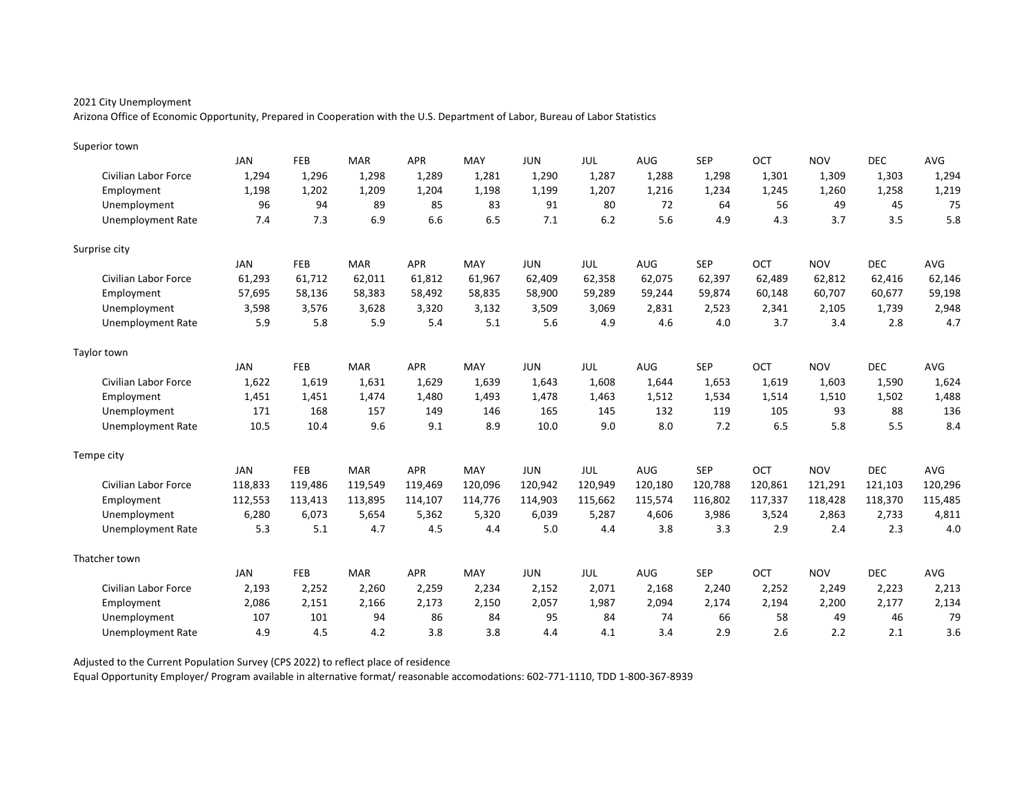Arizona Office of Economic Opportunity, Prepared in Cooperation with the U.S. Department of Labor, Bureau of Labor Statistics

| Superior town            |            |            |            |            |         |            |         |            |            |         |            |            |         |
|--------------------------|------------|------------|------------|------------|---------|------------|---------|------------|------------|---------|------------|------------|---------|
|                          | <b>JAN</b> | FEB        | <b>MAR</b> | <b>APR</b> | MAY     | <b>JUN</b> | JUL     | <b>AUG</b> | <b>SEP</b> | OCT     | <b>NOV</b> | <b>DEC</b> | AVG     |
| Civilian Labor Force     | 1,294      | 1,296      | 1,298      | 1,289      | 1,281   | 1,290      | 1,287   | 1,288      | 1,298      | 1,301   | 1,309      | 1,303      | 1,294   |
| Employment               | 1,198      | 1,202      | 1,209      | 1,204      | 1,198   | 1,199      | 1,207   | 1,216      | 1,234      | 1,245   | 1,260      | 1,258      | 1,219   |
| Unemployment             | 96         | 94         | 89         | 85         | 83      | 91         | 80      | 72         | 64         | 56      | 49         | 45         | 75      |
| <b>Unemployment Rate</b> | 7.4        | 7.3        | 6.9        | 6.6        | 6.5     | 7.1        | 6.2     | 5.6        | 4.9        | 4.3     | 3.7        | 3.5        | 5.8     |
| Surprise city            |            |            |            |            |         |            |         |            |            |         |            |            |         |
|                          | JAN        | FEB        | <b>MAR</b> | <b>APR</b> | MAY     | <b>JUN</b> | JUL     | AUG        | <b>SEP</b> | OCT     | <b>NOV</b> | <b>DEC</b> | AVG     |
| Civilian Labor Force     | 61,293     | 61,712     | 62,011     | 61,812     | 61,967  | 62,409     | 62,358  | 62,075     | 62,397     | 62,489  | 62,812     | 62,416     | 62,146  |
| Employment               | 57,695     | 58,136     | 58,383     | 58,492     | 58,835  | 58,900     | 59,289  | 59,244     | 59,874     | 60,148  | 60,707     | 60,677     | 59,198  |
| Unemployment             | 3,598      | 3,576      | 3,628      | 3,320      | 3,132   | 3,509      | 3,069   | 2,831      | 2,523      | 2,341   | 2,105      | 1,739      | 2,948   |
| <b>Unemployment Rate</b> | 5.9        | 5.8        | 5.9        | 5.4        | 5.1     | 5.6        | 4.9     | 4.6        | 4.0        | 3.7     | 3.4        | 2.8        | 4.7     |
| Taylor town              |            |            |            |            |         |            |         |            |            |         |            |            |         |
|                          | <b>JAN</b> | <b>FEB</b> | <b>MAR</b> | <b>APR</b> | MAY     | <b>JUN</b> | JUL     | AUG        | <b>SEP</b> | OCT     | <b>NOV</b> | <b>DEC</b> | AVG     |
| Civilian Labor Force     | 1,622      | 1,619      | 1,631      | 1,629      | 1,639   | 1,643      | 1,608   | 1,644      | 1,653      | 1,619   | 1,603      | 1,590      | 1,624   |
| Employment               | 1,451      | 1,451      | 1.474      | 1,480      | 1.493   | 1,478      | 1.463   | 1,512      | 1.534      | 1.514   | 1,510      | 1,502      | 1,488   |
| Unemployment             | 171        | 168        | 157        | 149        | 146     | 165        | 145     | 132        | 119        | 105     | 93         | 88         | 136     |
| <b>Unemployment Rate</b> | 10.5       | 10.4       | 9.6        | 9.1        | 8.9     | 10.0       | 9.0     | 8.0        | 7.2        | 6.5     | 5.8        | 5.5        | 8.4     |
| Tempe city               |            |            |            |            |         |            |         |            |            |         |            |            |         |
|                          | <b>JAN</b> | FEB        | <b>MAR</b> | <b>APR</b> | MAY     | <b>JUN</b> | JUL     | <b>AUG</b> | <b>SEP</b> | OCT     | <b>NOV</b> | <b>DEC</b> | AVG     |
| Civilian Labor Force     | 118,833    | 119,486    | 119,549    | 119,469    | 120,096 | 120,942    | 120,949 | 120,180    | 120,788    | 120,861 | 121,291    | 121,103    | 120,296 |
| Employment               | 112,553    | 113,413    | 113,895    | 114,107    | 114,776 | 114,903    | 115,662 | 115,574    | 116,802    | 117,337 | 118,428    | 118,370    | 115,485 |
| Unemployment             | 6,280      | 6,073      | 5,654      | 5,362      | 5,320   | 6,039      | 5,287   | 4,606      | 3,986      | 3,524   | 2,863      | 2,733      | 4,811   |
| <b>Unemployment Rate</b> | 5.3        | 5.1        | 4.7        | 4.5        | 4.4     | 5.0        | 4.4     | 3.8        | 3.3        | 2.9     | 2.4        | 2.3        | 4.0     |
| Thatcher town            |            |            |            |            |         |            |         |            |            |         |            |            |         |
|                          | <b>JAN</b> | FEB        | <b>MAR</b> | <b>APR</b> | MAY     | <b>JUN</b> | JUL     | AUG        | <b>SEP</b> | OCT     | <b>NOV</b> | <b>DEC</b> | AVG     |
| Civilian Labor Force     | 2,193      | 2,252      | 2,260      | 2,259      | 2,234   | 2,152      | 2,071   | 2,168      | 2,240      | 2,252   | 2,249      | 2,223      | 2,213   |
| Employment               | 2,086      | 2,151      | 2,166      | 2,173      | 2.150   | 2,057      | 1,987   | 2,094      | 2,174      | 2,194   | 2,200      | 2,177      | 2,134   |
| Unemployment             | 107        | 101        | 94         | 86         | 84      | 95         | 84      | 74         | 66         | 58      | 49         | 46         | 79      |
| <b>Unemployment Rate</b> | 4.9        | 4.5        | 4.2        | 3.8        | 3.8     | 4.4        | 4.1     | 3.4        | 2.9        | 2.6     | 2.2        | 2.1        | 3.6     |

Adjusted to the Current Population Survey (CPS 2022) to reflect place of residence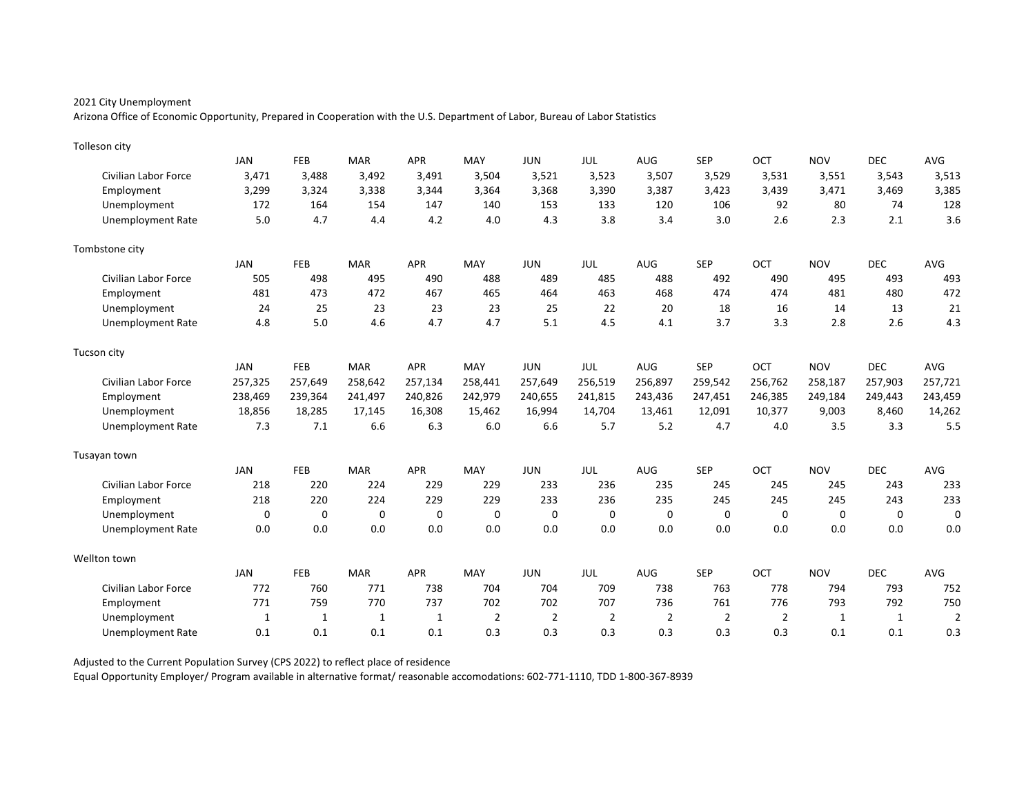Arizona Office of Economic Opportunity, Prepared in Cooperation with the U.S. Department of Labor, Bureau of Labor Statistics

| Tolleson city               |              |              |             |             |                |                |                |                |                |                |             |            |                |
|-----------------------------|--------------|--------------|-------------|-------------|----------------|----------------|----------------|----------------|----------------|----------------|-------------|------------|----------------|
|                             | <b>JAN</b>   | FEB          | <b>MAR</b>  | <b>APR</b>  | MAY            | <b>JUN</b>     | <b>JUL</b>     | AUG            | <b>SEP</b>     | OCT            | <b>NOV</b>  | <b>DEC</b> | AVG            |
| Civilian Labor Force        | 3,471        | 3,488        | 3,492       | 3,491       | 3,504          | 3,521          | 3,523          | 3,507          | 3,529          | 3,531          | 3,551       | 3,543      | 3,513          |
| Employment                  | 3,299        | 3,324        | 3,338       | 3,344       | 3,364          | 3,368          | 3,390          | 3,387          | 3,423          | 3,439          | 3,471       | 3,469      | 3,385          |
| Unemployment                | 172          | 164          | 154         | 147         | 140            | 153            | 133            | 120            | 106            | 92             | 80          | 74         | 128            |
| <b>Unemployment Rate</b>    | 5.0          | 4.7          | 4.4         | 4.2         | 4.0            | 4.3            | 3.8            | 3.4            | 3.0            | 2.6            | 2.3         | 2.1        | 3.6            |
| Tombstone city              |              |              |             |             |                |                |                |                |                |                |             |            |                |
|                             | <b>JAN</b>   | FEB          | <b>MAR</b>  | <b>APR</b>  | MAY            | <b>JUN</b>     | <b>JUL</b>     | <b>AUG</b>     | <b>SEP</b>     | OCT            | <b>NOV</b>  | <b>DEC</b> | AVG            |
| Civilian Labor Force        | 505          | 498          | 495         | 490         | 488            | 489            | 485            | 488            | 492            | 490            | 495         | 493        | 493            |
| Employment                  | 481          | 473          | 472         | 467         | 465            | 464            | 463            | 468            | 474            | 474            | 481         | 480        | 472            |
| Unemployment                | 24           | 25           | 23          | 23          | 23             | 25             | 22             | 20             | 18             | 16             | 14          | 13         | 21             |
| <b>Unemployment Rate</b>    | 4.8          | 5.0          | 4.6         | 4.7         | 4.7            | 5.1            | 4.5            | 4.1            | 3.7            | 3.3            | 2.8         | 2.6        | 4.3            |
| Tucson city                 |              |              |             |             |                |                |                |                |                |                |             |            |                |
|                             | <b>JAN</b>   | FEB          | <b>MAR</b>  | APR         | MAY            | <b>JUN</b>     | JUL            | <b>AUG</b>     | <b>SEP</b>     | OCT            | <b>NOV</b>  | <b>DEC</b> | AVG            |
| <b>Civilian Labor Force</b> | 257,325      | 257,649      | 258,642     | 257,134     | 258,441        | 257,649        | 256,519        | 256,897        | 259,542        | 256,762        | 258,187     | 257,903    | 257,721        |
| Employment                  | 238,469      | 239,364      | 241,497     | 240,826     | 242,979        | 240,655        | 241,815        | 243,436        | 247,451        | 246,385        | 249,184     | 249,443    | 243,459        |
| Unemployment                | 18,856       | 18,285       | 17,145      | 16,308      | 15,462         | 16,994         | 14,704         | 13,461         | 12,091         | 10,377         | 9,003       | 8,460      | 14,262         |
| <b>Unemployment Rate</b>    | 7.3          | 7.1          | 6.6         | 6.3         | 6.0            | 6.6            | 5.7            | 5.2            | 4.7            | 4.0            | 3.5         | 3.3        | 5.5            |
| Tusayan town                |              |              |             |             |                |                |                |                |                |                |             |            |                |
|                             | <b>JAN</b>   | FEB          | <b>MAR</b>  | <b>APR</b>  | MAY            | <b>JUN</b>     | <b>JUL</b>     | <b>AUG</b>     | <b>SEP</b>     | OCT            | <b>NOV</b>  | <b>DEC</b> | AVG            |
| Civilian Labor Force        | 218          | 220          | 224         | 229         | 229            | 233            | 236            | 235            | 245            | 245            | 245         | 243        | 233            |
| Employment                  | 218          | 220          | 224         | 229         | 229            | 233            | 236            | 235            | 245            | 245            | 245         | 243        | 233            |
| Unemployment                | $\mathbf 0$  | $\mathbf 0$  | $\mathbf 0$ | $\mathbf 0$ | $\mathbf 0$    | $\mathbf 0$    | 0              | $\mathbf 0$    | 0              | $\Omega$       | $\mathbf 0$ | $\Omega$   | 0              |
| Unemployment Rate           | 0.0          | 0.0          | 0.0         | 0.0         | 0.0            | 0.0            | 0.0            | 0.0            | 0.0            | 0.0            | 0.0         | 0.0        | 0.0            |
| Wellton town                |              |              |             |             |                |                |                |                |                |                |             |            |                |
|                             | <b>JAN</b>   | FEB          | <b>MAR</b>  | <b>APR</b>  | MAY            | <b>JUN</b>     | JUL            | <b>AUG</b>     | <b>SEP</b>     | OCT            | <b>NOV</b>  | <b>DEC</b> | AVG            |
| Civilian Labor Force        | 772          | 760          | 771         | 738         | 704            | 704            | 709            | 738            | 763            | 778            | 794         | 793        | 752            |
| Employment                  | 771          | 759          | 770         | 737         | 702            | 702            | 707            | 736            | 761            | 776            | 793         | 792        | 750            |
| Unemployment                | $\mathbf{1}$ | $\mathbf{1}$ | 1           | 1           | $\overline{2}$ | $\overline{2}$ | $\overline{2}$ | $\overline{2}$ | $\overline{2}$ | $\overline{2}$ | 1           | 1          | $\overline{2}$ |
| Unemployment Rate           | 0.1          | 0.1          | 0.1         | 0.1         | 0.3            | 0.3            | 0.3            | 0.3            | 0.3            | 0.3            | 0.1         | 0.1        | 0.3            |

Adjusted to the Current Population Survey (CPS 2022) to reflect place of residence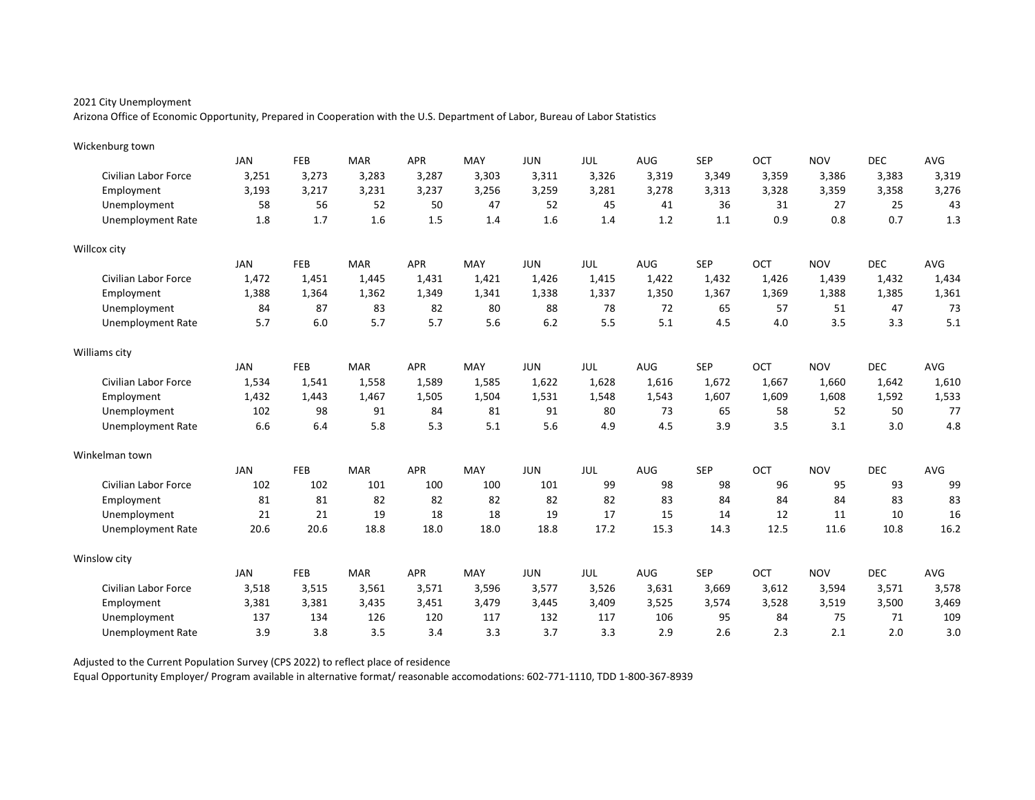Arizona Office of Economic Opportunity, Prepared in Cooperation with the U.S. Department of Labor, Bureau of Labor Statistics

| Wickenburg town             |            |            |            |            |       |            |       |       |            |       |            |            |       |
|-----------------------------|------------|------------|------------|------------|-------|------------|-------|-------|------------|-------|------------|------------|-------|
|                             | <b>JAN</b> | FEB        | <b>MAR</b> | <b>APR</b> | MAY   | <b>JUN</b> | JUL   | AUG   | <b>SEP</b> | OCT   | <b>NOV</b> | <b>DEC</b> | AVG   |
| Civilian Labor Force        | 3,251      | 3,273      | 3,283      | 3,287      | 3,303 | 3,311      | 3,326 | 3,319 | 3,349      | 3,359 | 3,386      | 3,383      | 3,319 |
| Employment                  | 3,193      | 3,217      | 3,231      | 3,237      | 3,256 | 3,259      | 3,281 | 3,278 | 3,313      | 3,328 | 3,359      | 3,358      | 3,276 |
| Unemployment                | 58         | 56         | 52         | 50         | 47    | 52         | 45    | 41    | 36         | 31    | 27         | 25         | 43    |
| <b>Unemployment Rate</b>    | 1.8        | 1.7        | 1.6        | 1.5        | 1.4   | 1.6        | 1.4   | 1.2   | 1.1        | 0.9   | 0.8        | 0.7        | 1.3   |
| Willcox city                |            |            |            |            |       |            |       |       |            |       |            |            |       |
|                             | <b>JAN</b> | <b>FEB</b> | <b>MAR</b> | <b>APR</b> | MAY   | <b>JUN</b> | JUL   | AUG   | <b>SEP</b> | OCT   | <b>NOV</b> | <b>DEC</b> | AVG   |
| Civilian Labor Force        | 1,472      | 1,451      | 1,445      | 1,431      | 1,421 | 1,426      | 1,415 | 1,422 | 1,432      | 1,426 | 1,439      | 1,432      | 1,434 |
| Employment                  | 1,388      | 1,364      | 1,362      | 1,349      | 1,341 | 1,338      | 1,337 | 1,350 | 1,367      | 1,369 | 1,388      | 1,385      | 1,361 |
| Unemployment                | 84         | 87         | 83         | 82         | 80    | 88         | 78    | 72    | 65         | 57    | 51         | 47         | 73    |
| <b>Unemployment Rate</b>    | 5.7        | 6.0        | 5.7        | 5.7        | 5.6   | 6.2        | 5.5   | 5.1   | 4.5        | 4.0   | 3.5        | 3.3        | 5.1   |
| Williams city               |            |            |            |            |       |            |       |       |            |       |            |            |       |
|                             | <b>JAN</b> | <b>FEB</b> | <b>MAR</b> | <b>APR</b> | MAY   | <b>JUN</b> | JUL   | AUG   | <b>SEP</b> | OCT   | <b>NOV</b> | <b>DEC</b> | AVG   |
| <b>Civilian Labor Force</b> | 1,534      | 1,541      | 1,558      | 1,589      | 1,585 | 1,622      | 1,628 | 1,616 | 1,672      | 1,667 | 1,660      | 1,642      | 1,610 |
| Employment                  | 1,432      | 1.443      | 1,467      | 1,505      | 1,504 | 1,531      | 1,548 | 1,543 | 1,607      | 1.609 | 1,608      | 1,592      | 1,533 |
| Unemployment                | 102        | 98         | 91         | 84         | 81    | 91         | 80    | 73    | 65         | 58    | 52         | 50         | 77    |
| <b>Unemployment Rate</b>    | 6.6        | 6.4        | 5.8        | 5.3        | 5.1   | 5.6        | 4.9   | 4.5   | 3.9        | 3.5   | 3.1        | 3.0        | 4.8   |
| Winkelman town              |            |            |            |            |       |            |       |       |            |       |            |            |       |
|                             | <b>JAN</b> | FEB        | <b>MAR</b> | <b>APR</b> | MAY   | <b>JUN</b> | JUL   | AUG   | <b>SEP</b> | OCT   | <b>NOV</b> | <b>DEC</b> | AVG   |
| <b>Civilian Labor Force</b> | 102        | 102        | 101        | 100        | 100   | 101        | 99    | 98    | 98         | 96    | 95         | 93         | 99    |
| Employment                  | 81         | 81         | 82         | 82         | 82    | 82         | 82    | 83    | 84         | 84    | 84         | 83         | 83    |
| Unemployment                | 21         | 21         | 19         | 18         | 18    | 19         | 17    | 15    | 14         | 12    | 11         | 10         | 16    |
| <b>Unemployment Rate</b>    | 20.6       | 20.6       | 18.8       | 18.0       | 18.0  | 18.8       | 17.2  | 15.3  | 14.3       | 12.5  | 11.6       | 10.8       | 16.2  |
| Winslow city                |            |            |            |            |       |            |       |       |            |       |            |            |       |
|                             | <b>JAN</b> | FEB        | <b>MAR</b> | <b>APR</b> | MAY   | <b>JUN</b> | JUL   | AUG   | <b>SEP</b> | OCT   | <b>NOV</b> | <b>DEC</b> | AVG   |
| Civilian Labor Force        | 3,518      | 3,515      | 3,561      | 3,571      | 3,596 | 3,577      | 3,526 | 3,631 | 3,669      | 3,612 | 3,594      | 3,571      | 3,578 |
| Employment                  | 3,381      | 3,381      | 3,435      | 3,451      | 3,479 | 3,445      | 3,409 | 3,525 | 3,574      | 3,528 | 3,519      | 3,500      | 3,469 |
| Unemployment                | 137        | 134        | 126        | 120        | 117   | 132        | 117   | 106   | 95         | 84    | 75         | 71         | 109   |
| Unemployment Rate           | 3.9        | 3.8        | 3.5        | 3.4        | 3.3   | 3.7        | 3.3   | 2.9   | 2.6        | 2.3   | 2.1        | 2.0        | 3.0   |

Adjusted to the Current Population Survey (CPS 2022) to reflect place of residence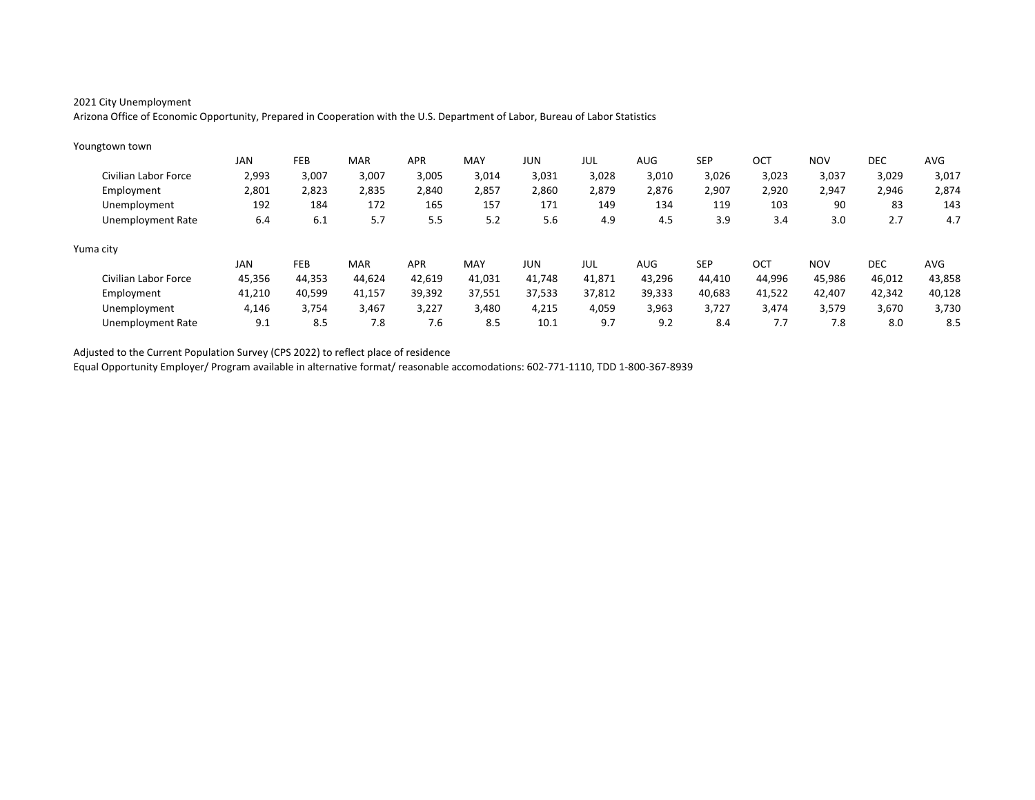Arizona Office of Economic Opportunity, Prepared in Cooperation with the U.S. Department of Labor, Bureau of Labor Statistics

| Youngtown town       |            |            |            |            |        |            |        |        |            |        |            |            |        |
|----------------------|------------|------------|------------|------------|--------|------------|--------|--------|------------|--------|------------|------------|--------|
|                      | JAN        | <b>FEB</b> | <b>MAR</b> | <b>APR</b> | MAY    | JUN        | JUL    | AUG    | <b>SEP</b> | OCT    | <b>NOV</b> | <b>DEC</b> | AVG    |
| Civilian Labor Force | 2,993      | 3,007      | 3,007      | 3,005      | 3,014  | 3,031      | 3,028  | 3,010  | 3,026      | 3,023  | 3,037      | 3,029      | 3,017  |
| Employment           | 2,801      | 2,823      | 2,835      | 2,840      | 2,857  | 2,860      | 2,879  | 2,876  | 2,907      | 2,920  | 2,947      | 2,946      | 2,874  |
| Unemployment         | 192        | 184        | 172        | 165        | 157    | 171        | 149    | 134    | 119        | 103    | 90         | 83         | 143    |
| Unemployment Rate    | 6.4        | 6.1        | 5.7        | 5.5        | 5.2    | 5.6        | 4.9    | 4.5    | 3.9        | 3.4    | 3.0        | 2.7        | 4.7    |
| Yuma city            |            |            |            |            |        |            |        |        |            |        |            |            |        |
|                      | <b>JAN</b> | <b>FEB</b> | <b>MAR</b> | <b>APR</b> | MAY    | <b>JUN</b> | JUL    | AUG    | <b>SEP</b> | OCT    | <b>NOV</b> | <b>DEC</b> | AVG    |
| Civilian Labor Force | 45,356     | 44,353     | 44,624     | 42,619     | 41,031 | 41.748     | 41.871 | 43,296 | 44,410     | 44,996 | 45,986     | 46,012     | 43,858 |
| Employment           | 41,210     | 40,599     | 41,157     | 39,392     | 37,551 | 37,533     | 37.812 | 39,333 | 40,683     | 41,522 | 42,407     | 42,342     | 40,128 |
| Unemployment         | 4,146      | 3,754      | 3,467      | 3.227      | 3.480  | 4,215      | 4,059  | 3,963  | 3.727      | 3.474  | 3,579      | 3,670      | 3,730  |
| Unemployment Rate    | 9.1        | 8.5        | 7.8        | 7.6        | 8.5    | 10.1       | 9.7    | 9.2    | 8.4        | 7.7    | 7.8        | 8.0        | 8.5    |

Adjusted to the Current Population Survey (CPS 2022) to reflect place of residence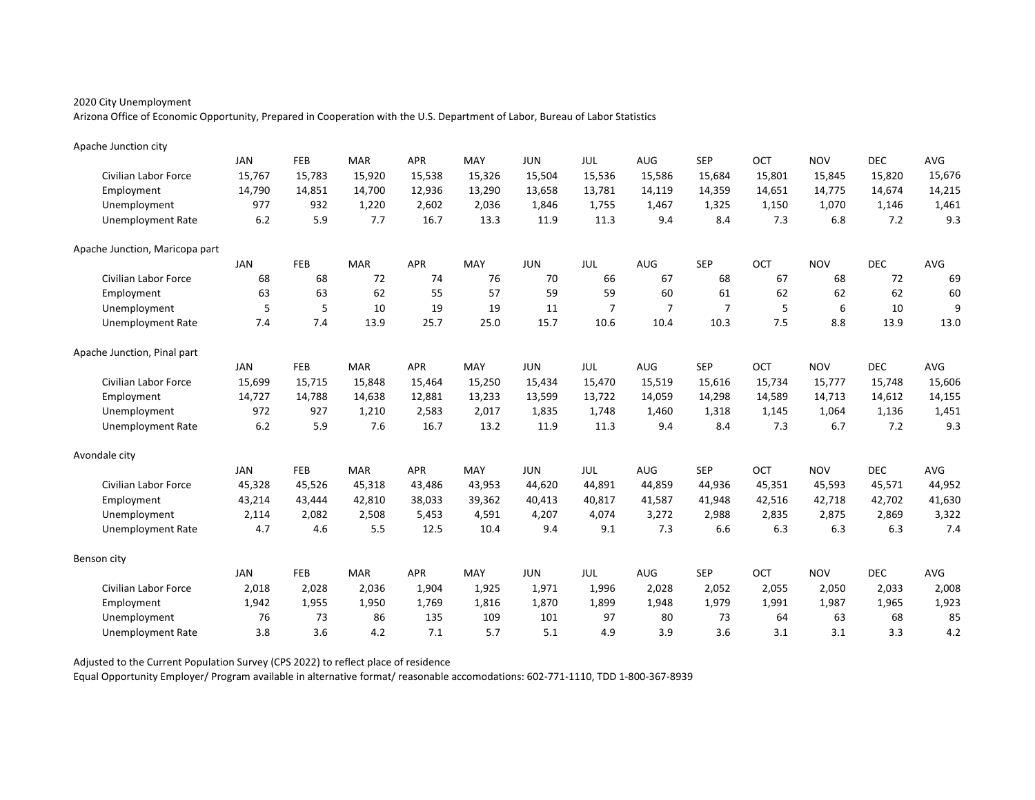Arizona Office of Economic Opportunity, Prepared in Cooperation with the U.S. Department of Labor, Bureau of Labor Statistics

| Apache Junction city           |            |        |            |            |        |            |                |                |                |            |            |            |        |
|--------------------------------|------------|--------|------------|------------|--------|------------|----------------|----------------|----------------|------------|------------|------------|--------|
|                                | <b>JAN</b> | FEB    | <b>MAR</b> | <b>APR</b> | MAY    | <b>JUN</b> | JUL            | <b>AUG</b>     | <b>SEP</b>     | OCT        | <b>NOV</b> | <b>DEC</b> | AVG    |
| Civilian Labor Force           | 15,767     | 15,783 | 15,920     | 15,538     | 15,326 | 15,504     | 15,536         | 15,586         | 15,684         | 15,801     | 15,845     | 15,820     | 15,676 |
| Employment                     | 14,790     | 14,851 | 14,700     | 12,936     | 13,290 | 13,658     | 13,781         | 14,119         | 14,359         | 14,651     | 14,775     | 14,674     | 14,215 |
| Unemployment                   | 977        | 932    | 1,220      | 2,602      | 2,036  | 1,846      | 1,755          | 1,467          | 1,325          | 1,150      | 1,070      | 1,146      | 1,461  |
| <b>Unemployment Rate</b>       | $6.2\,$    | 5.9    | 7.7        | 16.7       | 13.3   | 11.9       | 11.3           | 9.4            | 8.4            | 7.3        | 6.8        | 7.2        | 9.3    |
| Apache Junction, Maricopa part |            |        |            |            |        |            |                |                |                |            |            |            |        |
|                                | <b>JAN</b> | FEB    | <b>MAR</b> | <b>APR</b> | MAY    | <b>JUN</b> | JUL            | <b>AUG</b>     | <b>SEP</b>     | <b>OCT</b> | <b>NOV</b> | <b>DEC</b> | AVG    |
| Civilian Labor Force           | 68         | 68     | 72         | 74         | 76     | 70         | 66             | 67             | 68             | 67         | 68         | 72         | 69     |
| Employment                     | 63         | 63     | 62         | 55         | 57     | 59         | 59             | 60             | 61             | 62         | 62         | 62         | 60     |
| Unemployment                   | 5          | 5      | 10         | 19         | 19     | 11         | $\overline{7}$ | $\overline{7}$ | $\overline{7}$ | 5          | 6          | 10         | 9      |
| <b>Unemployment Rate</b>       | 7.4        | 7.4    | 13.9       | 25.7       | 25.0   | 15.7       | 10.6           | 10.4           | 10.3           | 7.5        | 8.8        | 13.9       | 13.0   |
| Apache Junction, Pinal part    |            |        |            |            |        |            |                |                |                |            |            |            |        |
|                                | <b>JAN</b> | FEB    | <b>MAR</b> | <b>APR</b> | MAY    | <b>JUN</b> | JUL            | AUG            | <b>SEP</b>     | <b>OCT</b> | <b>NOV</b> | <b>DEC</b> | AVG    |
| Civilian Labor Force           | 15,699     | 15,715 | 15,848     | 15,464     | 15,250 | 15,434     | 15,470         | 15,519         | 15,616         | 15,734     | 15,777     | 15,748     | 15,606 |
| Employment                     | 14,727     | 14,788 | 14.638     | 12,881     | 13,233 | 13,599     | 13,722         | 14,059         | 14,298         | 14,589     | 14,713     | 14,612     | 14,155 |
| Unemployment                   | 972        | 927    | 1,210      | 2,583      | 2,017  | 1,835      | 1,748          | 1,460          | 1,318          | 1,145      | 1,064      | 1,136      | 1,451  |
| <b>Unemployment Rate</b>       | 6.2        | 5.9    | 7.6        | 16.7       | 13.2   | 11.9       | 11.3           | 9.4            | 8.4            | 7.3        | 6.7        | 7.2        | 9.3    |
| Avondale city                  |            |        |            |            |        |            |                |                |                |            |            |            |        |
|                                | JAN        | FEB    | <b>MAR</b> | <b>APR</b> | MAY    | <b>JUN</b> | JUL            | <b>AUG</b>     | <b>SEP</b>     | OCT        | <b>NOV</b> | <b>DEC</b> | AVG    |
| Civilian Labor Force           | 45,328     | 45,526 | 45,318     | 43,486     | 43,953 | 44,620     | 44,891         | 44,859         | 44,936         | 45,351     | 45,593     | 45,571     | 44,952 |
| Employment                     | 43,214     | 43,444 | 42,810     | 38,033     | 39,362 | 40,413     | 40,817         | 41,587         | 41,948         | 42,516     | 42,718     | 42,702     | 41,630 |
| Unemployment                   | 2,114      | 2,082  | 2,508      | 5,453      | 4,591  | 4,207      | 4,074          | 3,272          | 2,988          | 2,835      | 2,875      | 2,869      | 3,322  |
| <b>Unemployment Rate</b>       | 4.7        | 4.6    | 5.5        | 12.5       | 10.4   | 9.4        | 9.1            | 7.3            | 6.6            | 6.3        | 6.3        | 6.3        | 7.4    |
| Benson city                    |            |        |            |            |        |            |                |                |                |            |            |            |        |
|                                | <b>JAN</b> | FEB    | <b>MAR</b> | <b>APR</b> | MAY    | <b>JUN</b> | JUL            | AUG            | <b>SEP</b>     | OCT        | <b>NOV</b> | <b>DEC</b> | AVG    |
| Civilian Labor Force           | 2,018      | 2,028  | 2,036      | 1,904      | 1,925  | 1,971      | 1,996          | 2,028          | 2,052          | 2,055      | 2,050      | 2,033      | 2,008  |
| Employment                     | 1,942      | 1,955  | 1,950      | 1,769      | 1,816  | 1,870      | 1,899          | 1,948          | 1,979          | 1,991      | 1,987      | 1,965      | 1,923  |
| Unemployment                   | 76         | 73     | 86         | 135        | 109    | 101        | 97             | 80             | 73             | 64         | 63         | 68         | 85     |
| <b>Unemployment Rate</b>       | 3.8        | 3.6    | 4.2        | 7.1        | 5.7    | 5.1        | 4.9            | 3.9            | 3.6            | 3.1        | 3.1        | 3.3        | 4.2    |

Adjusted to the Current Population Survey (CPS 2022) to reflect place of residence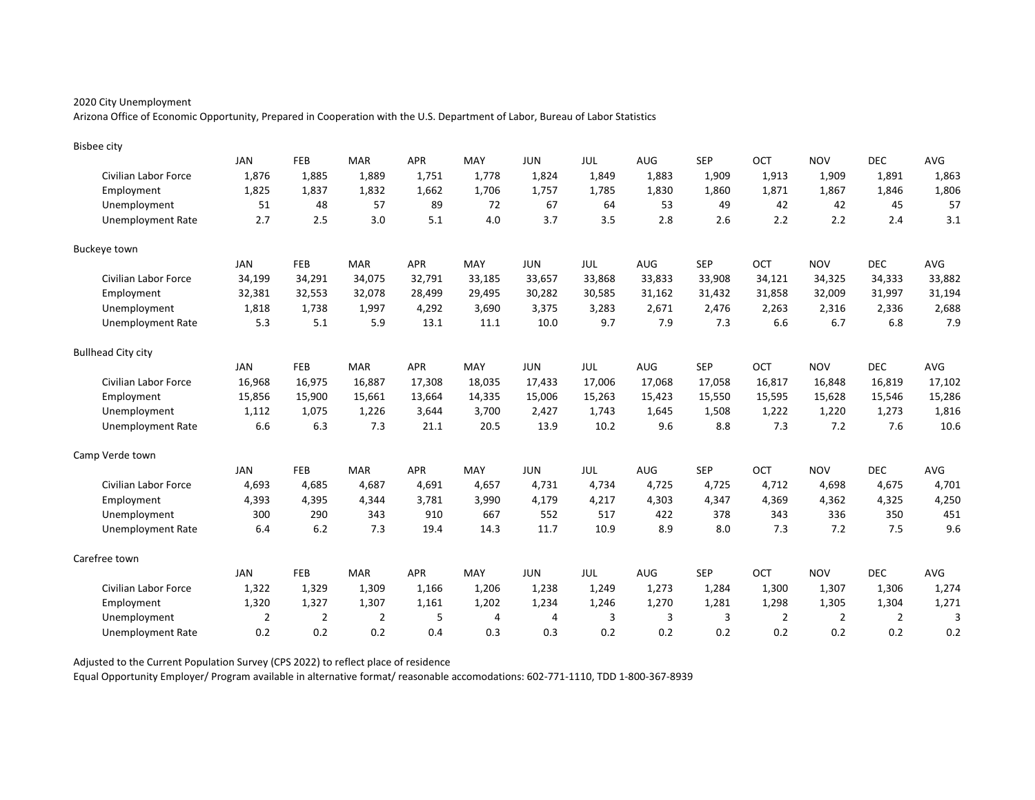Arizona Office of Economic Opportunity, Prepared in Cooperation with the U.S. Department of Labor, Bureau of Labor Statistics

| <b>Bisbee city</b>        |                |                |                |            |                |            |        |            |            |                |                |                |        |
|---------------------------|----------------|----------------|----------------|------------|----------------|------------|--------|------------|------------|----------------|----------------|----------------|--------|
|                           | <b>JAN</b>     | FEB            | <b>MAR</b>     | <b>APR</b> | MAY            | <b>JUN</b> | JUL    | AUG        | <b>SEP</b> | OCT            | <b>NOV</b>     | <b>DEC</b>     | AVG    |
| Civilian Labor Force      | 1,876          | 1,885          | 1,889          | 1,751      | 1,778          | 1,824      | 1,849  | 1,883      | 1,909      | 1,913          | 1,909          | 1,891          | 1,863  |
| Employment                | 1,825          | 1,837          | 1,832          | 1,662      | 1,706          | 1,757      | 1,785  | 1,830      | 1,860      | 1,871          | 1,867          | 1,846          | 1,806  |
| Unemployment              | 51             | 48             | 57             | 89         | 72             | 67         | 64     | 53         | 49         | 42             | 42             | 45             | 57     |
| <b>Unemployment Rate</b>  | 2.7            | 2.5            | 3.0            | 5.1        | 4.0            | 3.7        | 3.5    | 2.8        | 2.6        | 2.2            | 2.2            | 2.4            | 3.1    |
| Buckeye town              |                |                |                |            |                |            |        |            |            |                |                |                |        |
|                           | JAN            | <b>FEB</b>     | <b>MAR</b>     | APR        | MAY            | <b>JUN</b> | JUL    | <b>AUG</b> | <b>SEP</b> | OCT            | <b>NOV</b>     | <b>DEC</b>     | AVG    |
| Civilian Labor Force      | 34,199         | 34,291         | 34,075         | 32,791     | 33,185         | 33,657     | 33,868 | 33,833     | 33,908     | 34,121         | 34,325         | 34,333         | 33,882 |
| Employment                | 32,381         | 32,553         | 32,078         | 28,499     | 29,495         | 30,282     | 30,585 | 31,162     | 31,432     | 31,858         | 32,009         | 31,997         | 31,194 |
| Unemployment              | 1,818          | 1,738          | 1,997          | 4,292      | 3,690          | 3,375      | 3,283  | 2,671      | 2,476      | 2,263          | 2,316          | 2,336          | 2,688  |
| <b>Unemployment Rate</b>  | 5.3            | 5.1            | 5.9            | 13.1       | 11.1           | 10.0       | 9.7    | 7.9        | 7.3        | 6.6            | 6.7            | 6.8            | 7.9    |
| <b>Bullhead City city</b> |                |                |                |            |                |            |        |            |            |                |                |                |        |
|                           | JAN            | <b>FEB</b>     | <b>MAR</b>     | <b>APR</b> | MAY            | <b>JUN</b> | JUL    | <b>AUG</b> | <b>SEP</b> | OCT            | <b>NOV</b>     | <b>DEC</b>     | AVG    |
| Civilian Labor Force      | 16,968         | 16,975         | 16,887         | 17,308     | 18,035         | 17,433     | 17,006 | 17,068     | 17,058     | 16,817         | 16,848         | 16,819         | 17,102 |
| Employment                | 15,856         | 15,900         | 15,661         | 13,664     | 14,335         | 15,006     | 15,263 | 15,423     | 15,550     | 15,595         | 15,628         | 15,546         | 15,286 |
| Unemployment              | 1,112          | 1,075          | 1,226          | 3,644      | 3,700          | 2,427      | 1,743  | 1,645      | 1,508      | 1,222          | 1,220          | 1,273          | 1,816  |
| <b>Unemployment Rate</b>  | 6.6            | 6.3            | 7.3            | 21.1       | 20.5           | 13.9       | 10.2   | 9.6        | 8.8        | 7.3            | 7.2            | 7.6            | 10.6   |
| Camp Verde town           |                |                |                |            |                |            |        |            |            |                |                |                |        |
|                           | JAN            | <b>FEB</b>     | <b>MAR</b>     | <b>APR</b> | MAY            | <b>JUN</b> | JUL    | <b>AUG</b> | <b>SEP</b> | OCT            | <b>NOV</b>     | <b>DEC</b>     | AVG    |
| Civilian Labor Force      | 4,693          | 4,685          | 4,687          | 4,691      | 4,657          | 4,731      | 4,734  | 4,725      | 4,725      | 4,712          | 4,698          | 4,675          | 4,701  |
| Employment                | 4,393          | 4,395          | 4,344          | 3,781      | 3,990          | 4,179      | 4,217  | 4,303      | 4,347      | 4,369          | 4,362          | 4,325          | 4,250  |
| Unemployment              | 300            | 290            | 343            | 910        | 667            | 552        | 517    | 422        | 378        | 343            | 336            | 350            | 451    |
| <b>Unemployment Rate</b>  | 6.4            | 6.2            | 7.3            | 19.4       | 14.3           | 11.7       | 10.9   | 8.9        | 8.0        | 7.3            | 7.2            | 7.5            | 9.6    |
| Carefree town             |                |                |                |            |                |            |        |            |            |                |                |                |        |
|                           | JAN            | FEB            | <b>MAR</b>     | <b>APR</b> | MAY            | <b>JUN</b> | JUL    | AUG        | <b>SEP</b> | OCT            | <b>NOV</b>     | <b>DEC</b>     | AVG    |
| Civilian Labor Force      | 1,322          | 1,329          | 1,309          | 1,166      | 1,206          | 1,238      | 1,249  | 1,273      | 1,284      | 1,300          | 1,307          | 1,306          | 1,274  |
| Employment                | 1,320          | 1,327          | 1,307          | 1,161      | 1,202          | 1,234      | 1,246  | 1,270      | 1,281      | 1,298          | 1,305          | 1,304          | 1,271  |
| Unemployment              | $\overline{2}$ | $\overline{2}$ | $\overline{2}$ | 5          | $\overline{4}$ | 4          | 3      | 3          | 3          | $\overline{2}$ | $\overline{2}$ | $\overline{2}$ | 3      |
| <b>Unemployment Rate</b>  | 0.2            | 0.2            | 0.2            | 0.4        | 0.3            | 0.3        | 0.2    | 0.2        | 0.2        | 0.2            | 0.2            | 0.2            | 0.2    |

Adjusted to the Current Population Survey (CPS 2022) to reflect place of residence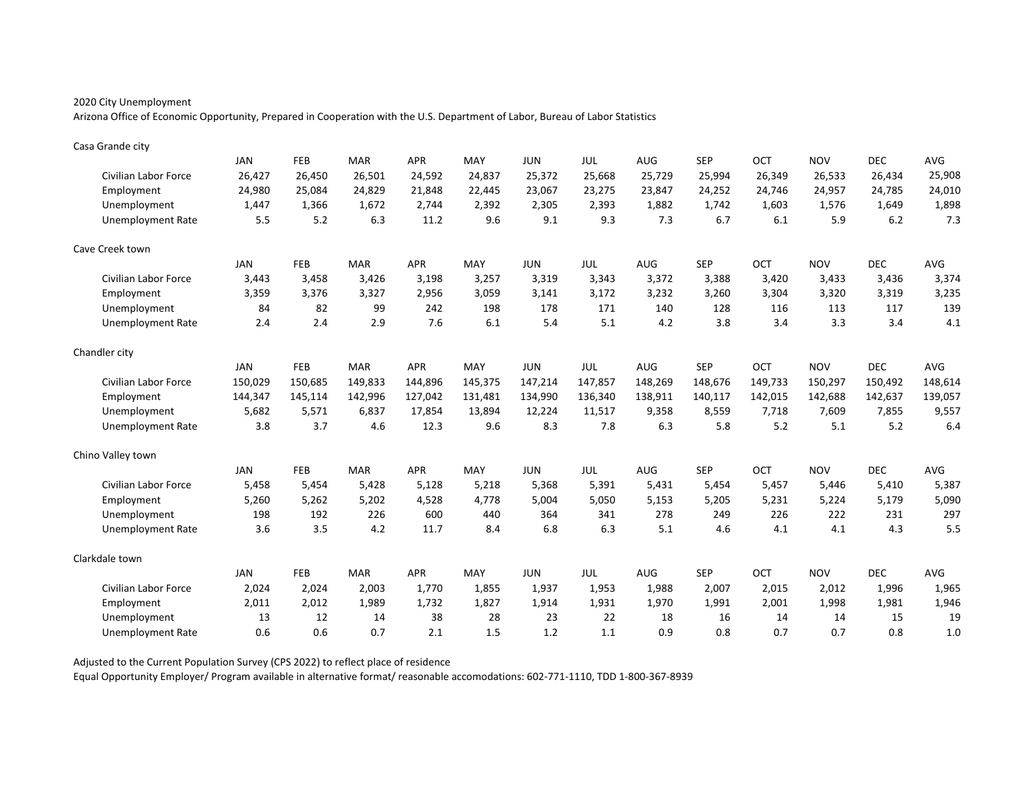Arizona Office of Economic Opportunity, Prepared in Cooperation with the U.S. Department of Labor, Bureau of Labor Statistics

| Casa Grande city         |            |         |            |            |         |            |         |            |            |         |            |            |            |
|--------------------------|------------|---------|------------|------------|---------|------------|---------|------------|------------|---------|------------|------------|------------|
|                          | <b>JAN</b> | FEB     | <b>MAR</b> | <b>APR</b> | MAY     | <b>JUN</b> | JUL     | AUG        | <b>SEP</b> | OCT     | <b>NOV</b> | <b>DEC</b> | <b>AVG</b> |
| Civilian Labor Force     | 26,427     | 26,450  | 26,501     | 24,592     | 24,837  | 25,372     | 25,668  | 25,729     | 25,994     | 26,349  | 26,533     | 26,434     | 25,908     |
| Employment               | 24,980     | 25,084  | 24,829     | 21,848     | 22,445  | 23,067     | 23,275  | 23,847     | 24,252     | 24,746  | 24,957     | 24,785     | 24,010     |
| Unemployment             | 1,447      | 1,366   | 1,672      | 2.744      | 2,392   | 2,305      | 2,393   | 1,882      | 1,742      | 1,603   | 1,576      | 1,649      | 1,898      |
| <b>Unemployment Rate</b> | 5.5        | 5.2     | 6.3        | 11.2       | 9.6     | 9.1        | 9.3     | 7.3        | 6.7        | 6.1     | 5.9        | 6.2        | 7.3        |
| Cave Creek town          |            |         |            |            |         |            |         |            |            |         |            |            |            |
|                          | <b>JAN</b> | FEB     | <b>MAR</b> | <b>APR</b> | MAY     | <b>JUN</b> | JUL     | <b>AUG</b> | <b>SEP</b> | OCT     | <b>NOV</b> | <b>DEC</b> | <b>AVG</b> |
| Civilian Labor Force     | 3,443      | 3,458   | 3,426      | 3,198      | 3,257   | 3,319      | 3,343   | 3,372      | 3,388      | 3,420   | 3,433      | 3,436      | 3,374      |
| Employment               | 3,359      | 3,376   | 3,327      | 2,956      | 3,059   | 3,141      | 3,172   | 3,232      | 3,260      | 3,304   | 3,320      | 3,319      | 3,235      |
| Unemployment             | 84         | 82      | 99         | 242        | 198     | 178        | 171     | 140        | 128        | 116     | 113        | 117        | 139        |
| <b>Unemployment Rate</b> | 2.4        | 2.4     | 2.9        | 7.6        | 6.1     | 5.4        | 5.1     | 4.2        | 3.8        | 3.4     | 3.3        | 3.4        | 4.1        |
| Chandler city            |            |         |            |            |         |            |         |            |            |         |            |            |            |
|                          | JAN        | FEB     | <b>MAR</b> | APR        | MAY     | <b>JUN</b> | JUL     | AUG        | <b>SEP</b> | OCT     | <b>NOV</b> | <b>DEC</b> | AVG        |
| Civilian Labor Force     | 150,029    | 150,685 | 149,833    | 144,896    | 145,375 | 147,214    | 147,857 | 148,269    | 148,676    | 149,733 | 150,297    | 150,492    | 148,614    |
| Employment               | 144,347    | 145,114 | 142,996    | 127,042    | 131,481 | 134,990    | 136,340 | 138,911    | 140,117    | 142,015 | 142,688    | 142,637    | 139,057    |
| Unemployment             | 5,682      | 5,571   | 6,837      | 17,854     | 13,894  | 12,224     | 11,517  | 9,358      | 8,559      | 7,718   | 7,609      | 7,855      | 9,557      |
| <b>Unemployment Rate</b> | 3.8        | 3.7     | 4.6        | 12.3       | 9.6     | 8.3        | 7.8     | 6.3        | 5.8        | 5.2     | 5.1        | 5.2        | 6.4        |
| Chino Valley town        |            |         |            |            |         |            |         |            |            |         |            |            |            |
|                          | JAN        | FEB     | <b>MAR</b> | <b>APR</b> | MAY     | <b>JUN</b> | JUL     | AUG        | <b>SEP</b> | OCT     | <b>NOV</b> | <b>DEC</b> | AVG        |
| Civilian Labor Force     | 5,458      | 5,454   | 5,428      | 5,128      | 5,218   | 5,368      | 5,391   | 5,431      | 5,454      | 5,457   | 5,446      | 5,410      | 5,387      |
| Employment               | 5,260      | 5,262   | 5,202      | 4,528      | 4,778   | 5,004      | 5,050   | 5,153      | 5,205      | 5,231   | 5,224      | 5,179      | 5,090      |
| Unemployment             | 198        | 192     | 226        | 600        | 440     | 364        | 341     | 278        | 249        | 226     | 222        | 231        | 297        |
| <b>Unemployment Rate</b> | 3.6        | 3.5     | 4.2        | 11.7       | 8.4     | 6.8        | 6.3     | 5.1        | 4.6        | 4.1     | 4.1        | 4.3        | 5.5        |
| Clarkdale town           |            |         |            |            |         |            |         |            |            |         |            |            |            |
|                          | JAN        | FEB     | <b>MAR</b> | <b>APR</b> | MAY     | <b>JUN</b> | JUL     | AUG        | <b>SEP</b> | OCT     | <b>NOV</b> | <b>DEC</b> | AVG        |
| Civilian Labor Force     | 2,024      | 2,024   | 2,003      | 1,770      | 1,855   | 1,937      | 1,953   | 1,988      | 2,007      | 2,015   | 2,012      | 1,996      | 1,965      |
| Employment               | 2,011      | 2,012   | 1,989      | 1,732      | 1,827   | 1,914      | 1,931   | 1,970      | 1,991      | 2,001   | 1,998      | 1,981      | 1,946      |
| Unemployment             | 13         | 12      | 14         | 38         | 28      | 23         | 22      | 18         | 16         | 14      | 14         | 15         | 19         |
| <b>Unemployment Rate</b> | 0.6        | 0.6     | 0.7        | 2.1        | 1.5     | 1.2        | 1.1     | 0.9        | 0.8        | 0.7     | 0.7        | 0.8        | 1.0        |

Adjusted to the Current Population Survey (CPS 2022) to reflect place of residence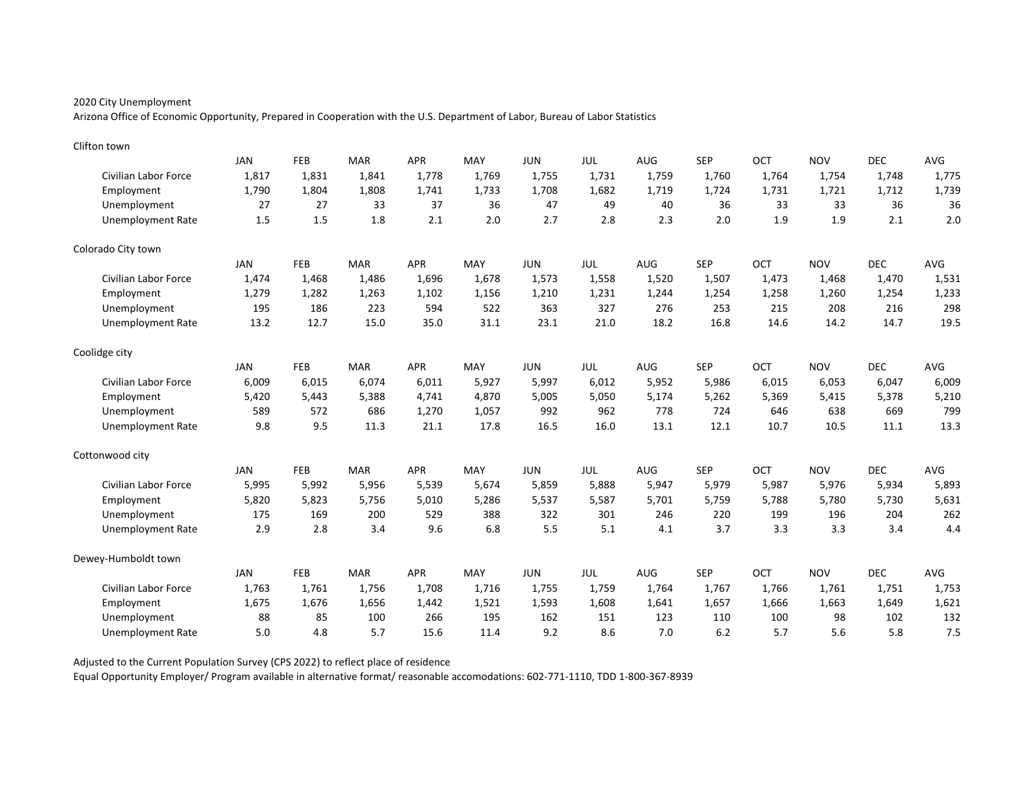Arizona Office of Economic Opportunity, Prepared in Cooperation with the U.S. Department of Labor, Bureau of Labor Statistics

| Clifton town             |            |            |            |            |       |            |       |            |            |            |            |            |       |
|--------------------------|------------|------------|------------|------------|-------|------------|-------|------------|------------|------------|------------|------------|-------|
|                          | <b>JAN</b> | FEB        | <b>MAR</b> | <b>APR</b> | MAY   | <b>JUN</b> | JUL   | <b>AUG</b> | <b>SEP</b> | OCT        | <b>NOV</b> | <b>DEC</b> | AVG   |
| Civilian Labor Force     | 1,817      | 1,831      | 1,841      | 1,778      | 1,769 | 1,755      | 1,731 | 1,759      | 1,760      | 1,764      | 1,754      | 1,748      | 1,775 |
| Employment               | 1,790      | 1,804      | 1,808      | 1,741      | 1,733 | 1,708      | 1,682 | 1,719      | 1,724      | 1,731      | 1,721      | 1,712      | 1,739 |
| Unemployment             | 27         | 27         | 33         | 37         | 36    | 47         | 49    | 40         | 36         | 33         | 33         | 36         | 36    |
| <b>Unemployment Rate</b> | 1.5        | 1.5        | 1.8        | 2.1        | 2.0   | 2.7        | 2.8   | 2.3        | 2.0        | 1.9        | 1.9        | 2.1        | 2.0   |
| Colorado City town       |            |            |            |            |       |            |       |            |            |            |            |            |       |
|                          | JAN        | FEB        | <b>MAR</b> | <b>APR</b> | MAY   | <b>JUN</b> | JUL   | AUG        | <b>SEP</b> | OCT        | <b>NOV</b> | <b>DEC</b> | AVG   |
| Civilian Labor Force     | 1,474      | 1,468      | 1,486      | 1.696      | 1,678 | 1,573      | 1,558 | 1,520      | 1,507      | 1,473      | 1,468      | 1,470      | 1,531 |
| Employment               | 1,279      | 1,282      | 1,263      | 1,102      | 1,156 | 1,210      | 1,231 | 1,244      | 1,254      | 1,258      | 1,260      | 1,254      | 1,233 |
| Unemployment             | 195        | 186        | 223        | 594        | 522   | 363        | 327   | 276        | 253        | 215        | 208        | 216        | 298   |
| <b>Unemployment Rate</b> | 13.2       | 12.7       | 15.0       | 35.0       | 31.1  | 23.1       | 21.0  | 18.2       | 16.8       | 14.6       | 14.2       | 14.7       | 19.5  |
| Coolidge city            |            |            |            |            |       |            |       |            |            |            |            |            |       |
|                          | <b>JAN</b> | <b>FEB</b> | <b>MAR</b> | <b>APR</b> | MAY   | <b>JUN</b> | JUL   | AUG        | <b>SEP</b> | <b>OCT</b> | <b>NOV</b> | <b>DEC</b> | AVG   |
| Civilian Labor Force     | 6,009      | 6,015      | 6,074      | 6,011      | 5,927 | 5,997      | 6,012 | 5,952      | 5,986      | 6,015      | 6,053      | 6,047      | 6,009 |
| Employment               | 5,420      | 5,443      | 5,388      | 4.741      | 4,870 | 5,005      | 5,050 | 5,174      | 5,262      | 5,369      | 5,415      | 5,378      | 5,210 |
| Unemployment             | 589        | 572        | 686        | 1,270      | 1,057 | 992        | 962   | 778        | 724        | 646        | 638        | 669        | 799   |
| <b>Unemployment Rate</b> | 9.8        | 9.5        | 11.3       | 21.1       | 17.8  | 16.5       | 16.0  | 13.1       | 12.1       | 10.7       | 10.5       | 11.1       | 13.3  |
| Cottonwood city          |            |            |            |            |       |            |       |            |            |            |            |            |       |
|                          | JAN        | FEB        | <b>MAR</b> | <b>APR</b> | MAY   | <b>JUN</b> | JUL   | <b>AUG</b> | <b>SEP</b> | OCT        | <b>NOV</b> | <b>DEC</b> | AVG   |
| Civilian Labor Force     | 5,995      | 5,992      | 5,956      | 5,539      | 5,674 | 5,859      | 5,888 | 5,947      | 5,979      | 5,987      | 5,976      | 5,934      | 5,893 |
| Employment               | 5,820      | 5,823      | 5,756      | 5,010      | 5,286 | 5,537      | 5,587 | 5,701      | 5,759      | 5,788      | 5,780      | 5,730      | 5,631 |
| Unemployment             | 175        | 169        | 200        | 529        | 388   | 322        | 301   | 246        | 220        | 199        | 196        | 204        | 262   |
| <b>Unemployment Rate</b> | 2.9        | 2.8        | 3.4        | 9.6        | 6.8   | 5.5        | 5.1   | 4.1        | 3.7        | 3.3        | 3.3        | 3.4        | 4.4   |
| Dewey-Humboldt town      |            |            |            |            |       |            |       |            |            |            |            |            |       |
|                          | <b>JAN</b> | FEB        | <b>MAR</b> | <b>APR</b> | MAY   | <b>JUN</b> | JUL   | AUG        | <b>SEP</b> | OCT        | <b>NOV</b> | <b>DEC</b> | AVG   |
| Civilian Labor Force     | 1,763      | 1,761      | 1,756      | 1,708      | 1,716 | 1,755      | 1,759 | 1,764      | 1,767      | 1,766      | 1,761      | 1,751      | 1,753 |
| Employment               | 1,675      | 1,676      | 1,656      | 1,442      | 1,521 | 1,593      | 1,608 | 1,641      | 1,657      | 1,666      | 1,663      | 1,649      | 1,621 |
| Unemployment             | 88         | 85         | 100        | 266        | 195   | 162        | 151   | 123        | 110        | 100        | 98         | 102        | 132   |
| <b>Unemployment Rate</b> | 5.0        | 4.8        | 5.7        | 15.6       | 11.4  | 9.2        | 8.6   | 7.0        | 6.2        | 5.7        | 5.6        | 5.8        | 7.5   |

Adjusted to the Current Population Survey (CPS 2022) to reflect place of residence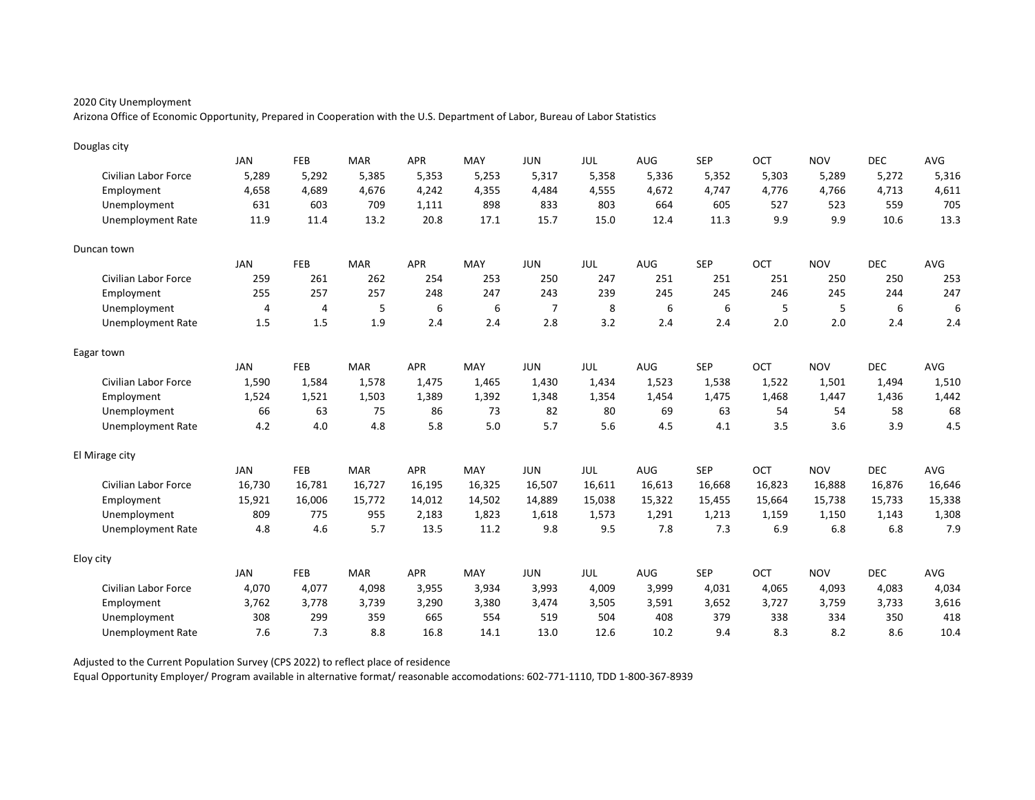Arizona Office of Economic Opportunity, Prepared in Cooperation with the U.S. Department of Labor, Bureau of Labor Statistics

| Douglas city                |            |                |            |            |        |                |        |        |            |        |            |            |        |
|-----------------------------|------------|----------------|------------|------------|--------|----------------|--------|--------|------------|--------|------------|------------|--------|
|                             | <b>JAN</b> | FEB            | <b>MAR</b> | <b>APR</b> | MAY    | <b>JUN</b>     | JUL    | AUG    | <b>SEP</b> | OCT    | <b>NOV</b> | <b>DEC</b> | AVG    |
| Civilian Labor Force        | 5,289      | 5,292          | 5,385      | 5,353      | 5,253  | 5,317          | 5,358  | 5,336  | 5,352      | 5,303  | 5,289      | 5,272      | 5,316  |
| Employment                  | 4,658      | 4,689          | 4,676      | 4,242      | 4,355  | 4,484          | 4,555  | 4,672  | 4,747      | 4,776  | 4,766      | 4,713      | 4,611  |
| Unemployment                | 631        | 603            | 709        | 1,111      | 898    | 833            | 803    | 664    | 605        | 527    | 523        | 559        | 705    |
| <b>Unemployment Rate</b>    | 11.9       | 11.4           | 13.2       | 20.8       | 17.1   | 15.7           | 15.0   | 12.4   | 11.3       | 9.9    | 9.9        | 10.6       | 13.3   |
| Duncan town                 |            |                |            |            |        |                |        |        |            |        |            |            |        |
|                             | JAN        | <b>FEB</b>     | <b>MAR</b> | <b>APR</b> | MAY    | <b>JUN</b>     | JUL    | AUG    | <b>SEP</b> | OCT    | <b>NOV</b> | <b>DEC</b> | AVG    |
| Civilian Labor Force        | 259        | 261            | 262        | 254        | 253    | 250            | 247    | 251    | 251        | 251    | 250        | 250        | 253    |
| Employment                  | 255        | 257            | 257        | 248        | 247    | 243            | 239    | 245    | 245        | 246    | 245        | 244        | 247    |
| Unemployment                | 4          | $\overline{4}$ | 5          | 6          | 6      | $\overline{7}$ | 8      | 6      | 6          | 5      | 5          | 6          | 6      |
| <b>Unemployment Rate</b>    | 1.5        | 1.5            | 1.9        | 2.4        | 2.4    | 2.8            | 3.2    | 2.4    | 2.4        | 2.0    | 2.0        | 2.4        | 2.4    |
| Eagar town                  |            |                |            |            |        |                |        |        |            |        |            |            |        |
|                             | <b>JAN</b> | <b>FEB</b>     | <b>MAR</b> | <b>APR</b> | MAY    | <b>JUN</b>     | JUL    | AUG    | <b>SEP</b> | OCT    | <b>NOV</b> | <b>DEC</b> | AVG    |
| <b>Civilian Labor Force</b> | 1,590      | 1,584          | 1,578      | 1,475      | 1,465  | 1,430          | 1,434  | 1,523  | 1,538      | 1,522  | 1,501      | 1,494      | 1,510  |
| Employment                  | 1,524      | 1,521          | 1,503      | 1,389      | 1,392  | 1,348          | 1,354  | 1,454  | 1,475      | 1,468  | 1,447      | 1,436      | 1,442  |
| Unemployment                | 66         | 63             | 75         | 86         | 73     | 82             | 80     | 69     | 63         | 54     | 54         | 58         | 68     |
| <b>Unemployment Rate</b>    | 4.2        | 4.0            | 4.8        | 5.8        | 5.0    | 5.7            | 5.6    | 4.5    | 4.1        | 3.5    | 3.6        | 3.9        | 4.5    |
| El Mirage city              |            |                |            |            |        |                |        |        |            |        |            |            |        |
|                             | <b>JAN</b> | FEB            | <b>MAR</b> | <b>APR</b> | MAY    | <b>JUN</b>     | JUL    | AUG    | <b>SEP</b> | OCT    | <b>NOV</b> | <b>DEC</b> | AVG    |
| Civilian Labor Force        | 16,730     | 16,781         | 16,727     | 16,195     | 16,325 | 16,507         | 16,611 | 16,613 | 16,668     | 16,823 | 16,888     | 16,876     | 16,646 |
| Employment                  | 15,921     | 16,006         | 15,772     | 14,012     | 14,502 | 14,889         | 15,038 | 15,322 | 15,455     | 15,664 | 15,738     | 15,733     | 15,338 |
| Unemployment                | 809        | 775            | 955        | 2,183      | 1,823  | 1,618          | 1,573  | 1,291  | 1,213      | 1,159  | 1,150      | 1,143      | 1,308  |
| <b>Unemployment Rate</b>    | 4.8        | 4.6            | 5.7        | 13.5       | 11.2   | 9.8            | 9.5    | 7.8    | 7.3        | 6.9    | 6.8        | 6.8        | 7.9    |
| Eloy city                   |            |                |            |            |        |                |        |        |            |        |            |            |        |
|                             | <b>JAN</b> | FEB            | <b>MAR</b> | <b>APR</b> | MAY    | <b>JUN</b>     | JUL    | AUG    | <b>SEP</b> | OCT    | <b>NOV</b> | <b>DEC</b> | AVG    |
| Civilian Labor Force        | 4,070      | 4,077          | 4,098      | 3,955      | 3,934  | 3,993          | 4,009  | 3,999  | 4,031      | 4,065  | 4,093      | 4,083      | 4,034  |
| Employment                  | 3,762      | 3,778          | 3,739      | 3,290      | 3,380  | 3,474          | 3,505  | 3,591  | 3,652      | 3,727  | 3,759      | 3,733      | 3,616  |
| Unemployment                | 308        | 299            | 359        | 665        | 554    | 519            | 504    | 408    | 379        | 338    | 334        | 350        | 418    |
| Unemployment Rate           | 7.6        | 7.3            | 8.8        | 16.8       | 14.1   | 13.0           | 12.6   | 10.2   | 9.4        | 8.3    | 8.2        | 8.6        | 10.4   |

Adjusted to the Current Population Survey (CPS 2022) to reflect place of residence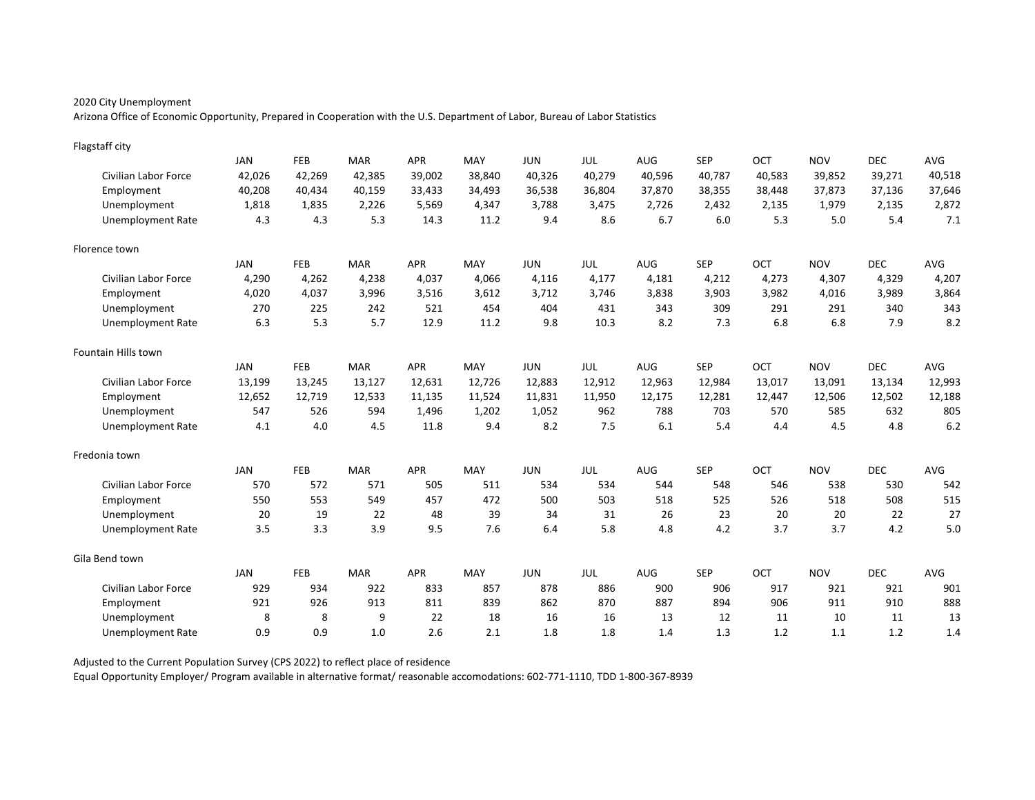Arizona Office of Economic Opportunity, Prepared in Cooperation with the U.S. Department of Labor, Bureau of Labor Statistics

| Flagstaff city              |            |        |            |            |        |            |            |        |            |        |            |            |            |
|-----------------------------|------------|--------|------------|------------|--------|------------|------------|--------|------------|--------|------------|------------|------------|
|                             | <b>JAN</b> | FEB    | <b>MAR</b> | <b>APR</b> | MAY    | <b>JUN</b> | <b>JUL</b> | AUG    | <b>SEP</b> | OCT    | <b>NOV</b> | <b>DEC</b> | <b>AVG</b> |
| Civilian Labor Force        | 42,026     | 42,269 | 42,385     | 39,002     | 38,840 | 40,326     | 40,279     | 40,596 | 40,787     | 40,583 | 39,852     | 39,271     | 40,518     |
| Employment                  | 40,208     | 40,434 | 40,159     | 33,433     | 34,493 | 36,538     | 36,804     | 37,870 | 38,355     | 38,448 | 37,873     | 37,136     | 37,646     |
| Unemployment                | 1,818      | 1,835  | 2,226      | 5,569      | 4,347  | 3,788      | 3,475      | 2,726  | 2,432      | 2,135  | 1,979      | 2,135      | 2,872      |
| <b>Unemployment Rate</b>    | 4.3        | 4.3    | 5.3        | 14.3       | 11.2   | 9.4        | 8.6        | 6.7    | 6.0        | 5.3    | 5.0        | 5.4        | 7.1        |
| Florence town               |            |        |            |            |        |            |            |        |            |        |            |            |            |
|                             | JAN        | FEB    | <b>MAR</b> | <b>APR</b> | MAY    | <b>JUN</b> | <b>JUL</b> | AUG    | <b>SEP</b> | OCT    | <b>NOV</b> | <b>DEC</b> | <b>AVG</b> |
| Civilian Labor Force        | 4,290      | 4,262  | 4,238      | 4,037      | 4,066  | 4,116      | 4,177      | 4,181  | 4,212      | 4,273  | 4,307      | 4,329      | 4,207      |
| Employment                  | 4,020      | 4,037  | 3,996      | 3,516      | 3,612  | 3,712      | 3,746      | 3,838  | 3,903      | 3,982  | 4,016      | 3,989      | 3,864      |
| Unemployment                | 270        | 225    | 242        | 521        | 454    | 404        | 431        | 343    | 309        | 291    | 291        | 340        | 343        |
| <b>Unemployment Rate</b>    | 6.3        | 5.3    | 5.7        | 12.9       | 11.2   | 9.8        | 10.3       | 8.2    | 7.3        | 6.8    | 6.8        | 7.9        | 8.2        |
| Fountain Hills town         |            |        |            |            |        |            |            |        |            |        |            |            |            |
|                             | <b>JAN</b> | FEB    | <b>MAR</b> | <b>APR</b> | MAY    | <b>JUN</b> | JUL        | AUG    | <b>SEP</b> | OCT    | <b>NOV</b> | <b>DEC</b> | AVG        |
| Civilian Labor Force        | 13,199     | 13,245 | 13,127     | 12,631     | 12,726 | 12,883     | 12,912     | 12,963 | 12,984     | 13,017 | 13,091     | 13,134     | 12,993     |
| Employment                  | 12,652     | 12,719 | 12,533     | 11,135     | 11,524 | 11,831     | 11,950     | 12,175 | 12,281     | 12,447 | 12,506     | 12,502     | 12,188     |
| Unemployment                | 547        | 526    | 594        | 1,496      | 1,202  | 1,052      | 962        | 788    | 703        | 570    | 585        | 632        | 805        |
| <b>Unemployment Rate</b>    | 4.1        | 4.0    | 4.5        | 11.8       | 9.4    | 8.2        | 7.5        | 6.1    | 5.4        | 4.4    | 4.5        | 4.8        | 6.2        |
| Fredonia town               |            |        |            |            |        |            |            |        |            |        |            |            |            |
|                             | <b>JAN</b> | FEB    | <b>MAR</b> | <b>APR</b> | MAY    | <b>JUN</b> | <b>JUL</b> | AUG    | <b>SEP</b> | OCT    | <b>NOV</b> | <b>DEC</b> | AVG        |
| Civilian Labor Force        | 570        | 572    | 571        | 505        | 511    | 534        | 534        | 544    | 548        | 546    | 538        | 530        | 542        |
| Employment                  | 550        | 553    | 549        | 457        | 472    | 500        | 503        | 518    | 525        | 526    | 518        | 508        | 515        |
| Unemployment                | 20         | 19     | 22         | 48         | 39     | 34         | 31         | 26     | 23         | 20     | 20         | 22         | 27         |
| <b>Unemployment Rate</b>    | 3.5        | 3.3    | 3.9        | 9.5        | 7.6    | 6.4        | 5.8        | 4.8    | 4.2        | 3.7    | 3.7        | 4.2        | 5.0        |
| Gila Bend town              |            |        |            |            |        |            |            |        |            |        |            |            |            |
|                             | <b>JAN</b> | FEB    | <b>MAR</b> | <b>APR</b> | MAY    | <b>JUN</b> | <b>JUL</b> | AUG    | <b>SEP</b> | OCT    | <b>NOV</b> | <b>DEC</b> | AVG        |
| <b>Civilian Labor Force</b> | 929        | 934    | 922        | 833        | 857    | 878        | 886        | 900    | 906        | 917    | 921        | 921        | 901        |
| Employment                  | 921        | 926    | 913        | 811        | 839    | 862        | 870        | 887    | 894        | 906    | 911        | 910        | 888        |
| Unemployment                | 8          | 8      | 9          | 22         | 18     | 16         | 16         | 13     | 12         | 11     | 10         | 11         | 13         |
| Unemployment Rate           | 0.9        | 0.9    | 1.0        | 2.6        | 2.1    | 1.8        | 1.8        | 1.4    | 1.3        | 1.2    | 1.1        | 1.2        | 1.4        |

Adjusted to the Current Population Survey (CPS 2022) to reflect place of residence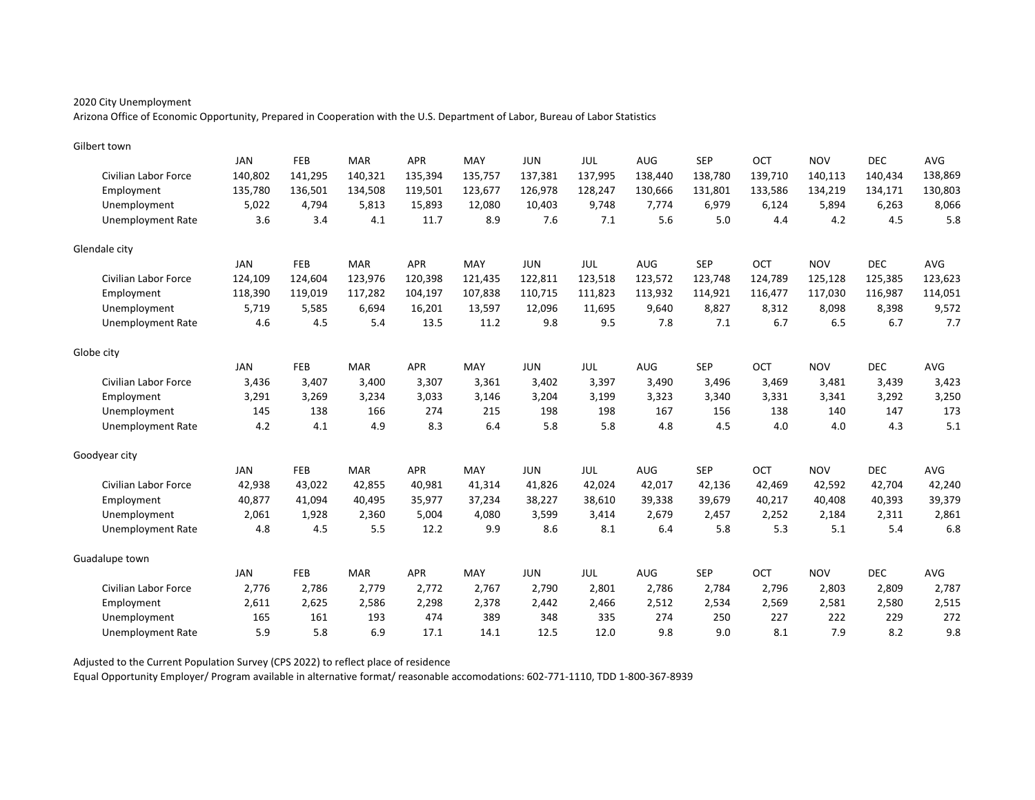Arizona Office of Economic Opportunity, Prepared in Cooperation with the U.S. Department of Labor, Bureau of Labor Statistics

| Gilbert town             |            |         |            |            |         |            |            |         |            |         |            |            |            |
|--------------------------|------------|---------|------------|------------|---------|------------|------------|---------|------------|---------|------------|------------|------------|
|                          | <b>JAN</b> | FEB     | <b>MAR</b> | <b>APR</b> | MAY     | <b>JUN</b> | JUL        | AUG     | <b>SEP</b> | OCT     | <b>NOV</b> | <b>DEC</b> | <b>AVG</b> |
| Civilian Labor Force     | 140,802    | 141,295 | 140,321    | 135,394    | 135,757 | 137,381    | 137,995    | 138,440 | 138,780    | 139,710 | 140,113    | 140,434    | 138,869    |
| Employment               | 135,780    | 136,501 | 134,508    | 119,501    | 123,677 | 126,978    | 128,247    | 130,666 | 131,801    | 133,586 | 134,219    | 134,171    | 130,803    |
| Unemployment             | 5,022      | 4.794   | 5,813      | 15,893     | 12,080  | 10,403     | 9,748      | 7,774   | 6,979      | 6,124   | 5,894      | 6,263      | 8,066      |
| <b>Unemployment Rate</b> | 3.6        | 3.4     | 4.1        | 11.7       | 8.9     | 7.6        | 7.1        | 5.6     | 5.0        | 4.4     | 4.2        | 4.5        | 5.8        |
| Glendale city            |            |         |            |            |         |            |            |         |            |         |            |            |            |
|                          | <b>JAN</b> | FEB     | <b>MAR</b> | <b>APR</b> | MAY     | <b>JUN</b> | JUL        | AUG     | <b>SEP</b> | OCT     | <b>NOV</b> | <b>DEC</b> | <b>AVG</b> |
| Civilian Labor Force     | 124,109    | 124,604 | 123,976    | 120,398    | 121,435 | 122,811    | 123,518    | 123,572 | 123,748    | 124,789 | 125,128    | 125,385    | 123,623    |
| Employment               | 118,390    | 119,019 | 117,282    | 104,197    | 107,838 | 110,715    | 111,823    | 113,932 | 114,921    | 116,477 | 117,030    | 116,987    | 114,051    |
| Unemployment             | 5,719      | 5,585   | 6,694      | 16,201     | 13,597  | 12,096     | 11,695     | 9,640   | 8,827      | 8,312   | 8,098      | 8,398      | 9,572      |
| <b>Unemployment Rate</b> | 4.6        | 4.5     | 5.4        | 13.5       | 11.2    | 9.8        | 9.5        | 7.8     | 7.1        | 6.7     | 6.5        | 6.7        | 7.7        |
| Globe city               |            |         |            |            |         |            |            |         |            |         |            |            |            |
|                          | <b>JAN</b> | FEB     | <b>MAR</b> | <b>APR</b> | MAY     | <b>JUN</b> | <b>JUL</b> | AUG     | <b>SEP</b> | OCT     | <b>NOV</b> | <b>DEC</b> | AVG        |
| Civilian Labor Force     | 3,436      | 3,407   | 3,400      | 3,307      | 3,361   | 3,402      | 3,397      | 3,490   | 3,496      | 3,469   | 3,481      | 3,439      | 3,423      |
| Employment               | 3,291      | 3,269   | 3,234      | 3,033      | 3,146   | 3,204      | 3,199      | 3,323   | 3,340      | 3.331   | 3,341      | 3,292      | 3,250      |
| Unemployment             | 145        | 138     | 166        | 274        | 215     | 198        | 198        | 167     | 156        | 138     | 140        | 147        | 173        |
| <b>Unemployment Rate</b> | 4.2        | 4.1     | 4.9        | 8.3        | 6.4     | 5.8        | 5.8        | 4.8     | 4.5        | 4.0     | 4.0        | 4.3        | 5.1        |
| Goodyear city            |            |         |            |            |         |            |            |         |            |         |            |            |            |
|                          | JAN        | FEB     | <b>MAR</b> | <b>APR</b> | MAY     | <b>JUN</b> | <b>JUL</b> | AUG     | <b>SEP</b> | OCT     | <b>NOV</b> | <b>DEC</b> | AVG        |
| Civilian Labor Force     | 42,938     | 43,022  | 42,855     | 40,981     | 41,314  | 41,826     | 42,024     | 42,017  | 42,136     | 42,469  | 42,592     | 42,704     | 42,240     |
| Employment               | 40,877     | 41,094  | 40,495     | 35,977     | 37,234  | 38,227     | 38,610     | 39,338  | 39,679     | 40,217  | 40,408     | 40,393     | 39,379     |
| Unemployment             | 2,061      | 1,928   | 2,360      | 5,004      | 4,080   | 3,599      | 3,414      | 2,679   | 2,457      | 2,252   | 2,184      | 2,311      | 2,861      |
| <b>Unemployment Rate</b> | 4.8        | 4.5     | 5.5        | 12.2       | 9.9     | 8.6        | 8.1        | 6.4     | 5.8        | 5.3     | 5.1        | 5.4        | 6.8        |
| Guadalupe town           |            |         |            |            |         |            |            |         |            |         |            |            |            |
|                          | <b>JAN</b> | FEB     | <b>MAR</b> | <b>APR</b> | MAY     | <b>JUN</b> | JUL        | AUG     | <b>SEP</b> | OCT     | <b>NOV</b> | <b>DEC</b> | AVG        |
| Civilian Labor Force     | 2,776      | 2,786   | 2,779      | 2,772      | 2,767   | 2,790      | 2,801      | 2,786   | 2,784      | 2,796   | 2,803      | 2,809      | 2,787      |
| Employment               | 2,611      | 2,625   | 2,586      | 2,298      | 2,378   | 2,442      | 2,466      | 2,512   | 2,534      | 2,569   | 2,581      | 2,580      | 2,515      |
| Unemployment             | 165        | 161     | 193        | 474        | 389     | 348        | 335        | 274     | 250        | 227     | 222        | 229        | 272        |
| Unemployment Rate        | 5.9        | 5.8     | 6.9        | 17.1       | 14.1    | 12.5       | 12.0       | 9.8     | 9.0        | 8.1     | 7.9        | 8.2        | 9.8        |

Adjusted to the Current Population Survey (CPS 2022) to reflect place of residence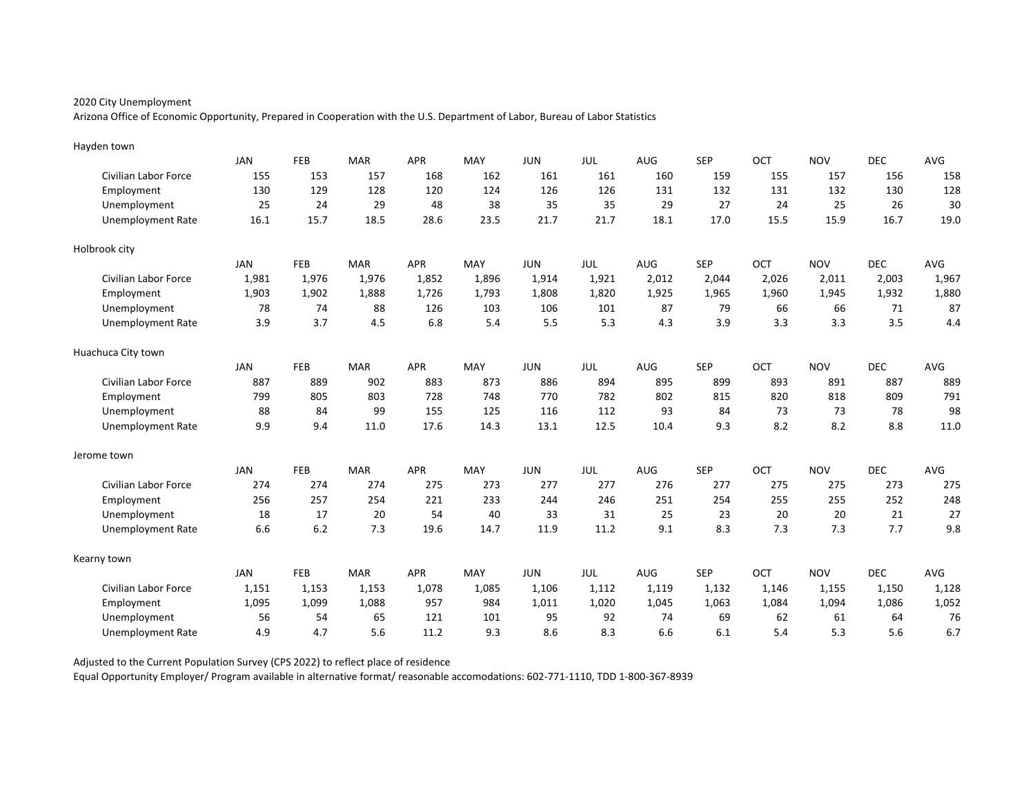Arizona Office of Economic Opportunity, Prepared in Cooperation with the U.S. Department of Labor, Bureau of Labor Statistics

| Hayden town                 |            |            |            |            |       |            |            |       |            |       |            |            |       |
|-----------------------------|------------|------------|------------|------------|-------|------------|------------|-------|------------|-------|------------|------------|-------|
|                             | <b>JAN</b> | FEB        | <b>MAR</b> | <b>APR</b> | MAY   | <b>JUN</b> | JUL        | AUG   | <b>SEP</b> | OCT   | <b>NOV</b> | <b>DEC</b> | AVG   |
| Civilian Labor Force        | 155        | 153        | 157        | 168        | 162   | 161        | 161        | 160   | 159        | 155   | 157        | 156        | 158   |
| Employment                  | 130        | 129        | 128        | 120        | 124   | 126        | 126        | 131   | 132        | 131   | 132        | 130        | 128   |
| Unemployment                | 25         | 24         | 29         | 48         | 38    | 35         | 35         | 29    | 27         | 24    | 25         | 26         | 30    |
| <b>Unemployment Rate</b>    | 16.1       | 15.7       | 18.5       | 28.6       | 23.5  | 21.7       | 21.7       | 18.1  | 17.0       | 15.5  | 15.9       | 16.7       | 19.0  |
| Holbrook city               |            |            |            |            |       |            |            |       |            |       |            |            |       |
|                             | JAN        | <b>FEB</b> | <b>MAR</b> | <b>APR</b> | MAY   | <b>JUN</b> | JUL        | AUG   | <b>SEP</b> | OCT   | <b>NOV</b> | <b>DEC</b> | AVG   |
| Civilian Labor Force        | 1,981      | 1,976      | 1,976      | 1,852      | 1,896 | 1,914      | 1,921      | 2,012 | 2,044      | 2,026 | 2,011      | 2,003      | 1,967 |
| Employment                  | 1,903      | 1,902      | 1,888      | 1,726      | 1,793 | 1,808      | 1,820      | 1,925 | 1,965      | 1,960 | 1,945      | 1,932      | 1,880 |
| Unemployment                | 78         | 74         | 88         | 126        | 103   | 106        | 101        | 87    | 79         | 66    | 66         | 71         | 87    |
| <b>Unemployment Rate</b>    | 3.9        | 3.7        | 4.5        | 6.8        | 5.4   | 5.5        | 5.3        | 4.3   | 3.9        | 3.3   | 3.3        | 3.5        | 4.4   |
| Huachuca City town          |            |            |            |            |       |            |            |       |            |       |            |            |       |
|                             | <b>JAN</b> | FEB        | <b>MAR</b> | <b>APR</b> | MAY   | <b>JUN</b> | <b>JUL</b> | AUG   | <b>SEP</b> | OCT   | <b>NOV</b> | <b>DEC</b> | AVG   |
| <b>Civilian Labor Force</b> | 887        | 889        | 902        | 883        | 873   | 886        | 894        | 895   | 899        | 893   | 891        | 887        | 889   |
| Employment                  | 799        | 805        | 803        | 728        | 748   | 770        | 782        | 802   | 815        | 820   | 818        | 809        | 791   |
| Unemployment                | 88         | 84         | 99         | 155        | 125   | 116        | 112        | 93    | 84         | 73    | 73         | 78         | 98    |
| <b>Unemployment Rate</b>    | 9.9        | 9.4        | 11.0       | 17.6       | 14.3  | 13.1       | 12.5       | 10.4  | 9.3        | 8.2   | 8.2        | 8.8        | 11.0  |
| Jerome town                 |            |            |            |            |       |            |            |       |            |       |            |            |       |
|                             | <b>JAN</b> | FEB        | <b>MAR</b> | <b>APR</b> | MAY   | <b>JUN</b> | JUL        | AUG   | <b>SEP</b> | OCT   | <b>NOV</b> | <b>DEC</b> | AVG   |
| <b>Civilian Labor Force</b> | 274        | 274        | 274        | 275        | 273   | 277        | 277        | 276   | 277        | 275   | 275        | 273        | 275   |
| Employment                  | 256        | 257        | 254        | 221        | 233   | 244        | 246        | 251   | 254        | 255   | 255        | 252        | 248   |
| Unemployment                | 18         | 17         | 20         | 54         | 40    | 33         | 31         | 25    | 23         | 20    | 20         | 21         | 27    |
| <b>Unemployment Rate</b>    | 6.6        | 6.2        | 7.3        | 19.6       | 14.7  | 11.9       | 11.2       | 9.1   | 8.3        | 7.3   | 7.3        | 7.7        | 9.8   |
| Kearny town                 |            |            |            |            |       |            |            |       |            |       |            |            |       |
|                             | <b>JAN</b> | FEB        | <b>MAR</b> | <b>APR</b> | MAY   | <b>JUN</b> | JUL        | AUG   | <b>SEP</b> | OCT   | <b>NOV</b> | <b>DEC</b> | AVG   |
| Civilian Labor Force        | 1,151      | 1,153      | 1,153      | 1,078      | 1,085 | 1,106      | 1,112      | 1,119 | 1,132      | 1,146 | 1,155      | 1,150      | 1,128 |
| Employment                  | 1,095      | 1,099      | 1,088      | 957        | 984   | 1,011      | 1,020      | 1,045 | 1,063      | 1,084 | 1,094      | 1,086      | 1,052 |
| Unemployment                | 56         | 54         | 65         | 121        | 101   | 95         | 92         | 74    | 69         | 62    | 61         | 64         | 76    |
| Unemployment Rate           | 4.9        | 4.7        | 5.6        | 11.2       | 9.3   | 8.6        | 8.3        | 6.6   | 6.1        | 5.4   | 5.3        | 5.6        | 6.7   |

Adjusted to the Current Population Survey (CPS 2022) to reflect place of residence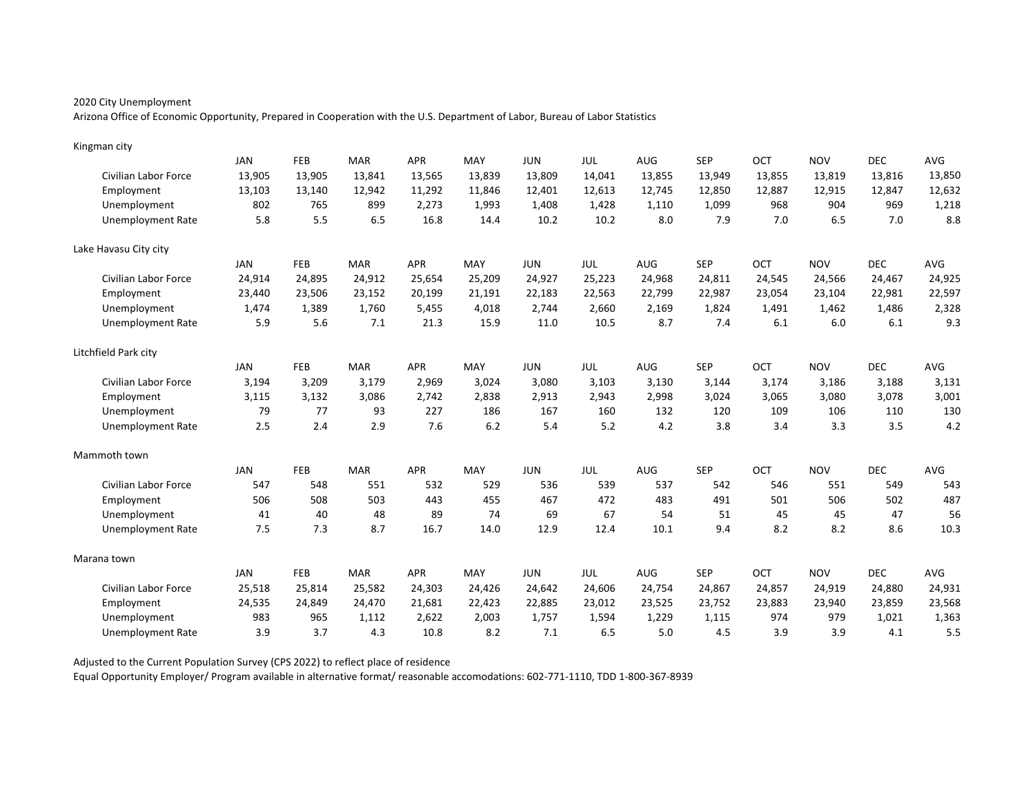Arizona Office of Economic Opportunity, Prepared in Cooperation with the U.S. Department of Labor, Bureau of Labor Statistics

| Kingman city             |            |            |            |            |        |            |        |            |            |            |            |            |            |
|--------------------------|------------|------------|------------|------------|--------|------------|--------|------------|------------|------------|------------|------------|------------|
|                          | <b>JAN</b> | FEB        | <b>MAR</b> | <b>APR</b> | MAY    | <b>JUN</b> | JUL    | AUG        | <b>SEP</b> | OCT        | <b>NOV</b> | <b>DEC</b> | <b>AVG</b> |
| Civilian Labor Force     | 13,905     | 13,905     | 13,841     | 13,565     | 13,839 | 13,809     | 14,041 | 13,855     | 13,949     | 13,855     | 13,819     | 13,816     | 13,850     |
| Employment               | 13,103     | 13,140     | 12,942     | 11,292     | 11,846 | 12,401     | 12,613 | 12,745     | 12,850     | 12,887     | 12,915     | 12,847     | 12,632     |
| Unemployment             | 802        | 765        | 899        | 2,273      | 1,993  | 1,408      | 1,428  | 1,110      | 1,099      | 968        | 904        | 969        | 1,218      |
| <b>Unemployment Rate</b> | 5.8        | 5.5        | 6.5        | 16.8       | 14.4   | 10.2       | 10.2   | 8.0        | 7.9        | 7.0        | 6.5        | 7.0        | 8.8        |
| Lake Havasu City city    |            |            |            |            |        |            |        |            |            |            |            |            |            |
|                          | JAN        | <b>FEB</b> | <b>MAR</b> | <b>APR</b> | MAY    | <b>JUN</b> | JUL    | <b>AUG</b> | <b>SEP</b> | OCT        | <b>NOV</b> | <b>DEC</b> | AVG        |
| Civilian Labor Force     | 24,914     | 24,895     | 24,912     | 25,654     | 25,209 | 24,927     | 25,223 | 24,968     | 24,811     | 24,545     | 24,566     | 24,467     | 24,925     |
| Employment               | 23,440     | 23,506     | 23,152     | 20,199     | 21,191 | 22,183     | 22,563 | 22,799     | 22,987     | 23,054     | 23,104     | 22,981     | 22,597     |
| Unemployment             | 1,474      | 1,389      | 1,760      | 5,455      | 4,018  | 2,744      | 2,660  | 2,169      | 1,824      | 1,491      | 1,462      | 1,486      | 2,328      |
| <b>Unemployment Rate</b> | 5.9        | 5.6        | 7.1        | 21.3       | 15.9   | 11.0       | 10.5   | 8.7        | 7.4        | 6.1        | 6.0        | 6.1        | 9.3        |
| Litchfield Park city     |            |            |            |            |        |            |        |            |            |            |            |            |            |
|                          | <b>JAN</b> | FEB        | <b>MAR</b> | <b>APR</b> | MAY    | <b>JUN</b> | JUL    | <b>AUG</b> | <b>SEP</b> | OCT        | <b>NOV</b> | <b>DEC</b> | AVG        |
| Civilian Labor Force     | 3,194      | 3,209      | 3,179      | 2,969      | 3,024  | 3,080      | 3,103  | 3,130      | 3,144      | 3,174      | 3,186      | 3,188      | 3,131      |
| Employment               | 3,115      | 3,132      | 3,086      | 2,742      | 2,838  | 2,913      | 2,943  | 2,998      | 3,024      | 3,065      | 3,080      | 3,078      | 3,001      |
| Unemployment             | 79         | 77         | 93         | 227        | 186    | 167        | 160    | 132        | 120        | 109        | 106        | 110        | 130        |
| <b>Unemployment Rate</b> | 2.5        | 2.4        | 2.9        | 7.6        | 6.2    | 5.4        | 5.2    | 4.2        | 3.8        | 3.4        | 3.3        | 3.5        | 4.2        |
| Mammoth town             |            |            |            |            |        |            |        |            |            |            |            |            |            |
|                          | <b>JAN</b> | <b>FEB</b> | <b>MAR</b> | <b>APR</b> | MAY    | <b>JUN</b> | JUL    | <b>AUG</b> | <b>SEP</b> | <b>OCT</b> | <b>NOV</b> | <b>DEC</b> | AVG        |
| Civilian Labor Force     | 547        | 548        | 551        | 532        | 529    | 536        | 539    | 537        | 542        | 546        | 551        | 549        | 543        |
| Employment               | 506        | 508        | 503        | 443        | 455    | 467        | 472    | 483        | 491        | 501        | 506        | 502        | 487        |
| Unemployment             | 41         | 40         | 48         | 89         | 74     | 69         | 67     | 54         | 51         | 45         | 45         | 47         | 56         |
| <b>Unemployment Rate</b> | 7.5        | 7.3        | 8.7        | 16.7       | 14.0   | 12.9       | 12.4   | 10.1       | 9.4        | 8.2        | 8.2        | 8.6        | 10.3       |
| Marana town              |            |            |            |            |        |            |        |            |            |            |            |            |            |
|                          | JAN        | FEB        | <b>MAR</b> | <b>APR</b> | MAY    | <b>JUN</b> | JUL    | AUG        | <b>SEP</b> | OCT        | <b>NOV</b> | <b>DEC</b> | AVG        |
| Civilian Labor Force     | 25,518     | 25,814     | 25,582     | 24,303     | 24,426 | 24,642     | 24,606 | 24,754     | 24,867     | 24,857     | 24,919     | 24,880     | 24,931     |
| Employment               | 24,535     | 24,849     | 24,470     | 21,681     | 22,423 | 22,885     | 23,012 | 23,525     | 23,752     | 23,883     | 23,940     | 23,859     | 23,568     |
| Unemployment             | 983        | 965        | 1,112      | 2,622      | 2,003  | 1,757      | 1,594  | 1,229      | 1,115      | 974        | 979        | 1,021      | 1,363      |
| <b>Unemployment Rate</b> | 3.9        | 3.7        | 4.3        | 10.8       | 8.2    | 7.1        | 6.5    | 5.0        | 4.5        | 3.9        | 3.9        | 4.1        | 5.5        |

Adjusted to the Current Population Survey (CPS 2022) to reflect place of residence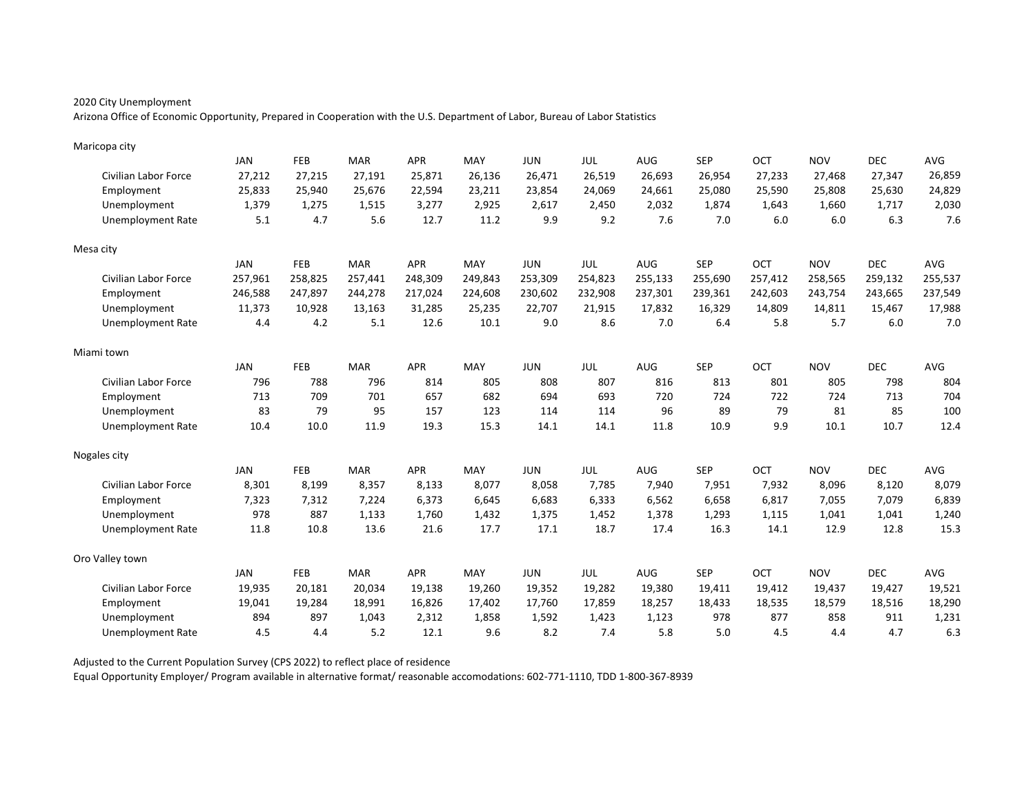Arizona Office of Economic Opportunity, Prepared in Cooperation with the U.S. Department of Labor, Bureau of Labor Statistics

| Maricopa city               |            |            |            |            |         |            |         |         |            |         |            |            |         |
|-----------------------------|------------|------------|------------|------------|---------|------------|---------|---------|------------|---------|------------|------------|---------|
|                             | <b>JAN</b> | FEB        | <b>MAR</b> | <b>APR</b> | MAY     | <b>JUN</b> | JUL     | AUG     | <b>SEP</b> | OCT     | <b>NOV</b> | <b>DEC</b> | AVG     |
| Civilian Labor Force        | 27,212     | 27,215     | 27,191     | 25,871     | 26,136  | 26,471     | 26,519  | 26,693  | 26,954     | 27,233  | 27,468     | 27,347     | 26,859  |
| Employment                  | 25,833     | 25,940     | 25,676     | 22,594     | 23,211  | 23,854     | 24,069  | 24,661  | 25,080     | 25,590  | 25,808     | 25,630     | 24,829  |
| Unemployment                | 1,379      | 1,275      | 1,515      | 3,277      | 2,925   | 2,617      | 2,450   | 2,032   | 1,874      | 1.643   | 1,660      | 1,717      | 2,030   |
| <b>Unemployment Rate</b>    | 5.1        | 4.7        | 5.6        | 12.7       | 11.2    | 9.9        | 9.2     | 7.6     | 7.0        | 6.0     | 6.0        | 6.3        | 7.6     |
| Mesa city                   |            |            |            |            |         |            |         |         |            |         |            |            |         |
|                             | <b>JAN</b> | FEB        | <b>MAR</b> | <b>APR</b> | MAY     | <b>JUN</b> | JUL     | AUG     | <b>SEP</b> | OCT     | <b>NOV</b> | <b>DEC</b> | AVG     |
| Civilian Labor Force        | 257,961    | 258,825    | 257,441    | 248,309    | 249,843 | 253,309    | 254,823 | 255,133 | 255,690    | 257,412 | 258,565    | 259,132    | 255,537 |
| Employment                  | 246,588    | 247,897    | 244,278    | 217,024    | 224,608 | 230,602    | 232,908 | 237,301 | 239,361    | 242,603 | 243,754    | 243,665    | 237,549 |
| Unemployment                | 11,373     | 10,928     | 13,163     | 31,285     | 25,235  | 22,707     | 21,915  | 17,832  | 16,329     | 14,809  | 14,811     | 15,467     | 17,988  |
| <b>Unemployment Rate</b>    | 4.4        | 4.2        | 5.1        | 12.6       | 10.1    | 9.0        | 8.6     | 7.0     | 6.4        | 5.8     | 5.7        | 6.0        | 7.0     |
| Miami town                  |            |            |            |            |         |            |         |         |            |         |            |            |         |
|                             | <b>JAN</b> | <b>FEB</b> | <b>MAR</b> | <b>APR</b> | MAY     | <b>JUN</b> | JUL     | AUG     | <b>SEP</b> | OCT     | <b>NOV</b> | <b>DEC</b> | AVG     |
| Civilian Labor Force        | 796        | 788        | 796        | 814        | 805     | 808        | 807     | 816     | 813        | 801     | 805        | 798        | 804     |
| Employment                  | 713        | 709        | 701        | 657        | 682     | 694        | 693     | 720     | 724        | 722     | 724        | 713        | 704     |
| Unemployment                | 83         | 79         | 95         | 157        | 123     | 114        | 114     | 96      | 89         | 79      | 81         | 85         | 100     |
| <b>Unemployment Rate</b>    | 10.4       | 10.0       | 11.9       | 19.3       | 15.3    | 14.1       | 14.1    | 11.8    | 10.9       | 9.9     | 10.1       | 10.7       | 12.4    |
| Nogales city                |            |            |            |            |         |            |         |         |            |         |            |            |         |
|                             | JAN        | <b>FEB</b> | MAR        | APR        | MAY     | <b>JUN</b> | JUL     | AUG     | <b>SEP</b> | OCT     | <b>NOV</b> | <b>DEC</b> | AVG     |
| Civilian Labor Force        | 8,301      | 8,199      | 8,357      | 8,133      | 8,077   | 8,058      | 7,785   | 7,940   | 7,951      | 7,932   | 8,096      | 8,120      | 8,079   |
| Employment                  | 7,323      | 7,312      | 7,224      | 6,373      | 6,645   | 6,683      | 6,333   | 6,562   | 6,658      | 6,817   | 7,055      | 7,079      | 6,839   |
| Unemployment                | 978        | 887        | 1,133      | 1,760      | 1,432   | 1,375      | 1,452   | 1,378   | 1,293      | 1,115   | 1,041      | 1,041      | 1,240   |
| <b>Unemployment Rate</b>    | 11.8       | 10.8       | 13.6       | 21.6       | 17.7    | 17.1       | 18.7    | 17.4    | 16.3       | 14.1    | 12.9       | 12.8       | 15.3    |
| Oro Valley town             |            |            |            |            |         |            |         |         |            |         |            |            |         |
|                             | JAN        | <b>FEB</b> | <b>MAR</b> | <b>APR</b> | MAY     | <b>JUN</b> | JUL     | AUG     | <b>SEP</b> | OCT     | <b>NOV</b> | <b>DEC</b> | AVG     |
| <b>Civilian Labor Force</b> | 19,935     | 20,181     | 20,034     | 19,138     | 19,260  | 19,352     | 19,282  | 19,380  | 19,411     | 19,412  | 19,437     | 19,427     | 19,521  |
| Employment                  | 19,041     | 19,284     | 18,991     | 16,826     | 17,402  | 17,760     | 17,859  | 18,257  | 18,433     | 18,535  | 18,579     | 18,516     | 18,290  |
| Unemployment                | 894        | 897        | 1,043      | 2,312      | 1,858   | 1,592      | 1,423   | 1,123   | 978        | 877     | 858        | 911        | 1,231   |
| Unemployment Rate           | 4.5        | 4.4        | 5.2        | 12.1       | 9.6     | 8.2        | 7.4     | 5.8     | 5.0        | 4.5     | 4.4        | 4.7        | 6.3     |

Adjusted to the Current Population Survey (CPS 2022) to reflect place of residence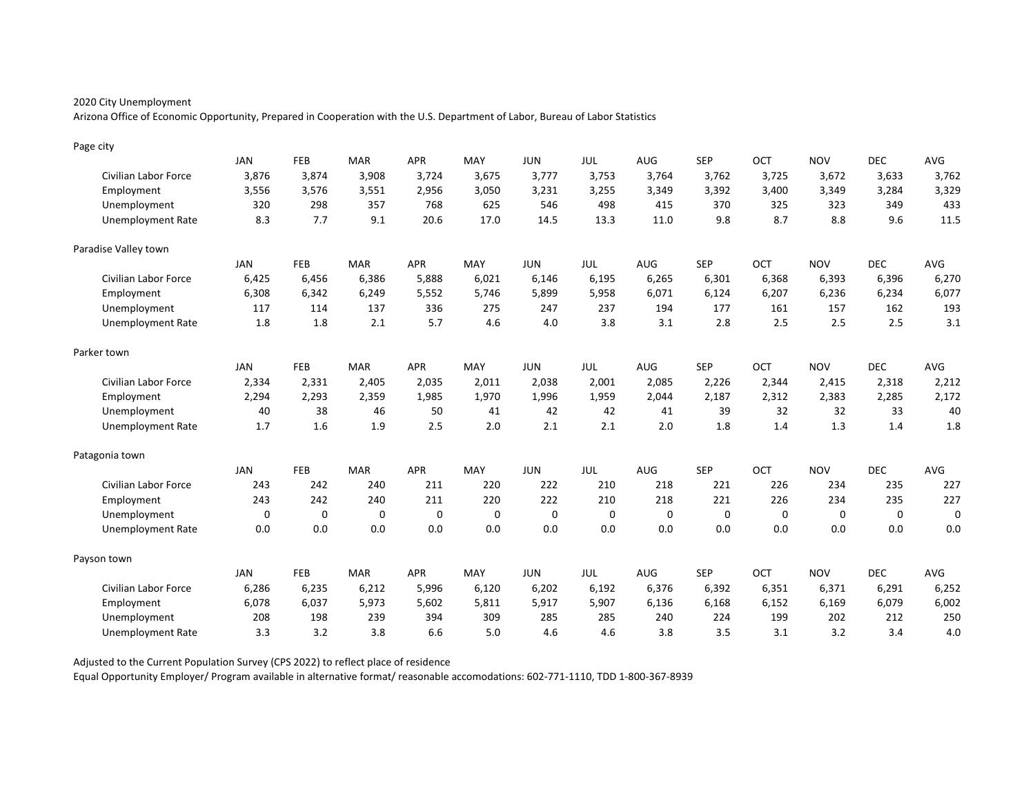Arizona Office of Economic Opportunity, Prepared in Cooperation with the U.S. Department of Labor, Bureau of Labor Statistics

| Page city                |             |             |             |             |          |             |       |             |             |          |            |            |             |
|--------------------------|-------------|-------------|-------------|-------------|----------|-------------|-------|-------------|-------------|----------|------------|------------|-------------|
|                          | <b>JAN</b>  | FEB         | <b>MAR</b>  | <b>APR</b>  | MAY      | <b>JUN</b>  | JUL   | AUG         | <b>SEP</b>  | OCT      | <b>NOV</b> | <b>DEC</b> | AVG         |
| Civilian Labor Force     | 3,876       | 3,874       | 3,908       | 3,724       | 3,675    | 3,777       | 3,753 | 3,764       | 3,762       | 3,725    | 3,672      | 3,633      | 3,762       |
| Employment               | 3,556       | 3,576       | 3,551       | 2,956       | 3,050    | 3,231       | 3,255 | 3,349       | 3,392       | 3,400    | 3,349      | 3,284      | 3,329       |
| Unemployment             | 320         | 298         | 357         | 768         | 625      | 546         | 498   | 415         | 370         | 325      | 323        | 349        | 433         |
| <b>Unemployment Rate</b> | 8.3         | 7.7         | 9.1         | 20.6        | 17.0     | 14.5        | 13.3  | 11.0        | 9.8         | 8.7      | 8.8        | 9.6        | 11.5        |
| Paradise Valley town     |             |             |             |             |          |             |       |             |             |          |            |            |             |
|                          | JAN         | FEB         | <b>MAR</b>  | <b>APR</b>  | MAY      | <b>JUN</b>  | JUL   | AUG         | <b>SEP</b>  | OCT      | <b>NOV</b> | <b>DEC</b> | AVG         |
| Civilian Labor Force     | 6,425       | 6,456       | 6,386       | 5,888       | 6,021    | 6,146       | 6,195 | 6,265       | 6,301       | 6,368    | 6,393      | 6,396      | 6,270       |
| Employment               | 6,308       | 6,342       | 6,249       | 5,552       | 5,746    | 5,899       | 5,958 | 6,071       | 6,124       | 6,207    | 6,236      | 6,234      | 6,077       |
| Unemployment             | 117         | 114         | 137         | 336         | 275      | 247         | 237   | 194         | 177         | 161      | 157        | 162        | 193         |
| <b>Unemployment Rate</b> | 1.8         | 1.8         | 2.1         | 5.7         | 4.6      | 4.0         | 3.8   | 3.1         | 2.8         | 2.5      | 2.5        | 2.5        | 3.1         |
| Parker town              |             |             |             |             |          |             |       |             |             |          |            |            |             |
|                          | <b>JAN</b>  | <b>FEB</b>  | <b>MAR</b>  | <b>APR</b>  | MAY      | <b>JUN</b>  | JUL   | AUG         | <b>SEP</b>  | OCT      | <b>NOV</b> | <b>DEC</b> | AVG         |
| Civilian Labor Force     | 2,334       | 2,331       | 2,405       | 2,035       | 2,011    | 2,038       | 2,001 | 2,085       | 2,226       | 2,344    | 2,415      | 2,318      | 2,212       |
| Employment               | 2,294       | 2,293       | 2,359       | 1,985       | 1.970    | 1,996       | 1,959 | 2,044       | 2,187       | 2,312    | 2,383      | 2,285      | 2,172       |
| Unemployment             | 40          | 38          | 46          | 50          | 41       | 42          | 42    | 41          | 39          | 32       | 32         | 33         | 40          |
| <b>Unemployment Rate</b> | 1.7         | 1.6         | 1.9         | 2.5         | 2.0      | 2.1         | 2.1   | 2.0         | 1.8         | 1.4      | 1.3        | 1.4        | 1.8         |
| Patagonia town           |             |             |             |             |          |             |       |             |             |          |            |            |             |
|                          | <b>JAN</b>  | FEB         | <b>MAR</b>  | <b>APR</b>  | MAY      | <b>JUN</b>  | JUL   | <b>AUG</b>  | <b>SEP</b>  | OCT      | <b>NOV</b> | <b>DEC</b> | AVG         |
| Civilian Labor Force     | 243         | 242         | 240         | 211         | 220      | 222         | 210   | 218         | 221         | 226      | 234        | 235        | 227         |
| Employment               | 243         | 242         | 240         | 211         | 220      | 222         | 210   | 218         | 221         | 226      | 234        | 235        | 227         |
| Unemployment             | $\mathbf 0$ | $\mathbf 0$ | $\mathbf 0$ | $\mathbf 0$ | $\Omega$ | $\mathbf 0$ | 0     | $\mathbf 0$ | $\mathbf 0$ | $\Omega$ | $\Omega$   | $\Omega$   | $\mathbf 0$ |
| <b>Unemployment Rate</b> | 0.0         | 0.0         | 0.0         | 0.0         | 0.0      | 0.0         | 0.0   | 0.0         | 0.0         | 0.0      | 0.0        | 0.0        | 0.0         |
| Payson town              |             |             |             |             |          |             |       |             |             |          |            |            |             |
|                          | <b>JAN</b>  | FEB         | <b>MAR</b>  | <b>APR</b>  | MAY      | <b>JUN</b>  | JUL   | AUG         | <b>SEP</b>  | OCT      | <b>NOV</b> | <b>DEC</b> | AVG         |
| Civilian Labor Force     | 6,286       | 6,235       | 6,212       | 5,996       | 6,120    | 6,202       | 6,192 | 6,376       | 6,392       | 6,351    | 6,371      | 6,291      | 6,252       |
| Employment               | 6,078       | 6,037       | 5,973       | 5,602       | 5,811    | 5,917       | 5,907 | 6,136       | 6,168       | 6,152    | 6,169      | 6,079      | 6,002       |
| Unemployment             | 208         | 198         | 239         | 394         | 309      | 285         | 285   | 240         | 224         | 199      | 202        | 212        | 250         |
| <b>Unemployment Rate</b> | 3.3         | 3.2         | 3.8         | 6.6         | 5.0      | 4.6         | 4.6   | 3.8         | 3.5         | 3.1      | 3.2        | 3.4        | 4.0         |

Adjusted to the Current Population Survey (CPS 2022) to reflect place of residence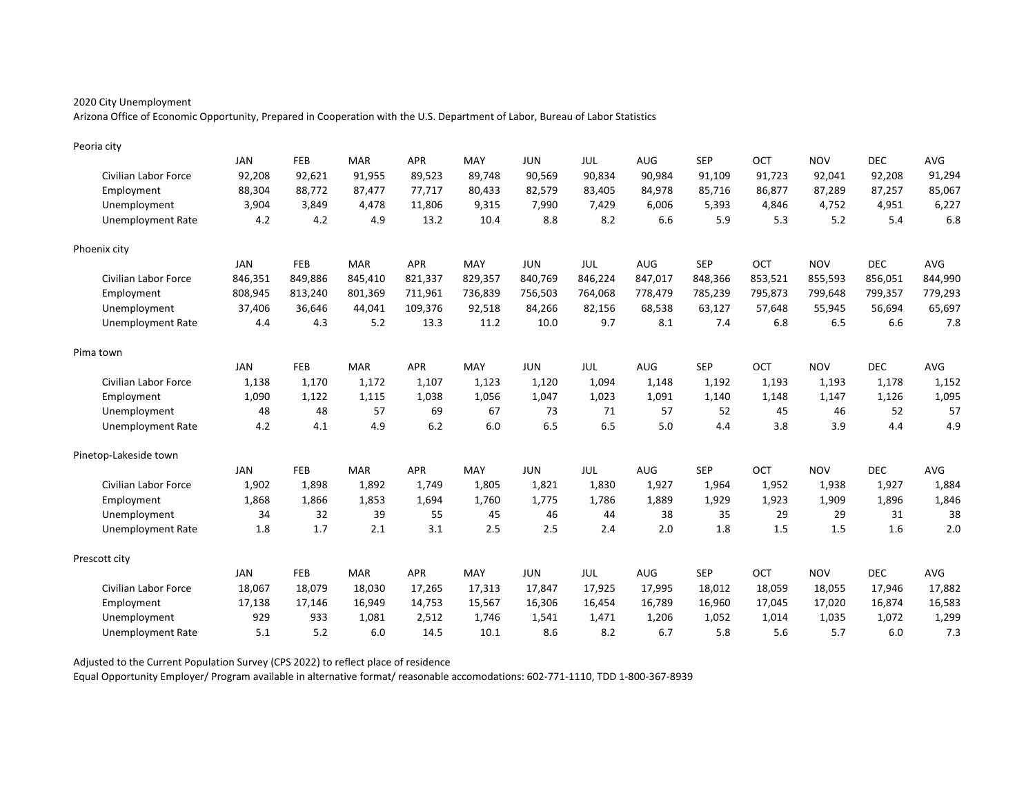Arizona Office of Economic Opportunity, Prepared in Cooperation with the U.S. Department of Labor, Bureau of Labor Statistics

| Peoria city              |            |            |            |            |         |            |         |            |            |            |            |            |            |
|--------------------------|------------|------------|------------|------------|---------|------------|---------|------------|------------|------------|------------|------------|------------|
|                          | <b>JAN</b> | FEB        | <b>MAR</b> | <b>APR</b> | MAY     | <b>JUN</b> | JUL     | AUG        | <b>SEP</b> | OCT        | <b>NOV</b> | <b>DEC</b> | <b>AVG</b> |
| Civilian Labor Force     | 92,208     | 92,621     | 91,955     | 89,523     | 89,748  | 90,569     | 90,834  | 90,984     | 91,109     | 91,723     | 92,041     | 92,208     | 91,294     |
| Employment               | 88,304     | 88,772     | 87,477     | 77,717     | 80,433  | 82,579     | 83,405  | 84,978     | 85,716     | 86,877     | 87,289     | 87,257     | 85,067     |
| Unemployment             | 3,904      | 3,849      | 4.478      | 11,806     | 9,315   | 7,990      | 7,429   | 6,006      | 5,393      | 4.846      | 4,752      | 4,951      | 6,227      |
| <b>Unemployment Rate</b> | 4.2        | 4.2        | 4.9        | 13.2       | 10.4    | 8.8        | 8.2     | 6.6        | 5.9        | 5.3        | 5.2        | 5.4        | 6.8        |
| Phoenix city             |            |            |            |            |         |            |         |            |            |            |            |            |            |
|                          | <b>JAN</b> | FEB        | <b>MAR</b> | <b>APR</b> | MAY     | <b>JUN</b> | JUL     | <b>AUG</b> | <b>SEP</b> | <b>OCT</b> | <b>NOV</b> | <b>DEC</b> | AVG        |
| Civilian Labor Force     | 846,351    | 849,886    | 845,410    | 821,337    | 829,357 | 840,769    | 846,224 | 847,017    | 848,366    | 853,521    | 855,593    | 856,051    | 844,990    |
| Employment               | 808,945    | 813,240    | 801,369    | 711,961    | 736,839 | 756,503    | 764,068 | 778,479    | 785,239    | 795,873    | 799,648    | 799,357    | 779,293    |
| Unemployment             | 37,406     | 36,646     | 44,041     | 109,376    | 92,518  | 84,266     | 82,156  | 68,538     | 63,127     | 57,648     | 55,945     | 56,694     | 65,697     |
| <b>Unemployment Rate</b> | 4.4        | 4.3        | 5.2        | 13.3       | 11.2    | 10.0       | 9.7     | 8.1        | 7.4        | 6.8        | 6.5        | 6.6        | 7.8        |
| Pima town                |            |            |            |            |         |            |         |            |            |            |            |            |            |
|                          | JAN        | <b>FEB</b> | <b>MAR</b> | <b>APR</b> | MAY     | <b>JUN</b> | JUL     | AUG        | <b>SEP</b> | OCT        | <b>NOV</b> | <b>DEC</b> | AVG        |
| Civilian Labor Force     | 1,138      | 1,170      | 1,172      | 1,107      | 1,123   | 1,120      | 1,094   | 1,148      | 1,192      | 1,193      | 1,193      | 1,178      | 1,152      |
| Employment               | 1,090      | 1,122      | 1,115      | 1,038      | 1.056   | 1,047      | 1,023   | 1,091      | 1,140      | 1,148      | 1,147      | 1,126      | 1,095      |
| Unemployment             | 48         | 48         | 57         | 69         | 67      | 73         | 71      | 57         | 52         | 45         | 46         | 52         | 57         |
| <b>Unemployment Rate</b> | 4.2        | 4.1        | 4.9        | 6.2        | 6.0     | 6.5        | 6.5     | 5.0        | 4.4        | 3.8        | 3.9        | 4.4        | 4.9        |
| Pinetop-Lakeside town    |            |            |            |            |         |            |         |            |            |            |            |            |            |
|                          | JAN        | <b>FEB</b> | <b>MAR</b> | <b>APR</b> | MAY     | <b>JUN</b> | JUL     | AUG        | <b>SEP</b> | OCT        | <b>NOV</b> | <b>DEC</b> | AVG        |
| Civilian Labor Force     | 1,902      | 1,898      | 1,892      | 1,749      | 1,805   | 1,821      | 1,830   | 1,927      | 1,964      | 1,952      | 1,938      | 1,927      | 1,884      |
| Employment               | 1,868      | 1,866      | 1,853      | 1,694      | 1,760   | 1,775      | 1,786   | 1,889      | 1,929      | 1,923      | 1,909      | 1,896      | 1,846      |
| Unemployment             | 34         | 32         | 39         | 55         | 45      | 46         | 44      | 38         | 35         | 29         | 29         | 31         | 38         |
| <b>Unemployment Rate</b> | 1.8        | 1.7        | 2.1        | 3.1        | 2.5     | 2.5        | 2.4     | 2.0        | 1.8        | 1.5        | 1.5        | 1.6        | 2.0        |
| Prescott city            |            |            |            |            |         |            |         |            |            |            |            |            |            |
|                          | JAN        | <b>FEB</b> | <b>MAR</b> | <b>APR</b> | MAY     | <b>JUN</b> | JUL     | AUG        | <b>SEP</b> | OCT        | <b>NOV</b> | <b>DEC</b> | AVG        |
| Civilian Labor Force     | 18,067     | 18,079     | 18,030     | 17,265     | 17,313  | 17,847     | 17,925  | 17,995     | 18,012     | 18,059     | 18,055     | 17,946     | 17,882     |
| Employment               | 17,138     | 17,146     | 16,949     | 14,753     | 15,567  | 16,306     | 16,454  | 16,789     | 16,960     | 17,045     | 17,020     | 16,874     | 16,583     |
| Unemployment             | 929        | 933        | 1,081      | 2,512      | 1,746   | 1,541      | 1,471   | 1,206      | 1,052      | 1,014      | 1,035      | 1,072      | 1,299      |
| <b>Unemployment Rate</b> | 5.1        | 5.2        | 6.0        | 14.5       | 10.1    | 8.6        | 8.2     | 6.7        | 5.8        | 5.6        | 5.7        | 6.0        | 7.3        |

Adjusted to the Current Population Survey (CPS 2022) to reflect place of residence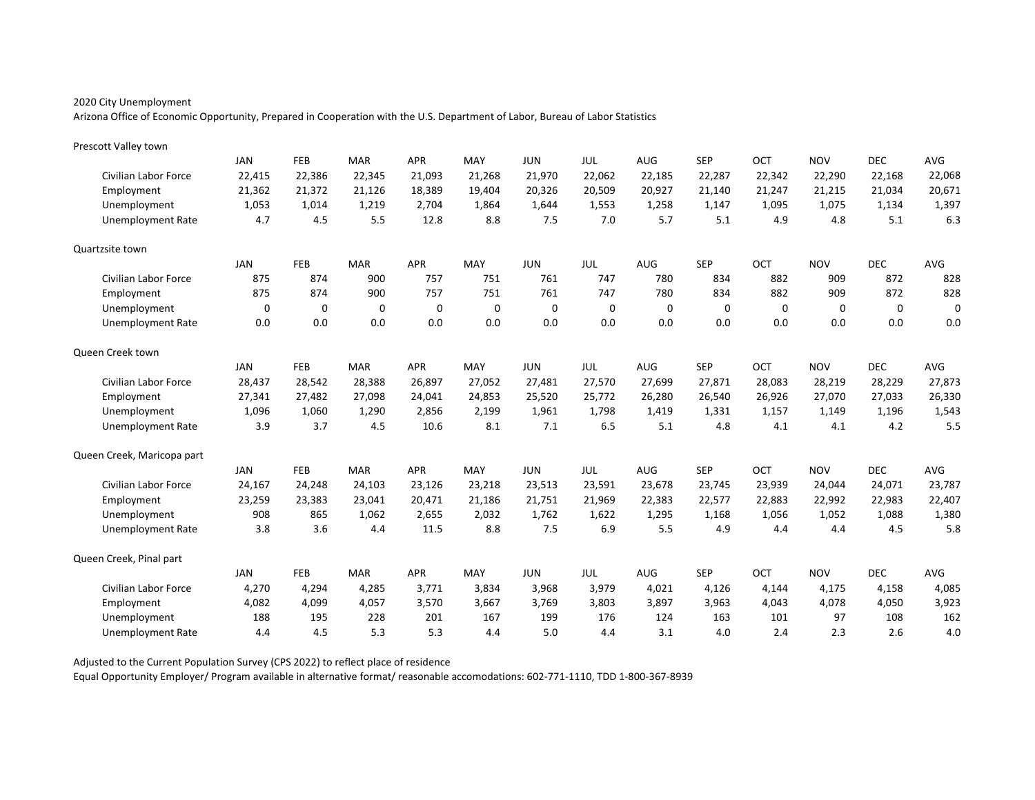Arizona Office of Economic Opportunity, Prepared in Cooperation with the U.S. Department of Labor, Bureau of Labor Statistics

| Prescott Valley town        |        |            |            |            |          |            |            |            |            |          |             |            |             |
|-----------------------------|--------|------------|------------|------------|----------|------------|------------|------------|------------|----------|-------------|------------|-------------|
|                             | JAN    | <b>FEB</b> | <b>MAR</b> | <b>APR</b> | MAY      | <b>JUN</b> | <b>JUL</b> | <b>AUG</b> | <b>SEP</b> | OCT      | <b>NOV</b>  | <b>DEC</b> | AVG         |
| Civilian Labor Force        | 22,415 | 22,386     | 22,345     | 21,093     | 21,268   | 21,970     | 22,062     | 22,185     | 22,287     | 22,342   | 22,290      | 22,168     | 22,068      |
| Employment                  | 21,362 | 21,372     | 21,126     | 18,389     | 19,404   | 20,326     | 20,509     | 20,927     | 21,140     | 21,247   | 21,215      | 21,034     | 20,671      |
| Unemployment                | 1,053  | 1,014      | 1,219      | 2.704      | 1,864    | 1,644      | 1,553      | 1,258      | 1,147      | 1,095    | 1,075       | 1,134      | 1,397       |
| <b>Unemployment Rate</b>    | 4.7    | 4.5        | 5.5        | 12.8       | 8.8      | 7.5        | 7.0        | 5.7        | 5.1        | 4.9      | 4.8         | 5.1        | 6.3         |
| Quartzsite town             |        |            |            |            |          |            |            |            |            |          |             |            |             |
|                             | JAN    | <b>FEB</b> | <b>MAR</b> | <b>APR</b> | MAY      | <b>JUN</b> | <b>JUL</b> | <b>AUG</b> | <b>SEP</b> | OCT      | <b>NOV</b>  | <b>DEC</b> | AVG         |
| Civilian Labor Force        | 875    | 874        | 900        | 757        | 751      | 761        | 747        | 780        | 834        | 882      | 909         | 872        | 828         |
| Employment                  | 875    | 874        | 900        | 757        | 751      | 761        | 747        | 780        | 834        | 882      | 909         | 872        | 828         |
| Unemployment                | 0      | 0          | $\Omega$   | 0          | $\Omega$ | 0          | 0          | 0          | $\Omega$   | $\Omega$ | $\mathbf 0$ | $\Omega$   | $\mathbf 0$ |
| <b>Unemployment Rate</b>    | 0.0    | 0.0        | 0.0        | 0.0        | 0.0      | 0.0        | 0.0        | 0.0        | 0.0        | 0.0      | 0.0         | 0.0        | 0.0         |
| Queen Creek town            |        |            |            |            |          |            |            |            |            |          |             |            |             |
|                             | JAN    | <b>FEB</b> | <b>MAR</b> | <b>APR</b> | MAY      | <b>JUN</b> | JUL        | AUG        | <b>SEP</b> | OCT      | <b>NOV</b>  | <b>DEC</b> | AVG         |
| <b>Civilian Labor Force</b> | 28,437 | 28,542     | 28,388     | 26,897     | 27,052   | 27,481     | 27,570     | 27,699     | 27,871     | 28,083   | 28,219      | 28,229     | 27,873      |
| Employment                  | 27,341 | 27,482     | 27,098     | 24,041     | 24,853   | 25,520     | 25,772     | 26,280     | 26,540     | 26,926   | 27,070      | 27,033     | 26,330      |
| Unemployment                | 1,096  | 1,060      | 1,290      | 2,856      | 2,199    | 1,961      | 1,798      | 1,419      | 1,331      | 1,157    | 1,149       | 1,196      | 1,543       |
| <b>Unemployment Rate</b>    | 3.9    | 3.7        | 4.5        | 10.6       | 8.1      | 7.1        | 6.5        | 5.1        | 4.8        | 4.1      | 4.1         | 4.2        | 5.5         |
| Queen Creek, Maricopa part  |        |            |            |            |          |            |            |            |            |          |             |            |             |
|                             | JAN    | <b>FEB</b> | <b>MAR</b> | <b>APR</b> | MAY      | <b>JUN</b> | <b>JUL</b> | <b>AUG</b> | <b>SEP</b> | OCT      | <b>NOV</b>  | <b>DEC</b> | AVG         |
| <b>Civilian Labor Force</b> | 24,167 | 24,248     | 24,103     | 23,126     | 23,218   | 23,513     | 23,591     | 23,678     | 23,745     | 23,939   | 24,044      | 24,071     | 23,787      |
| Employment                  | 23,259 | 23,383     | 23,041     | 20,471     | 21,186   | 21,751     | 21,969     | 22,383     | 22,577     | 22,883   | 22,992      | 22,983     | 22,407      |
| Unemployment                | 908    | 865        | 1,062      | 2,655      | 2,032    | 1,762      | 1,622      | 1,295      | 1,168      | 1,056    | 1,052       | 1,088      | 1,380       |
| Unemployment Rate           | 3.8    | 3.6        | 4.4        | 11.5       | 8.8      | 7.5        | 6.9        | 5.5        | 4.9        | 4.4      | 4.4         | 4.5        | 5.8         |
| Queen Creek, Pinal part     |        |            |            |            |          |            |            |            |            |          |             |            |             |
|                             | JAN    | <b>FEB</b> | <b>MAR</b> | <b>APR</b> | MAY      | <b>JUN</b> | JUL        | AUG        | <b>SEP</b> | OCT      | <b>NOV</b>  | <b>DEC</b> | AVG         |
| Civilian Labor Force        | 4,270  | 4,294      | 4,285      | 3,771      | 3,834    | 3,968      | 3,979      | 4,021      | 4,126      | 4.144    | 4,175       | 4,158      | 4,085       |
| Employment                  | 4,082  | 4,099      | 4,057      | 3,570      | 3,667    | 3,769      | 3,803      | 3,897      | 3,963      | 4,043    | 4,078       | 4,050      | 3,923       |
| Unemployment                | 188    | 195        | 228        | 201        | 167      | 199        | 176        | 124        | 163        | 101      | 97          | 108        | 162         |
| Unemployment Rate           | 4.4    | 4.5        | 5.3        | 5.3        | 4.4      | 5.0        | 4.4        | 3.1        | 4.0        | 2.4      | 2.3         | 2.6        | 4.0         |

Adjusted to the Current Population Survey (CPS 2022) to reflect place of residence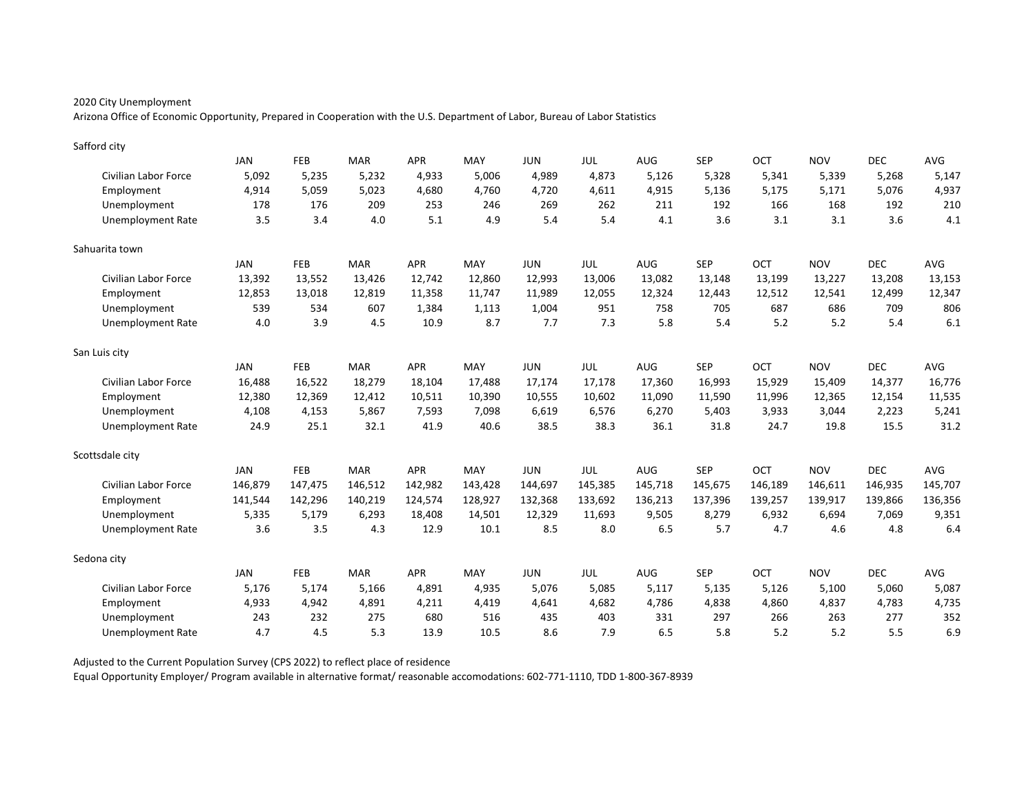Arizona Office of Economic Opportunity, Prepared in Cooperation with the U.S. Department of Labor, Bureau of Labor Statistics

| Safford city             |            |         |            |            |         |            |         |         |            |         |            |            |            |
|--------------------------|------------|---------|------------|------------|---------|------------|---------|---------|------------|---------|------------|------------|------------|
|                          | <b>JAN</b> | FEB     | <b>MAR</b> | <b>APR</b> | MAY     | <b>JUN</b> | JUL     | AUG     | <b>SEP</b> | OCT     | <b>NOV</b> | <b>DEC</b> | <b>AVG</b> |
| Civilian Labor Force     | 5,092      | 5,235   | 5,232      | 4,933      | 5,006   | 4,989      | 4,873   | 5,126   | 5,328      | 5,341   | 5,339      | 5,268      | 5,147      |
| Employment               | 4,914      | 5,059   | 5,023      | 4,680      | 4,760   | 4,720      | 4,611   | 4,915   | 5,136      | 5,175   | 5,171      | 5,076      | 4,937      |
| Unemployment             | 178        | 176     | 209        | 253        | 246     | 269        | 262     | 211     | 192        | 166     | 168        | 192        | 210        |
| Unemployment Rate        | 3.5        | 3.4     | 4.0        | 5.1        | 4.9     | 5.4        | 5.4     | 4.1     | 3.6        | 3.1     | 3.1        | 3.6        | 4.1        |
| Sahuarita town           |            |         |            |            |         |            |         |         |            |         |            |            |            |
|                          | <b>JAN</b> | FEB     | <b>MAR</b> | <b>APR</b> | MAY     | <b>JUN</b> | JUL     | AUG     | <b>SEP</b> | OCT     | <b>NOV</b> | <b>DEC</b> | <b>AVG</b> |
| Civilian Labor Force     | 13,392     | 13,552  | 13,426     | 12,742     | 12,860  | 12,993     | 13,006  | 13,082  | 13,148     | 13,199  | 13,227     | 13,208     | 13,153     |
| Employment               | 12,853     | 13,018  | 12,819     | 11,358     | 11,747  | 11,989     | 12,055  | 12,324  | 12,443     | 12,512  | 12,541     | 12,499     | 12,347     |
| Unemployment             | 539        | 534     | 607        | 1,384      | 1,113   | 1,004      | 951     | 758     | 705        | 687     | 686        | 709        | 806        |
| <b>Unemployment Rate</b> | 4.0        | 3.9     | 4.5        | 10.9       | 8.7     | 7.7        | 7.3     | 5.8     | 5.4        | 5.2     | 5.2        | 5.4        | 6.1        |
| San Luis city            |            |         |            |            |         |            |         |         |            |         |            |            |            |
|                          | <b>JAN</b> | FEB     | <b>MAR</b> | APR        | MAY     | <b>JUN</b> | JUL     | AUG     | <b>SEP</b> | OCT     | <b>NOV</b> | <b>DEC</b> | AVG        |
| Civilian Labor Force     | 16,488     | 16,522  | 18,279     | 18,104     | 17,488  | 17,174     | 17,178  | 17,360  | 16,993     | 15,929  | 15,409     | 14,377     | 16,776     |
| Employment               | 12,380     | 12,369  | 12,412     | 10,511     | 10,390  | 10,555     | 10,602  | 11,090  | 11,590     | 11,996  | 12,365     | 12,154     | 11,535     |
| Unemployment             | 4,108      | 4,153   | 5,867      | 7,593      | 7,098   | 6,619      | 6,576   | 6,270   | 5,403      | 3,933   | 3,044      | 2,223      | 5,241      |
| Unemployment Rate        | 24.9       | 25.1    | 32.1       | 41.9       | 40.6    | 38.5       | 38.3    | 36.1    | 31.8       | 24.7    | 19.8       | 15.5       | 31.2       |
| Scottsdale city          |            |         |            |            |         |            |         |         |            |         |            |            |            |
|                          | <b>JAN</b> | FEB     | <b>MAR</b> | <b>APR</b> | MAY     | <b>JUN</b> | JUL     | AUG     | <b>SEP</b> | OCT     | <b>NOV</b> | <b>DEC</b> | AVG        |
| Civilian Labor Force     | 146,879    | 147,475 | 146,512    | 142,982    | 143,428 | 144,697    | 145,385 | 145,718 | 145,675    | 146,189 | 146,611    | 146,935    | 145,707    |
| Employment               | 141,544    | 142,296 | 140,219    | 124,574    | 128,927 | 132,368    | 133,692 | 136,213 | 137,396    | 139,257 | 139,917    | 139,866    | 136,356    |
| Unemployment             | 5,335      | 5,179   | 6,293      | 18,408     | 14,501  | 12,329     | 11,693  | 9,505   | 8,279      | 6,932   | 6,694      | 7,069      | 9,351      |
| Unemployment Rate        | 3.6        | 3.5     | 4.3        | 12.9       | 10.1    | 8.5        | 8.0     | 6.5     | 5.7        | 4.7     | 4.6        | 4.8        | 6.4        |
| Sedona city              |            |         |            |            |         |            |         |         |            |         |            |            |            |
|                          | <b>JAN</b> | FEB     | <b>MAR</b> | <b>APR</b> | MAY     | <b>JUN</b> | JUL     | AUG     | <b>SEP</b> | OCT     | <b>NOV</b> | <b>DEC</b> | AVG        |
| Civilian Labor Force     | 5,176      | 5,174   | 5,166      | 4,891      | 4,935   | 5.076      | 5,085   | 5,117   | 5,135      | 5,126   | 5,100      | 5,060      | 5,087      |
| Employment               | 4,933      | 4,942   | 4,891      | 4,211      | 4,419   | 4,641      | 4,682   | 4,786   | 4,838      | 4,860   | 4,837      | 4,783      | 4,735      |
| Unemployment             | 243        | 232     | 275        | 680        | 516     | 435        | 403     | 331     | 297        | 266     | 263        | 277        | 352        |
| Unemployment Rate        | 4.7        | 4.5     | 5.3        | 13.9       | 10.5    | 8.6        | 7.9     | 6.5     | 5.8        | 5.2     | 5.2        | 5.5        | 6.9        |

Adjusted to the Current Population Survey (CPS 2022) to reflect place of residence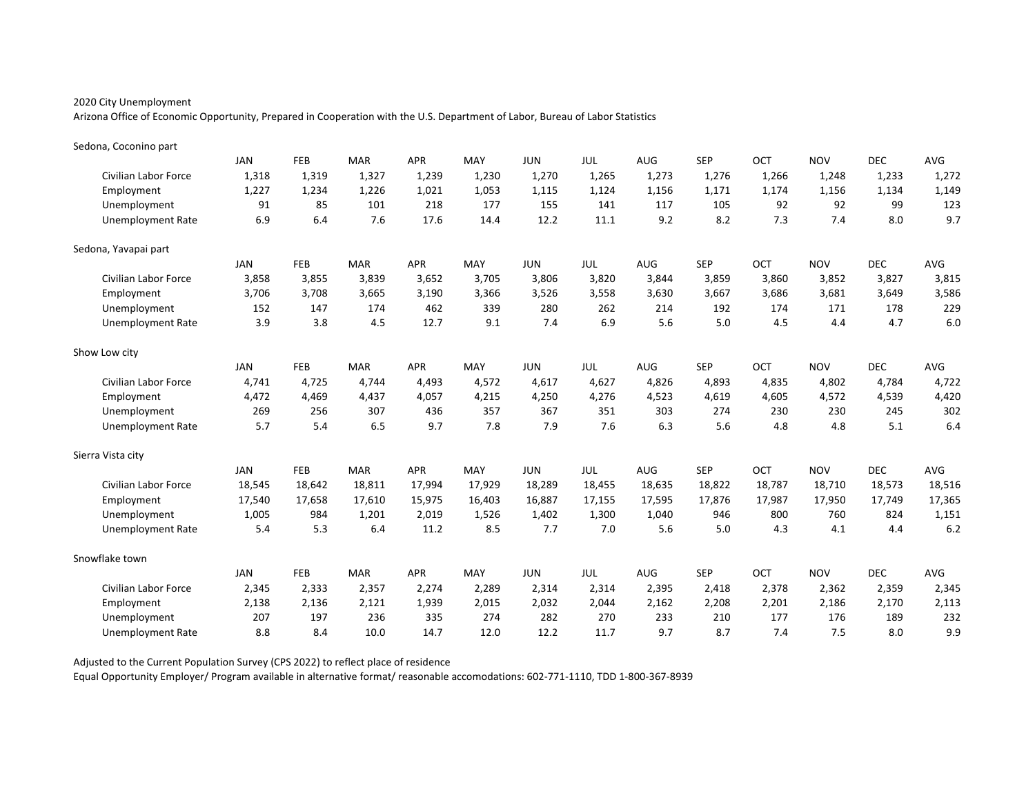Arizona Office of Economic Opportunity, Prepared in Cooperation with the U.S. Department of Labor, Bureau of Labor Statistics

| Sedona, Coconino part       |            |            |            |            |        |            |            |        |            |        |            |            |        |
|-----------------------------|------------|------------|------------|------------|--------|------------|------------|--------|------------|--------|------------|------------|--------|
|                             | <b>JAN</b> | FEB        | <b>MAR</b> | <b>APR</b> | MAY    | <b>JUN</b> | JUL        | AUG    | <b>SEP</b> | OCT    | <b>NOV</b> | <b>DEC</b> | AVG    |
| <b>Civilian Labor Force</b> | 1,318      | 1,319      | 1,327      | 1,239      | 1,230  | 1,270      | 1,265      | 1,273  | 1,276      | 1,266  | 1,248      | 1,233      | 1,272  |
| Employment                  | 1,227      | 1,234      | 1,226      | 1,021      | 1,053  | 1,115      | 1,124      | 1,156  | 1,171      | 1,174  | 1,156      | 1,134      | 1,149  |
| Unemployment                | 91         | 85         | 101        | 218        | 177    | 155        | 141        | 117    | 105        | 92     | 92         | 99         | 123    |
| <b>Unemployment Rate</b>    | 6.9        | 6.4        | 7.6        | 17.6       | 14.4   | 12.2       | 11.1       | 9.2    | 8.2        | 7.3    | 7.4        | 8.0        | 9.7    |
| Sedona, Yavapai part        |            |            |            |            |        |            |            |        |            |        |            |            |        |
|                             | <b>JAN</b> | <b>FEB</b> | <b>MAR</b> | <b>APR</b> | MAY    | <b>JUN</b> | <b>JUL</b> | AUG    | <b>SEP</b> | OCT    | <b>NOV</b> | <b>DEC</b> | AVG    |
| <b>Civilian Labor Force</b> | 3,858      | 3,855      | 3,839      | 3,652      | 3,705  | 3,806      | 3,820      | 3,844  | 3,859      | 3,860  | 3,852      | 3,827      | 3,815  |
| Employment                  | 3,706      | 3,708      | 3,665      | 3,190      | 3,366  | 3,526      | 3,558      | 3,630  | 3,667      | 3,686  | 3,681      | 3,649      | 3,586  |
| Unemployment                | 152        | 147        | 174        | 462        | 339    | 280        | 262        | 214    | 192        | 174    | 171        | 178        | 229    |
| <b>Unemployment Rate</b>    | 3.9        | 3.8        | 4.5        | 12.7       | 9.1    | 7.4        | 6.9        | 5.6    | 5.0        | 4.5    | 4.4        | 4.7        | 6.0    |
| Show Low city               |            |            |            |            |        |            |            |        |            |        |            |            |        |
|                             | <b>JAN</b> | FEB        | <b>MAR</b> | <b>APR</b> | MAY    | <b>JUN</b> | <b>JUL</b> | AUG    | <b>SEP</b> | OCT    | <b>NOV</b> | <b>DEC</b> | AVG    |
| <b>Civilian Labor Force</b> | 4.741      | 4,725      | 4.744      | 4,493      | 4,572  | 4,617      | 4,627      | 4,826  | 4,893      | 4,835  | 4,802      | 4,784      | 4,722  |
| Employment                  | 4,472      | 4,469      | 4,437      | 4,057      | 4,215  | 4,250      | 4,276      | 4,523  | 4,619      | 4,605  | 4,572      | 4,539      | 4,420  |
| Unemployment                | 269        | 256        | 307        | 436        | 357    | 367        | 351        | 303    | 274        | 230    | 230        | 245        | 302    |
| <b>Unemployment Rate</b>    | 5.7        | 5.4        | 6.5        | 9.7        | 7.8    | 7.9        | 7.6        | 6.3    | 5.6        | 4.8    | 4.8        | 5.1        | 6.4    |
| Sierra Vista city           |            |            |            |            |        |            |            |        |            |        |            |            |        |
|                             | <b>JAN</b> | FEB        | <b>MAR</b> | <b>APR</b> | MAY    | <b>JUN</b> | JUL        | AUG    | <b>SEP</b> | OCT    | <b>NOV</b> | <b>DEC</b> | AVG    |
| <b>Civilian Labor Force</b> | 18,545     | 18,642     | 18,811     | 17,994     | 17,929 | 18,289     | 18,455     | 18,635 | 18,822     | 18,787 | 18,710     | 18,573     | 18,516 |
| Employment                  | 17,540     | 17,658     | 17,610     | 15,975     | 16,403 | 16,887     | 17,155     | 17,595 | 17,876     | 17,987 | 17,950     | 17,749     | 17,365 |
| Unemployment                | 1,005      | 984        | 1,201      | 2,019      | 1,526  | 1,402      | 1,300      | 1,040  | 946        | 800    | 760        | 824        | 1,151  |
| <b>Unemployment Rate</b>    | 5.4        | 5.3        | 6.4        | 11.2       | 8.5    | 7.7        | 7.0        | 5.6    | 5.0        | 4.3    | 4.1        | 4.4        | 6.2    |
| Snowflake town              |            |            |            |            |        |            |            |        |            |        |            |            |        |
|                             | <b>JAN</b> | FEB        | <b>MAR</b> | <b>APR</b> | MAY    | <b>JUN</b> | <b>JUL</b> | AUG    | <b>SEP</b> | OCT    | <b>NOV</b> | <b>DEC</b> | AVG    |
| <b>Civilian Labor Force</b> | 2,345      | 2,333      | 2,357      | 2,274      | 2,289  | 2,314      | 2,314      | 2,395  | 2,418      | 2,378  | 2,362      | 2,359      | 2,345  |
| Employment                  | 2,138      | 2,136      | 2,121      | 1,939      | 2,015  | 2,032      | 2,044      | 2,162  | 2,208      | 2,201  | 2,186      | 2,170      | 2,113  |
| Unemployment                | 207        | 197        | 236        | 335        | 274    | 282        | 270        | 233    | 210        | 177    | 176        | 189        | 232    |
| Unemployment Rate           | 8.8        | 8.4        | 10.0       | 14.7       | 12.0   | 12.2       | 11.7       | 9.7    | 8.7        | 7.4    | 7.5        | 8.0        | 9.9    |

Adjusted to the Current Population Survey (CPS 2022) to reflect place of residence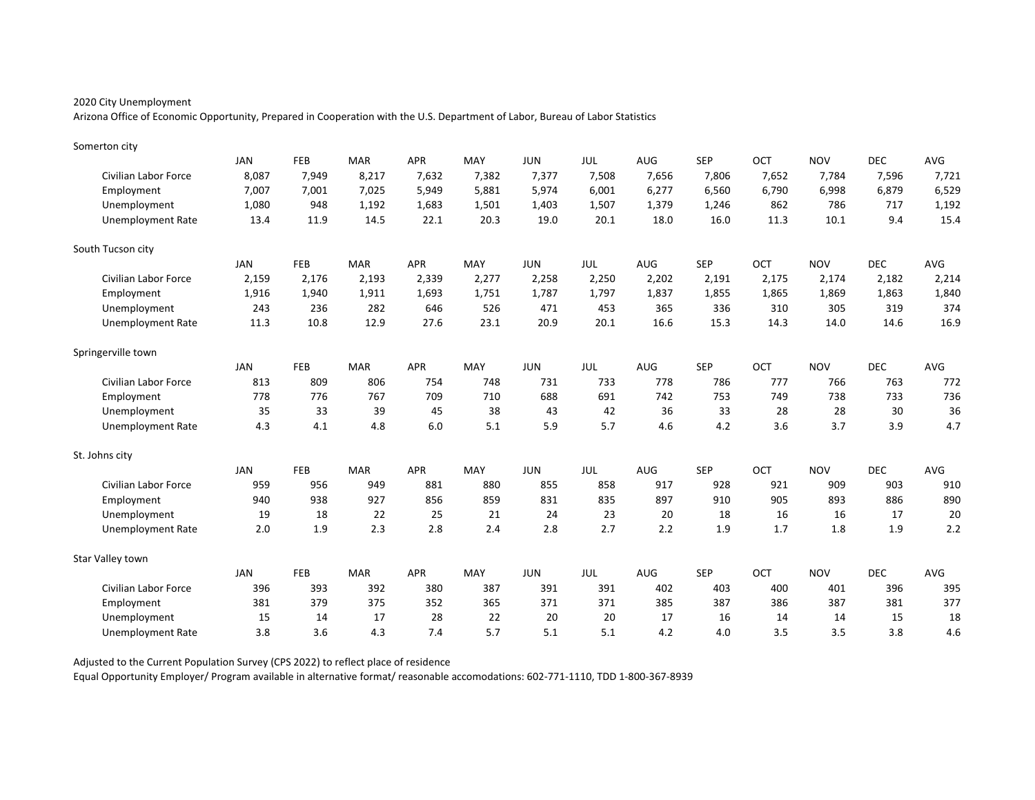Arizona Office of Economic Opportunity, Prepared in Cooperation with the U.S. Department of Labor, Bureau of Labor Statistics

| Somerton city               |            |            |            |            |       |            |            |            |            |       |            |            |       |
|-----------------------------|------------|------------|------------|------------|-------|------------|------------|------------|------------|-------|------------|------------|-------|
|                             | <b>JAN</b> | FEB        | <b>MAR</b> | <b>APR</b> | MAY   | <b>JUN</b> | JUL        | AUG        | <b>SEP</b> | OCT   | <b>NOV</b> | <b>DEC</b> | AVG   |
| <b>Civilian Labor Force</b> | 8,087      | 7,949      | 8,217      | 7,632      | 7,382 | 7,377      | 7,508      | 7,656      | 7,806      | 7,652 | 7,784      | 7,596      | 7,721 |
| Employment                  | 7,007      | 7,001      | 7,025      | 5,949      | 5,881 | 5,974      | 6,001      | 6,277      | 6,560      | 6,790 | 6,998      | 6,879      | 6,529 |
| Unemployment                | 1,080      | 948        | 1,192      | 1,683      | 1,501 | 1,403      | 1,507      | 1,379      | 1,246      | 862   | 786        | 717        | 1,192 |
| <b>Unemployment Rate</b>    | 13.4       | 11.9       | 14.5       | 22.1       | 20.3  | 19.0       | 20.1       | 18.0       | 16.0       | 11.3  | 10.1       | 9.4        | 15.4  |
| South Tucson city           |            |            |            |            |       |            |            |            |            |       |            |            |       |
|                             | JAN        | <b>FEB</b> | <b>MAR</b> | <b>APR</b> | MAY   | <b>JUN</b> | JUL        | AUG        | <b>SEP</b> | OCT   | <b>NOV</b> | <b>DEC</b> | AVG   |
| <b>Civilian Labor Force</b> | 2,159      | 2,176      | 2,193      | 2,339      | 2,277 | 2,258      | 2,250      | 2,202      | 2,191      | 2,175 | 2,174      | 2,182      | 2,214 |
| Employment                  | 1,916      | 1,940      | 1,911      | 1,693      | 1,751 | 1,787      | 1,797      | 1,837      | 1,855      | 1,865 | 1,869      | 1,863      | 1,840 |
| Unemployment                | 243        | 236        | 282        | 646        | 526   | 471        | 453        | 365        | 336        | 310   | 305        | 319        | 374   |
| <b>Unemployment Rate</b>    | 11.3       | 10.8       | 12.9       | 27.6       | 23.1  | 20.9       | 20.1       | 16.6       | 15.3       | 14.3  | 14.0       | 14.6       | 16.9  |
| Springerville town          |            |            |            |            |       |            |            |            |            |       |            |            |       |
|                             | <b>JAN</b> | FEB        | <b>MAR</b> | <b>APR</b> | MAY   | <b>JUN</b> | <b>JUL</b> | AUG        | <b>SEP</b> | OCT   | <b>NOV</b> | <b>DEC</b> | AVG   |
| <b>Civilian Labor Force</b> | 813        | 809        | 806        | 754        | 748   | 731        | 733        | 778        | 786        | 777   | 766        | 763        | 772   |
| Employment                  | 778        | 776        | 767        | 709        | 710   | 688        | 691        | 742        | 753        | 749   | 738        | 733        | 736   |
| Unemployment                | 35         | 33         | 39         | 45         | 38    | 43         | 42         | 36         | 33         | 28    | 28         | 30         | 36    |
| <b>Unemployment Rate</b>    | 4.3        | 4.1        | 4.8        | 6.0        | 5.1   | 5.9        | 5.7        | 4.6        | 4.2        | 3.6   | 3.7        | 3.9        | 4.7   |
| St. Johns city              |            |            |            |            |       |            |            |            |            |       |            |            |       |
|                             | JAN        | <b>FEB</b> | <b>MAR</b> | <b>APR</b> | MAY   | <b>JUN</b> | JUL        | <b>AUG</b> | <b>SEP</b> | OCT   | <b>NOV</b> | <b>DEC</b> | AVG   |
| <b>Civilian Labor Force</b> | 959        | 956        | 949        | 881        | 880   | 855        | 858        | 917        | 928        | 921   | 909        | 903        | 910   |
| Employment                  | 940        | 938        | 927        | 856        | 859   | 831        | 835        | 897        | 910        | 905   | 893        | 886        | 890   |
| Unemployment                | 19         | 18         | 22         | 25         | 21    | 24         | 23         | 20         | 18         | 16    | 16         | 17         | 20    |
| <b>Unemployment Rate</b>    | 2.0        | 1.9        | 2.3        | 2.8        | 2.4   | 2.8        | 2.7        | 2.2        | 1.9        | 1.7   | 1.8        | 1.9        | 2.2   |
| Star Valley town            |            |            |            |            |       |            |            |            |            |       |            |            |       |
|                             | <b>JAN</b> | <b>FEB</b> | <b>MAR</b> | <b>APR</b> | MAY   | <b>JUN</b> | JUL        | <b>AUG</b> | <b>SEP</b> | OCT   | <b>NOV</b> | <b>DEC</b> | AVG   |
| <b>Civilian Labor Force</b> | 396        | 393        | 392        | 380        | 387   | 391        | 391        | 402        | 403        | 400   | 401        | 396        | 395   |
| Employment                  | 381        | 379        | 375        | 352        | 365   | 371        | 371        | 385        | 387        | 386   | 387        | 381        | 377   |
| Unemployment                | 15         | 14         | 17         | 28         | 22    | 20         | 20         | 17         | 16         | 14    | 14         | 15         | 18    |
| Unemployment Rate           | 3.8        | 3.6        | 4.3        | 7.4        | 5.7   | 5.1        | 5.1        | 4.2        | 4.0        | 3.5   | 3.5        | 3.8        | 4.6   |

Adjusted to the Current Population Survey (CPS 2022) to reflect place of residence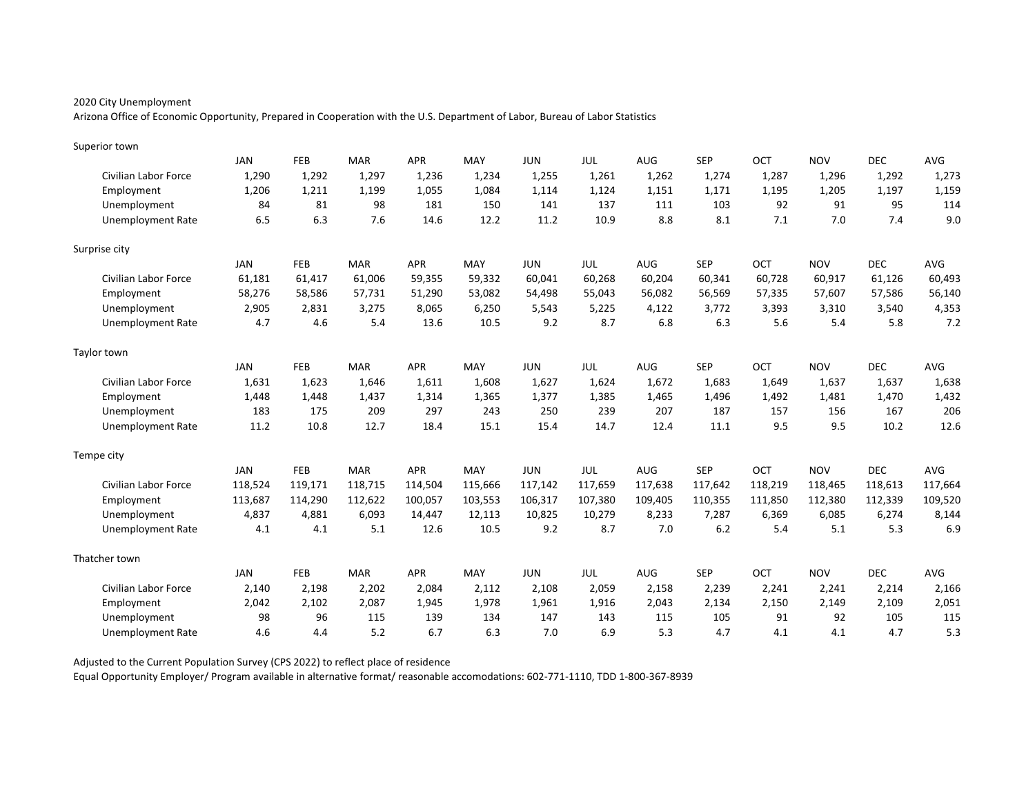Arizona Office of Economic Opportunity, Prepared in Cooperation with the U.S. Department of Labor, Bureau of Labor Statistics

| Superior town               |            |            |            |            |         |            |         |            |            |         |            |            |         |
|-----------------------------|------------|------------|------------|------------|---------|------------|---------|------------|------------|---------|------------|------------|---------|
|                             | <b>JAN</b> | FEB        | <b>MAR</b> | <b>APR</b> | MAY     | <b>JUN</b> | JUL     | <b>AUG</b> | <b>SEP</b> | OCT     | <b>NOV</b> | <b>DEC</b> | AVG     |
| Civilian Labor Force        | 1,290      | 1,292      | 1,297      | 1,236      | 1,234   | 1,255      | 1,261   | 1,262      | 1,274      | 1,287   | 1,296      | 1,292      | 1,273   |
| Employment                  | 1,206      | 1,211      | 1,199      | 1,055      | 1,084   | 1,114      | 1,124   | 1,151      | 1,171      | 1,195   | 1,205      | 1,197      | 1,159   |
| Unemployment                | 84         | 81         | 98         | 181        | 150     | 141        | 137     | 111        | 103        | 92      | 91         | 95         | 114     |
| <b>Unemployment Rate</b>    | 6.5        | 6.3        | 7.6        | 14.6       | 12.2    | 11.2       | 10.9    | 8.8        | 8.1        | 7.1     | 7.0        | 7.4        | 9.0     |
| Surprise city               |            |            |            |            |         |            |         |            |            |         |            |            |         |
|                             | JAN        | FEB        | <b>MAR</b> | <b>APR</b> | MAY     | <b>JUN</b> | JUL     | AUG        | <b>SEP</b> | OCT     | <b>NOV</b> | <b>DEC</b> | AVG     |
| Civilian Labor Force        | 61,181     | 61,417     | 61,006     | 59,355     | 59,332  | 60,041     | 60,268  | 60,204     | 60,341     | 60,728  | 60,917     | 61,126     | 60,493  |
| Employment                  | 58,276     | 58,586     | 57,731     | 51,290     | 53,082  | 54,498     | 55,043  | 56,082     | 56,569     | 57,335  | 57,607     | 57,586     | 56,140  |
| Unemployment                | 2,905      | 2,831      | 3,275      | 8,065      | 6,250   | 5,543      | 5,225   | 4,122      | 3,772      | 3,393   | 3,310      | 3,540      | 4,353   |
| <b>Unemployment Rate</b>    | 4.7        | 4.6        | 5.4        | 13.6       | 10.5    | 9.2        | 8.7     | 6.8        | 6.3        | 5.6     | 5.4        | 5.8        | 7.2     |
| Taylor town                 |            |            |            |            |         |            |         |            |            |         |            |            |         |
|                             | <b>JAN</b> | <b>FEB</b> | <b>MAR</b> | <b>APR</b> | MAY     | <b>JUN</b> | JUL     | AUG        | <b>SEP</b> | OCT     | <b>NOV</b> | <b>DEC</b> | AVG     |
| Civilian Labor Force        | 1,631      | 1,623      | 1,646      | 1,611      | 1,608   | 1,627      | 1,624   | 1,672      | 1,683      | 1,649   | 1,637      | 1,637      | 1,638   |
| Employment                  | 1,448      | 1,448      | 1.437      | 1,314      | 1.365   | 1,377      | 1,385   | 1.465      | 1,496      | 1,492   | 1,481      | 1,470      | 1,432   |
| Unemployment                | 183        | 175        | 209        | 297        | 243     | 250        | 239     | 207        | 187        | 157     | 156        | 167        | 206     |
| <b>Unemployment Rate</b>    | 11.2       | 10.8       | 12.7       | 18.4       | 15.1    | 15.4       | 14.7    | 12.4       | 11.1       | 9.5     | 9.5        | 10.2       | 12.6    |
| Tempe city                  |            |            |            |            |         |            |         |            |            |         |            |            |         |
|                             | <b>JAN</b> | FEB        | <b>MAR</b> | <b>APR</b> | MAY     | <b>JUN</b> | JUL     | <b>AUG</b> | <b>SEP</b> | OCT     | <b>NOV</b> | <b>DEC</b> | AVG     |
| <b>Civilian Labor Force</b> | 118,524    | 119,171    | 118,715    | 114,504    | 115,666 | 117,142    | 117,659 | 117,638    | 117,642    | 118,219 | 118,465    | 118,613    | 117,664 |
| Employment                  | 113,687    | 114,290    | 112,622    | 100,057    | 103,553 | 106,317    | 107,380 | 109,405    | 110,355    | 111,850 | 112,380    | 112,339    | 109,520 |
| Unemployment                | 4,837      | 4,881      | 6,093      | 14,447     | 12,113  | 10,825     | 10,279  | 8,233      | 7,287      | 6,369   | 6,085      | 6,274      | 8,144   |
| <b>Unemployment Rate</b>    | 4.1        | 4.1        | 5.1        | 12.6       | 10.5    | 9.2        | 8.7     | 7.0        | 6.2        | 5.4     | 5.1        | 5.3        | 6.9     |
| Thatcher town               |            |            |            |            |         |            |         |            |            |         |            |            |         |
|                             | <b>JAN</b> | FEB        | <b>MAR</b> | <b>APR</b> | MAY     | <b>JUN</b> | JUL     | AUG        | <b>SEP</b> | OCT     | <b>NOV</b> | <b>DEC</b> | AVG     |
| Civilian Labor Force        | 2,140      | 2,198      | 2,202      | 2,084      | 2,112   | 2,108      | 2,059   | 2,158      | 2,239      | 2,241   | 2,241      | 2,214      | 2,166   |
| Employment                  | 2,042      | 2,102      | 2,087      | 1,945      | 1,978   | 1,961      | 1,916   | 2,043      | 2,134      | 2,150   | 2,149      | 2,109      | 2,051   |
| Unemployment                | 98         | 96         | 115        | 139        | 134     | 147        | 143     | 115        | 105        | 91      | 92         | 105        | 115     |
| <b>Unemployment Rate</b>    | 4.6        | 4.4        | 5.2        | 6.7        | 6.3     | 7.0        | 6.9     | 5.3        | 4.7        | 4.1     | 4.1        | 4.7        | 5.3     |

Adjusted to the Current Population Survey (CPS 2022) to reflect place of residence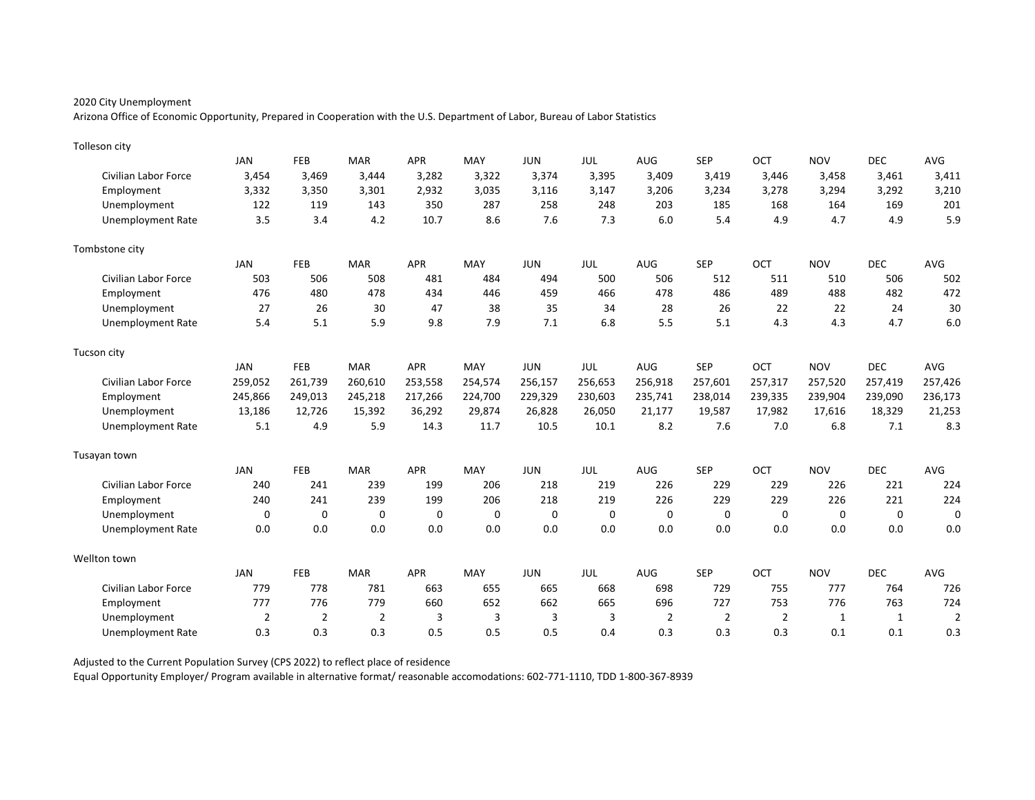Arizona Office of Economic Opportunity, Prepared in Cooperation with the U.S. Department of Labor, Bureau of Labor Statistics

| Tolleson city               |                |                |                |            |         |             |            |                |                |                |             |             |                |
|-----------------------------|----------------|----------------|----------------|------------|---------|-------------|------------|----------------|----------------|----------------|-------------|-------------|----------------|
|                             | <b>JAN</b>     | FEB            | <b>MAR</b>     | <b>APR</b> | MAY     | <b>JUN</b>  | <b>JUL</b> | AUG            | <b>SEP</b>     | OCT            | <b>NOV</b>  | <b>DEC</b>  | AVG            |
| Civilian Labor Force        | 3,454          | 3,469          | 3,444          | 3,282      | 3,322   | 3,374       | 3,395      | 3,409          | 3,419          | 3,446          | 3,458       | 3,461       | 3,411          |
| Employment                  | 3,332          | 3,350          | 3,301          | 2,932      | 3,035   | 3,116       | 3,147      | 3,206          | 3,234          | 3,278          | 3,294       | 3,292       | 3,210          |
| Unemployment                | 122            | 119            | 143            | 350        | 287     | 258         | 248        | 203            | 185            | 168            | 164         | 169         | 201            |
| Unemployment Rate           | 3.5            | 3.4            | 4.2            | 10.7       | 8.6     | 7.6         | 7.3        | 6.0            | 5.4            | 4.9            | 4.7         | 4.9         | 5.9            |
| Tombstone city              |                |                |                |            |         |             |            |                |                |                |             |             |                |
|                             | <b>JAN</b>     | FEB            | <b>MAR</b>     | <b>APR</b> | MAY     | <b>JUN</b>  | <b>JUL</b> | <b>AUG</b>     | <b>SEP</b>     | OCT            | <b>NOV</b>  | <b>DEC</b>  | AVG            |
| Civilian Labor Force        | 503            | 506            | 508            | 481        | 484     | 494         | 500        | 506            | 512            | 511            | 510         | 506         | 502            |
| Employment                  | 476            | 480            | 478            | 434        | 446     | 459         | 466        | 478            | 486            | 489            | 488         | 482         | 472            |
| Unemployment                | 27             | 26             | 30             | 47         | 38      | 35          | 34         | 28             | 26             | 22             | 22          | 24          | 30             |
| <b>Unemployment Rate</b>    | 5.4            | 5.1            | 5.9            | 9.8        | 7.9     | 7.1         | 6.8        | 5.5            | 5.1            | 4.3            | 4.3         | 4.7         | 6.0            |
| Tucson city                 |                |                |                |            |         |             |            |                |                |                |             |             |                |
|                             | <b>JAN</b>     | FEB            | <b>MAR</b>     | <b>APR</b> | MAY     | <b>JUN</b>  | JUL        | AUG            | <b>SEP</b>     | OCT            | <b>NOV</b>  | <b>DEC</b>  | AVG            |
| Civilian Labor Force        | 259,052        | 261,739        | 260,610        | 253,558    | 254,574 | 256,157     | 256,653    | 256,918        | 257,601        | 257,317        | 257,520     | 257,419     | 257,426        |
| Employment                  | 245,866        | 249,013        | 245,218        | 217,266    | 224,700 | 229,329     | 230,603    | 235,741        | 238,014        | 239,335        | 239,904     | 239,090     | 236,173        |
| Unemployment                | 13,186         | 12,726         | 15,392         | 36,292     | 29,874  | 26,828      | 26,050     | 21,177         | 19,587         | 17,982         | 17,616      | 18,329      | 21,253         |
| Unemployment Rate           | 5.1            | 4.9            | 5.9            | 14.3       | 11.7    | 10.5        | 10.1       | 8.2            | 7.6            | 7.0            | 6.8         | 7.1         | 8.3            |
| Tusayan town                |                |                |                |            |         |             |            |                |                |                |             |             |                |
|                             | <b>JAN</b>     | FEB            | <b>MAR</b>     | <b>APR</b> | MAY     | <b>JUN</b>  | JUL        | AUG            | <b>SEP</b>     | OCT            | <b>NOV</b>  | <b>DEC</b>  | AVG            |
| <b>Civilian Labor Force</b> | 240            | 241            | 239            | 199        | 206     | 218         | 219        | 226            | 229            | 229            | 226         | 221         | 224            |
| Employment                  | 240            | 241            | 239            | 199        | 206     | 218         | 219        | 226            | 229            | 229            | 226         | 221         | 224            |
| Unemployment                | 0              | 0              | $\mathbf 0$    | 0          | 0       | $\mathbf 0$ | 0          | 0              | 0              | $\mathbf 0$    | $\mathbf 0$ | $\mathbf 0$ | 0              |
| <b>Unemployment Rate</b>    | 0.0            | 0.0            | 0.0            | 0.0        | 0.0     | 0.0         | 0.0        | 0.0            | 0.0            | 0.0            | 0.0         | 0.0         | 0.0            |
| Wellton town                |                |                |                |            |         |             |            |                |                |                |             |             |                |
|                             | <b>JAN</b>     | FEB            | <b>MAR</b>     | <b>APR</b> | MAY     | <b>JUN</b>  | JUL        | AUG            | <b>SEP</b>     | OCT            | <b>NOV</b>  | <b>DEC</b>  | AVG            |
| Civilian Labor Force        | 779            | 778            | 781            | 663        | 655     | 665         | 668        | 698            | 729            | 755            | 777         | 764         | 726            |
| Employment                  | 777            | 776            | 779            | 660        | 652     | 662         | 665        | 696            | 727            | 753            | 776         | 763         | 724            |
| Unemployment                | $\overline{2}$ | $\overline{2}$ | $\overline{2}$ | 3          | 3       | 3           | 3          | $\overline{2}$ | $\overline{2}$ | $\overline{2}$ | 1           | 1           | $\overline{2}$ |
| Unemployment Rate           | 0.3            | 0.3            | 0.3            | 0.5        | 0.5     | 0.5         | 0.4        | 0.3            | 0.3            | 0.3            | 0.1         | 0.1         | 0.3            |

Adjusted to the Current Population Survey (CPS 2022) to reflect place of residence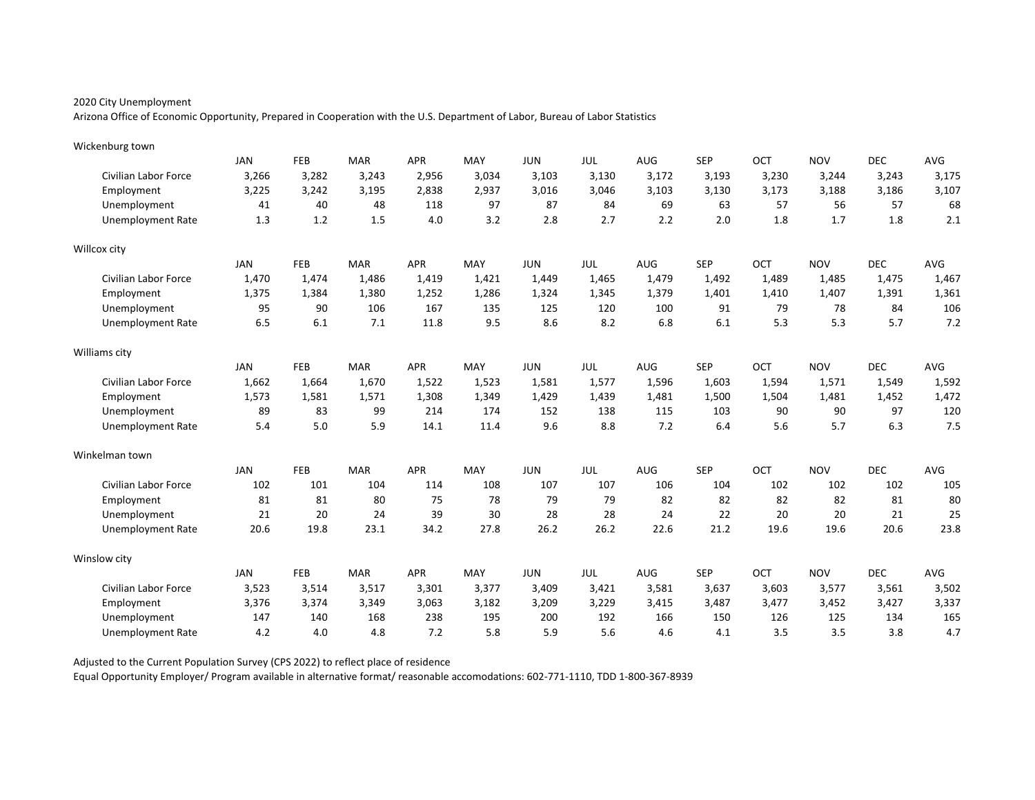Arizona Office of Economic Opportunity, Prepared in Cooperation with the U.S. Department of Labor, Bureau of Labor Statistics

| Wickenburg town             |            |            |            |            |       |            |       |       |            |       |            |            |       |
|-----------------------------|------------|------------|------------|------------|-------|------------|-------|-------|------------|-------|------------|------------|-------|
|                             | <b>JAN</b> | FEB        | <b>MAR</b> | <b>APR</b> | MAY   | <b>JUN</b> | JUL   | AUG   | <b>SEP</b> | OCT   | <b>NOV</b> | <b>DEC</b> | AVG   |
| <b>Civilian Labor Force</b> | 3,266      | 3,282      | 3,243      | 2,956      | 3.034 | 3,103      | 3,130 | 3,172 | 3,193      | 3,230 | 3,244      | 3,243      | 3,175 |
| Employment                  | 3,225      | 3,242      | 3,195      | 2,838      | 2,937 | 3,016      | 3,046 | 3,103 | 3,130      | 3,173 | 3,188      | 3,186      | 3,107 |
| Unemployment                | 41         | 40         | 48         | 118        | 97    | 87         | 84    | 69    | 63         | 57    | 56         | 57         | 68    |
| <b>Unemployment Rate</b>    | 1.3        | 1.2        | 1.5        | 4.0        | 3.2   | 2.8        | 2.7   | 2.2   | 2.0        | 1.8   | 1.7        | 1.8        | 2.1   |
| Willcox city                |            |            |            |            |       |            |       |       |            |       |            |            |       |
|                             | JAN        | <b>FEB</b> | <b>MAR</b> | <b>APR</b> | MAY   | <b>JUN</b> | JUL   | AUG   | <b>SEP</b> | OCT   | <b>NOV</b> | <b>DEC</b> | AVG   |
| <b>Civilian Labor Force</b> | 1,470      | 1,474      | 1,486      | 1,419      | 1,421 | 1,449      | 1,465 | 1,479 | 1,492      | 1.489 | 1,485      | 1,475      | 1,467 |
| Employment                  | 1,375      | 1,384      | 1,380      | 1,252      | 1,286 | 1,324      | 1,345 | 1,379 | 1,401      | 1,410 | 1,407      | 1,391      | 1,361 |
| Unemployment                | 95         | 90         | 106        | 167        | 135   | 125        | 120   | 100   | 91         | 79    | 78         | 84         | 106   |
| <b>Unemployment Rate</b>    | 6.5        | 6.1        | 7.1        | 11.8       | 9.5   | 8.6        | 8.2   | 6.8   | 6.1        | 5.3   | 5.3        | 5.7        | 7.2   |
| Williams city               |            |            |            |            |       |            |       |       |            |       |            |            |       |
|                             | <b>JAN</b> | FEB        | <b>MAR</b> | <b>APR</b> | MAY   | <b>JUN</b> | JUL   | AUG   | <b>SEP</b> | OCT   | <b>NOV</b> | <b>DEC</b> | AVG   |
| <b>Civilian Labor Force</b> | 1,662      | 1,664      | 1,670      | 1,522      | 1,523 | 1,581      | 1,577 | 1,596 | 1,603      | 1,594 | 1,571      | 1,549      | 1,592 |
| Employment                  | 1,573      | 1,581      | 1,571      | 1,308      | 1,349 | 1,429      | 1,439 | 1,481 | 1,500      | 1,504 | 1,481      | 1,452      | 1,472 |
| Unemployment                | 89         | 83         | 99         | 214        | 174   | 152        | 138   | 115   | 103        | 90    | 90         | 97         | 120   |
| <b>Unemployment Rate</b>    | 5.4        | 5.0        | 5.9        | 14.1       | 11.4  | 9.6        | 8.8   | 7.2   | 6.4        | 5.6   | 5.7        | 6.3        | 7.5   |
| Winkelman town              |            |            |            |            |       |            |       |       |            |       |            |            |       |
|                             | <b>JAN</b> | FEB        | <b>MAR</b> | <b>APR</b> | MAY   | <b>JUN</b> | JUL   | AUG   | <b>SEP</b> | OCT   | <b>NOV</b> | <b>DEC</b> | AVG   |
| <b>Civilian Labor Force</b> | 102        | 101        | 104        | 114        | 108   | 107        | 107   | 106   | 104        | 102   | 102        | 102        | 105   |
| Employment                  | 81         | 81         | 80         | 75         | 78    | 79         | 79    | 82    | 82         | 82    | 82         | 81         | 80    |
| Unemployment                | 21         | 20         | 24         | 39         | 30    | 28         | 28    | 24    | 22         | 20    | 20         | 21         | 25    |
| <b>Unemployment Rate</b>    | 20.6       | 19.8       | 23.1       | 34.2       | 27.8  | 26.2       | 26.2  | 22.6  | 21.2       | 19.6  | 19.6       | 20.6       | 23.8  |
| Winslow city                |            |            |            |            |       |            |       |       |            |       |            |            |       |
|                             | <b>JAN</b> | FEB        | <b>MAR</b> | <b>APR</b> | MAY   | <b>JUN</b> | JUL   | AUG   | <b>SEP</b> | OCT   | <b>NOV</b> | <b>DEC</b> | AVG   |
| <b>Civilian Labor Force</b> | 3,523      | 3,514      | 3,517      | 3,301      | 3,377 | 3,409      | 3,421 | 3,581 | 3,637      | 3,603 | 3,577      | 3,561      | 3,502 |
| Employment                  | 3,376      | 3,374      | 3,349      | 3,063      | 3,182 | 3,209      | 3,229 | 3,415 | 3,487      | 3,477 | 3,452      | 3,427      | 3,337 |
| Unemployment                | 147        | 140        | 168        | 238        | 195   | 200        | 192   | 166   | 150        | 126   | 125        | 134        | 165   |
| Unemployment Rate           | 4.2        | 4.0        | 4.8        | 7.2        | 5.8   | 5.9        | 5.6   | 4.6   | 4.1        | 3.5   | 3.5        | 3.8        | 4.7   |

Adjusted to the Current Population Survey (CPS 2022) to reflect place of residence